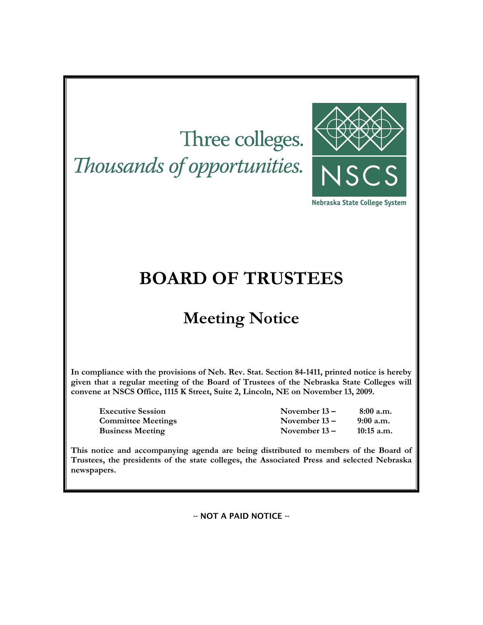# Three colleges.

Thousands of opportunities.



Nebraska State College System

# **BOARD OF TRUSTEES**

# **Meeting Notice**

**In compliance with the provisions of Neb. Rev. Stat. Section 84-1411, printed notice is hereby given that a regular meeting of the Board of Trustees of the Nebraska State Colleges will convene at NSCS Office, 1115 K Street, Suite 2, Lincoln, NE on November 13, 2009.** 

**Executive Session** November 13 – 8:00 a.m. Committee Meetings<br>Business Meeting<br>November 13 – 9:00 a.m.<br>November 13 – 10:15 a.m. **Business Meeting November 13 – 10:15 a.m.** 

**This notice and accompanying agenda are being distributed to members of the Board of Trustees, the presidents of the state colleges, the Associated Press and selected Nebraska newspapers.** 

-- NOT A PAID NOTICE --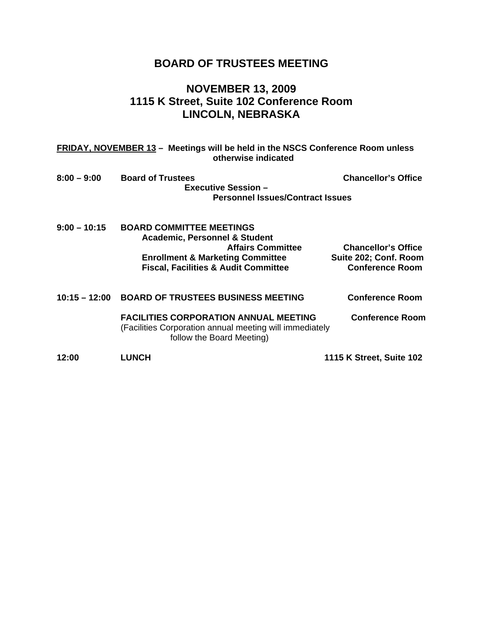# **BOARD OF TRUSTEES MEETING**

# **NOVEMBER 13, 2009 1115 K Street, Suite 102 Conference Room LINCOLN, NEBRASKA**

|                | <b>FRIDAY, NOVEMBER 13 - Meetings will be held in the NSCS Conference Room unless</b><br>otherwise indicated                                                                                              |                                                                               |
|----------------|-----------------------------------------------------------------------------------------------------------------------------------------------------------------------------------------------------------|-------------------------------------------------------------------------------|
| $8:00 - 9:00$  | <b>Board of Trustees</b><br><b>Executive Session -</b>                                                                                                                                                    | <b>Chancellor's Office</b>                                                    |
|                | <b>Personnel Issues/Contract Issues</b>                                                                                                                                                                   |                                                                               |
| $9:00 - 10:15$ | <b>BOARD COMMITTEE MEETINGS</b><br><b>Academic, Personnel &amp; Student</b><br><b>Affairs Committee</b><br><b>Enrollment &amp; Marketing Committee</b><br><b>Fiscal, Facilities &amp; Audit Committee</b> | <b>Chancellor's Office</b><br>Suite 202; Conf. Room<br><b>Conference Room</b> |
|                | 10:15 - 12:00 BOARD OF TRUSTEES BUSINESS MEETING                                                                                                                                                          | <b>Conference Room</b>                                                        |
|                | <b>FACILITIES CORPORATION ANNUAL MEETING</b><br>(Facilities Corporation annual meeting will immediately<br>follow the Board Meeting)                                                                      | <b>Conference Room</b>                                                        |
| 12:00          | <b>LUNCH</b>                                                                                                                                                                                              | <b>1115 K Street, Suite 102</b>                                               |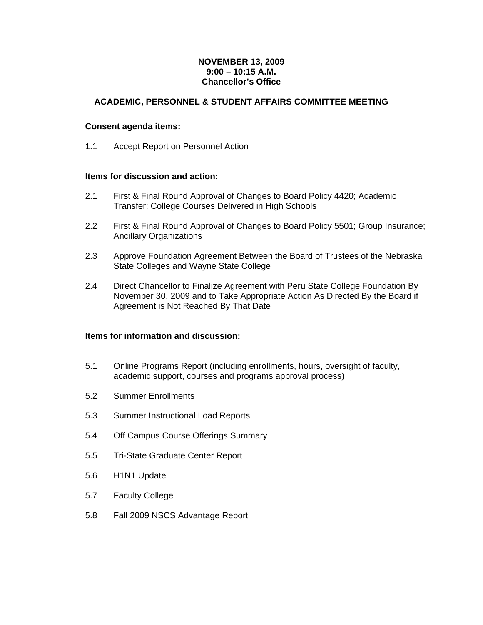# **NOVEMBER 13, 2009 9:00 – 10:15 A.M. Chancellor's Office**

# **ACADEMIC, PERSONNEL & STUDENT AFFAIRS COMMITTEE MEETING**

# **Consent agenda items:**

1.1 Accept Report on Personnel Action

# **Items for discussion and action:**

- 2.1 First & Final Round Approval of Changes to Board Policy 4420; Academic Transfer; College Courses Delivered in High Schools
- 2.2 First & Final Round Approval of Changes to Board Policy 5501; Group Insurance; Ancillary Organizations
- 2.3 Approve Foundation Agreement Between the Board of Trustees of the Nebraska State Colleges and Wayne State College
- 2.4 Direct Chancellor to Finalize Agreement with Peru State College Foundation By November 30, 2009 and to Take Appropriate Action As Directed By the Board if Agreement is Not Reached By That Date

# **Items for information and discussion:**

- 5.1 Online Programs Report (including enrollments, hours, oversight of faculty, academic support, courses and programs approval process)
- 5.2 Summer Enrollments
- 5.3 Summer Instructional Load Reports
- 5.4 Off Campus Course Offerings Summary
- 5.5 Tri-State Graduate Center Report
- 5.6 H1N1 Update
- 5.7 Faculty College
- 5.8 Fall 2009 NSCS Advantage Report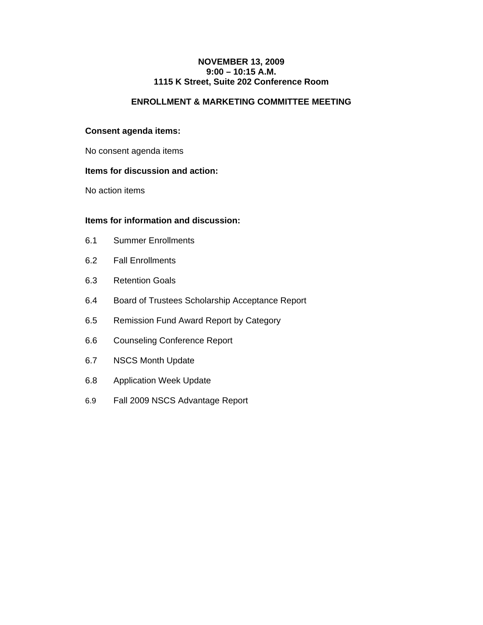# **NOVEMBER 13, 2009 9:00 – 10:15 A.M. 1115 K Street, Suite 202 Conference Room**

# **ENROLLMENT & MARKETING COMMITTEE MEETING**

# **Consent agenda items:**

No consent agenda items

# **Items for discussion and action:**

No action items

# **Items for information and discussion:**

- 6.1 Summer Enrollments
- 6.2 Fall Enrollments
- 6.3 Retention Goals
- 6.4 Board of Trustees Scholarship Acceptance Report
- 6.5 Remission Fund Award Report by Category
- 6.6 Counseling Conference Report
- 6.7 NSCS Month Update
- 6.8 Application Week Update
- 6.9 Fall 2009 NSCS Advantage Report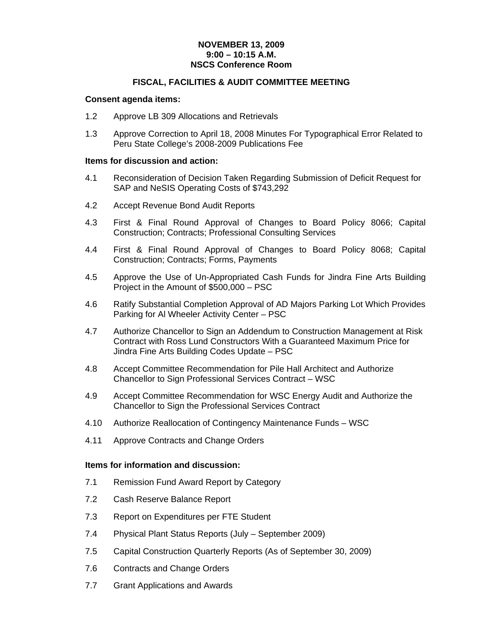# **NOVEMBER 13, 2009 9:00 – 10:15 A.M. NSCS Conference Room**

# **FISCAL, FACILITIES & AUDIT COMMITTEE MEETING**

# **Consent agenda items:**

- 1.2 Approve LB 309 Allocations and Retrievals
- 1.3 Approve Correction to April 18, 2008 Minutes For Typographical Error Related to Peru State College's 2008-2009 Publications Fee

# **Items for discussion and action:**

- 4.1 Reconsideration of Decision Taken Regarding Submission of Deficit Request for SAP and NeSIS Operating Costs of \$743,292
- 4.2 Accept Revenue Bond Audit Reports
- 4.3 First & Final Round Approval of Changes to Board Policy 8066; Capital Construction; Contracts; Professional Consulting Services
- 4.4 First & Final Round Approval of Changes to Board Policy 8068; Capital Construction; Contracts; Forms, Payments
- 4.5 Approve the Use of Un-Appropriated Cash Funds for Jindra Fine Arts Building Project in the Amount of \$500,000 – PSC
- 4.6 Ratify Substantial Completion Approval of AD Majors Parking Lot Which Provides Parking for Al Wheeler Activity Center – PSC
- 4.7 Authorize Chancellor to Sign an Addendum to Construction Management at Risk Contract with Ross Lund Constructors With a Guaranteed Maximum Price for Jindra Fine Arts Building Codes Update – PSC
- 4.8 Accept Committee Recommendation for Pile Hall Architect and Authorize Chancellor to Sign Professional Services Contract – WSC
- 4.9 Accept Committee Recommendation for WSC Energy Audit and Authorize the Chancellor to Sign the Professional Services Contract
- 4.10 Authorize Reallocation of Contingency Maintenance Funds WSC
- 4.11 Approve Contracts and Change Orders

#### **Items for information and discussion:**

- 7.1 Remission Fund Award Report by Category
- 7.2 Cash Reserve Balance Report
- 7.3 Report on Expenditures per FTE Student
- 7.4 Physical Plant Status Reports (July September 2009)
- 7.5 Capital Construction Quarterly Reports (As of September 30, 2009)
- 7.6 Contracts and Change Orders
- 7.7 Grant Applications and Awards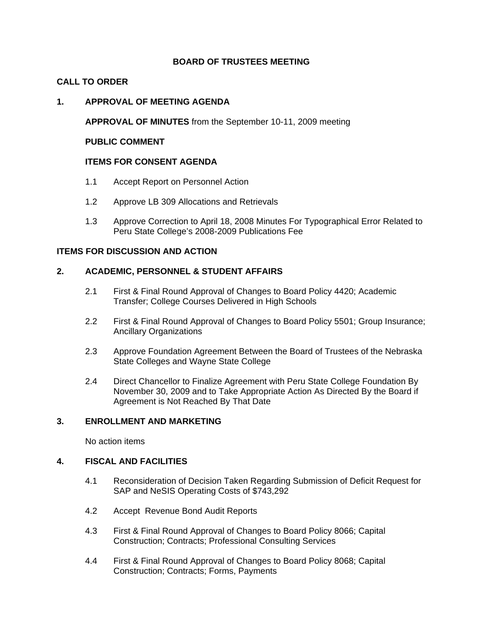# **BOARD OF TRUSTEES MEETING**

# **CALL TO ORDER**

# **1. APPROVAL OF MEETING AGENDA**

 **APPROVAL OF MINUTES** from the September 10-11, 2009 meeting

# **PUBLIC COMMENT**

# **ITEMS FOR CONSENT AGENDA**

- 1.1 Accept Report on Personnel Action
- 1.2 Approve LB 309 Allocations and Retrievals
- 1.3 Approve Correction to April 18, 2008 Minutes For Typographical Error Related to Peru State College's 2008-2009 Publications Fee

# **ITEMS FOR DISCUSSION AND ACTION**

# **2. ACADEMIC, PERSONNEL & STUDENT AFFAIRS**

- 2.1 First & Final Round Approval of Changes to Board Policy 4420; Academic Transfer; College Courses Delivered in High Schools
- 2.2 First & Final Round Approval of Changes to Board Policy 5501; Group Insurance; Ancillary Organizations
- 2.3 Approve Foundation Agreement Between the Board of Trustees of the Nebraska State Colleges and Wayne State College
- 2.4 Direct Chancellor to Finalize Agreement with Peru State College Foundation By November 30, 2009 and to Take Appropriate Action As Directed By the Board if Agreement is Not Reached By That Date

# **3. ENROLLMENT AND MARKETING**

No action items

# **4. FISCAL AND FACILITIES**

- 4.1 Reconsideration of Decision Taken Regarding Submission of Deficit Request for SAP and NeSIS Operating Costs of \$743,292
- 4.2 Accept Revenue Bond Audit Reports
- 4.3 First & Final Round Approval of Changes to Board Policy 8066; Capital Construction; Contracts; Professional Consulting Services
- 4.4 First & Final Round Approval of Changes to Board Policy 8068; Capital Construction; Contracts; Forms, Payments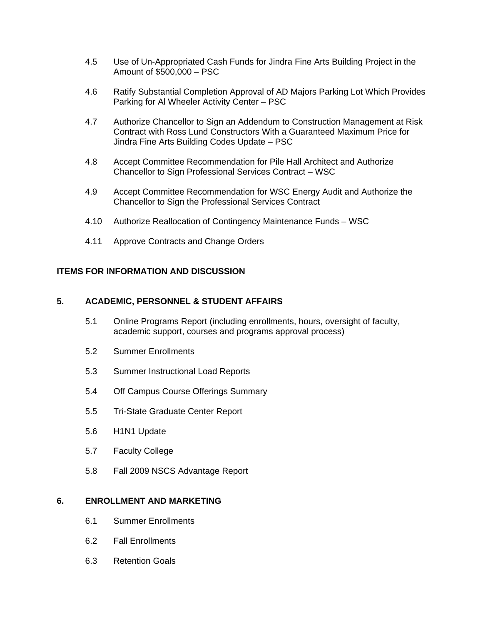- 4.5 Use of Un-Appropriated Cash Funds for Jindra Fine Arts Building Project in the Amount of \$500,000 – PSC
- 4.6 Ratify Substantial Completion Approval of AD Majors Parking Lot Which Provides Parking for Al Wheeler Activity Center – PSC
- 4.7 Authorize Chancellor to Sign an Addendum to Construction Management at Risk Contract with Ross Lund Constructors With a Guaranteed Maximum Price for Jindra Fine Arts Building Codes Update – PSC
- 4.8 Accept Committee Recommendation for Pile Hall Architect and Authorize Chancellor to Sign Professional Services Contract – WSC
- 4.9 Accept Committee Recommendation for WSC Energy Audit and Authorize the Chancellor to Sign the Professional Services Contract
- 4.10 Authorize Reallocation of Contingency Maintenance Funds WSC
- 4.11 Approve Contracts and Change Orders

# **ITEMS FOR INFORMATION AND DISCUSSION**

# **5. ACADEMIC, PERSONNEL & STUDENT AFFAIRS**

- 5.1 Online Programs Report (including enrollments, hours, oversight of faculty, academic support, courses and programs approval process)
- 5.2 Summer Enrollments
- 5.3 Summer Instructional Load Reports
- 5.4 Off Campus Course Offerings Summary
- 5.5 Tri-State Graduate Center Report
- 5.6 H1N1 Update
- 5.7 Faculty College
- 5.8 Fall 2009 NSCS Advantage Report

# **6. ENROLLMENT AND MARKETING**

- 6.1 Summer Enrollments
- 6.2 Fall Enrollments
- 6.3 Retention Goals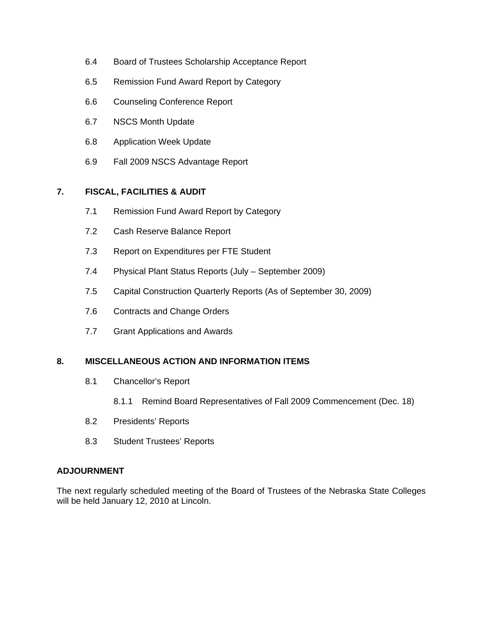- 6.4 Board of Trustees Scholarship Acceptance Report
- 6.5 Remission Fund Award Report by Category
- 6.6 Counseling Conference Report
- 6.7 NSCS Month Update
- 6.8 Application Week Update
- 6.9 Fall 2009 NSCS Advantage Report

# **7. FISCAL, FACILITIES & AUDIT**

- 7.1 Remission Fund Award Report by Category
- 7.2 Cash Reserve Balance Report
- 7.3 Report on Expenditures per FTE Student
- 7.4 Physical Plant Status Reports (July September 2009)
- 7.5 Capital Construction Quarterly Reports (As of September 30, 2009)
- 7.6 Contracts and Change Orders
- 7.7 Grant Applications and Awards

# **8. MISCELLANEOUS ACTION AND INFORMATION ITEMS**

- 8.1 Chancellor's Report
	- 8.1.1 Remind Board Representatives of Fall 2009 Commencement (Dec. 18)
- 8.2 Presidents' Reports
- 8.3 Student Trustees' Reports

# **ADJOURNMENT**

The next regularly scheduled meeting of the Board of Trustees of the Nebraska State Colleges will be held January 12, 2010 at Lincoln.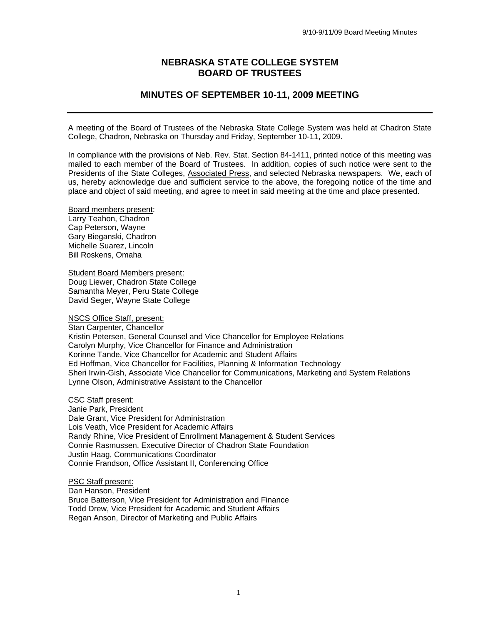# **NEBRASKA STATE COLLEGE SYSTEM BOARD OF TRUSTEES**

# **MINUTES OF SEPTEMBER 10-11, 2009 MEETING**

A meeting of the Board of Trustees of the Nebraska State College System was held at Chadron State College, Chadron, Nebraska on Thursday and Friday, September 10-11, 2009.

In compliance with the provisions of Neb. Rev. Stat. Section 84-1411, printed notice of this meeting was mailed to each member of the Board of Trustees. In addition, copies of such notice were sent to the Presidents of the State Colleges, Associated Press, and selected Nebraska newspapers. We, each of us, hereby acknowledge due and sufficient service to the above, the foregoing notice of the time and place and object of said meeting, and agree to meet in said meeting at the time and place presented.

Board members present: Larry Teahon, Chadron Cap Peterson, Wayne Gary Bieganski, Chadron Michelle Suarez, Lincoln Bill Roskens, Omaha

Student Board Members present: Doug Liewer, Chadron State College Samantha Meyer, Peru State College David Seger, Wayne State College

NSCS Office Staff, present:

Stan Carpenter, Chancellor Kristin Petersen, General Counsel and Vice Chancellor for Employee Relations Carolyn Murphy, Vice Chancellor for Finance and Administration Korinne Tande, Vice Chancellor for Academic and Student Affairs Ed Hoffman, Vice Chancellor for Facilities, Planning & Information Technology Sheri Irwin-Gish, Associate Vice Chancellor for Communications, Marketing and System Relations Lynne Olson, Administrative Assistant to the Chancellor

CSC Staff present:

Janie Park, President Dale Grant, Vice President for Administration Lois Veath, Vice President for Academic Affairs Randy Rhine, Vice President of Enrollment Management & Student Services Connie Rasmussen, Executive Director of Chadron State Foundation Justin Haag, Communications Coordinator Connie Frandson, Office Assistant II, Conferencing Office

PSC Staff present: Dan Hanson, President Bruce Batterson, Vice President for Administration and Finance Todd Drew, Vice President for Academic and Student Affairs Regan Anson, Director of Marketing and Public Affairs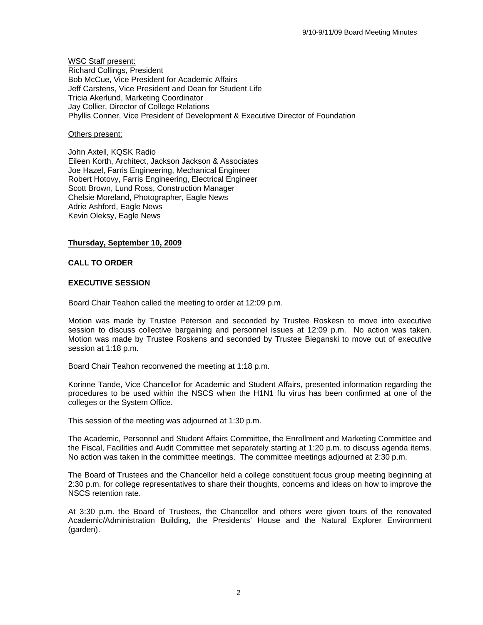WSC Staff present: Richard Collings, President Bob McCue, Vice President for Academic Affairs Jeff Carstens, Vice President and Dean for Student Life Tricia Akerlund, Marketing Coordinator Jay Collier, Director of College Relations Phyllis Conner, Vice President of Development & Executive Director of Foundation

### Others present:

John Axtell, KQSK Radio Eileen Korth, Architect, Jackson Jackson & Associates Joe Hazel, Farris Engineering, Mechanical Engineer Robert Hotovy, Farris Engineering, Electrical Engineer Scott Brown, Lund Ross, Construction Manager Chelsie Moreland, Photographer, Eagle News Adrie Ashford, Eagle News Kevin Oleksy, Eagle News

# **Thursday, September 10, 2009**

# **CALL TO ORDER**

# **EXECUTIVE SESSION**

Board Chair Teahon called the meeting to order at 12:09 p.m.

Motion was made by Trustee Peterson and seconded by Trustee Roskesn to move into executive session to discuss collective bargaining and personnel issues at 12:09 p.m. No action was taken. Motion was made by Trustee Roskens and seconded by Trustee Bieganski to move out of executive session at 1:18 p.m.

Board Chair Teahon reconvened the meeting at 1:18 p.m.

Korinne Tande, Vice Chancellor for Academic and Student Affairs, presented information regarding the procedures to be used within the NSCS when the H1N1 flu virus has been confirmed at one of the colleges or the System Office.

This session of the meeting was adjourned at 1:30 p.m.

The Academic, Personnel and Student Affairs Committee, the Enrollment and Marketing Committee and the Fiscal, Facilities and Audit Committee met separately starting at 1:20 p.m. to discuss agenda items. No action was taken in the committee meetings. The committee meetings adjourned at 2:30 p.m.

The Board of Trustees and the Chancellor held a college constituent focus group meeting beginning at 2:30 p.m. for college representatives to share their thoughts, concerns and ideas on how to improve the NSCS retention rate.

At 3:30 p.m. the Board of Trustees, the Chancellor and others were given tours of the renovated Academic/Administration Building, the Presidents' House and the Natural Explorer Environment (garden).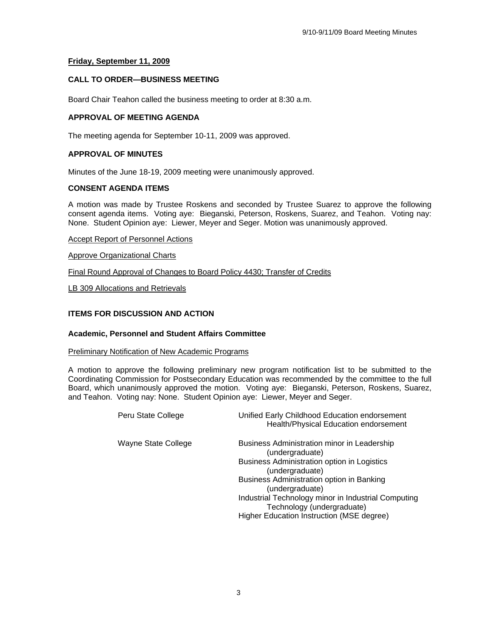# **Friday, September 11, 2009**

### **CALL TO ORDER—BUSINESS MEETING**

Board Chair Teahon called the business meeting to order at 8:30 a.m.

# **APPROVAL OF MEETING AGENDA**

The meeting agenda for September 10-11, 2009 was approved.

# **APPROVAL OF MINUTES**

Minutes of the June 18-19, 2009 meeting were unanimously approved.

# **CONSENT AGENDA ITEMS**

A motion was made by Trustee Roskens and seconded by Trustee Suarez to approve the following consent agenda items. Voting aye: Bieganski, Peterson, Roskens, Suarez, and Teahon. Voting nay: None. Student Opinion aye: Liewer, Meyer and Seger. Motion was unanimously approved.

Accept Report of Personnel Actions

Approve Organizational Charts

Final Round Approval of Changes to Board Policy 4430; Transfer of Credits

LB 309 Allocations and Retrievals

### **ITEMS FOR DISCUSSION AND ACTION**

#### **Academic, Personnel and Student Affairs Committee**

# Preliminary Notification of New Academic Programs

A motion to approve the following preliminary new program notification list to be submitted to the Coordinating Commission for Postsecondary Education was recommended by the committee to the full Board, which unanimously approved the motion. Voting aye: Bieganski, Peterson, Roskens, Suarez, and Teahon. Voting nay: None. Student Opinion aye: Liewer, Meyer and Seger.

| Peru State College  | Unified Early Childhood Education endorsement<br>Health/Physical Education endorsement                                                                                                                                                                                                                                             |
|---------------------|------------------------------------------------------------------------------------------------------------------------------------------------------------------------------------------------------------------------------------------------------------------------------------------------------------------------------------|
| Wayne State College | Business Administration minor in Leadership<br>(undergraduate)<br>Business Administration option in Logistics<br>(undergraduate)<br>Business Administration option in Banking<br>(undergraduate)<br>Industrial Technology minor in Industrial Computing<br>Technology (undergraduate)<br>Higher Education Instruction (MSE degree) |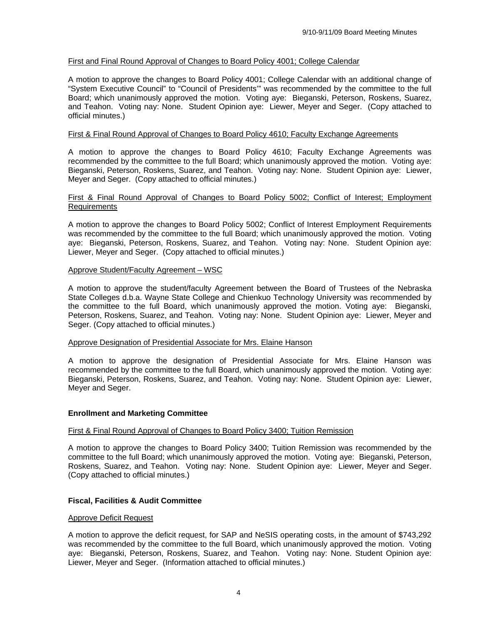# First and Final Round Approval of Changes to Board Policy 4001; College Calendar

A motion to approve the changes to Board Policy 4001; College Calendar with an additional change of "System Executive Council" to "Council of Presidents'" was recommended by the committee to the full Board; which unanimously approved the motion. Voting aye: Bieganski, Peterson, Roskens, Suarez, and Teahon. Voting nay: None. Student Opinion aye: Liewer, Meyer and Seger. (Copy attached to official minutes.)

#### First & Final Round Approval of Changes to Board Policy 4610; Faculty Exchange Agreements

A motion to approve the changes to Board Policy 4610; Faculty Exchange Agreements was recommended by the committee to the full Board; which unanimously approved the motion. Voting aye: Bieganski, Peterson, Roskens, Suarez, and Teahon. Voting nay: None. Student Opinion aye: Liewer, Meyer and Seger. (Copy attached to official minutes.)

#### First & Final Round Approval of Changes to Board Policy 5002; Conflict of Interest; Employment Requirements

A motion to approve the changes to Board Policy 5002; Conflict of Interest Employment Requirements was recommended by the committee to the full Board; which unanimously approved the motion. Voting aye: Bieganski, Peterson, Roskens, Suarez, and Teahon. Voting nay: None. Student Opinion aye: Liewer, Meyer and Seger. (Copy attached to official minutes.)

#### Approve Student/Faculty Agreement – WSC

A motion to approve the student/faculty Agreement between the Board of Trustees of the Nebraska State Colleges d.b.a. Wayne State College and Chienkuo Technology University was recommended by the committee to the full Board, which unanimously approved the motion. Voting aye: Bieganski, Peterson, Roskens, Suarez, and Teahon. Voting nay: None. Student Opinion aye: Liewer, Meyer and Seger. (Copy attached to official minutes.)

#### Approve Designation of Presidential Associate for Mrs. Elaine Hanson

A motion to approve the designation of Presidential Associate for Mrs. Elaine Hanson was recommended by the committee to the full Board, which unanimously approved the motion. Voting aye: Bieganski, Peterson, Roskens, Suarez, and Teahon. Voting nay: None. Student Opinion aye: Liewer, Meyer and Seger.

#### **Enrollment and Marketing Committee**

#### First & Final Round Approval of Changes to Board Policy 3400; Tuition Remission

A motion to approve the changes to Board Policy 3400; Tuition Remission was recommended by the committee to the full Board; which unanimously approved the motion. Voting aye: Bieganski, Peterson, Roskens, Suarez, and Teahon. Voting nay: None. Student Opinion aye: Liewer, Meyer and Seger. (Copy attached to official minutes.)

#### **Fiscal, Facilities & Audit Committee**

#### Approve Deficit Request

A motion to approve the deficit request, for SAP and NeSIS operating costs, in the amount of \$743,292 was recommended by the committee to the full Board, which unanimously approved the motion. Voting aye: Bieganski, Peterson, Roskens, Suarez, and Teahon. Voting nay: None. Student Opinion aye: Liewer, Meyer and Seger. (Information attached to official minutes.)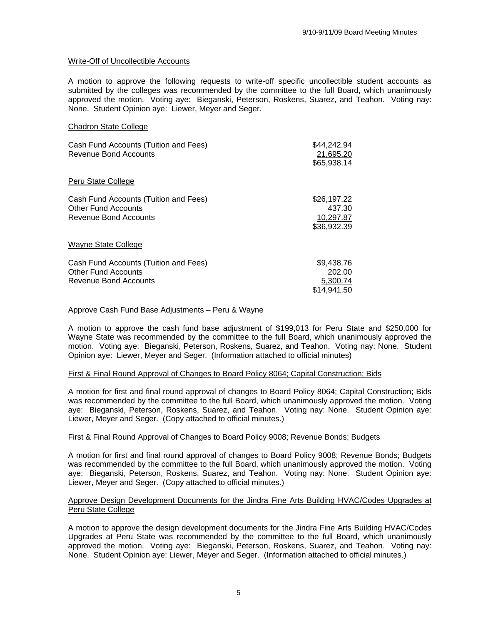# Write-Off of Uncollectible Accounts

A motion to approve the following requests to write-off specific uncollectible student accounts as submitted by the colleges was recommended by the committee to the full Board, which unanimously approved the motion. Voting aye: Bieganski, Peterson, Roskens, Suarez, and Teahon. Voting nay: None. Student Opinion aye: Liewer, Meyer and Seger.

#### Chadron State College

| Cash Fund Accounts (Tuition and Fees)<br>Revenue Bond Accounts                               | \$44,242.94<br>21,695.20<br>\$65,938.14           |
|----------------------------------------------------------------------------------------------|---------------------------------------------------|
| Peru State College                                                                           |                                                   |
| Cash Fund Accounts (Tuition and Fees)<br><b>Other Fund Accounts</b><br>Revenue Bond Accounts | \$26,197.22<br>437.30<br>10,297.87<br>\$36,932.39 |
| Wayne State College                                                                          |                                                   |
| Cash Fund Accounts (Tuition and Fees)<br><b>Other Fund Accounts</b><br>Revenue Bond Accounts | \$9,438.76<br>202.00<br>5,300.74<br>\$14,941.50   |

#### Approve Cash Fund Base Adjustments – Peru & Wayne

A motion to approve the cash fund base adjustment of \$199,013 for Peru State and \$250,000 for Wayne State was recommended by the committee to the full Board, which unanimously approved the motion. Voting aye: Bieganski, Peterson, Roskens, Suarez, and Teahon. Voting nay: None. Student Opinion aye: Liewer, Meyer and Seger. (Information attached to official minutes)

#### First & Final Round Approval of Changes to Board Policy 8064; Capital Construction; Bids

A motion for first and final round approval of changes to Board Policy 8064; Capital Construction; Bids was recommended by the committee to the full Board, which unanimously approved the motion. Voting aye: Bieganski, Peterson, Roskens, Suarez, and Teahon. Voting nay: None. Student Opinion aye: Liewer, Meyer and Seger. (Copy attached to official minutes.)

#### First & Final Round Approval of Changes to Board Policy 9008; Revenue Bonds; Budgets

A motion for first and final round approval of changes to Board Policy 9008; Revenue Bonds; Budgets was recommended by the committee to the full Board, which unanimously approved the motion. Voting aye: Bieganski, Peterson, Roskens, Suarez, and Teahon. Voting nay: None. Student Opinion aye: Liewer, Meyer and Seger. (Copy attached to official minutes.)

#### Approve Design Development Documents for the Jindra Fine Arts Building HVAC/Codes Upgrades at Peru State College

A motion to approve the design development documents for the Jindra Fine Arts Building HVAC/Codes Upgrades at Peru State was recommended by the committee to the full Board, which unanimously approved the motion. Voting aye: Bieganski, Peterson, Roskens, Suarez, and Teahon. Voting nay: None. Student Opinion aye: Liewer, Meyer and Seger. (Information attached to official minutes.)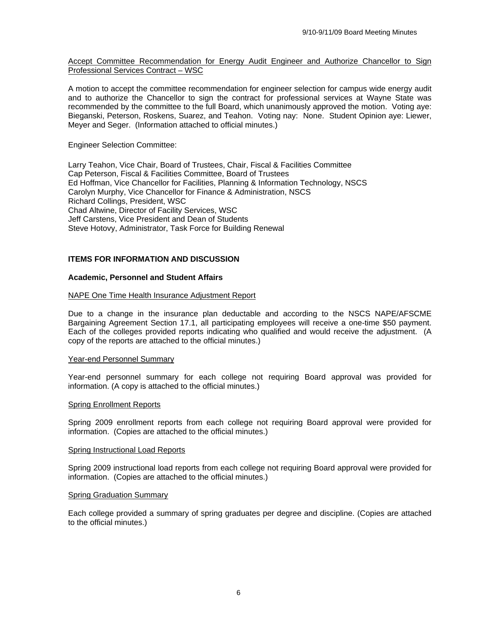Accept Committee Recommendation for Energy Audit Engineer and Authorize Chancellor to Sign Professional Services Contract – WSC

A motion to accept the committee recommendation for engineer selection for campus wide energy audit and to authorize the Chancellor to sign the contract for professional services at Wayne State was recommended by the committee to the full Board, which unanimously approved the motion. Voting aye: Bieganski, Peterson, Roskens, Suarez, and Teahon. Voting nay: None. Student Opinion aye: Liewer, Meyer and Seger. (Information attached to official minutes.)

Engineer Selection Committee:

Larry Teahon, Vice Chair, Board of Trustees, Chair, Fiscal & Facilities Committee Cap Peterson, Fiscal & Facilities Committee, Board of Trustees Ed Hoffman, Vice Chancellor for Facilities, Planning & Information Technology, NSCS Carolyn Murphy, Vice Chancellor for Finance & Administration, NSCS Richard Collings, President, WSC Chad Altwine, Director of Facility Services, WSC Jeff Carstens, Vice President and Dean of Students Steve Hotovy, Administrator, Task Force for Building Renewal

#### **ITEMS FOR INFORMATION AND DISCUSSION**

#### **Academic, Personnel and Student Affairs**

#### NAPE One Time Health Insurance Adjustment Report

Due to a change in the insurance plan deductable and according to the NSCS NAPE/AFSCME Bargaining Agreement Section 17.1, all participating employees will receive a one-time \$50 payment. Each of the colleges provided reports indicating who qualified and would receive the adjustment. (A copy of the reports are attached to the official minutes.)

#### Year-end Personnel Summary

Year-end personnel summary for each college not requiring Board approval was provided for information. (A copy is attached to the official minutes.)

#### Spring Enrollment Reports

Spring 2009 enrollment reports from each college not requiring Board approval were provided for information. (Copies are attached to the official minutes.)

#### Spring Instructional Load Reports

Spring 2009 instructional load reports from each college not requiring Board approval were provided for information. (Copies are attached to the official minutes.)

#### Spring Graduation Summary

Each college provided a summary of spring graduates per degree and discipline. (Copies are attached to the official minutes.)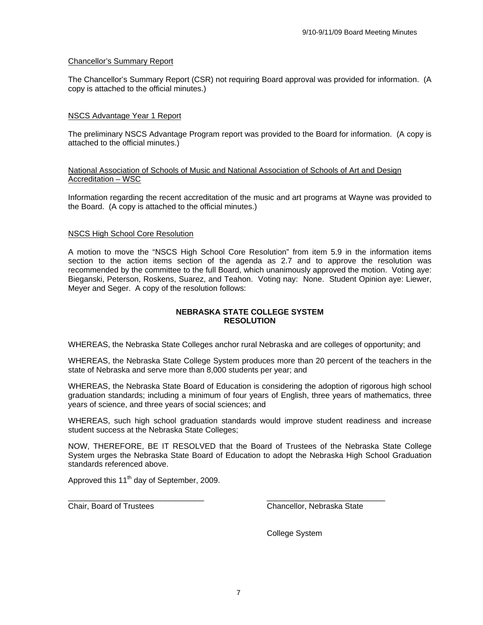# Chancellor's Summary Report

The Chancellor's Summary Report (CSR) not requiring Board approval was provided for information. (A copy is attached to the official minutes.)

# NSCS Advantage Year 1 Report

The preliminary NSCS Advantage Program report was provided to the Board for information. (A copy is attached to the official minutes.)

National Association of Schools of Music and National Association of Schools of Art and Design Accreditation – WSC

Information regarding the recent accreditation of the music and art programs at Wayne was provided to the Board. (A copy is attached to the official minutes.)

#### NSCS High School Core Resolution

A motion to move the "NSCS High School Core Resolution" from item 5.9 in the information items section to the action items section of the agenda as 2.7 and to approve the resolution was recommended by the committee to the full Board, which unanimously approved the motion. Voting aye: Bieganski, Peterson, Roskens, Suarez, and Teahon. Voting nay: None. Student Opinion aye: Liewer, Meyer and Seger. A copy of the resolution follows:

# **NEBRASKA STATE COLLEGE SYSTEM RESOLUTION**

WHEREAS, the Nebraska State Colleges anchor rural Nebraska and are colleges of opportunity; and

WHEREAS, the Nebraska State College System produces more than 20 percent of the teachers in the state of Nebraska and serve more than 8,000 students per year; and

WHEREAS, the Nebraska State Board of Education is considering the adoption of rigorous high school graduation standards; including a minimum of four years of English, three years of mathematics, three years of science, and three years of social sciences; and

WHEREAS, such high school graduation standards would improve student readiness and increase student success at the Nebraska State Colleges;

NOW, THEREFORE, BE IT RESOLVED that the Board of Trustees of the Nebraska State College System urges the Nebraska State Board of Education to adopt the Nebraska High School Graduation standards referenced above.

Approved this 11<sup>th</sup> day of September, 2009.

Chair, Board of Trustees Chancellor, Nebraska State

College System

\_\_\_\_\_\_\_\_\_\_\_\_\_\_\_\_\_\_\_\_\_\_\_\_\_\_\_\_\_\_\_ \_\_\_\_\_\_\_\_\_\_\_\_\_\_\_\_\_\_\_\_\_\_\_\_\_\_\_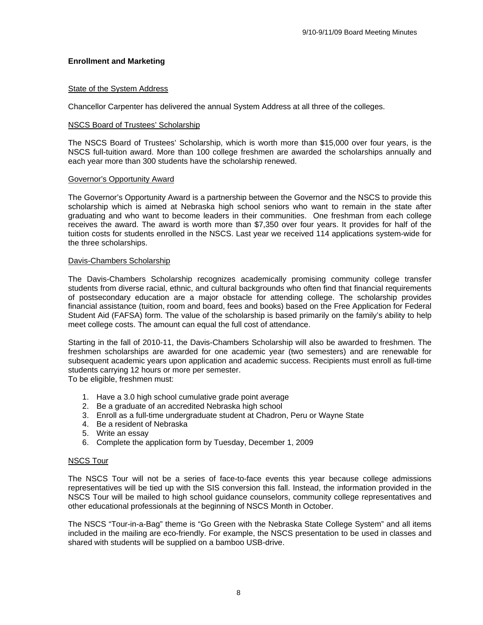# **Enrollment and Marketing**

#### State of the System Address

Chancellor Carpenter has delivered the annual System Address at all three of the colleges.

#### NSCS Board of Trustees' Scholarship

The NSCS Board of Trustees' Scholarship, which is worth more than \$15,000 over four years, is the NSCS full-tuition award. More than 100 college freshmen are awarded the scholarships annually and each year more than 300 students have the scholarship renewed.

#### Governor's Opportunity Award

The Governor's Opportunity Award is a partnership between the Governor and the NSCS to provide this scholarship which is aimed at Nebraska high school seniors who want to remain in the state after graduating and who want to become leaders in their communities. One freshman from each college receives the award. The award is worth more than \$7,350 over four years. It provides for half of the tuition costs for students enrolled in the NSCS. Last year we received 114 applications system-wide for the three scholarships.

#### Davis-Chambers Scholarship

The Davis-Chambers Scholarship recognizes academically promising community college transfer students from diverse racial, ethnic, and cultural backgrounds who often find that financial requirements of postsecondary education are a major obstacle for attending college. The scholarship provides financial assistance (tuition, room and board, fees and books) based on the Free Application for Federal Student Aid (FAFSA) form. The value of the scholarship is based primarily on the family's ability to help meet college costs. The amount can equal the full cost of attendance.

Starting in the fall of 2010-11, the Davis-Chambers Scholarship will also be awarded to freshmen. The freshmen scholarships are awarded for one academic year (two semesters) and are renewable for subsequent academic years upon application and academic success. Recipients must enroll as full-time students carrying 12 hours or more per semester.

To be eligible, freshmen must:

- 1. Have a 3.0 high school cumulative grade point average
- 2. Be a graduate of an accredited Nebraska high school
- 3. Enroll as a full-time undergraduate student at Chadron, Peru or Wayne State
- 4. Be a resident of Nebraska
- 5. Write an essay
- 6. Complete the application form by Tuesday, December 1, 2009

#### NSCS Tour

The NSCS Tour will not be a series of face-to-face events this year because college admissions representatives will be tied up with the SIS conversion this fall. Instead, the information provided in the NSCS Tour will be mailed to high school guidance counselors, community college representatives and other educational professionals at the beginning of NSCS Month in October.

The NSCS "Tour-in-a-Bag" theme is "Go Green with the Nebraska State College System" and all items included in the mailing are eco-friendly. For example, the NSCS presentation to be used in classes and shared with students will be supplied on a bamboo USB-drive.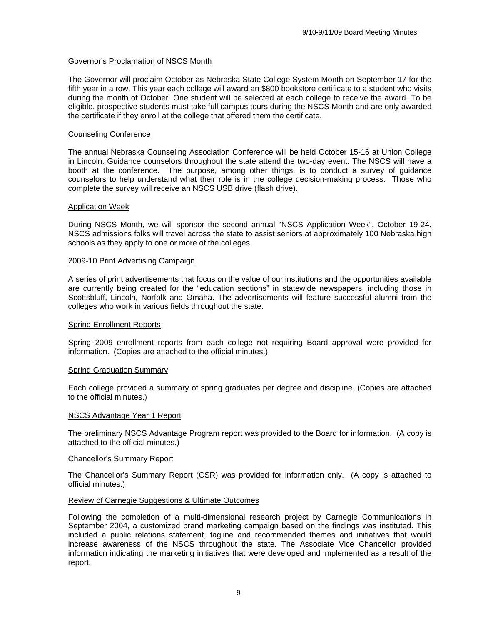#### Governor's Proclamation of NSCS Month

The Governor will proclaim October as Nebraska State College System Month on September 17 for the fifth year in a row. This year each college will award an \$800 bookstore certificate to a student who visits during the month of October. One student will be selected at each college to receive the award. To be eligible, prospective students must take full campus tours during the NSCS Month and are only awarded the certificate if they enroll at the college that offered them the certificate.

#### Counseling Conference

The annual Nebraska Counseling Association Conference will be held October 15-16 at Union College in Lincoln. Guidance counselors throughout the state attend the two-day event. The NSCS will have a booth at the conference. The purpose, among other things, is to conduct a survey of guidance counselors to help understand what their role is in the college decision-making process. Those who complete the survey will receive an NSCS USB drive (flash drive).

#### Application Week

During NSCS Month, we will sponsor the second annual "NSCS Application Week", October 19-24. NSCS admissions folks will travel across the state to assist seniors at approximately 100 Nebraska high schools as they apply to one or more of the colleges.

#### 2009-10 Print Advertising Campaign

A series of print advertisements that focus on the value of our institutions and the opportunities available are currently being created for the "education sections" in statewide newspapers, including those in Scottsbluff, Lincoln, Norfolk and Omaha. The advertisements will feature successful alumni from the colleges who work in various fields throughout the state.

#### Spring Enrollment Reports

Spring 2009 enrollment reports from each college not requiring Board approval were provided for information. (Copies are attached to the official minutes.)

#### Spring Graduation Summary

Each college provided a summary of spring graduates per degree and discipline. (Copies are attached to the official minutes.)

# NSCS Advantage Year 1 Report

The preliminary NSCS Advantage Program report was provided to the Board for information. (A copy is attached to the official minutes.)

#### Chancellor's Summary Report

The Chancellor's Summary Report (CSR) was provided for information only. (A copy is attached to official minutes.)

#### Review of Carnegie Suggestions & Ultimate Outcomes

Following the completion of a multi-dimensional research project by Carnegie Communications in September 2004, a customized brand marketing campaign based on the findings was instituted. This included a public relations statement, tagline and recommended themes and initiatives that would increase awareness of the NSCS throughout the state. The Associate Vice Chancellor provided information indicating the marketing initiatives that were developed and implemented as a result of the report.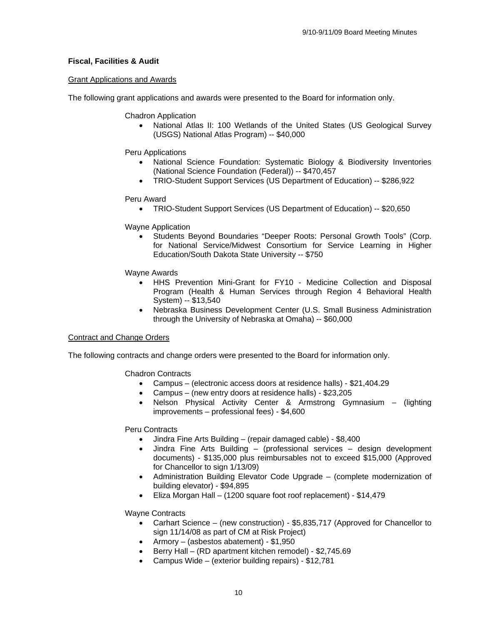# **Fiscal, Facilities & Audit**

### Grant Applications and Awards

The following grant applications and awards were presented to the Board for information only.

Chadron Application

• National Atlas II: 100 Wetlands of the United States (US Geological Survey (USGS) National Atlas Program) -- \$40,000

Peru Applications

- National Science Foundation: Systematic Biology & Biodiversity Inventories (National Science Foundation (Federal)) -- \$470,457
- TRIO-Student Support Services (US Department of Education) -- \$286,922

# Peru Award

• TRIO-Student Support Services (US Department of Education) -- \$20,650

# Wayne Application

• Students Beyond Boundaries "Deeper Roots: Personal Growth Tools" (Corp. for National Service/Midwest Consortium for Service Learning in Higher Education/South Dakota State University -- \$750

Wayne Awards

- HHS Prevention Mini-Grant for FY10 Medicine Collection and Disposal Program (Health & Human Services through Region 4 Behavioral Health System) -- \$13,540
- Nebraska Business Development Center (U.S. Small Business Administration through the University of Nebraska at Omaha) -- \$60,000

#### Contract and Change Orders

The following contracts and change orders were presented to the Board for information only.

Chadron Contracts

- Campus (electronic access doors at residence halls) \$21,404.29
- Campus (new entry doors at residence halls) \$23,205
- Nelson Physical Activity Center & Armstrong Gymnasium (lighting improvements – professional fees) - \$4,600

#### Peru Contracts

- Jindra Fine Arts Building (repair damaged cable) \$8,400
- Jindra Fine Arts Building (professional services design development documents) - \$135,000 plus reimbursables not to exceed \$15,000 (Approved for Chancellor to sign 1/13/09)
- Administration Building Elevator Code Upgrade (complete modernization of building elevator) - \$94,895
- Eliza Morgan Hall (1200 square foot roof replacement) \$14,479

Wayne Contracts

- Carhart Science (new construction) \$5,835,717 (Approved for Chancellor to sign 11/14/08 as part of CM at Risk Project)
- Armory (asbestos abatement) \$1,950
- Berry Hall (RD apartment kitchen remodel) \$2,745.69
- Campus Wide (exterior building repairs) \$12,781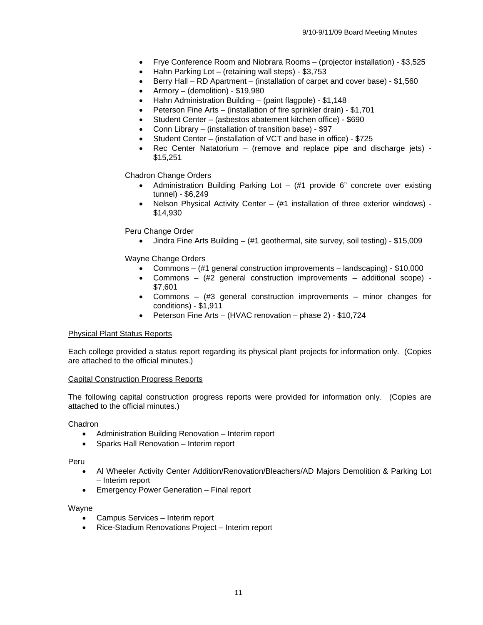- Frye Conference Room and Niobrara Rooms (projector installation) \$3,525
- Hahn Parking Lot (retaining wall steps) \$3,753
- Berry Hall RD Apartment (installation of carpet and cover base) \$1,560
- Armory (demolition) \$19,980
- Hahn Administration Building (paint flagpole) \$1,148
- Peterson Fine Arts (installation of fire sprinkler drain) \$1,701
- Student Center (asbestos abatement kitchen office) \$690
- Conn Library (installation of transition base) \$97
- Student Center (installation of VCT and base in office) \$725
- Rec Center Natatorium (remove and replace pipe and discharge jets) \$15,251

Chadron Change Orders

- Administration Building Parking Lot  $-$  (#1 provide 6" concrete over existing tunnel) - \$6,249
- Nelson Physical Activity Center  $(#1)$  installation of three exterior windows) -\$14,930

Peru Change Order

• Jindra Fine Arts Building – (#1 geothermal, site survey, soil testing) - \$15,009

Wayne Change Orders

- Commons (#1 general construction improvements landscaping) \$10,000
- Commons (#2 general construction improvements additional scope) \$7,601
- Commons (#3 general construction improvements minor changes for conditions) - \$1,911
- Peterson Fine Arts (HVAC renovation phase 2) \$10,724

#### Physical Plant Status Reports

Each college provided a status report regarding its physical plant projects for information only. (Copies are attached to the official minutes.)

#### Capital Construction Progress Reports

The following capital construction progress reports were provided for information only. (Copies are attached to the official minutes.)

Chadron

- Administration Building Renovation Interim report
- Sparks Hall Renovation Interim report

Peru

- Al Wheeler Activity Center Addition/Renovation/Bleachers/AD Majors Demolition & Parking Lot – Interim report
- Emergency Power Generation Final report

Wayne

- Campus Services Interim report
- Rice-Stadium Renovations Project Interim report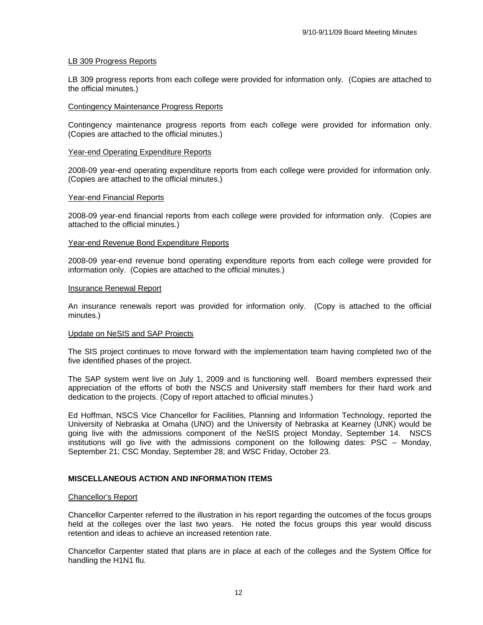#### LB 309 Progress Reports

LB 309 progress reports from each college were provided for information only. (Copies are attached to the official minutes.)

#### Contingency Maintenance Progress Reports

Contingency maintenance progress reports from each college were provided for information only. (Copies are attached to the official minutes.)

#### Year-end Operating Expenditure Reports

2008-09 year-end operating expenditure reports from each college were provided for information only. (Copies are attached to the official minutes.)

#### Year-end Financial Reports

2008-09 year-end financial reports from each college were provided for information only. (Copies are attached to the official minutes.)

#### Year-end Revenue Bond Expenditure Reports

2008-09 year-end revenue bond operating expenditure reports from each college were provided for information only. (Copies are attached to the official minutes.)

#### Insurance Renewal Report

An insurance renewals report was provided for information only. (Copy is attached to the official minutes.)

#### Update on NeSIS and SAP Projects

The SIS project continues to move forward with the implementation team having completed two of the five identified phases of the project.

The SAP system went live on July 1, 2009 and is functioning well. Board members expressed their appreciation of the efforts of both the NSCS and University staff members for their hard work and dedication to the projects. (Copy of report attached to official minutes.)

Ed Hoffman, NSCS Vice Chancellor for Facilities, Planning and Information Technology, reported the University of Nebraska at Omaha (UNO) and the University of Nebraska at Kearney (UNK) would be going live with the admissions component of the NeSIS project Monday, September 14. NSCS institutions will go live with the admissions component on the following dates: PSC – Monday, September 21; CSC Monday, September 28; and WSC Friday, October 23.

### **MISCELLANEOUS ACTION AND INFORMATION ITEMS**

#### Chancellor's Report

Chancellor Carpenter referred to the illustration in his report regarding the outcomes of the focus groups held at the colleges over the last two years. He noted the focus groups this year would discuss retention and ideas to achieve an increased retention rate.

Chancellor Carpenter stated that plans are in place at each of the colleges and the System Office for handling the H1N1 flu.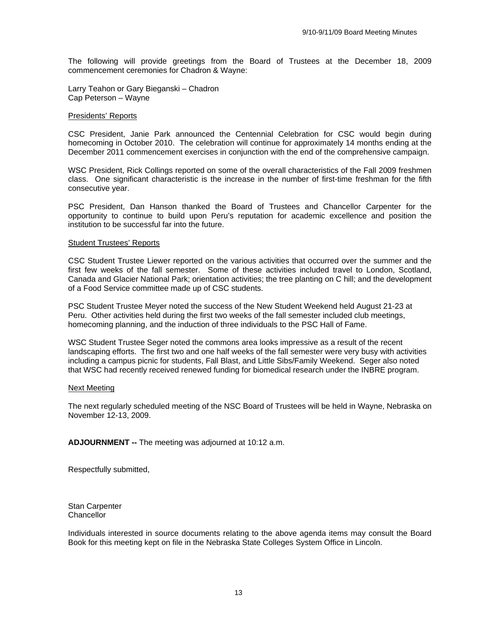The following will provide greetings from the Board of Trustees at the December 18, 2009 commencement ceremonies for Chadron & Wayne:

Larry Teahon or Gary Bieganski – Chadron Cap Peterson – Wayne

#### Presidents' Reports

CSC President, Janie Park announced the Centennial Celebration for CSC would begin during homecoming in October 2010. The celebration will continue for approximately 14 months ending at the December 2011 commencement exercises in conjunction with the end of the comprehensive campaign.

WSC President, Rick Collings reported on some of the overall characteristics of the Fall 2009 freshmen class. One significant characteristic is the increase in the number of first-time freshman for the fifth consecutive year.

PSC President, Dan Hanson thanked the Board of Trustees and Chancellor Carpenter for the opportunity to continue to build upon Peru's reputation for academic excellence and position the institution to be successful far into the future.

#### Student Trustees' Reports

CSC Student Trustee Liewer reported on the various activities that occurred over the summer and the first few weeks of the fall semester. Some of these activities included travel to London, Scotland, Canada and Glacier National Park; orientation activities; the tree planting on C hill; and the development of a Food Service committee made up of CSC students.

PSC Student Trustee Meyer noted the success of the New Student Weekend held August 21-23 at Peru. Other activities held during the first two weeks of the fall semester included club meetings, homecoming planning, and the induction of three individuals to the PSC Hall of Fame.

WSC Student Trustee Seger noted the commons area looks impressive as a result of the recent landscaping efforts. The first two and one half weeks of the fall semester were very busy with activities including a campus picnic for students, Fall Blast, and Little Sibs/Family Weekend. Seger also noted that WSC had recently received renewed funding for biomedical research under the INBRE program.

#### Next Meeting

The next regularly scheduled meeting of the NSC Board of Trustees will be held in Wayne, Nebraska on November 12-13, 2009.

**ADJOURNMENT --** The meeting was adjourned at 10:12 a.m.

Respectfully submitted,

Stan Carpenter **Chancellor** 

Individuals interested in source documents relating to the above agenda items may consult the Board Book for this meeting kept on file in the Nebraska State Colleges System Office in Lincoln.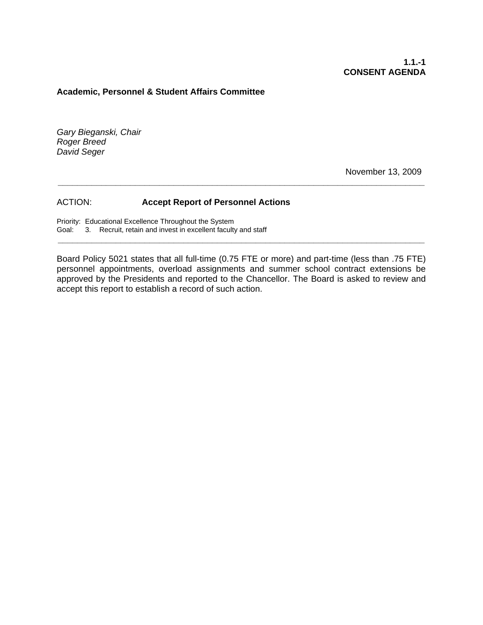# **Academic, Personnel & Student Affairs Committee**

*Gary Bieganski, Chair Roger Breed David Seger* 

November 13, 2009

# ACTION: **Accept Report of Personnel Actions**

Priority: Educational Excellence Throughout the System Goal: 3. Recruit, retain and invest in excellent faculty and staff

Board Policy 5021 states that all full-time (0.75 FTE or more) and part-time (less than .75 FTE) personnel appointments, overload assignments and summer school contract extensions be approved by the Presidents and reported to the Chancellor. The Board is asked to review and accept this report to establish a record of such action.

**\_\_\_\_\_\_\_\_\_\_\_\_\_\_\_\_\_\_\_\_\_\_\_\_\_\_\_\_\_\_\_\_\_\_\_\_\_\_\_\_\_\_\_\_\_\_\_\_\_\_\_\_\_\_\_\_\_\_\_\_\_\_\_\_\_\_\_\_\_\_\_\_\_\_\_\_** 

**\_\_\_\_\_\_\_\_\_\_\_\_\_\_\_\_\_\_\_\_\_\_\_\_\_\_\_\_\_\_\_\_\_\_\_\_\_\_\_\_\_\_\_\_\_\_\_\_\_\_\_\_\_\_\_\_\_\_\_\_\_\_\_\_\_\_\_\_\_\_\_\_\_\_\_\_**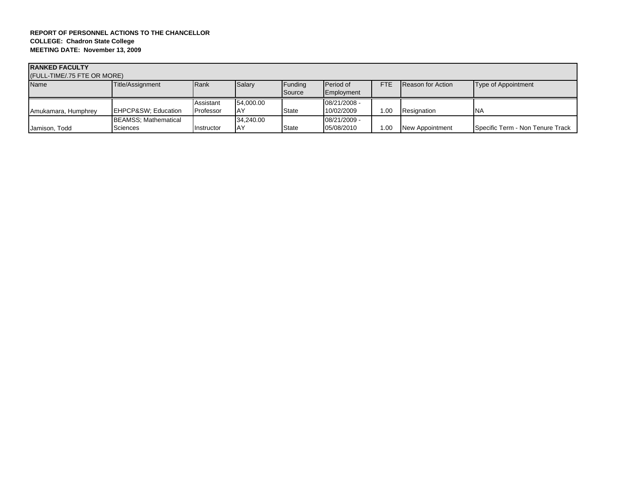| <b>RANKED FACULTY</b><br>(FULL-TIME/.75 FTE OR MORE) |                                         |                        |                  |                   |                            |            |                   |                                  |
|------------------------------------------------------|-----------------------------------------|------------------------|------------------|-------------------|----------------------------|------------|-------------------|----------------------------------|
| <b>Name</b>                                          | Title/Assignment                        | Rank                   | Salary           | Funding<br>Source | Period of<br>Employment    | <b>FTF</b> | Reason for Action | Type of Appointment              |
| Amukamara, Humphrey                                  | EHPCP&SW Education                      | Assistant<br>Professor | 54,000.00<br>IAY | <b>State</b>      | 08/21/2008 -<br>10/02/2009 | 1.00       | Resignation       | <b>INA</b>                       |
| Jamison, Todd                                        | BEAMSS; Mathematical<br><b>Sciences</b> | Instructor             | 34.240.00<br>IAY | <b>State</b>      | 08/21/2009 -<br>05/08/2010 | . 00       | New Appointment   | Specific Term - Non Tenure Track |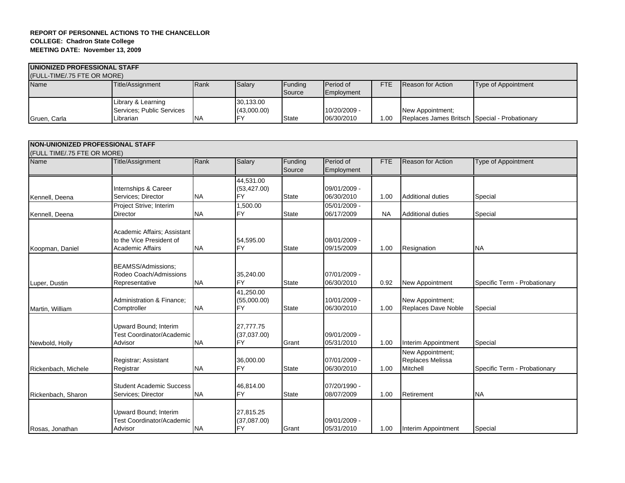| UNIONIZED PROFESSIONAL STAFF |                           |            |             |              |              |            |                                               |                     |
|------------------------------|---------------------------|------------|-------------|--------------|--------------|------------|-----------------------------------------------|---------------------|
| (FULL-TIME/.75 FTE OR MORE)  |                           |            |             |              |              |            |                                               |                     |
| <b>Name</b>                  | Title/Assignment          | Rank       | Salary      | Funding      | Period of    | <b>FTF</b> | <b>Reason for Action</b>                      | Type of Appointment |
|                              |                           |            |             | Source       | Employment   |            |                                               |                     |
|                              | Library & Learning        |            | 30,133.00   |              |              |            |                                               |                     |
|                              | Services: Public Services |            | (43,000.00) |              | 10/20/2009 - |            | New Appointment:                              |                     |
| Gruen, Carla                 | Librarian                 | <b>INA</b> |             | <b>State</b> | 06/30/2010   | .00        | Replaces James Britsch Special - Probationary |                     |

|                     | <b>NON-UNIONIZED PROFESSIONAL STAFF</b><br>(FULL TIME/.75 FTE OR MORE)             |           |                                        |                   |                            |            |                                                         |                              |  |
|---------------------|------------------------------------------------------------------------------------|-----------|----------------------------------------|-------------------|----------------------------|------------|---------------------------------------------------------|------------------------------|--|
| Name                | <b>Title/Assignment</b>                                                            | Rank      | Salary                                 | Funding<br>Source | Period of<br>Employment    | <b>FTE</b> | <b>Reason for Action</b>                                | <b>Type of Appointment</b>   |  |
| Kennell, Deena      | Internships & Career<br>Services; Director                                         | <b>NA</b> | 44,531.00<br>(53, 427.00)<br><b>FY</b> | <b>State</b>      | 09/01/2009 -<br>06/30/2010 | 1.00       | <b>Additional duties</b>                                | Special                      |  |
| Kennell, Deena      | Project Strive; Interim<br><b>Director</b>                                         | <b>NA</b> | 1.500.00<br><b>FY</b>                  | <b>State</b>      | 05/01/2009 -<br>06/17/2009 | <b>NA</b>  | <b>Additional duties</b>                                | Special                      |  |
| Koopman, Daniel     | Academic Affairs; Assistant<br>to the Vice President of<br><b>Academic Affairs</b> | <b>NA</b> | 54,595.00<br><b>FY</b>                 | <b>State</b>      | 08/01/2009 -<br>09/15/2009 | 1.00       | Resignation                                             | <b>NA</b>                    |  |
| Luper, Dustin       | BEAMSS/Admissions:<br>Rodeo Coach/Admissions<br>Representative                     | <b>NA</b> | 35,240.00<br><b>FY</b>                 | <b>State</b>      | 07/01/2009 -<br>06/30/2010 | 0.92       | New Appointment                                         | Specific Term - Probationary |  |
| Martin, William     | Administration & Finance:<br>Comptroller                                           | <b>NA</b> | 41,250.00<br>(55,000.00)<br><b>FY</b>  | <b>State</b>      | 10/01/2009 -<br>06/30/2010 | 1.00       | New Appointment;<br>Replaces Dave Noble                 | Special                      |  |
| Newbold, Holly      | Upward Bound; Interim<br>Test Coordinator/Academic<br>Advisor                      | <b>NA</b> | 27,777.75<br>(37,037.00)<br><b>FY</b>  | Grant             | 09/01/2009 -<br>05/31/2010 | 1.00       | Interim Appointment                                     | Special                      |  |
| Rickenbach, Michele | Registrar; Assistant<br>Registrar                                                  | <b>NA</b> | 36,000.00<br><b>FY</b>                 | <b>State</b>      | 07/01/2009 -<br>06/30/2010 | 1.00       | New Appointment;<br>Replaces Melissa<br><b>Mitchell</b> | Specific Term - Probationary |  |
| Rickenbach, Sharon  | <b>Student Academic Success</b><br>Services: Director                              | <b>NA</b> | 46,814.00<br><b>FY</b>                 | <b>State</b>      | 07/20/1990 -<br>08/07/2009 | 1.00       | Retirement                                              | <b>NA</b>                    |  |
| Rosas, Jonathan     | Upward Bound; Interim<br>Test Coordinator/Academic<br>Advisor                      | <b>NA</b> | 27,815.25<br>(37,087.00)<br><b>FY</b>  | Grant             | 09/01/2009 -<br>05/31/2010 | 1.00       | Interim Appointment                                     | Special                      |  |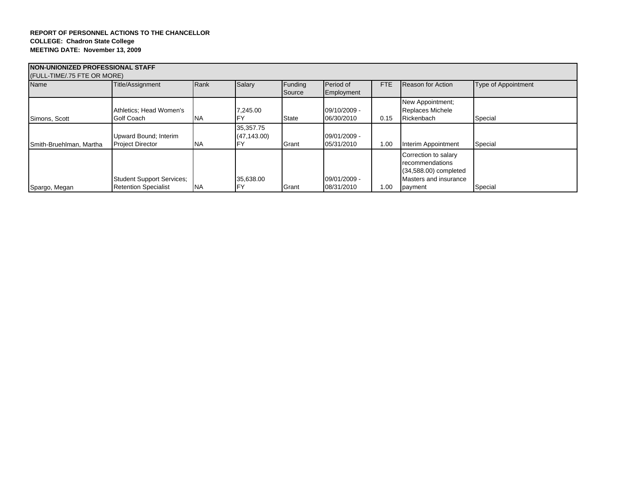| Name                    | Title/Assignment                                 | Rank      | Salary                                 | Funding<br>Source | Period of<br>Employment    | FTE  | <b>Reason for Action</b>                                                                  | <b>Type of Appointment</b> |
|-------------------------|--------------------------------------------------|-----------|----------------------------------------|-------------------|----------------------------|------|-------------------------------------------------------------------------------------------|----------------------------|
| Simons, Scott           | Athletics; Head Women's<br><b>Golf Coach</b>     | <b>NA</b> | 7,245.00<br>FY                         | <b>State</b>      | 09/10/2009 -<br>06/30/2010 | 0.15 | New Appointment;<br>Replaces Michele<br>Rickenbach                                        | Special                    |
| Smith-Bruehlman, Martha | Upward Bound; Interim<br><b>Project Director</b> | <b>NA</b> | 35,357.75<br>(47, 143.00)<br><b>FY</b> | Grant             | 09/01/2009 -<br>05/31/2010 | 1.00 | Interim Appointment                                                                       | Special                    |
|                         | Student Support Services;                        |           | 35,638.00                              |                   | 09/01/2009 -               |      | Correction to salary<br>recommendations<br>(34,588.00) completed<br>Masters and insurance |                            |
| Spargo, Megan           | <b>Retention Specialist</b>                      | <b>NA</b> | <b>IFY</b>                             | Grant             | 08/31/2010                 | 1.00 | payment                                                                                   | Special                    |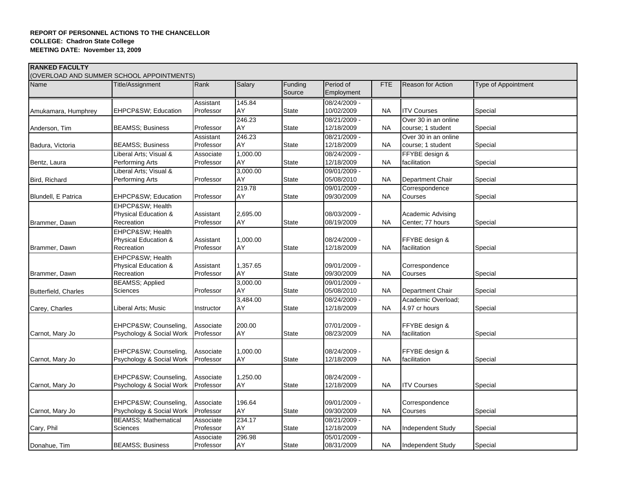#### **RANKED FACULTY**(OVERLOAD AND SUMMER SCHOOL APPOINTMENTS) Name **Title/Assignment** Rank Salary Funding SourcePeriod of Employment FTE Reason for Action Type of Appointment Amukamara, Humphrey | EHPCP&SW; Education Assistant Professor145.84AY State 08/24/2009 - 10/02/2009 NA ITV Courses Special Anderson, Tim BEAMSS; Business Professor 246.23AY State08/21/2009 - 12/18/2009 NAOver 30 in an online course: 1 student Special Badura, Victoria **BEAMSS**; Business Assistant Professor246.23AY State 08/21/2009 - 12/18/2009 NAOver 30 in an online course: 1 student Special Bentz, Laura Liberal Arts; Visual & Performing Arts Associate Professor1,000.00 AY State 08/24/2009 - 12/18/2009 NAFFYBE design & facilitation Special Bird, Richard Liberal Arts; Visual & Performing Arts **Professor** 3,000.00 AY State 09/01/2009 - 05/08/2010 NA Department Chair Special Blundell, E Patrica **EHPCP&SW**; Education Professor 219.78AY State09/01/2009 - 09/30/2009 NA**Correspondence** Courses Special Brammer, Dawn EHPCP&SW; Health Physical Education & RecreationAssistant Professor2,695.00 AY State 08/03/2009 - 08/19/2009 NAAcademic Advising Center; 77 hours Special Brammer, Dawn EHPCP&SW; Health Physical Education & RecreationAssistant Professor1,000.00 AY State 08/24/2009 - 12/18/2009 NAFFYBE design & facilitation Special Brammer, Dawn EHPCP&SW; Health Physical Education & Recreation Assistant Professor1,357.65 AY State 09/01/2009 - 09/30/2009 NACorrespondence Courses Special Butterfield, Charles BEAMSS; Applied Sciences **Professor** 3,000.00 AY State 09/01/2009 - 05/08/2010 | NA Department Chair Special Carey, Charles **Liberal Arts; Music** Instructor 3,484.00 AY State08/24/2009 - 12/18/2009 NAAcademic Overload; 4.97 cr hours Special Carnot, Mary Jo EHPCP&SW; Counseling, Psychology & Social Work Associate Professor200.00AY State07/01/2009 - 08/23/2009 NAFFYBE design & facilitation Special Carnot, Mary Jo EHPCP&SW; Counseling, Psychology & Social Work Associate Professor1,000.00 AY State 08/24/2009 - 12/18/2009 NAFFYBE design & facilitation Special Carnot, Mary Jo EHPCP&SW; Counseling, Psychology & Social Work Associate Professor1,250.00 AY State 08/24/2009 - 12/18/2009 | NA ITV Courses | Special Carnot, Mary Jo EHPCP&SW; Counseling, Psychology & Social Work Associate Professor196.64AY State 09/01/2009 - 09/30/2009 NACorrespondence Courses Special Cary, Phil BEAMSS; Mathematical SciencesAssociate Professor234.17AY State 08/21/2009 - 12/18/2009 NA Independent Study Special Donahue, Tim BEAMSS; Business Associate Professor296.98AY State 05/01/2009 - 08/31/2009 | NA Independent Study | Special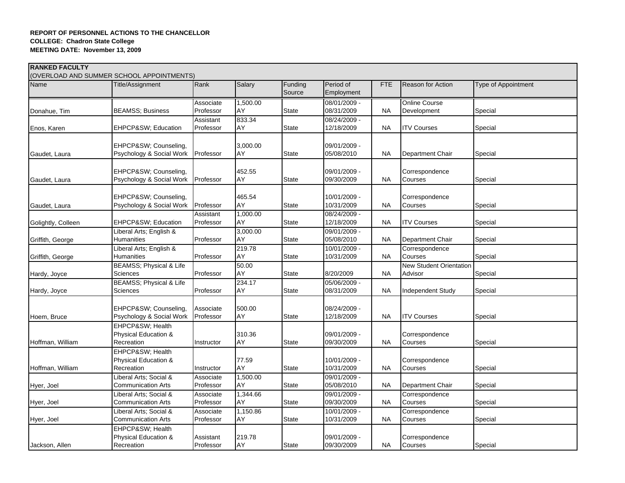| Name               | (OVERLOAD AND SUMMER SCHOOL APPOINTMENTS)<br>Title/Assignment | Rank       | Salary         | Funding      | Period of                  | <b>FTE</b> | <b>Reason for Action</b>       | <b>Type of Appointment</b> |
|--------------------|---------------------------------------------------------------|------------|----------------|--------------|----------------------------|------------|--------------------------------|----------------------------|
|                    |                                                               |            |                | Source       | Employment                 |            |                                |                            |
|                    |                                                               | Associate  | 1,500.00       |              | 08/01/2009 -               |            | Online Course                  |                            |
| Donahue, Tim       | <b>BEAMSS</b> ; Business                                      | Professor  | AY             | <b>State</b> | 08/31/2009                 | <b>NA</b>  | Development                    | Special                    |
|                    |                                                               | Assistant  | 833.34         |              | 08/24/2009 -               |            |                                |                            |
| Enos, Karen        | EHPCP&SW Education                                            | Professor  | AY             | <b>State</b> | 12/18/2009                 | <b>NA</b>  | <b>ITV Courses</b>             | Special                    |
|                    |                                                               |            |                |              |                            |            |                                |                            |
|                    | EHPCP&SW Counseling,<br>Psychology & Social Work              | Professor  | 3,000.00<br>AY | <b>State</b> | 09/01/2009 -<br>05/08/2010 | <b>NA</b>  | Department Chair               | Special                    |
| Gaudet, Laura      |                                                               |            |                |              |                            |            |                                |                            |
|                    | EHPCP&SW Counseling,                                          |            | 452.55         |              | 09/01/2009 -               |            | Correspondence                 |                            |
| Gaudet, Laura      | Psychology & Social Work                                      | Professor  | AY             | <b>State</b> | 09/30/2009                 | <b>NA</b>  | Courses                        | Special                    |
|                    |                                                               |            |                |              |                            |            |                                |                            |
|                    | EHPCP&SW Counseling,                                          |            | 465.54         |              | 10/01/2009 -               |            | Correspondence                 |                            |
| Gaudet, Laura      | Psychology & Social Work                                      | Professor  | AY             | <b>State</b> | 10/31/2009                 | <b>NA</b>  | Courses                        | Special                    |
|                    |                                                               | Assistant  | 1,000.00       |              | 08/24/2009 -               |            |                                |                            |
| Golightly, Colleen | EHPCP&SW Education                                            | Professor  | AY             | <b>State</b> | 12/18/2009                 | <b>NA</b>  | <b>ITV Courses</b>             | Special                    |
|                    | Liberal Arts; English &                                       |            | 3,000.00       |              | 09/01/2009 -               |            |                                |                            |
| Griffith, George   | <b>Humanities</b>                                             | Professor  | AY             | <b>State</b> | 05/08/2010                 | <b>NA</b>  | <b>Department Chair</b>        | Special                    |
|                    | Liberal Arts; English &                                       |            | 219.78         |              | 10/01/2009 -               |            | Correspondence                 |                            |
| Griffith, George   | Humanities                                                    | Professor  | AY             | <b>State</b> | 10/31/2009                 | NA.        | Courses                        | Special                    |
|                    | BEAMSS; Physical & Life                                       |            | 50.00          |              |                            |            | <b>New Student Orientation</b> |                            |
| Hardy, Joyce       | Sciences                                                      | Professor  | AY             | <b>State</b> | 8/20/2009                  | <b>NA</b>  | Advisor                        | Special                    |
|                    | <b>BEAMSS; Physical &amp; Life</b>                            |            | 234.17         |              | 05/06/2009 -               |            |                                |                            |
| Hardy, Joyce       | Sciences                                                      | Professor  | AY             | <b>State</b> | 08/31/2009                 | <b>NA</b>  | <b>Independent Study</b>       | Special                    |
|                    | EHPCP&SW Counseling,                                          | Associate  | 500.00         |              | 08/24/2009 -               |            |                                |                            |
| Hoem, Bruce        | Psychology & Social Work                                      | Professor  | AY             | <b>State</b> | 12/18/2009                 | <b>NA</b>  | <b>ITV Courses</b>             | Special                    |
|                    | EHPCP&SW Health                                               |            |                |              |                            |            |                                |                            |
|                    | Physical Education &                                          |            | 310.36         |              | 09/01/2009 -               |            | Correspondence                 |                            |
| Hoffman, William   | Recreation                                                    | Instructor | AY             | <b>State</b> | 09/30/2009                 | <b>NA</b>  | Courses                        | Special                    |
|                    | EHPCP&SW Health                                               |            |                |              |                            |            |                                |                            |
|                    | Physical Education &                                          |            | 77.59          |              | 10/01/2009 -               |            | Correspondence                 |                            |
| Hoffman, William   | Recreation                                                    | Instructor | AY             | <b>State</b> | 10/31/2009                 | <b>NA</b>  | Courses                        | Special                    |
|                    | Liberal Arts; Social &                                        | Associate  | 1,500.00       |              | 09/01/2009 -               |            |                                |                            |
| Hyer, Joel         | <b>Communication Arts</b>                                     | Professor  | AY             | <b>State</b> | 05/08/2010                 | <b>NA</b>  | <b>Department Chair</b>        | Special                    |
|                    | Liberal Arts; Social &                                        | Associate  | 1,344.66       |              | 09/01/2009 -               |            | Correspondence                 |                            |
| Hyer, Joel         | <b>Communication Arts</b>                                     | Professor  | AY             | <b>State</b> | 09/30/2009                 | <b>NA</b>  | Courses                        | Special                    |
|                    | Liberal Arts; Social &                                        | Associate  | 1,150.86       |              | 10/01/2009 -               |            | Correspondence                 |                            |
| Hyer, Joel         | <b>Communication Arts</b>                                     | Professor  | AY             | <b>State</b> | 10/31/2009                 | <b>NA</b>  | Courses                        | Special                    |
|                    | EHPCP&SW Health                                               |            |                |              |                            |            |                                |                            |
|                    | <b>Physical Education &amp;</b>                               | Assistant  | 219.78         |              | 09/01/2009 -               |            | Correspondence                 |                            |
| Jackson, Allen     | Recreation                                                    | Professor  | AY             | <b>State</b> | 09/30/2009                 | NA         | Courses                        | Special                    |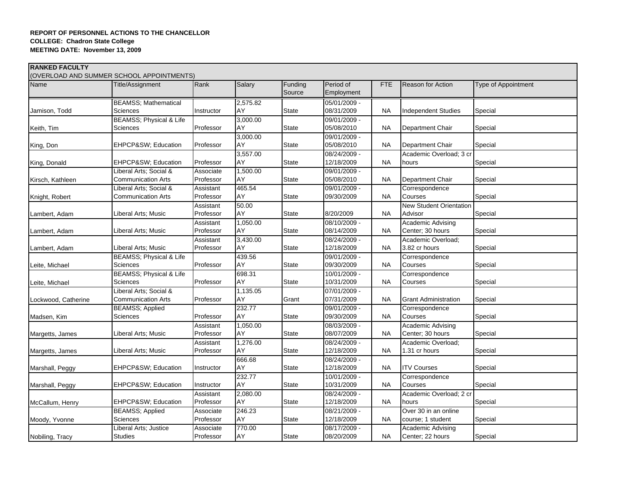#### **RANKED FACULTY**(OVERLOAD AND SUMMER SCHOOL APPOINTMENTS) Name **Title/Assignment** Rank Salary Funding SourcePeriod of Employment FTE Reason for Action Type of Appointment Jamison, Todd BEAMSS; Mathematical Sciences **Instructor** 2,575.82 AY State 05/01/2009 - 08/31/2009 | NA Independent Studies | Special Keith, Tim BEAMSS; Physical & Life Sciences **Professor** 3,000.00 AY State 09/01/2009 - 05/08/2010 | NA Department Chair | Special King, Don **EHPCP&SW; Education** Professor 3,000.00 AY State 09/01/2009 - 05/08/2010 | NA Department Chair | Special King, Donald **EHPCP&SW; Education** Professor 3,557.00 AY State08/24/2009 - 12/18/2009 NAAcademic Overload; 3 cr hours Special Kirsch, Kathleen Liberal Arts; Social & Communication ArtsAssociate **Professor** 1,500.00 AY State 09/01/2009 - 05/08/2010 | NA Department Chair | Special Knight, Robert Liberal Arts; Social & Communication ArtsAssistant Professor465.54AY State $\overline{09/01/2009}$  -09/30/2009 NA**Correspondence** Courses Special Lambert, Adam Liberal Arts; Music Assistant Professor 50.00AY State 8/20/2009 NANew Student Orientation Advisor Special Lambert, Adam Liberal Arts; Music **Assistant** Professor1,050.00 AY State 08/10/2009 - 08/14/2009 | NA Academic Advising Center: 30 hours Special Liberal Arts; Music Assistant Professor3,430.00 AY State08/24/2009 - 12/18/2009 NAAcademic Overload; 3.82 cr hours Special Leite, Michael BEAMSS; Physical & Life Sciences **Professor** 439.56AY State 09/01/2009 - 09/30/2009 NA**Correspondence** Courses **Special** Leite, Michael BEAMSS; Physical & Life Sciences **Professor** 698.31AY State10/01/2009 - 10/31/2009 NA**Correspondence** Courses Special Lockwood, Catherine Liberal Arts; Social & Communication Arts **Professor** 1,135.05 AY Grant07/01/2009 - 07/31/2009 NA Grant Administration Special Madsen, Kim BEAMSS; Applied Sciences **Professor** 232.77AY State 09/01/2009 - 09/30/2009 NA**Correspondence** Courses **Special** Margetts, James Liberal Arts; Music **Assistant** Professor1,050.00 AY State 08/03/2009 - 08/07/2009 NAAcademic Advising Center; 30 hours Special Margetts, James Liberal Arts; Music Assistant Professor1,276.00 AY State08/24/2009 - 12/18/2009 NAAcademic Overload; 1.31 cr hours Special Marshall, Peggy **EHPCP&SW; Education** Instructor 666.68AY State 08/24/2009 - 12/18/2009 | NA ITV Courses Special Marshall, Peggy **EHPCP&SW**; Education Instructor 232.77AY State 10/01/2009 - 10/31/2009 NA**Correspondence** Courses Special McCallum, Henry **EHPCP&SW; Education** Assistant Professor2,080.00 AY State08/24/2009 - 12/18/2009 NAAcademic Overload; 2 cr hours Special Moody, Yvonne BEAMSS; Applied SciencesAssociate Professor246.23AY State08/21/2009 - 12/18/2009 NAOver 30 in an online course; 1 student Special Nobiling, Tracy Liberal Arts; Justice StudiesAssociate Professor770.00AY State08/17/2009 - 08/20/2009 NAAcademic Advising Center: 22 hours Special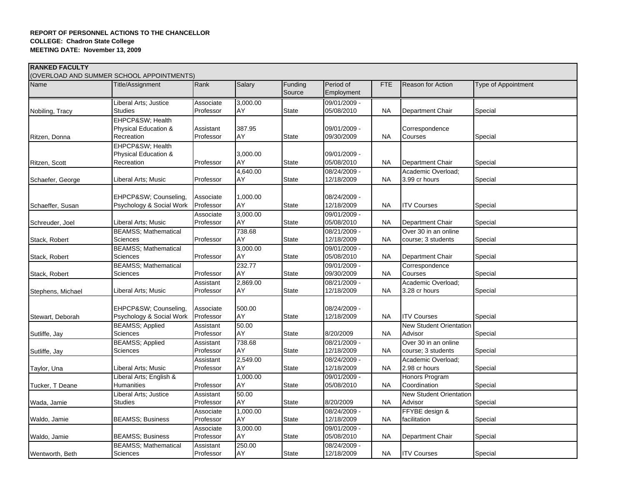| Name              | Title/Assignment             | Rank      | Salary   | Funding      | Period of    | <b>FTE</b> | <b>Reason for Action</b>       | <b>Type of Appointment</b> |
|-------------------|------------------------------|-----------|----------|--------------|--------------|------------|--------------------------------|----------------------------|
|                   |                              |           |          | Source       | Employment   |            |                                |                            |
|                   | Liberal Arts; Justice        | Associate | 3,000.00 |              | 09/01/2009 - |            |                                |                            |
| Nobiling, Tracy   | <b>Studies</b>               | Professor | AY       | <b>State</b> | 05/08/2010   | <b>NA</b>  | <b>Department Chair</b>        | Special                    |
|                   | EHPCP&SW Health              |           |          |              |              |            |                                |                            |
|                   | Physical Education &         | Assistant | 387.95   |              | 09/01/2009 - |            | Correspondence                 |                            |
| Ritzen, Donna     | Recreation                   | Professor | AY       | <b>State</b> | 09/30/2009   | <b>NA</b>  | Courses                        | Special                    |
|                   | EHPCP&SW Health              |           |          |              |              |            |                                |                            |
|                   | Physical Education &         |           | 3,000.00 |              | 09/01/2009 - |            |                                |                            |
| Ritzen, Scott     | Recreation                   | Professor | AY       | <b>State</b> | 05/08/2010   | <b>NA</b>  | Department Chair               | Special                    |
|                   |                              |           | 4,640.00 |              | 08/24/2009 - |            | Academic Overload:             |                            |
| Schaefer, George  | Liberal Arts; Music          | Professor | AY       | <b>State</b> | 12/18/2009   | <b>NA</b>  | 3.99 cr hours                  | Special                    |
|                   |                              |           |          |              |              |            |                                |                            |
|                   | EHPCP&SW Counseling,         | Associate | 1,000.00 |              | 08/24/2009 - |            |                                |                            |
| Schaeffer, Susan  | Psychology & Social Work     | Professor | AY       | <b>State</b> | 12/18/2009   | <b>NA</b>  | <b>ITV Courses</b>             | Special                    |
|                   |                              | Associate | 3,000.00 |              | 09/01/2009 - |            |                                |                            |
| Schreuder, Joel   | Liberal Arts; Music          | Professor | AY       | <b>State</b> | 05/08/2010   | <b>NA</b>  | Department Chair               | Special                    |
|                   | <b>BEAMSS</b> ; Mathematical |           | 738.68   |              | 08/21/2009 - |            | Over 30 in an online           |                            |
| Stack, Robert     | Sciences                     | Professor | AY       | <b>State</b> | 12/18/2009   | <b>NA</b>  | course; 3 students             | Special                    |
|                   | <b>BEAMSS; Mathematical</b>  |           | 3,000.00 |              | 09/01/2009 - |            |                                |                            |
| Stack, Robert     | Sciences                     | Professor | AY       | <b>State</b> | 05/08/2010   | <b>NA</b>  | <b>Department Chair</b>        | Special                    |
|                   | <b>BEAMSS</b> ; Mathematical |           | 232.77   |              | 09/01/2009 - |            | Correspondence                 |                            |
| Stack, Robert     | Sciences                     | Professor | AY       | <b>State</b> | 09/30/2009   | <b>NA</b>  | Courses                        | Special                    |
|                   |                              | Assistant | 2,869.00 |              | 08/21/2009 - |            | Academic Overload;             |                            |
| Stephens, Michael | Liberal Arts; Music          | Professor | AY       | <b>State</b> | 12/18/2009   | <b>NA</b>  | 3.28 cr hours                  | Special                    |
|                   |                              |           |          |              |              |            |                                |                            |
|                   | EHPCP&SW Counseling,         | Associate | 500.00   |              | 08/24/2009 - |            |                                |                            |
| Stewart, Deborah  | Psychology & Social Work     | Professor | AY       | <b>State</b> | 12/18/2009   | <b>NA</b>  | <b>ITV Courses</b>             | Special                    |
|                   | <b>BEAMSS; Applied</b>       | Assistant | 50.00    |              |              |            | <b>New Student Orientation</b> |                            |
| Sutliffe, Jay     | Sciences                     | Professor | AY       | <b>State</b> | 8/20/2009    | <b>NA</b>  | Advisor                        | Special                    |
|                   | <b>BEAMSS; Applied</b>       | Assistant | 738.68   |              | 08/21/2009 - |            | Over 30 in an online           |                            |
| Sutliffe, Jay     | Sciences                     | Professor | AY       | <b>State</b> | 12/18/2009   | <b>NA</b>  | course; 3 students             | Special                    |
|                   |                              | Assistant | 2,549.00 |              | 08/24/2009 - |            | Academic Overload;             |                            |
| Taylor, Una       | Liberal Arts; Music          | Professor | AY       | <b>State</b> | 12/18/2009   | <b>NA</b>  | 2.98 cr hours                  | Special                    |
|                   | Liberal Arts; English &      |           | 1,000.00 |              | 09/01/2009 - |            | Honors Program                 |                            |
| Tucker, T Deane   | Humanities                   | Professor | AY       | <b>State</b> | 05/08/2010   | <b>NA</b>  | Coordination                   | Special                    |
|                   | Liberal Arts; Justice        | Assistant | 50.00    |              |              |            | <b>New Student Orientation</b> |                            |
| Wada, Jamie       | <b>Studies</b>               | Professor | AY       | <b>State</b> | 8/20/2009    | <b>NA</b>  | Advisor                        | Special                    |
|                   |                              | Associate | 1,000.00 |              | 08/24/2009 - |            | FFYBE design &                 |                            |
| Waldo, Jamie      | <b>BEAMSS; Business</b>      | Professor | AY       | <b>State</b> | 12/18/2009   | <b>NA</b>  | facilitation                   | Special                    |
|                   |                              | Associate | 3,000.00 |              | 09/01/2009 - |            |                                |                            |
| Waldo, Jamie      | <b>BEAMSS</b> ; Business     | Professor | AY       | <b>State</b> | 05/08/2010   | NА         | Department Chair               | Special                    |
|                   | <b>BEAMSS: Mathematical</b>  | Assistant | 250.00   |              | 08/24/2009 - |            |                                |                            |
| Wentworth, Beth   | <b>Sciences</b>              | Professor | AY       | <b>State</b> | 12/18/2009   | <b>NA</b>  | <b>ITV Courses</b>             | Special                    |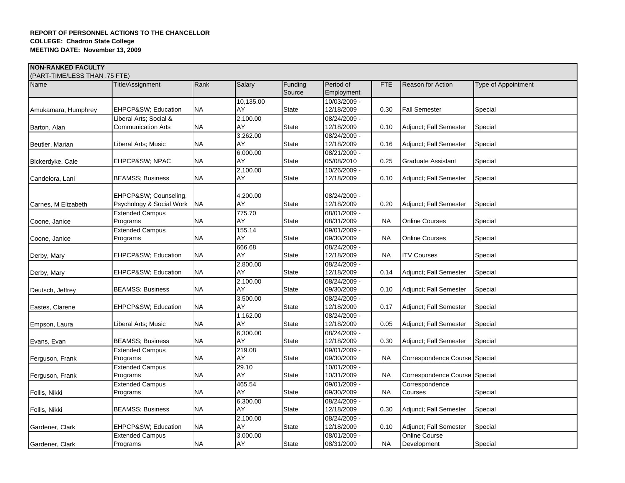#### **NON-RANKED FACULTY**

| (PART-TIME/LESS THAN .75 FTE) |                                                  |           |                |                   |                            |            |                               |                            |
|-------------------------------|--------------------------------------------------|-----------|----------------|-------------------|----------------------------|------------|-------------------------------|----------------------------|
| Name                          | <b>Title/Assignment</b>                          | Rank      | Salary         | Funding<br>Source | Period of<br>Employment    | <b>FTE</b> | <b>Reason for Action</b>      | <b>Type of Appointment</b> |
|                               |                                                  |           | 10,135.00      |                   | 10/03/2009 -               |            |                               |                            |
| Amukamara, Humphrey           | EHPCP&SW Education                               | NA        | AY             | <b>State</b>      | 12/18/2009                 | 0.30       | <b>Fall Semester</b>          | Special                    |
|                               | Liberal Arts; Social &                           |           | 2,100.00       |                   | 08/24/2009 -               |            |                               |                            |
| Barton, Alan                  | <b>Communication Arts</b>                        | NA        | AY             | State             | 12/18/2009                 | 0.10       | Adjunct; Fall Semester        | Special                    |
|                               |                                                  |           | 3,262.00       |                   | 08/24/2009 -               |            |                               |                            |
| Beutler, Marian               | Liberal Arts; Music                              | ΝA        | AY             | <b>State</b>      | 12/18/2009                 | 0.16       | Adjunct; Fall Semester        | Special                    |
| Bickerdyke, Cale              | EHPCP&SW NPAC                                    | NA        | 6,000.00<br>AY | <b>State</b>      | 08/21/2009 -<br>05/08/2010 | 0.25       | <b>Graduate Assistant</b>     | Special                    |
|                               |                                                  |           | 2,100.00       |                   | 10/26/2009 -               |            |                               |                            |
| Candelora, Lani               | <b>BEAMSS</b> ; Business                         | NA        | AY             | <b>State</b>      | 12/18/2009                 | 0.10       | Adjunct; Fall Semester        | Special                    |
|                               |                                                  |           |                |                   |                            |            |                               |                            |
|                               | EHPCP&SW Counseling,<br>Psychology & Social Work | <b>NA</b> | 4,200.00<br>AY | <b>State</b>      | 08/24/2009 -<br>12/18/2009 | 0.20       | Adjunct; Fall Semester        |                            |
| Carnes, M Elizabeth           | <b>Extended Campus</b>                           |           | 775.70         |                   | 08/01/2009 -               |            |                               | Special                    |
| Coone, Janice                 | Programs                                         | NA        | AY             | <b>State</b>      | 08/31/2009                 | NA.        | <b>Online Courses</b>         | Special                    |
|                               | <b>Extended Campus</b>                           |           | 155.14         |                   | 09/01/2009 -               |            |                               |                            |
| Coone, Janice                 | Programs                                         | NA        | AY             | <b>State</b>      | 09/30/2009                 | NA.        | <b>Online Courses</b>         | Special                    |
|                               |                                                  |           | 666.68         |                   | 08/24/2009 -               |            |                               |                            |
| Derby, Mary                   | EHPCP&SW Education                               | <b>NA</b> | AY             | <b>State</b>      | 12/18/2009                 | NA.        | <b>ITV Courses</b>            | Special                    |
|                               |                                                  |           | 2,800.00       |                   | 08/24/2009 -               |            |                               |                            |
| Derby, Mary                   | EHPCP&SW Education                               | NA        | AY             | <b>State</b>      | 12/18/2009                 | 0.14       | Adjunct: Fall Semester        | Special                    |
|                               |                                                  |           | 2,100.00       |                   | 08/24/2009 -               |            |                               |                            |
| Deutsch, Jeffrey              | <b>BEAMSS</b> ; Business                         | NA        | AY             | <b>State</b>      | 09/30/2009                 | 0.10       | Adjunct; Fall Semester        | Special                    |
|                               |                                                  |           | 3,500.00       |                   | 08/24/2009 -               |            |                               |                            |
| Eastes, Clarene               | EHPCP&SW Education                               | NA        | AY             | <b>State</b>      | 12/18/2009                 | 0.17       | Adjunct; Fall Semester        | Special                    |
|                               |                                                  |           | 1,162.00<br>AY |                   | 08/24/2009 -<br>12/18/2009 |            |                               |                            |
| Empson, Laura                 | Liberal Arts; Music                              | ΝA        | 6,300.00       | <b>State</b>      | 08/24/2009 -               | 0.05       | Adjunct; Fall Semester        | Special                    |
| Evans, Evan                   | <b>BEAMSS</b> ; Business                         | NA        | AY             | <b>State</b>      | 12/18/2009                 | 0.30       | Adjunct; Fall Semester        | Special                    |
|                               | <b>Extended Campus</b>                           |           | 219.08         |                   | 09/01/2009 -               |            |                               |                            |
| Ferguson, Frank               | Programs                                         | NA        | AY             | <b>State</b>      | 09/30/2009                 | NA.        | Correspondence Course Special |                            |
|                               | <b>Extended Campus</b>                           |           | 29.10          |                   | $10/01/2009$ -             |            |                               |                            |
| Ferguson, Frank               | Programs                                         | ΝA        | AY             | <b>State</b>      | 10/31/2009                 | <b>NA</b>  | Correspondence Course Special |                            |
|                               | <b>Extended Campus</b>                           |           | 465.54         |                   | 09/01/2009 -               |            | Correspondence                |                            |
| Follis, Nikki                 | Programs                                         | NA        | AY             | <b>State</b>      | 09/30/2009                 | <b>NA</b>  | Courses                       | Special                    |
|                               |                                                  |           | 6,300.00       |                   | 08/24/2009 -               |            |                               |                            |
| Follis, Nikki                 | <b>BEAMSS</b> ; Business                         | NA        | AY             | <b>State</b>      | 12/18/2009                 | 0.30       | Adjunct; Fall Semester        | Special                    |
|                               |                                                  |           | 2,100.00       |                   | 08/24/2009 -               |            |                               |                            |
| Gardener, Clark               | EHPCP&SW Education                               | <b>NA</b> | AY             | <b>State</b>      | 12/18/2009                 | 0.10       | Adjunct; Fall Semester        | Special                    |
|                               | <b>Extended Campus</b>                           |           | 3,000.00       |                   | 08/01/2009 -               |            | <b>Online Course</b>          |                            |
| Gardener, Clark               | Programs                                         | NA        | AY             | <b>State</b>      | 08/31/2009                 | <b>NA</b>  | Development                   | Special                    |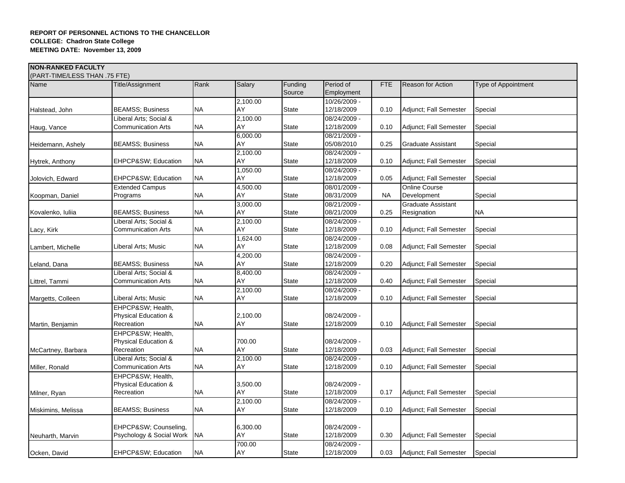| <b>NON-RANKED FACULTY</b>     |                         |      |        |
|-------------------------------|-------------------------|------|--------|
| (PART-TIME/LESS THAN .75 FTE) |                         |      |        |
| Name                          | <b>Title/Assignment</b> | Rank | Salarv |
|                               |                         |      | ۱NN    |

| Name               | Title/Assignment          | Rank      | <b>Salary</b> | Funding      | Period of    | <b>FTE</b> | <b>Reason for Action</b>  | <b>Type of Appointment</b> |
|--------------------|---------------------------|-----------|---------------|--------------|--------------|------------|---------------------------|----------------------------|
|                    |                           |           |               | Source       | Employment   |            |                           |                            |
|                    |                           |           | 2,100.00      |              | 10/26/2009 - |            |                           |                            |
| Halstead, John     | <b>BEAMSS; Business</b>   | <b>NA</b> | AY            | <b>State</b> | 12/18/2009   | 0.10       | Adjunct; Fall Semester    | Special                    |
|                    | Liberal Arts; Social &    |           | 2,100.00      |              | 08/24/2009 - |            |                           |                            |
| Haug, Vance        | <b>Communication Arts</b> | <b>NA</b> | AY            | <b>State</b> | 12/18/2009   | 0.10       | Adjunct; Fall Semester    | Special                    |
|                    |                           |           | 6,000.00      |              | 08/21/2009 - |            |                           |                            |
| Heidemann, Ashely  | <b>BEAMSS; Business</b>   | <b>NA</b> | AY            | State        | 05/08/2010   | 0.25       | <b>Graduate Assistant</b> | Special                    |
|                    |                           |           | 2,100.00      |              | 08/24/2009 - |            |                           |                            |
| Hytrek, Anthony    | EHPCP&SW Education        | <b>NA</b> | AY            | <b>State</b> | 12/18/2009   | 0.10       | Adjunct; Fall Semester    | Special                    |
|                    |                           |           | 1,050.00      |              | 08/24/2009 - |            |                           |                            |
| Jolovich, Edward   | EHPCP&SW Education        | <b>NA</b> | AY            | <b>State</b> | 12/18/2009   | 0.05       | Adjunct; Fall Semester    | Special                    |
|                    | <b>Extended Campus</b>    |           | 4,500.00      |              | 08/01/2009 - |            | Online Course             |                            |
| Koopman, Daniel    | Programs                  | <b>NA</b> | AY            | <b>State</b> | 08/31/2009   | NA         | Development               | Special                    |
|                    |                           |           | 3,000.00      |              | 08/21/2009 - |            | <b>Graduate Assistant</b> |                            |
| Kovalenko, Iuliia  | <b>BEAMSS; Business</b>   | <b>NA</b> | AY            | <b>State</b> | 08/21/2009   | 0.25       | Resignation               | NA                         |
|                    | Liberal Arts; Social &    |           | 2,100.00      |              | 08/24/2009 - |            |                           |                            |
| Lacy, Kirk         | <b>Communication Arts</b> | <b>NA</b> | AY            | State        | 12/18/2009   | 0.10       | Adjunct; Fall Semester    | Special                    |
|                    |                           |           | 1,624.00      |              | 08/24/2009 - |            |                           |                            |
| Lambert, Michelle  | Liberal Arts; Music       | <b>NA</b> | AY            | <b>State</b> | 12/18/2009   | 0.08       | Adjunct; Fall Semester    | Special                    |
|                    |                           |           | 4,200.00      |              | 08/24/2009 - |            |                           |                            |
| Leland, Dana       | <b>BEAMSS; Business</b>   | <b>NA</b> | AY            | <b>State</b> | 12/18/2009   | 0.20       | Adjunct; Fall Semester    | Special                    |
|                    | Liberal Arts; Social &    |           | 8,400.00      |              | 08/24/2009 - |            |                           |                            |
| Littrel, Tammi     | <b>Communication Arts</b> | <b>NA</b> | AY            | State        | 12/18/2009   | 0.40       | Adjunct; Fall Semester    | Special                    |
|                    |                           |           | 2,100.00      |              | 08/24/2009 - |            |                           |                            |
| Margetts, Colleen  | Liberal Arts; Music       | <b>NA</b> | AY            | State        | 12/18/2009   | 0.10       | Adjunct; Fall Semester    | Special                    |
|                    | EHPCP&SW Health,          |           |               |              |              |            |                           |                            |
|                    | Physical Education &      |           | 2,100.00      |              | 08/24/2009 - |            |                           |                            |
| Martin, Benjamin   | Recreation                | <b>NA</b> | AY            | <b>State</b> | 12/18/2009   | 0.10       | Adjunct; Fall Semester    | Special                    |
|                    | EHPCP&SW Health,          |           |               |              |              |            |                           |                            |
|                    | Physical Education &      |           | 700.00        |              | 08/24/2009 - |            |                           |                            |
| McCartney, Barbara | Recreation                | <b>NA</b> | AY            | State        | 12/18/2009   | 0.03       | Adjunct; Fall Semester    | Special                    |
|                    | Liberal Arts; Social &    |           | 2,100.00      |              | 08/24/2009 - |            |                           |                            |
| Miller, Ronald     | Communication Arts        | <b>NA</b> | AY            | <b>State</b> | 12/18/2009   | 0.10       | Adjunct; Fall Semester    | Special                    |
|                    | EHPCP&SW Health,          |           |               |              |              |            |                           |                            |
|                    | Physical Education &      |           | 3,500.00      |              | 08/24/2009 - |            |                           |                            |
| Milner, Ryan       | Recreation                | <b>NA</b> | AY            | <b>State</b> | 12/18/2009   | 0.17       | Adjunct; Fall Semester    | Special                    |
|                    |                           |           | 2,100.00      |              | 08/24/2009 - |            |                           |                            |
| Miskimins, Melissa | <b>BEAMSS; Business</b>   | <b>NA</b> | AY            | State        | 12/18/2009   | 0.10       | Adjunct; Fall Semester    | Special                    |
|                    |                           |           |               |              |              |            |                           |                            |
|                    | EHPCP&SW Counseling,      |           | 6,300.00      |              | 08/24/2009 - |            |                           |                            |
| Neuharth, Marvin   | Psychology & Social Work  | <b>NA</b> | AY            | State        | 12/18/2009   | 0.30       | Adjunct; Fall Semester    | Special                    |
|                    |                           |           | 700.00        |              | 08/24/2009 - |            |                           |                            |
| Ocken, David       | EHPCP&SW Education        | <b>NA</b> | AY            | State        | 12/18/2009   | 0.03       | Adjunct; Fall Semester    | Special                    |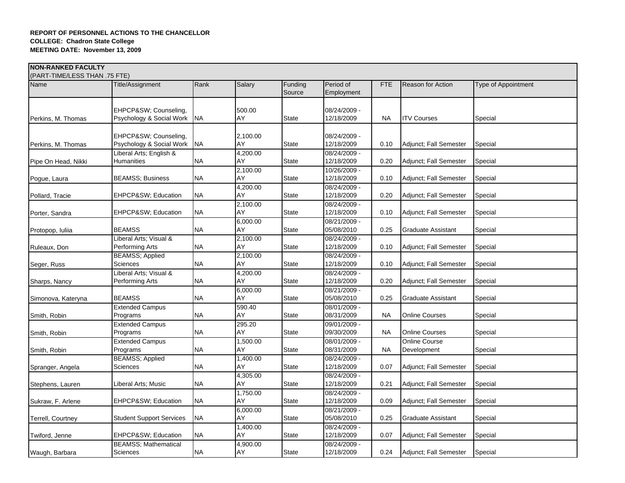| Name                | Title/Assignment                   | Rank      | Salary         | Funding      | Period of                  | <b>FTE</b> | <b>Reason for Action</b>  | Type of Appointment |
|---------------------|------------------------------------|-----------|----------------|--------------|----------------------------|------------|---------------------------|---------------------|
|                     |                                    |           |                | Source       | Employment                 |            |                           |                     |
|                     |                                    |           |                |              |                            |            |                           |                     |
|                     | EHPCP&SW Counseling,               |           | 500.00         |              | 08/24/2009 -               |            |                           |                     |
| Perkins, M. Thomas  | Psychology & Social Work           | <b>NA</b> | AY             | State        | 12/18/2009                 | <b>NA</b>  | <b>ITV Courses</b>        | Special             |
|                     | EHPCP&SW Counseling,               |           | 2,100.00       |              | 08/24/2009 -               |            |                           |                     |
| Perkins, M. Thomas  | Psychology & Social Work           | <b>NA</b> | AY             | <b>State</b> | 12/18/2009                 | 0.10       | Adjunct: Fall Semester    | Special             |
|                     | Liberal Arts; English &            |           | 4,200.00       |              | 08/24/2009 -               |            |                           |                     |
| Pipe On Head, Nikki | Humanities                         | ΝA        | AY             | <b>State</b> | 12/18/2009                 | 0.20       | Adjunct; Fall Semester    | Special             |
|                     |                                    |           | 2,100.00       |              | 10/26/2009 -               |            |                           |                     |
| Pogue, Laura        | <b>BEAMSS</b> ; Business           | <b>NA</b> | AY             | State        | 12/18/2009                 | 0.10       | Adjunct; Fall Semester    | Special             |
|                     |                                    |           | 4,200.00       |              | 08/24/2009 -               |            |                           |                     |
| Pollard, Tracie     | EHPCP&SW Education                 | <b>NA</b> | AY             | <b>State</b> | 12/18/2009                 | 0.20       | Adjunct; Fall Semester    | Special             |
|                     |                                    |           | 2,100.00       |              | 08/24/2009 -               |            |                           |                     |
| Porter, Sandra      | EHPCP&SW Education                 | <b>NA</b> | AY             | State        | 12/18/2009                 | 0.10       | Adjunct; Fall Semester    | Special             |
|                     |                                    |           | 6,000.00       |              | 08/21/2009 -               |            |                           |                     |
| Protopop, Iuliia    | <b>BEAMSS</b>                      | <b>NA</b> | AY             | <b>State</b> | 05/08/2010                 | 0.25       | <b>Graduate Assistant</b> | Special             |
|                     | Liberal Arts; Visual &             |           | 2,100.00<br>AY |              | 08/24/2009 -               |            |                           |                     |
| Ruleaux, Don        | Performing Arts                    | NA        |                | <b>State</b> | 12/18/2009                 | 0.10       | Adjunct: Fall Semester    | Special             |
|                     | <b>BEAMSS</b> ; Applied            | <b>NA</b> | 2,100.00<br>AY |              | 08/24/2009 -<br>12/18/2009 | 0.10       |                           |                     |
| Seger, Russ         | Sciences<br>Liberal Arts; Visual & |           | 4,200.00       | <b>State</b> |                            |            | Adjunct; Fall Semester    | Special             |
|                     | Performing Arts                    | NA        | AY             | <b>State</b> | 08/24/2009 -<br>12/18/2009 | 0.20       | Adjunct: Fall Semester    | Special             |
| Sharps, Nancy       |                                    |           | 6,000.00       |              | 08/21/2009 -               |            |                           |                     |
| Simonova, Kateryna  | <b>BEAMSS</b>                      | <b>NA</b> | AY             | <b>State</b> | 05/08/2010                 | 0.25       | <b>Graduate Assistant</b> | Special             |
|                     | <b>Extended Campus</b>             |           | 590.40         |              | 08/01/2009 -               |            |                           |                     |
| Smith, Robin        | Programs                           | <b>NA</b> | AY             | <b>State</b> | 08/31/2009                 | <b>NA</b>  | <b>Online Courses</b>     | Special             |
|                     | <b>Extended Campus</b>             |           | 295.20         |              | 09/01/2009 -               |            |                           |                     |
| Smith, Robin        | Programs                           | <b>NA</b> | AY             | State        | 09/30/2009                 | <b>NA</b>  | <b>Online Courses</b>     | Special             |
|                     | <b>Extended Campus</b>             |           | 1,500.00       |              | 08/01/2009 -               |            | Online Course             |                     |
| Smith, Robin        | Programs                           | NA        | AY             | <b>State</b> | 08/31/2009                 | <b>NA</b>  | Development               | Special             |
|                     | <b>BEAMSS; Applied</b>             |           | 1,400.00       |              | 08/24/2009 -               |            |                           |                     |
| Spranger, Angela    | Sciences                           | <b>NA</b> | AY             | <b>State</b> | 12/18/2009                 | 0.07       | Adjunct; Fall Semester    | Special             |
|                     |                                    |           | 4,305.00       |              | 08/24/2009 -               |            |                           |                     |
| Stephens, Lauren    | Liberal Arts; Music                | NA        | AY             | State        | 12/18/2009                 | 0.21       | Adjunct; Fall Semester    | Special             |
|                     |                                    |           | 1,750.00       |              | 08/24/2009 -               |            |                           |                     |
| Sukraw, F. Arlene   | EHPCP&SW Education                 | <b>NA</b> | AY             | State        | 12/18/2009                 | 0.09       | Adjunct; Fall Semester    | Special             |
|                     |                                    |           | 6,000.00       |              | 08/21/2009 -               |            |                           |                     |
| Terrell, Courtney   | <b>Student Support Services</b>    | <b>NA</b> | AY             | <b>State</b> | 05/08/2010                 | 0.25       | <b>Graduate Assistant</b> | Special             |
|                     |                                    |           | 1,400.00       |              | 08/24/2009 -               |            |                           |                     |
| Twiford, Jenne      | EHPCP&SW Education                 | <b>NA</b> | AY             | State        | 12/18/2009                 | 0.07       | Adjunct; Fall Semester    | Special             |
|                     | <b>BEAMSS: Mathematical</b>        |           | 4,900.00       |              | 08/24/2009 -               |            |                           |                     |
| Waugh, Barbara      | <b>Sciences</b>                    | <b>NA</b> | AY             | <b>State</b> | 12/18/2009                 | 0.24       | Adjunct: Fall Semester    | Special             |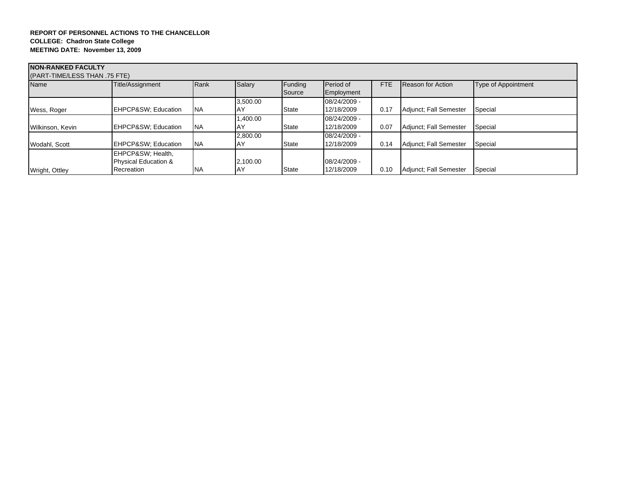| <b>NON-RANKED FACULTY</b>     |                                 |           |          |              |              |      |                          |                            |
|-------------------------------|---------------------------------|-----------|----------|--------------|--------------|------|--------------------------|----------------------------|
| (PART-TIME/LESS THAN .75 FTE) |                                 |           |          |              |              |      |                          |                            |
| Name                          | Title/Assignment                | Rank      | Salary   | Funding      | Period of    | FTE  | <b>Reason for Action</b> | <b>Type of Appointment</b> |
|                               |                                 |           |          | Source       | Employment   |      |                          |                            |
|                               |                                 |           | 3,500.00 |              | 08/24/2009 - |      |                          |                            |
| Wess, Roger                   | <b>EHPCP&amp;SW</b> ; Education | <b>NA</b> | ΙAΥ      | <b>State</b> | 12/18/2009   | 0.17 | Adjunct; Fall Semester   | Special                    |
|                               |                                 |           | 1,400.00 |              | 08/24/2009 - |      |                          |                            |
| Wilkinson, Kevin              | <b>EHPCP&amp;SW</b> ; Education | <b>NA</b> | ΑY       | <b>State</b> | 12/18/2009   | 0.07 | Adjunct; Fall Semester   | Special                    |
|                               |                                 |           | 2,800.00 |              | 08/24/2009 - |      |                          |                            |
| Wodahl, Scott                 | EHPCP&SW Education              | <b>NA</b> | ΙAΥ      | <b>State</b> | 12/18/2009   | 0.14 | Adjunct; Fall Semester   | Special                    |
|                               | EHPCP&SW Health,                |           |          |              |              |      |                          |                            |
|                               | Physical Education &            |           | 2,100.00 |              | 08/24/2009 - |      |                          |                            |
| Wright, Ottley                | Recreation                      | <b>NA</b> | ΙAΥ      | <b>State</b> | 12/18/2009   | 0.10 | Adjunct; Fall Semester   | Special                    |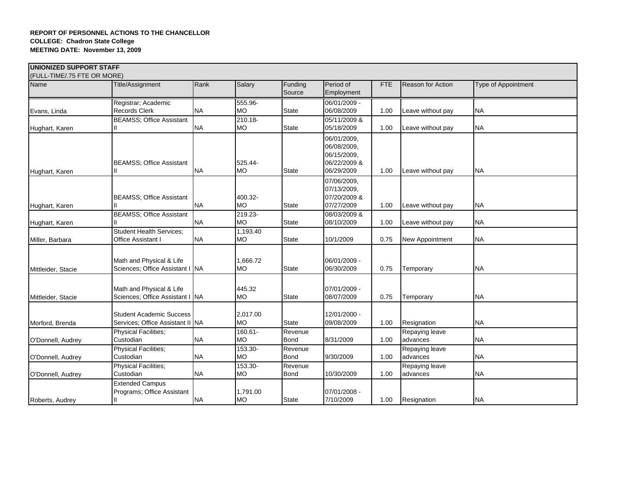| UNIONIZED SUPPORT STAFF     |                                                                     |           |                       |                        |                                                                         |            |                            |                            |
|-----------------------------|---------------------------------------------------------------------|-----------|-----------------------|------------------------|-------------------------------------------------------------------------|------------|----------------------------|----------------------------|
| (FULL-TIME/.75 FTE OR MORE) |                                                                     |           |                       |                        |                                                                         |            |                            |                            |
| Name                        | Title/Assignment                                                    | Rank      | Salary                | Funding<br>Source      | Period of<br>Employment                                                 | <b>FTE</b> | <b>Reason for Action</b>   | <b>Type of Appointment</b> |
|                             | Registrar; Academic                                                 |           | 555.96-               |                        | 06/01/2009 -                                                            |            |                            |                            |
| Evans, Linda                | <b>Records Clerk</b>                                                | <b>NA</b> | <b>MO</b>             | <b>State</b>           | 06/08/2009                                                              | 1.00       | Leave without pay          | <b>NA</b>                  |
|                             | <b>BEAMSS; Office Assistant</b>                                     |           | 210.18-               |                        | 05/11/2009 &                                                            |            |                            |                            |
| Hughart, Karen              |                                                                     | <b>NA</b> | <b>MO</b>             | <b>State</b>           | 05/18/2009                                                              | 1.00       | Leave without pay          | <b>NA</b>                  |
| Hughart, Karen              | <b>BEAMSS</b> ; Office Assistant                                    | <b>NA</b> | 525.44-<br><b>MO</b>  | State                  | 06/01/2009,<br>06/08/2009,<br>06/15/2009.<br>06/22/2009 &<br>06/29/2009 | 1.00       | Leave without pay          | <b>NA</b>                  |
| Hughart, Karen              | <b>BEAMSS</b> ; Office Assistant                                    | <b>NA</b> | 400.32-<br><b>MO</b>  | State                  | 07/06/2009,<br>07/13/2009,<br>07/20/2009 &<br>07/27/2009                | 1.00       | Leave without pay          | <b>NA</b>                  |
|                             | <b>BEAMSS; Office Assistant</b>                                     |           | 219.23-               |                        | 08/03/2009 &                                                            |            |                            |                            |
| Hughart, Karen              |                                                                     | <b>NA</b> | <b>MO</b>             | <b>State</b>           | 08/10/2009                                                              | 1.00       | Leave without pay          | <b>NA</b>                  |
| Miller, Barbara             | <b>Student Health Services:</b><br>Office Assistant I               | <b>NA</b> | 1,193.40<br><b>MO</b> | <b>State</b>           | 10/1/2009                                                               | 0.75       | <b>New Appointment</b>     | <b>NA</b>                  |
| Mittleider, Stacie          | Math and Physical & Life<br>Sciences; Office Assistant I NA         |           | 1,666.72<br><b>MO</b> | State                  | 06/01/2009 -<br>06/30/2009                                              | 0.75       | Temporary                  | <b>NA</b>                  |
| Mittleider, Stacie          | Math and Physical & Life<br>Sciences; Office Assistant I NA         |           | 445.32<br><b>MO</b>   | <b>State</b>           | 07/01/2009 -<br>08/07/2009                                              | 0.75       | Temporary                  | <b>NA</b>                  |
| Morford, Brenda             | <b>Student Academic Success</b><br>Services; Office Assistant II NA |           | 2,017.00<br><b>MO</b> | <b>State</b>           | 12/01/2000 -<br>09/08/2009                                              | 1.00       | Resignation                | <b>NA</b>                  |
| O'Donnell, Audrey           | Physical Facilities;<br>Custodian                                   | <b>NA</b> | 160.61-<br><b>MO</b>  | Revenue<br><b>Bond</b> | 8/31/2009                                                               | 1.00       | Repaying leave<br>advances | <b>NA</b>                  |
| O'Donnell, Audrey           | Physical Facilities;<br>Custodian                                   | NA        | 153.30-<br><b>MO</b>  | Revenue<br><b>Bond</b> | 9/30/2009                                                               | 1.00       | Repaying leave<br>advances | <b>NA</b>                  |
| O'Donnell, Audrey           | <b>Physical Facilities:</b><br>Custodian                            | <b>NA</b> | 153.30-<br><b>MO</b>  | Revenue<br><b>Bond</b> | 10/30/2009                                                              | 1.00       | Repaying leave<br>advances | <b>NA</b>                  |
| Roberts, Audrey             | <b>Extended Campus</b><br>Programs; Office Assistant                | <b>NA</b> | 1,791.00<br><b>MO</b> | <b>State</b>           | 07/01/2008 -<br>7/10/2009                                               | 1.00       | Resignation                | <b>NA</b>                  |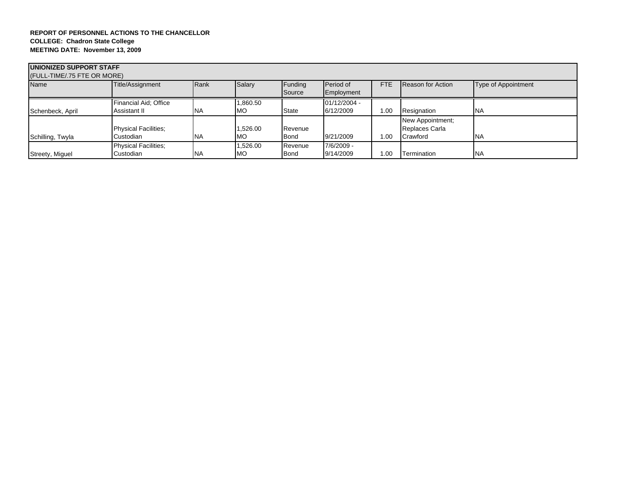| <b>UNIONIZED SUPPORT STAFF</b><br>(FULL-TIME/.75 FTE OR MORE) |                                          |           |                |                        |                                |            |                                                |                     |
|---------------------------------------------------------------|------------------------------------------|-----------|----------------|------------------------|--------------------------------|------------|------------------------------------------------|---------------------|
| <b>Name</b>                                                   | Title/Assignment                         | Rank      | Salary         | Funding<br>Source      | <b>Period of</b><br>Employment | <b>FTE</b> | Reason for Action                              | Type of Appointment |
| Schenbeck, April                                              | Financial Aid; Office<br>Assistant II    | <b>NA</b> | 1,860.50<br>МO | <b>State</b>           | 01/12/2004 -<br>6/12/2009      | 1.00       | Resignation                                    | <b>NA</b>           |
| Schilling, Twyla                                              | <b>Physical Facilities:</b><br>Custodian | <b>NA</b> | 1.526.00<br>МO | Revenue<br>Bond        | 9/21/2009                      | 1.00       | New Appointment;<br>Replaces Carla<br>Crawford | <b>INA</b>          |
| Streety, Miguel                                               | <b>Physical Facilities:</b><br>Custodian | <b>NA</b> | 1.526.00<br>МO | Revenue<br><b>Bond</b> | 7/6/2009 -<br>9/14/2009        | 1.00       | Termination                                    | <b>INA</b>          |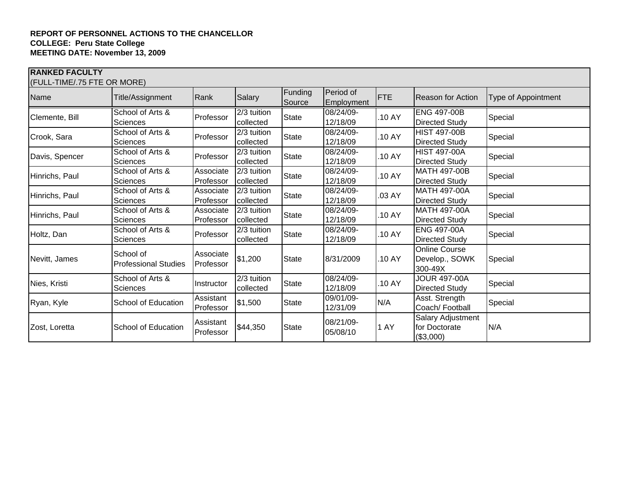| <b>RANKED FACULTY</b><br>(FULL-TIME/.75 FTE OR MORE) |                                          |                        |                                       |                   |                         |        |                                                 |                     |
|------------------------------------------------------|------------------------------------------|------------------------|---------------------------------------|-------------------|-------------------------|--------|-------------------------------------------------|---------------------|
| Name                                                 | Title/Assignment                         | Rank                   | Salary                                | Funding<br>Source | Period of<br>Employment | FTE    | <b>Reason for Action</b>                        | Type of Appointment |
| Clemente, Bill                                       | School of Arts &<br><b>Sciences</b>      | Professor              | 2/3 tuition<br>collected              | State             | 08/24/09-<br>12/18/09   | .10 AY | <b>ENG 497-00B</b><br><b>Directed Study</b>     | Special             |
| Crook, Sara                                          | School of Arts &<br>Sciences             | Professor              | 2/3 tuition<br>collected              | State             | 08/24/09-<br>12/18/09   | .10 AY | <b>HIST 497-00B</b><br><b>Directed Study</b>    | Special             |
| Davis, Spencer                                       | School of Arts &<br>Sciences             | Professor              | 2/3 tuition<br>collected              | State             | 08/24/09-<br>12/18/09   | .10 AY | <b>HIST 497-00A</b><br><b>Directed Study</b>    | Special             |
| Hinrichs, Paul                                       | School of Arts &<br>Sciences             | Associate<br>Professor | 2/3 tuition<br>collected              | State             | 08/24/09-<br>12/18/09   | .10 AY | MATH 497-00B<br><b>Directed Study</b>           | Special             |
| Hinrichs, Paul                                       | School of Arts &<br><b>Sciences</b>      | Associate<br>Professor | 2/3 tuition<br>collected              | State             | 08/24/09-<br>12/18/09   | .03 AY | <b>MATH 497-00A</b><br><b>Directed Study</b>    | Special             |
| Hinrichs, Paul                                       | School of Arts &<br><b>Sciences</b>      | Associate<br>Professor | 2/3 tuition<br>collected              | State             | 08/24/09-<br>12/18/09   | .10 AY | MATH 497-00A<br><b>Directed Study</b>           | Special             |
| Holtz, Dan                                           | School of Arts &<br>Sciences             | Professor              | 2/3 tuition<br>collected              | State             | 08/24/09-<br>12/18/09   | .10 AY | <b>ENG 497-00A</b><br><b>Directed Study</b>     | Special             |
| Nevitt, James                                        | School of<br><b>Professional Studies</b> | Associate<br>Professor | \$1,200                               | State             | 8/31/2009               | .10 AY | Online Course<br>Develop., SOWK<br>300-49X      | Special             |
| Nies, Kristi                                         | School of Arts &<br>Sciences             | Instructor             | $\overline{2/3}$ tuition<br>collected | <b>State</b>      | 08/24/09-<br>12/18/09   | .10 AY | <b>JOUR 497-00A</b><br><b>Directed Study</b>    | Special             |
| Ryan, Kyle                                           | School of Education                      | Assistant<br>Professor | \$1,500                               | State             | 09/01/09-<br>12/31/09   | N/A    | Asst. Strength<br>Coach/ Football               | Special             |
| Zost, Loretta                                        | School of Education                      | Assistant<br>Professor | \$44,350                              | <b>State</b>      | 08/21/09-<br>05/08/10   | 1 AY   | Salary Adjustment<br>for Doctorate<br>(\$3,000) | N/A                 |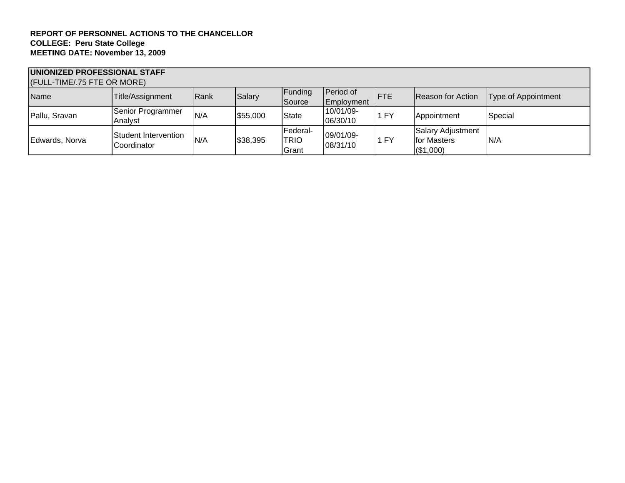| UNIONIZED PROFESSIONAL STAFF<br>(FULL-TIME/.75 FTE OR MORE)                                                                                          |                                     |     |          |                                  |                       |                |                                               |         |  |
|------------------------------------------------------------------------------------------------------------------------------------------------------|-------------------------------------|-----|----------|----------------------------------|-----------------------|----------------|-----------------------------------------------|---------|--|
| Period of<br>Funding<br>Salary<br><b>FTE</b><br>Name<br>Rank<br>Title/Assignment<br>Type of Appointment<br>Reason for Action<br>Source<br>Employment |                                     |     |          |                                  |                       |                |                                               |         |  |
| Pallu, Sravan                                                                                                                                        | Senior Programmer<br>Analyst        | N/A | \$55,000 | <b>State</b>                     | 10/01/09-<br>06/30/10 | FY <sub></sub> | Appointment                                   | Special |  |
| Edwards, Norva                                                                                                                                       | Student Intervention<br>Coordinator | N/A | \$38,395 | Federal-<br><b>TRIO</b><br>Grant | 09/01/09-<br>08/31/10 | <b>FY</b>      | Salary Adjustment<br>for Masters<br>(\$1,000) | N/A     |  |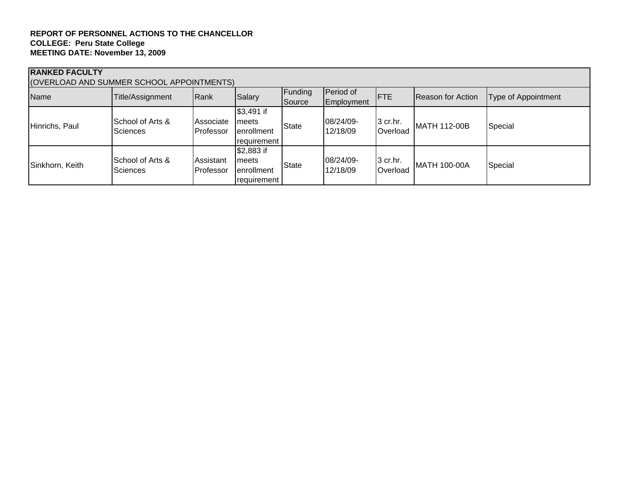| <b>RANKED FACULTY</b><br>(OVERLOAD AND SUMMER SCHOOL APPOINTMENTS) |                              |                        |                                                  |                   |                         |                      |                          |                     |  |
|--------------------------------------------------------------------|------------------------------|------------------------|--------------------------------------------------|-------------------|-------------------------|----------------------|--------------------------|---------------------|--|
| Name                                                               | Title/Assignment             | Rank                   | Salary                                           | Funding<br>Source | Period of<br>Employment | <b>FTE</b>           | <b>Reason for Action</b> | Type of Appointment |  |
| Hinrichs, Paul                                                     | School of Arts &<br>Sciences | Associate<br>Professor | \$3,491 if<br>meets<br>enrollment<br>requirement | <b>State</b>      | 08/24/09-<br>12/18/09   | 3 cr.hr.<br>Overload | <b>MATH 112-00B</b>      | Special             |  |
| Sinkhorn, Keith                                                    | School of Arts &<br>Sciences | Assistant<br>Professor | \$2,883 if<br>meets<br>enrollment<br>requirement | <b>State</b>      | 08/24/09-<br>12/18/09   | 3 cr.hr.<br>Overload | <b>MATH 100-00A</b>      | Special             |  |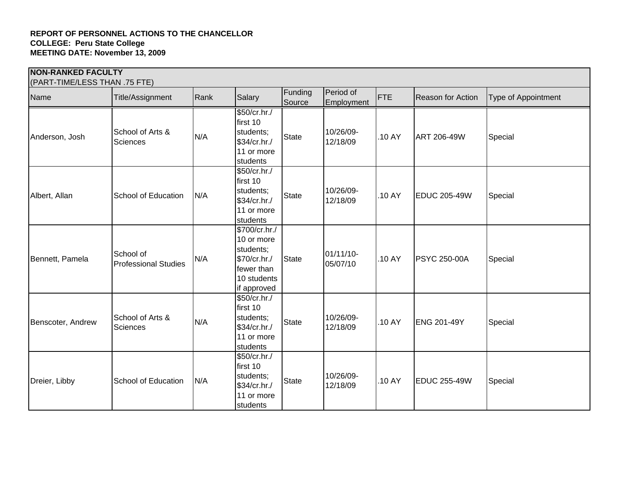|                   | <b>NON-RANKED FACULTY</b><br>(PART-TIME/LESS THAN .75 FTE) |      |                                                                                                      |                   |                         |            |                          |                     |  |  |  |
|-------------------|------------------------------------------------------------|------|------------------------------------------------------------------------------------------------------|-------------------|-------------------------|------------|--------------------------|---------------------|--|--|--|
| Name              | Title/Assignment                                           | Rank | Salary                                                                                               | Funding<br>Source | Period of<br>Employment | <b>FTE</b> | <b>Reason for Action</b> | Type of Appointment |  |  |  |
| Anderson, Josh    | School of Arts &<br><b>Sciences</b>                        | N/A  | \$50/cr.hr./<br>first 10<br>students;<br>\$34/cr.hr./<br>11 or more<br>students                      | <b>State</b>      | 10/26/09-<br>12/18/09   | .10 AY     | ART 206-49W              | Special             |  |  |  |
| Albert, Allan     | School of Education                                        | N/A  | \$50/cr.hr./<br>first 10<br>students;<br>\$34/cr.hr./<br>11 or more<br>students                      | <b>State</b>      | 10/26/09-<br>12/18/09   | .10 AY     | <b>EDUC 205-49W</b>      | Special             |  |  |  |
| Bennett, Pamela   | School of<br><b>Professional Studies</b>                   | N/A  | \$700/cr.hr./<br>10 or more<br>students;<br>\$70/cr.hr./<br>fewer than<br>10 students<br>if approved | <b>State</b>      | $01/11/10-$<br>05/07/10 | .10 AY     | <b>PSYC 250-00A</b>      | Special             |  |  |  |
| Benscoter, Andrew | School of Arts &<br><b>Sciences</b>                        | N/A  | \$50/cr.hr./<br>first 10<br>students;<br>\$34/cr.hr./<br>11 or more<br>students                      | <b>State</b>      | 10/26/09-<br>12/18/09   | .10 AY     | <b>ENG 201-49Y</b>       | Special             |  |  |  |
| Dreier, Libby     | School of Education                                        | N/A  | \$50/cr.hr./<br>first 10<br>students;<br>\$34/cr.hr./<br>11 or more<br>students                      | State             | 10/26/09-<br>12/18/09   | .10 AY     | <b>EDUC 255-49W</b>      | Special             |  |  |  |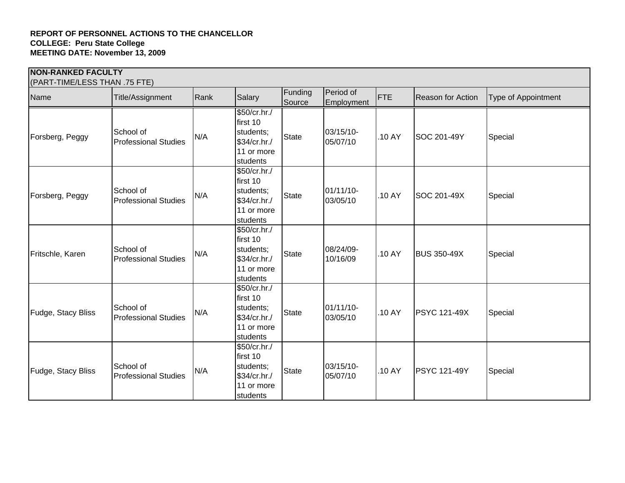|                    | <b>NON-RANKED FACULTY</b><br>(PART-TIME/LESS THAN .75 FTE) |      |                                                                                 |                   |                         |            |                          |                     |  |  |  |
|--------------------|------------------------------------------------------------|------|---------------------------------------------------------------------------------|-------------------|-------------------------|------------|--------------------------|---------------------|--|--|--|
| Name               | Title/Assignment                                           | Rank | Salary                                                                          | Funding<br>Source | Period of<br>Employment | <b>FTE</b> | <b>Reason for Action</b> | Type of Appointment |  |  |  |
| Forsberg, Peggy    | School of<br><b>Professional Studies</b>                   | N/A  | \$50/cr.hr./<br>first 10<br>students;<br>\$34/cr.hr./<br>11 or more<br>students | <b>State</b>      | 03/15/10-<br>05/07/10   | .10 AY     | SOC 201-49Y              | Special             |  |  |  |
| Forsberg, Peggy    | School of<br><b>Professional Studies</b>                   | N/A  | \$50/cr.hr./<br>first 10<br>students;<br>\$34/cr.hr./<br>11 or more<br>students | <b>State</b>      | 01/11/10-<br>03/05/10   | .10 AY     | SOC 201-49X              | Special             |  |  |  |
| Fritschle, Karen   | School of<br><b>Professional Studies</b>                   | N/A  | \$50/cr.hr./<br>first 10<br>students;<br>\$34/cr.hr./<br>11 or more<br>students | <b>State</b>      | 08/24/09-<br>10/16/09   | .10 AY     | <b>BUS 350-49X</b>       | Special             |  |  |  |
| Fudge, Stacy Bliss | School of<br><b>Professional Studies</b>                   | N/A  | \$50/cr.hr./<br>first 10<br>students;<br>\$34/cr.hr./<br>11 or more<br>students | <b>State</b>      | 01/11/10-<br>03/05/10   | .10 AY     | <b>PSYC 121-49X</b>      | Special             |  |  |  |
| Fudge, Stacy Bliss | School of<br><b>Professional Studies</b>                   | N/A  | \$50/cr.hr./<br>first 10<br>students;<br>\$34/cr.hr./<br>11 or more<br>students | State             | 03/15/10-<br>05/07/10   | .10 AY     | <b>PSYC 121-49Y</b>      | Special             |  |  |  |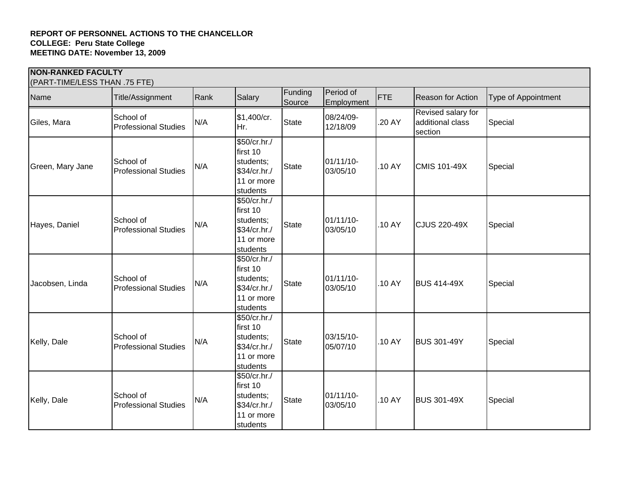| <b>NON-RANKED FACULTY</b><br>(PART-TIME/LESS THAN .75 FTE) |                                          |      |                                                                                 |                   |                         |            |                                                   |                     |
|------------------------------------------------------------|------------------------------------------|------|---------------------------------------------------------------------------------|-------------------|-------------------------|------------|---------------------------------------------------|---------------------|
| Name                                                       | Title/Assignment                         | Rank | Salary                                                                          | Funding<br>Source | Period of<br>Employment | <b>FTE</b> | <b>Reason for Action</b>                          | Type of Appointment |
| Giles, Mara                                                | School of<br><b>Professional Studies</b> | N/A  | \$1,400/cr.<br>Hr.                                                              | <b>State</b>      | 08/24/09-<br>12/18/09   | .20 AY     | Revised salary for<br>additional class<br>section | Special             |
| Green, Mary Jane                                           | School of<br><b>Professional Studies</b> | N/A  | \$50/cr.hr./<br>first 10<br>students;<br>\$34/cr.hr./<br>11 or more<br>students | <b>State</b>      | 01/11/10-<br>03/05/10   | .10 AY     | <b>CMIS 101-49X</b>                               | Special             |
| Hayes, Daniel                                              | School of<br><b>Professional Studies</b> | N/A  | \$50/cr/hr.<br>first 10<br>students;<br>\$34/cr.hr./<br>11 or more<br>students  | <b>State</b>      | 01/11/10-<br>03/05/10   | .10 AY     | <b>CJUS 220-49X</b>                               | Special             |
| Jacobsen, Linda                                            | School of<br><b>Professional Studies</b> | N/A  | \$50/cr.hr./<br>first 10<br>students;<br>\$34/cr.hr./<br>11 or more<br>students | State             | 01/11/10-<br>03/05/10   | .10 AY     | <b>BUS 414-49X</b>                                | Special             |
| Kelly, Dale                                                | School of<br><b>Professional Studies</b> | N/A  | \$50/cr.hr./<br>first 10<br>students;<br>\$34/cr.hr./<br>11 or more<br>students | <b>State</b>      | 03/15/10-<br>05/07/10   | .10 AY     | <b>BUS 301-49Y</b>                                | Special             |
| Kelly, Dale                                                | School of<br><b>Professional Studies</b> | N/A  | \$50/cr.hr./<br>first 10<br>students;<br>\$34/cr.hr./<br>11 or more<br>students | <b>State</b>      | 01/11/10-<br>03/05/10   | .10 AY     | <b>BUS 301-49X</b>                                | Special             |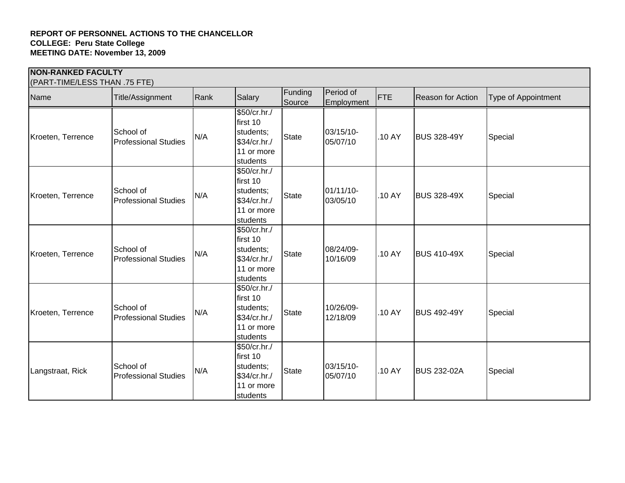| <b>NON-RANKED FACULTY</b><br>(PART-TIME/LESS THAN .75 FTE) |                                          |      |                                                                                 |                   |                         |            |                          |                     |
|------------------------------------------------------------|------------------------------------------|------|---------------------------------------------------------------------------------|-------------------|-------------------------|------------|--------------------------|---------------------|
| Name                                                       | Title/Assignment                         | Rank | Salary                                                                          | Funding<br>Source | Period of<br>Employment | <b>FTE</b> | <b>Reason for Action</b> | Type of Appointment |
| Kroeten, Terrence                                          | School of<br><b>Professional Studies</b> | N/A  | \$50/cr.hr./<br>first 10<br>students;<br>\$34/cr.hr./<br>11 or more<br>students | <b>State</b>      | 03/15/10-<br>05/07/10   | .10 AY     | <b>BUS 328-49Y</b>       | Special             |
| Kroeten, Terrence                                          | School of<br><b>Professional Studies</b> | N/A  | \$50/cr.hr./<br>first 10<br>students;<br>\$34/cr.hr./<br>11 or more<br>students | <b>State</b>      | 01/11/10-<br>03/05/10   | .10 AY     | <b>BUS 328-49X</b>       | Special             |
| Kroeten, Terrence                                          | School of<br><b>Professional Studies</b> | N/A  | \$50/cr.hr./<br>first 10<br>students;<br>\$34/cr.hr./<br>11 or more<br>students | <b>State</b>      | 08/24/09-<br>10/16/09   | .10 AY     | <b>BUS 410-49X</b>       | Special             |
| Kroeten, Terrence                                          | School of<br><b>Professional Studies</b> | N/A  | \$50/cr/hr.<br>first 10<br>students;<br>\$34/cr.hr./<br>11 or more<br>students  | <b>State</b>      | 10/26/09-<br>12/18/09   | .10 AY     | <b>BUS 492-49Y</b>       | Special             |
| Langstraat, Rick                                           | School of<br><b>Professional Studies</b> | N/A  | \$50/cr.hr./<br>first 10<br>students;<br>\$34/cr.hr./<br>11 or more<br>students | State             | 03/15/10-<br>05/07/10   | .10 AY     | <b>BUS 232-02A</b>       | Special             |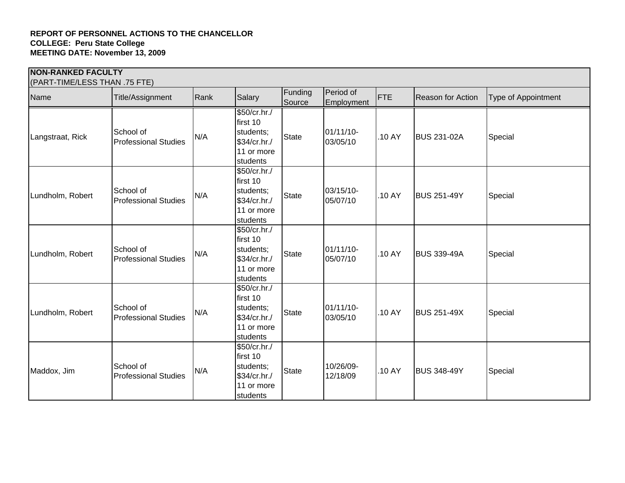|                  | <b>NON-RANKED FACULTY</b><br>(PART-TIME/LESS THAN .75 FTE) |      |                                                                                 |                   |                         |            |                          |                     |  |  |  |
|------------------|------------------------------------------------------------|------|---------------------------------------------------------------------------------|-------------------|-------------------------|------------|--------------------------|---------------------|--|--|--|
| Name             | Title/Assignment                                           | Rank | Salary                                                                          | Funding<br>Source | Period of<br>Employment | <b>FTE</b> | <b>Reason for Action</b> | Type of Appointment |  |  |  |
| Langstraat, Rick | School of<br><b>Professional Studies</b>                   | N/A  | \$50/cr.hr./<br>first 10<br>students;<br>\$34/cr.hr./<br>11 or more<br>students | <b>State</b>      | 01/11/10-<br>03/05/10   | .10 AY     | <b>BUS 231-02A</b>       | Special             |  |  |  |
| Lundholm, Robert | School of<br><b>Professional Studies</b>                   | N/A  | \$50/cr.hr./<br>first 10<br>students;<br>\$34/cr.hr./<br>11 or more<br>students | <b>State</b>      | 03/15/10-<br>05/07/10   | .10 AY     | <b>BUS 251-49Y</b>       | Special             |  |  |  |
| Lundholm, Robert | School of<br><b>Professional Studies</b>                   | N/A  | \$50/cr.hr./<br>first 10<br>students;<br>\$34/cr.hr./<br>11 or more<br>students | <b>State</b>      | $01/11/10-$<br>05/07/10 | .10 AY     | <b>BUS 339-49A</b>       | Special             |  |  |  |
| Lundholm, Robert | School of<br><b>Professional Studies</b>                   | N/A  | \$50/cr.hr./<br>first 10<br>students;<br>\$34/cr.hr./<br>11 or more<br>students | <b>State</b>      | 01/11/10-<br>03/05/10   | .10 AY     | <b>BUS 251-49X</b>       | Special             |  |  |  |
| Maddox, Jim      | School of<br><b>Professional Studies</b>                   | N/A  | \$50/cr.hr./<br>first 10<br>students;<br>\$34/cr.hr./<br>11 or more<br>students | State             | 10/26/09-<br>12/18/09   | .10 AY     | <b>BUS 348-49Y</b>       | Special             |  |  |  |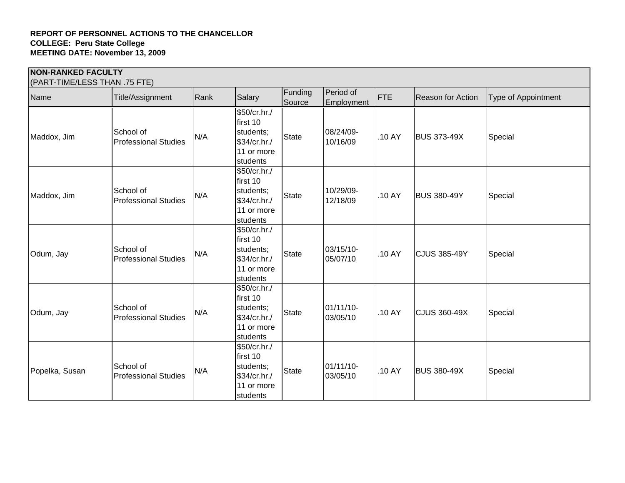| <b>NON-RANKED FACULTY</b><br>(PART-TIME/LESS THAN .75 FTE) |                                          |      |                                                                                  |                   |                          |            |                     |                     |
|------------------------------------------------------------|------------------------------------------|------|----------------------------------------------------------------------------------|-------------------|--------------------------|------------|---------------------|---------------------|
| Name                                                       | Title/Assignment                         | Rank | Salary                                                                           | Funding<br>Source | Period of<br>Employment  | <b>FTE</b> | Reason for Action   | Type of Appointment |
| Maddox, Jim                                                | School of<br><b>Professional Studies</b> | N/A  | \$50/cr.hr./<br>first 10<br>students;<br>\$34/cr.hr./<br>11 or more<br>students  | State             | 08/24/09-<br>10/16/09    | .10 AY     | <b>BUS 373-49X</b>  | Special             |
| Maddox, Jim                                                | School of<br><b>Professional Studies</b> | N/A  | $$50/cr.hr$ .<br>first 10<br>students;<br>\$34/cr.hr./<br>11 or more<br>students | <b>State</b>      | 10/29/09-<br>12/18/09    | .10 AY     | <b>BUS 380-49Y</b>  | Special             |
| Odum, Jay                                                  | School of<br><b>Professional Studies</b> | N/A  | \$50/cr.hr./<br>first 10<br>students;<br>\$34/cr.hr./<br>11 or more<br>students  | <b>State</b>      | 03/15/10-<br>05/07/10    | .10 AY     | <b>CJUS 385-49Y</b> | Special             |
| Odum, Jay                                                  | School of<br><b>Professional Studies</b> | N/A  | \$50/cr.hr./<br>first 10<br>students;<br>\$34/cr.hr./<br>11 or more<br>students  | <b>State</b>      | 01/11/10-<br>03/05/10    | .10 AY     | <b>CJUS 360-49X</b> | Special             |
| Popelka, Susan                                             | School of<br><b>Professional Studies</b> | N/A  | \$50/cr.hr./<br>first 10<br>students;<br>\$34/cr.hr./<br>11 or more<br>students  | State             | $01/11/10$ -<br>03/05/10 | .10 AY     | <b>BUS 380-49X</b>  | Special             |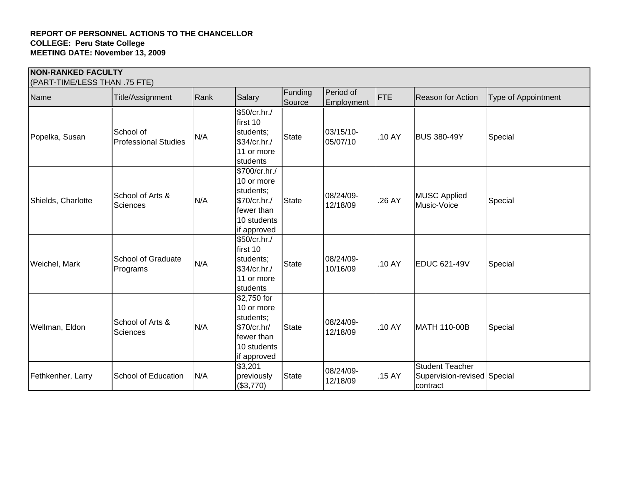| <b>NON-RANKED FACULTY</b><br>(PART-TIME/LESS THAN .75 FTE) |                                          |      |                                                                                                      |                   |                         |            |                                                                   |                     |
|------------------------------------------------------------|------------------------------------------|------|------------------------------------------------------------------------------------------------------|-------------------|-------------------------|------------|-------------------------------------------------------------------|---------------------|
| Name                                                       | Title/Assignment                         | Rank | Salary                                                                                               | Funding<br>Source | Period of<br>Employment | <b>FTE</b> | <b>Reason for Action</b>                                          | Type of Appointment |
| Popelka, Susan                                             | School of<br><b>Professional Studies</b> | N/A  | \$50/cr.htm.<br>first 10<br>students;<br>\$34/cr.hr./<br>11 or more<br>students                      | <b>State</b>      | 03/15/10-<br>05/07/10   | .10 AY     | <b>BUS 380-49Y</b>                                                | Special             |
| Shields, Charlotte                                         | School of Arts &<br><b>Sciences</b>      | N/A  | \$700/cr.hr./<br>10 or more<br>students;<br>\$70/cr.hr./<br>fewer than<br>10 students<br>if approved | <b>State</b>      | 08/24/09-<br>12/18/09   | .26 AY     | <b>MUSC Applied</b><br>Music-Voice                                | Special             |
| Weichel, Mark                                              | School of Graduate<br>Programs           | N/A  | \$50/cr.hr./<br>first 10<br>students;<br>\$34/cr.hr./<br>11 or more<br>students                      | <b>State</b>      | 08/24/09-<br>10/16/09   | .10 AY     | <b>EDUC 621-49V</b>                                               | Special             |
| Wellman, Eldon                                             | School of Arts &<br><b>Sciences</b>      | N/A  | \$2,750 for<br>10 or more<br>students;<br>\$70/cr.hr/<br>fewer than<br>10 students<br>if approved    | <b>State</b>      | 08/24/09-<br>12/18/09   | .10 AY     | <b>MATH 110-00B</b>                                               | Special             |
| Fethkenher, Larry                                          | School of Education                      | N/A  | \$3,201<br>previously<br>(\$3,770)                                                                   | State             | 08/24/09-<br>12/18/09   | .15 AY     | <b>Student Teacher</b><br>Supervision-revised Special<br>contract |                     |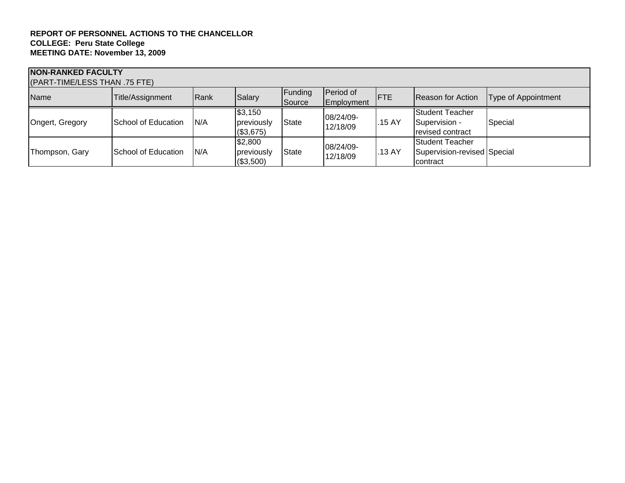| <b>NON-RANKED FACULTY</b><br>(PART-TIME/LESS THAN .75 FTE) |                     |      |                                           |                   |                         |             |                                                             |                     |  |
|------------------------------------------------------------|---------------------|------|-------------------------------------------|-------------------|-------------------------|-------------|-------------------------------------------------------------|---------------------|--|
| Name                                                       | Title/Assignment    | Rank | <b>Salary</b>                             | Funding<br>Source | Period of<br>Employment | <b>IFTE</b> | Reason for Action                                           | Type of Appointment |  |
| Ongert, Gregory                                            | School of Education | N/A  | \$3,150<br><b>previously</b><br>(\$3,675) | <b>State</b>      | 08/24/09-<br>12/18/09   | .15AY       | <b>Student Teacher</b><br>Supervision -<br>revised contract | Special             |  |
| Thompson, Gary                                             | School of Education | N/A  | \$2,800<br>previously<br>(\$3,500)        | <b>State</b>      | 08/24/09-<br>12/18/09   | .13AY       | Student Teacher<br>Supervision-revised Special<br>contract  |                     |  |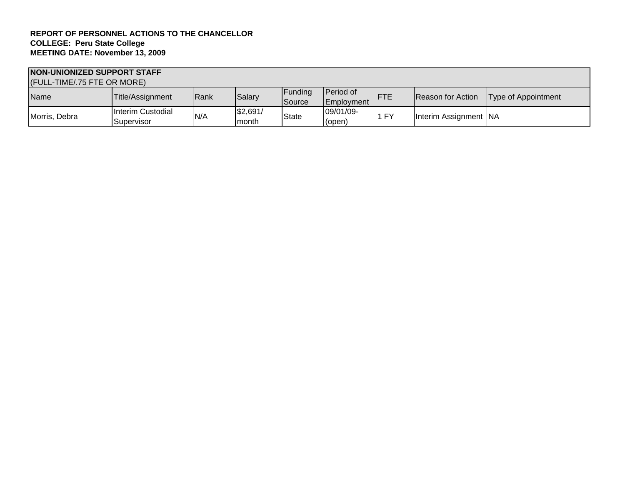| <b>NON-UNIONIZED SUPPORT STAFF</b><br>(FULL-TIME/.75 FTE OR MORE) |                                 |             |                    |                   |                                 |             |                        |                            |  |
|-------------------------------------------------------------------|---------------------------------|-------------|--------------------|-------------------|---------------------------------|-------------|------------------------|----------------------------|--|
| Name                                                              | Title/Assignment                | <b>Rank</b> | Salary             | Funding<br>Source | Period of<br><b>IEmployment</b> | <b>IFTE</b> | Reason for Action      | <b>Type of Appointment</b> |  |
| Morris, Debra                                                     | Interim Custodial<br>Supervisor | N/A         | \$2,691/<br>Imonth | State             | 09/01/09-<br>(open)             | 1 FY        | Interim Assignment INA |                            |  |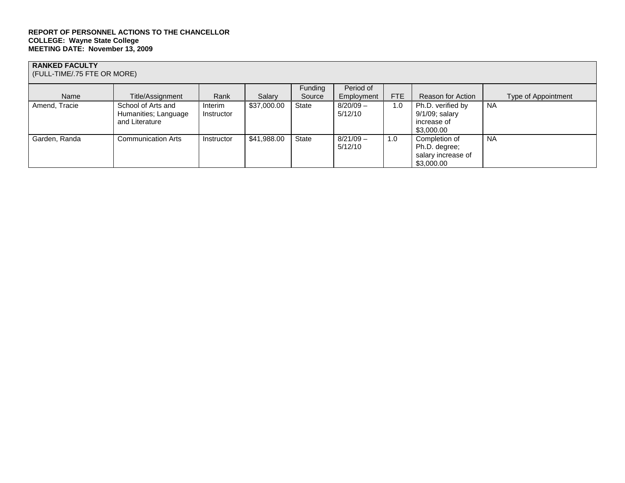## **RANKED FACULTY**

(FULL-TIME/.75 FTE OR MORE)

|               |                                                              |                       |             | Funding | Period of              |     |                                                                    |                     |
|---------------|--------------------------------------------------------------|-----------------------|-------------|---------|------------------------|-----|--------------------------------------------------------------------|---------------------|
| Name          | Title/Assignment                                             | Rank                  | Salary      | Source  | Employment             | FTE | Reason for Action                                                  | Type of Appointment |
| Amend, Tracie | School of Arts and<br>Humanities; Language<br>and Literature | Interim<br>Instructor | \$37,000.00 | State   | $8/20/09 -$<br>5/12/10 | 1.0 | Ph.D. verified by<br>9/1/09; salary<br>increase of<br>\$3,000.00   | NA                  |
| Garden, Randa | <b>Communication Arts</b>                                    | Instructor            | \$41,988.00 | State   | $8/21/09 -$<br>5/12/10 | 1.0 | Completion of<br>Ph.D. degree;<br>salary increase of<br>\$3,000.00 | <b>NA</b>           |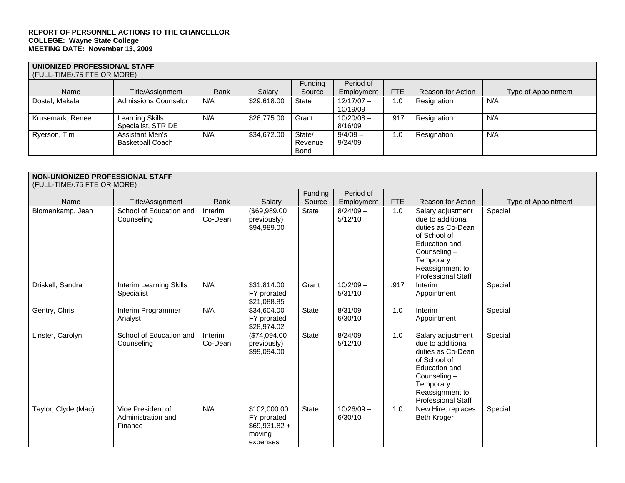## **UNIONIZED PROFESSIONAL STAFF**

| (FULL-TIME/.75 FTE OR MORE) |                             |      |             |                |              |            |                   |                     |  |
|-----------------------------|-----------------------------|------|-------------|----------------|--------------|------------|-------------------|---------------------|--|
|                             |                             |      |             | <b>Funding</b> | Period of    |            |                   |                     |  |
| Name                        | Title/Assignment            | Rank | Salarv      | Source         | Employment   | <b>FTE</b> | Reason for Action | Type of Appointment |  |
| Dostal, Makala              | <b>Admissions Counselor</b> | N/A  | \$29,618.00 | State          | $12/17/07 -$ | 1.0        | Resignation       | N/A                 |  |
|                             |                             |      |             |                | 10/19/09     |            |                   |                     |  |
| Krusemark, Renee            | Learning Skills             | N/A  | \$26,775.00 | Grant          | $10/20/08 -$ | .917       | Resignation       | N/A                 |  |
|                             | Specialist, STRIDE          |      |             |                | 8/16/09      |            |                   |                     |  |
| Ryerson, Tim                | Assistant Men's             | N/A  | \$34.672.00 | State/         | $9/4/09 -$   | 1.0        | Resignation       | N/A                 |  |
|                             | <b>Basketball Coach</b>     |      |             | Revenue        | 9/24/09      |            |                   |                     |  |
|                             |                             |      |             | <b>Bond</b>    |              |            |                   |                     |  |

#### **NON-UNIONIZED PROFESSIONAL STAFF** (FULL-TIME/.75 FTE OR MORE) Name | Title/Assignment | Rank | Salary Funding Source Period of Employment | FTE | Reason for Action | Type of Appointment Blomenkamp, Jean [School of Education and Counseling Interim Co-Dean (\$69,989.00 previously) \$94,989.00 State 8/24/09 – 5/12/10 1.0 Salary adjustment due to additional duties as Co-Dean of School of Education and Counseling – **Temporary** Reassignment to Professional Staff **Special** Driskell, Sandra | Interim Learning Skills Specialist N/A \$31,814.00 FY prorated \$21,088.85 Grant 10/2/09 – 5/31/10 .917 Interim Appointment Special Gentry, Chris Interim Programmer Analyst N/A \$34,604.00 FY prorated \$28,974.02 State 8/31/09 – 6/30/10 1.0 Interim Appointment Special Linster, Carolyn School of Education and **Counseling** Interim Co-Dean (\$74,094.00 previously) \$99,094.00 State  $8/24/09 -$ 5/12/10 1.0 Salary adjustment due to additional duties as Co-Dean of School of Education and Counseling – **Temporary** Reassignment to Professional Staff 1.0 New Hire, replaces Special Taylor, Clyde (Mac) Vice President of Administration and Finance N/A \$102,000.00 FY prorated \$69,931.82 + moving expenses State 10/26/09 – 6/30/10 Beth Kroger Special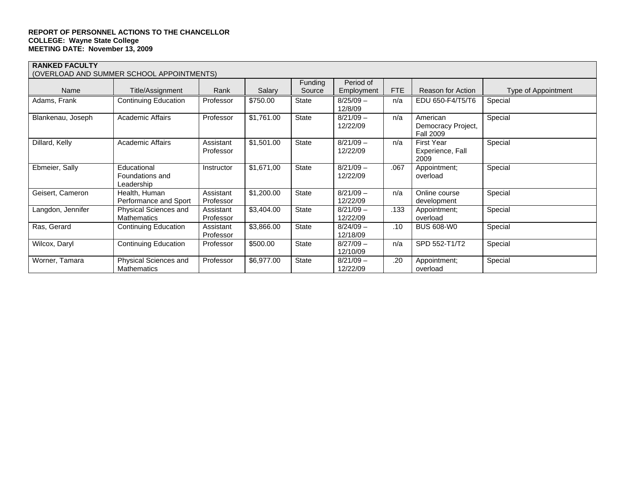#### **RANKED FACULTY**

(OVERLOAD AND SUMMER SCHOOL APPOINTMENTS)

| (OVERLOAD AND SUMMER SCHOOL APPOINTMENTS) |                                              |                        |            |                |                         |      |                                                    |                     |
|-------------------------------------------|----------------------------------------------|------------------------|------------|----------------|-------------------------|------|----------------------------------------------------|---------------------|
|                                           |                                              |                        |            | <b>Funding</b> | Period of               |      |                                                    |                     |
| Name                                      | Title/Assignment                             | Rank                   | Salary     | Source         | Employment              | FTE  | Reason for Action                                  | Type of Appointment |
| Adams, Frank                              | <b>Continuing Education</b>                  | Professor              | \$750.00   | State          | $8/25/09 -$<br>12/8/09  | n/a  | EDU 650-F4/T5/T6                                   | Special             |
| Blankenau, Joseph                         | Academic Affairs                             | Professor              | \$1,761.00 | State          | $8/21/09 -$<br>12/22/09 | n/a  | American<br>Democracy Project,<br><b>Fall 2009</b> | Special             |
| Dillard, Kelly                            | <b>Academic Affairs</b>                      | Assistant<br>Professor | \$1,501.00 | State          | $8/21/09 -$<br>12/22/09 | n/a  | First Year<br>Experience, Fall<br>2009             | Special             |
| Ebmeier, Sally                            | Educational<br>Foundations and<br>Leadership | Instructor             | \$1,671,00 | State          | $8/21/09 -$<br>12/22/09 | .067 | Appointment;<br>overload                           | Special             |
| Geisert, Cameron                          | Health, Human<br>Performance and Sport       | Assistant<br>Professor | \$1,200.00 | State          | $8/21/09 -$<br>12/22/09 | n/a  | Online course<br>development                       | Special             |
| Langdon, Jennifer                         | Physical Sciences and<br><b>Mathematics</b>  | Assistant<br>Professor | \$3,404.00 | State          | $8/21/09 -$<br>12/22/09 | .133 | Appointment;<br>overload                           | Special             |
| Ras, Gerard                               | Continuing Education                         | Assistant<br>Professor | \$3,866.00 | State          | $8/24/09 -$<br>12/18/09 | .10  | <b>BUS 608-W0</b>                                  | Special             |
| Wilcox, Daryl                             | <b>Continuing Education</b>                  | Professor              | \$500.00   | <b>State</b>   | $8/27/09 -$<br>12/10/09 | n/a  | SPD 552-T1/T2                                      | Special             |
| Worner, Tamara                            | Physical Sciences and<br><b>Mathematics</b>  | Professor              | \$6,977.00 | State          | $8/21/09 -$<br>12/22/09 | .20  | Appointment;<br>overload                           | Special             |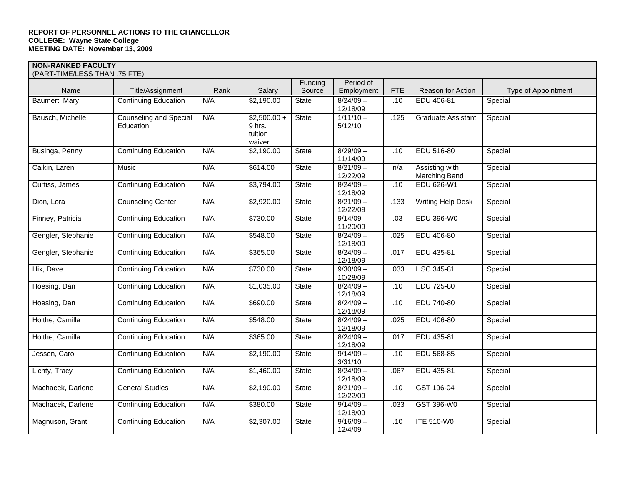## **NON-RANKED FACULTY**

|                    |                                            |      |                                              | Funding      | Period of               |            |                                 |                     |
|--------------------|--------------------------------------------|------|----------------------------------------------|--------------|-------------------------|------------|---------------------------------|---------------------|
| Name               | Title/Assignment                           | Rank | Salary                                       | Source       | Employment              | <b>FTE</b> | Reason for Action               | Type of Appointment |
| Baumert, Mary      | <b>Continuing Education</b>                | N/A  | \$2,190.00                                   | State        | $8/24/09 -$<br>12/18/09 | .10        | EDU 406-81                      | Special             |
| Bausch, Michelle   | <b>Counseling and Special</b><br>Education | N/A  | $$2,500.00 +$<br>9 hrs.<br>tuition<br>waiver | State        | $1/11/10 -$<br>5/12/10  | .125       | <b>Graduate Assistant</b>       | Special             |
| Businga, Penny     | <b>Continuing Education</b>                | N/A  | \$2,190.00                                   | State        | $8/29/09 -$<br>11/14/09 | .10        | EDU 516-80                      | Special             |
| Calkin, Laren      | Music                                      | N/A  | \$614.00                                     | <b>State</b> | $8/21/09 -$<br>12/22/09 | n/a        | Assisting with<br>Marching Band | Special             |
| Curtiss, James     | <b>Continuing Education</b>                | N/A  | \$3,794.00                                   | <b>State</b> | $8/24/09 -$<br>12/18/09 | .10        | EDU 626-W1                      | Special             |
| Dion, Lora         | <b>Counseling Center</b>                   | N/A  | \$2,920.00                                   | <b>State</b> | $8/21/09 -$<br>12/22/09 | .133       | <b>Writing Help Desk</b>        | Special             |
| Finney, Patricia   | <b>Continuing Education</b>                | N/A  | \$730.00                                     | <b>State</b> | $9/14/09 -$<br>11/20/09 | .03        | <b>EDU 396-W0</b>               | Special             |
| Gengler, Stephanie | <b>Continuing Education</b>                | N/A  | \$548.00                                     | <b>State</b> | $8/24/09 -$<br>12/18/09 | .025       | EDU 406-80                      | Special             |
| Gengler, Stephanie | <b>Continuing Education</b>                | N/A  | \$365.00                                     | State        | $8/24/09 -$<br>12/18/09 | .017       | EDU 435-81                      | Special             |
| Hix, Dave          | <b>Continuing Education</b>                | N/A  | \$730.00                                     | State        | $9/30/09 -$<br>10/28/09 | .033       | HSC 345-81                      | Special             |
| Hoesing, Dan       | <b>Continuing Education</b>                | N/A  | \$1,035.00                                   | State        | $8/24/09 -$<br>12/18/09 | .10        | EDU 725-80                      | Special             |
| Hoesing, Dan       | <b>Continuing Education</b>                | N/A  | \$690.00                                     | State        | $8/24/09 -$<br>12/18/09 | .10        | EDU 740-80                      | Special             |
| Holthe, Camilla    | <b>Continuing Education</b>                | N/A  | \$548.00                                     | State        | $8/24/09 -$<br>12/18/09 | .025       | EDU 406-80                      | Special             |
| Holthe, Camilla    | <b>Continuing Education</b>                | N/A  | \$365.00                                     | State        | $8/24/09 -$<br>12/18/09 | .017       | EDU 435-81                      | Special             |
| Jessen, Carol      | <b>Continuing Education</b>                | N/A  | \$2,190.00                                   | State        | $9/14/09 -$<br>3/31/10  | .10        | EDU 568-85                      | Special             |
| Lichty, Tracy      | <b>Continuing Education</b>                | N/A  | \$1,460.00                                   | State        | $8/24/09 -$<br>12/18/09 | .067       | EDU 435-81                      | Special             |
| Machacek, Darlene  | <b>General Studies</b>                     | N/A  | \$2,190.00                                   | <b>State</b> | $8/21/09 -$<br>12/22/09 | .10        | GST 196-04                      | Special             |
| Machacek, Darlene  | <b>Continuing Education</b>                | N/A  | \$380.00                                     | State        | $9/14/09 -$<br>12/18/09 | .033       | GST 396-W0                      | Special             |
| Magnuson, Grant    | <b>Continuing Education</b>                | N/A  | \$2,307.00                                   | State        | $9/16/09 -$<br>12/4/09  | .10        | <b>ITE 510-W0</b>               | Special             |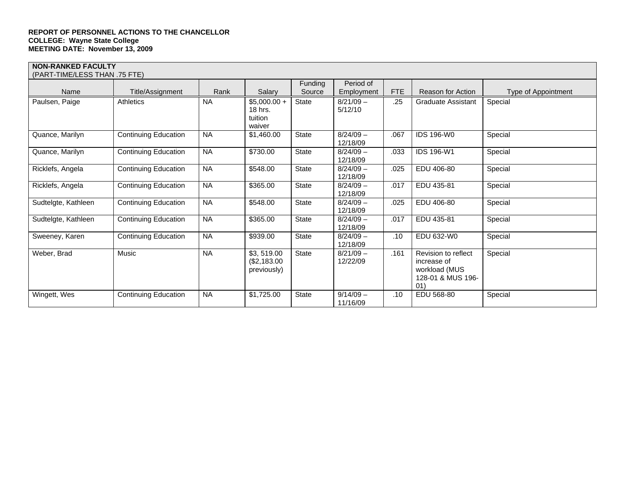## **NON-RANKED FACULTY**

| (PART-TIME/LESS THAN .73 FTE) |                             |           |                                          |         |                         |            |                                                                                 |                     |
|-------------------------------|-----------------------------|-----------|------------------------------------------|---------|-------------------------|------------|---------------------------------------------------------------------------------|---------------------|
|                               |                             |           |                                          | Funding | Period of               |            |                                                                                 |                     |
| Name                          | Title/Assignment            | Rank      | Salary                                   | Source  | Employment              | <b>FTE</b> | Reason for Action                                                               | Type of Appointment |
| Paulsen, Paige                | <b>Athletics</b>            | <b>NA</b> | $$5,000.00 +$<br>18 hrs.                 | State   | $8/21/09 -$<br>5/12/10  | .25        | Graduate Assistant                                                              | Special             |
|                               |                             |           | tuition<br>waiver                        |         |                         |            |                                                                                 |                     |
| Quance, Marilyn               | <b>Continuing Education</b> | <b>NA</b> | \$1,460.00                               | State   | $8/24/09 -$<br>12/18/09 | .067       | <b>IDS 196-W0</b>                                                               | Special             |
| Quance, Marilyn               | <b>Continuing Education</b> | <b>NA</b> | \$730.00                                 | State   | $8/24/09 -$<br>12/18/09 | .033       | <b>IDS 196-W1</b>                                                               | Special             |
| Ricklefs, Angela              | <b>Continuing Education</b> | <b>NA</b> | \$548.00                                 | State   | $8/24/09 -$<br>12/18/09 | .025       | EDU 406-80                                                                      | Special             |
| Ricklefs, Angela              | <b>Continuing Education</b> | <b>NA</b> | \$365.00                                 | State   | $8/24/09 -$<br>12/18/09 | .017       | EDU 435-81                                                                      | Special             |
| Sudtelgte, Kathleen           | <b>Continuing Education</b> | <b>NA</b> | \$548.00                                 | State   | $8/24/09 -$<br>12/18/09 | .025       | EDU 406-80                                                                      | Special             |
| Sudtelgte, Kathleen           | <b>Continuing Education</b> | <b>NA</b> | \$365.00                                 | State   | $8/24/09 -$<br>12/18/09 | .017       | EDU 435-81                                                                      | Special             |
| Sweeney, Karen                | <b>Continuing Education</b> | <b>NA</b> | \$939.00                                 | State   | $8/24/09 -$<br>12/18/09 | .10        | EDU 632-W0                                                                      | Special             |
| Weber, Brad                   | Music                       | <b>NA</b> | \$3,519.00<br>(\$2,183.00<br>previously) | State   | $8/21/09 -$<br>12/22/09 | .161       | Revision to reflect<br>increase of<br>workload (MUS<br>128-01 & MUS 196-<br>01) | Special             |
| Wingett, Wes                  | <b>Continuing Education</b> | <b>NA</b> | \$1,725.00                               | State   | $9/14/09 -$<br>11/16/09 | .10        | EDU 568-80                                                                      | Special             |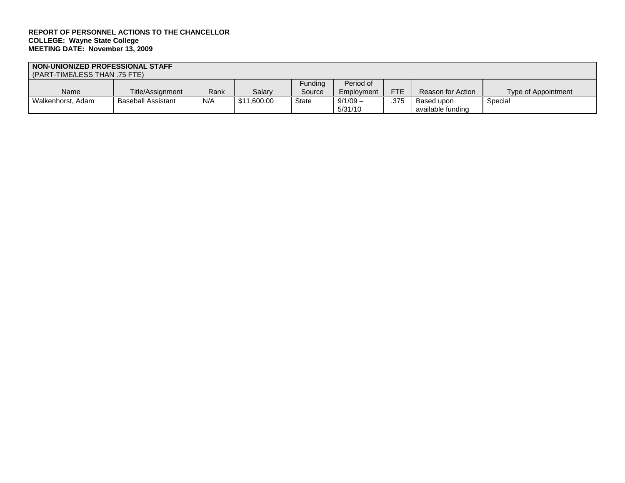#### **NON-UNIONIZED PROFESSIONAL STAFF**

# (PART-TIME/LESS THAN .75 FTE)

|                        |                           |      |             | Fundina | Period of             |            |                                 |                     |
|------------------------|---------------------------|------|-------------|---------|-----------------------|------------|---------------------------------|---------------------|
| Name                   | <b>Title/Assignment</b>   | Rank | Salarv      | Source  | Employment            | <b>FTE</b> | <b>Reason for Action</b>        | Type of Appointment |
| Walkenhorst.<br>. Adam | <b>Baseball Assistant</b> | N/A  | \$11,600.00 | State   | $9/1/09 -$<br>5/31/10 | .375       | Based upon<br>available funding | Special             |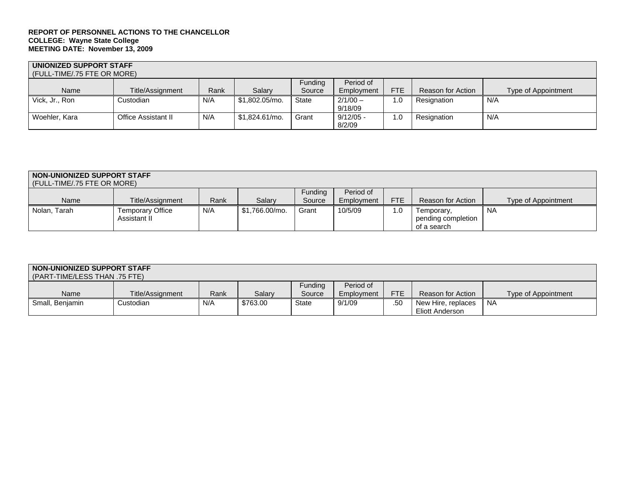| UNIONIZED SUPPORT STAFF     |                     |      |                |                |            |      |                   |                     |
|-----------------------------|---------------------|------|----------------|----------------|------------|------|-------------------|---------------------|
| (FULL-TIME/.75 FTE OR MORE) |                     |      |                |                |            |      |                   |                     |
|                             |                     |      |                | <b>Funding</b> | Period of  |      |                   |                     |
| Name                        | Title/Assignment    | Rank | Salary         | Source         | Employment | FTE  | Reason for Action | Type of Appointment |
| Vick, Jr., Ron              | Custodian           | N/A  | \$1,802.05/mo. | State          | $2/1/00 -$ | 0. ا | Resignation       | N/A                 |
|                             |                     |      |                |                | 9/18/09    |      |                   |                     |
| Woehler, Kara               | Office Assistant II | N/A  | \$1,824.61/mo. | Grant          | 9/12/05 -  | 1.0  | Resignation       | N/A                 |
|                             |                     |      |                |                | 8/2/09     |      |                   |                     |

## **NON-UNIONIZED SUPPORT STAFF**  (FULL-TIME/.75 FTE OR MORE)

| Name         | Title/Assignment                        | Rank | Salarv         | Fundina<br>Source | Period of<br>Employment | <b>FTE</b> | Reason for Action                               | Type of Appointment |
|--------------|-----------------------------------------|------|----------------|-------------------|-------------------------|------------|-------------------------------------------------|---------------------|
| Nolan, Tarah | <b>Temporary Office</b><br>Assistant II | N/A  | \$1,766.00/mo. | Grant             | 10/5/09                 |            | Temporarv.<br>pending completion<br>of a search | <b>NA</b>           |

| NON-UNIONIZED SUPPORT STAFF<br>(PART-TIME/LESS THAN .75 FTE) |                  |      |          |              |            |            |                    |                     |
|--------------------------------------------------------------|------------------|------|----------|--------------|------------|------------|--------------------|---------------------|
|                                                              |                  |      |          | Fundina      | Period of  |            |                    |                     |
| Name                                                         | Title/Assignment | Rank | Salarv   | Source       | Employment | <b>FTE</b> | Reason for Action  | Type of Appointment |
| Small, Benjamin                                              | Custodian        | N/A  | \$763.00 | <b>State</b> | 9/1/09     | .50        | New Hire, replaces | NA                  |
|                                                              |                  |      |          |              |            |            | Eliott Anderson    |                     |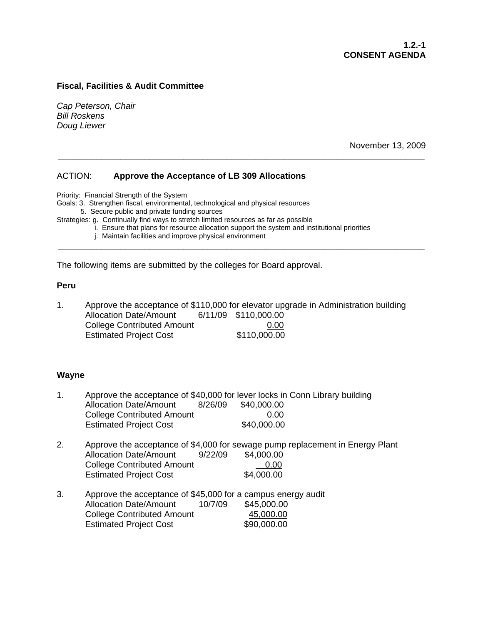#### **Fiscal, Facilities & Audit Committee**

*Cap Peterson, Chair Bill Roskens Doug Liewer* 

November 13, 2009

#### ACTION: **Approve the Acceptance of LB 309 Allocations**

Priority: Financial Strength of the System

Goals: 3. Strengthen fiscal, environmental, technological and physical resources

5. Secure public and private funding sources

Strategies: g. Continually find ways to stretch limited resources as far as possible

i. Ensure that plans for resource allocation support the system and institutional priorities

**\_\_\_\_\_\_\_\_\_\_\_\_\_\_\_\_\_\_\_\_\_\_\_\_\_\_\_\_\_\_\_\_\_\_\_\_\_\_\_\_\_\_\_\_\_\_\_\_\_\_\_\_\_\_\_\_\_\_\_\_\_\_\_\_\_\_\_\_\_\_\_\_\_\_\_\_** 

 j. Maintain facilities and improve physical environment **\_\_\_\_\_\_\_\_\_\_\_\_\_\_\_\_\_\_\_\_\_\_\_\_\_\_\_\_\_\_\_\_\_\_\_\_\_\_\_\_\_\_\_\_\_\_\_\_\_\_\_\_\_\_\_\_\_\_\_\_\_\_\_\_\_\_\_\_\_\_\_\_\_\_\_\_** 

The following items are submitted by the colleges for Board approval.

#### **Peru**

1. Approve the acceptance of \$110,000 for elevator upgrade in Administration building Allocation Date/Amount 6/11/09 \$110,000.00 College Contributed Amount 0.00 Estimated Project Cost \$110,000.00

#### **Wayne**

| Approve the acceptance of \$40,000 for lever locks in Conn Library building |         |             |  |
|-----------------------------------------------------------------------------|---------|-------------|--|
| <b>Allocation Date/Amount</b>                                               | 8/26/09 | \$40,000.00 |  |
| <b>College Contributed Amount</b>                                           |         | 0.00        |  |
| <b>Estimated Project Cost</b>                                               |         | \$40,000.00 |  |

- 2. Approve the acceptance of \$4,000 for sewage pump replacement in Energy Plant Allocation Date/Amount 9/22/09 \$4,000.00 College Contributed Amount 1997 10.00 Estimated Project Cost \$4,000.00
- 3. Approve the acceptance of \$45,000 for a campus energy audit Allocation Date/Amount 10/7/09 \$45,000.00 College Contributed Amount 45,000.00 Estimated Project Cost \$90,000.00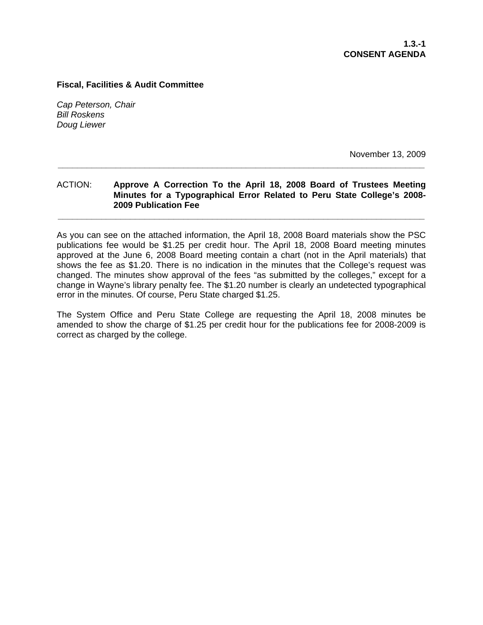#### **Fiscal, Facilities & Audit Committee**

*Cap Peterson, Chair Bill Roskens Doug Liewer* 

November 13, 2009

## ACTION: **Approve A Correction To the April 18, 2008 Board of Trustees Meeting Minutes for a Typographical Error Related to Peru State College's 2008- 2009 Publication Fee**

**\_\_\_\_\_\_\_\_\_\_\_\_\_\_\_\_\_\_\_\_\_\_\_\_\_\_\_\_\_\_\_\_\_\_\_\_\_\_\_\_\_\_\_\_\_\_\_\_\_\_\_\_\_\_\_\_\_\_\_\_\_\_\_\_\_\_\_\_\_\_\_\_\_\_\_\_** 

**\_\_\_\_\_\_\_\_\_\_\_\_\_\_\_\_\_\_\_\_\_\_\_\_\_\_\_\_\_\_\_\_\_\_\_\_\_\_\_\_\_\_\_\_\_\_\_\_\_\_\_\_\_\_\_\_\_\_\_\_\_\_\_\_\_\_\_\_\_\_\_\_\_\_\_\_** 

As you can see on the attached information, the April 18, 2008 Board materials show the PSC publications fee would be \$1.25 per credit hour. The April 18, 2008 Board meeting minutes approved at the June 6, 2008 Board meeting contain a chart (not in the April materials) that shows the fee as \$1.20. There is no indication in the minutes that the College's request was changed. The minutes show approval of the fees "as submitted by the colleges," except for a change in Wayne's library penalty fee. The \$1.20 number is clearly an undetected typographical error in the minutes. Of course, Peru State charged \$1.25.

The System Office and Peru State College are requesting the April 18, 2008 minutes be amended to show the charge of \$1.25 per credit hour for the publications fee for 2008-2009 is correct as charged by the college.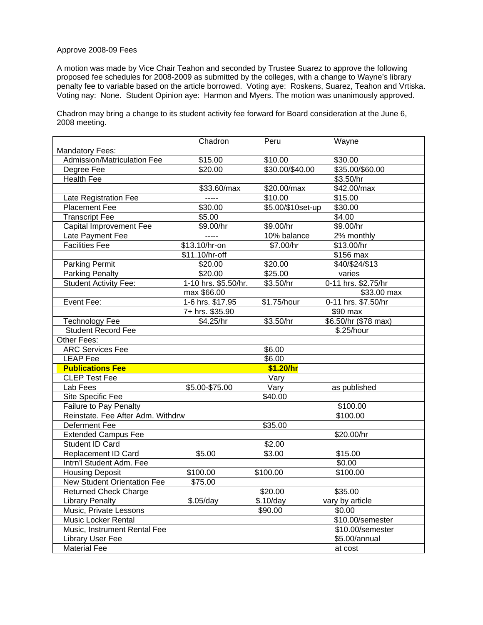#### Approve 2008-09 Fees

A motion was made by Vice Chair Teahon and seconded by Trustee Suarez to approve the following proposed fee schedules for 2008-2009 as submitted by the colleges, with a change to Wayne's library penalty fee to variable based on the article borrowed. Voting aye: Roskens, Suarez, Teahon and Vrtiska. Voting nay: None. Student Opinion aye: Harmon and Myers. The motion was unanimously approved.

Chadron may bring a change to its student activity fee forward for Board consideration at the June 6, 2008 meeting.

|                                    | Chadron              | Peru                   | Wayne                |
|------------------------------------|----------------------|------------------------|----------------------|
| <b>Mandatory Fees:</b>             |                      |                        |                      |
| Admission/Matriculation Fee        | \$15.00              | \$10.00                | \$30.00              |
| Degree Fee                         | \$20.00              | \$30.00/\$40.00        | \$35.00/\$60.00      |
| <b>Health Fee</b>                  |                      |                        | \$3.50/hr            |
|                                    | \$33.60/max          | \$20.00/max            | \$42.00/max          |
| Late Registration Fee              | $- - - -$            | $\overline{$}10.00$    | \$15.00              |
| <b>Placement Fee</b>               | \$30.00              | \$5.00/\$10set-up      | \$30.00              |
| <b>Transcript Fee</b>              | \$5.00               |                        | \$4.00               |
| <b>Capital Improvement Fee</b>     | \$9.00/hr            | \$9.00/hr              | \$9.00/hr            |
| Late Payment Fee                   | -----                | 10% balance            | 2% monthly           |
| <b>Facilities Fee</b>              | \$13.10/hr-on        | \$7.00/hr              | \$13.00/hr           |
|                                    | \$11.10/hr-off       |                        | \$156 max            |
| <b>Parking Permit</b>              | \$20.00              | \$20.00                | \$40/\$24/\$13       |
| <b>Parking Penalty</b>             | \$20.00              | \$25.00                | varies               |
| <b>Student Activity Fee:</b>       | 1-10 hrs. \$5.50/hr. | $\overline{$3.50}$ /hr | 0-11 hrs. \$2.75/hr  |
|                                    | max \$66.00          |                        | \$33.00 max          |
| Event Fee:                         | 1-6 hrs. \$17.95     | \$1.75/hour            | 0-11 hrs. \$7.50/hr  |
|                                    | 7+ hrs. \$35.90      |                        | \$90 max             |
| <b>Technology Fee</b>              | \$4.25/hr            | \$3.50/hr              | \$6.50/hr (\$78 max) |
| <b>Student Record Fee</b>          |                      |                        | \$.25/hour           |
| Other Fees:                        |                      |                        |                      |
| <b>ARC Services Fee</b>            |                      | \$6.00                 |                      |
| <b>LEAP Fee</b>                    |                      | $\overline{$}6.00$     |                      |
| <b>Publications Fee</b>            |                      | \$1.20/hr              |                      |
| <b>CLEP Test Fee</b>               |                      | Vary                   |                      |
| Lab Fees                           | \$5.00-\$75.00       | Vary                   | as published         |
| Site Specific Fee                  |                      | $\overline{$}40.00$    |                      |
| Failure to Pay Penalty             |                      |                        | \$100.00             |
| Reinstate. Fee After Adm. Withdrw  |                      |                        | \$100.00             |
| <b>Deferment Fee</b>               |                      | \$35.00                |                      |
| <b>Extended Campus Fee</b>         |                      |                        | \$20.00/hr           |
| Student ID Card                    |                      | \$2.00                 |                      |
| Replacement ID Card                | \$5.00               | \$3.00                 | \$15.00              |
| Intrn'l Student Adm. Fee           |                      |                        | \$0.00               |
| <b>Housing Deposit</b>             | \$100.00             | \$100.00               | \$100.00             |
| <b>New Student Orientation Fee</b> | \$75.00              |                        |                      |
| <b>Returned Check Charge</b>       |                      | \$20.00                | \$35.00              |
| <b>Library Penalty</b>             | \$.05/day            | \$.10/day              | vary by article      |
| Music, Private Lessons             |                      | \$90.00                | \$0.00               |
| Music Locker Rental                |                      |                        | \$10.00/semester     |
| Music, Instrument Rental Fee       |                      |                        | \$10.00/semester     |
| Library User Fee                   |                      |                        | \$5.00/annual        |
| <b>Material Fee</b>                |                      |                        | at cost              |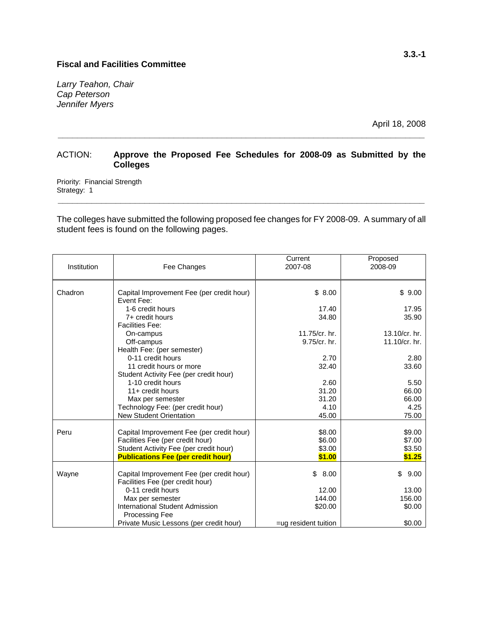## **Fiscal and Facilities Committee**

*Larry Teahon, Chair Cap Peterson Jennifer Myers* 

April 18, 2008

## ACTION: **Approve the Proposed Fee Schedules for 2008-09 as Submitted by the Colleges**

**\_\_\_\_\_\_\_\_\_\_\_\_\_\_\_\_\_\_\_\_\_\_\_\_\_\_\_\_\_\_\_\_\_\_\_\_\_\_\_\_\_\_\_\_\_\_\_\_\_\_\_\_\_\_\_\_\_\_\_\_\_\_\_\_\_\_\_\_\_\_\_\_\_\_\_\_** 

Priority: Financial Strength Strategy: 1

The colleges have submitted the following proposed fee changes for FY 2008-09. A summary of all student fees is found on the following pages.

**\_\_\_\_\_\_\_\_\_\_\_\_\_\_\_\_\_\_\_\_\_\_\_\_\_\_\_\_\_\_\_\_\_\_\_\_\_\_\_\_\_\_\_\_\_\_\_\_\_\_\_\_\_\_\_\_\_\_\_\_\_\_\_\_\_\_\_\_\_\_\_\_\_\_\_\_** 

|             |                                                   | Current                 | Proposed      |
|-------------|---------------------------------------------------|-------------------------|---------------|
| Institution | Fee Changes                                       | 2007-08                 | 2008-09       |
|             |                                                   |                         |               |
| Chadron     | Capital Improvement Fee (per credit hour)         | \$8.00                  | \$9.00        |
|             | Event Fee:                                        |                         |               |
|             | 1-6 credit hours                                  | 17.40                   | 17.95         |
|             | 7+ credit hours                                   | 34.80                   | 35.90         |
|             | <b>Facilities Fee:</b>                            |                         |               |
|             | On-campus                                         | 11.75/cr. hr.           | 13.10/cr. hr. |
|             | Off-campus                                        | $9.75/cr$ . hr.         | 11.10/cr. hr. |
|             | Health Fee: (per semester)                        |                         |               |
|             | 0-11 credit hours                                 | 2.70                    | 2.80          |
|             | 11 credit hours or more                           | 32.40                   | 33.60         |
|             | Student Activity Fee (per credit hour)            |                         |               |
|             | 1-10 credit hours                                 | 2.60                    | 5.50          |
|             | 11+ credit hours                                  | 31.20                   | 66.00         |
|             | Max per semester                                  | 31.20                   | 66.00         |
|             | Technology Fee: (per credit hour)                 | 4.10                    | 4.25          |
|             | <b>New Student Orientation</b>                    | 45.00                   | 75.00         |
|             |                                                   |                         |               |
| Peru        | Capital Improvement Fee (per credit hour)         | \$8.00                  | \$9.00        |
|             | Facilities Fee (per credit hour)                  | \$6.00                  | \$7.00        |
|             | Student Activity Fee (per credit hour)            | \$3.00                  | \$3.50        |
|             | <b>Publications Fee (per credit hour)</b>         | \$1.00                  | \$1.25        |
|             |                                                   |                         |               |
| Wayne       | Capital Improvement Fee (per credit hour)         | \$<br>8.00              | \$<br>9.00    |
|             | Facilities Fee (per credit hour)                  |                         |               |
|             | 0-11 credit hours                                 | 12.00                   | 13.00         |
|             | Max per semester                                  | 144.00                  | 156.00        |
|             | International Student Admission<br>Processing Fee | \$20.00                 | \$0.00        |
|             | Private Music Lessons (per credit hour)           | $=$ ug resident tuition | \$0.00        |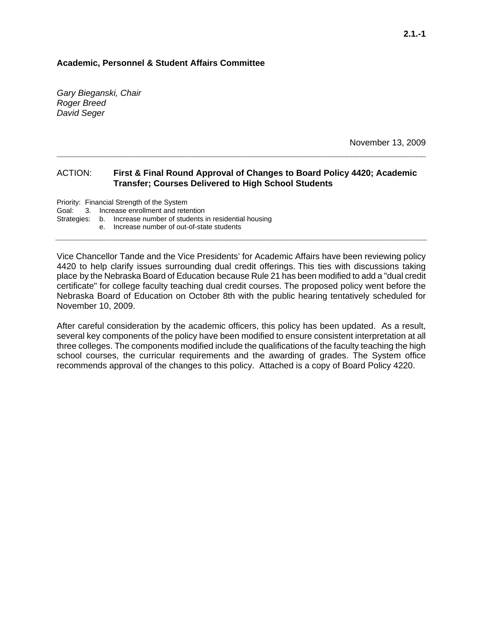#### **Academic, Personnel & Student Affairs Committee**

*Gary Bieganski, Chair Roger Breed David Seger* 

November 13, 2009

### ACTION: **First & Final Round Approval of Changes to Board Policy 4420; Academic Transfer; Courses Delivered to High School Students**

**\_\_\_\_\_\_\_\_\_\_\_\_\_\_\_\_\_\_\_\_\_\_\_\_\_\_\_\_\_\_\_\_\_\_\_\_\_\_\_\_\_\_\_\_\_\_\_\_\_\_\_\_\_\_\_\_\_\_\_\_\_\_\_\_\_\_\_\_\_\_\_\_\_\_\_\_\_\_\_** 

Priority: Financial Strength of the System

Goal: 3. Increase enrollment and retention

Strategies: b. Increase number of students in residential housing

e. Increase number of out-of-state students

Vice Chancellor Tande and the Vice Presidents' for Academic Affairs have been reviewing policy 4420 to help clarify issues surrounding dual credit offerings. This ties with discussions taking place by the Nebraska Board of Education because Rule 21 has been modified to add a "dual credit certificate" for college faculty teaching dual credit courses. The proposed policy went before the Nebraska Board of Education on October 8th with the public hearing tentatively scheduled for November 10, 2009.

**\_\_\_\_\_\_\_\_\_\_\_\_\_\_\_\_\_\_\_\_\_\_\_\_\_\_\_\_\_\_\_\_\_\_\_\_\_\_\_\_\_\_\_\_\_\_\_\_\_\_\_\_\_\_\_\_\_\_\_\_\_\_\_\_\_\_\_\_\_\_\_\_\_\_\_\_\_** 

After careful consideration by the academic officers, this policy has been updated. As a result, several key components of the policy have been modified to ensure consistent interpretation at all three colleges. The components modified include the qualifications of the faculty teaching the high school courses, the curricular requirements and the awarding of grades. The System office recommends approval of the changes to this policy. Attached is a copy of Board Policy 4220.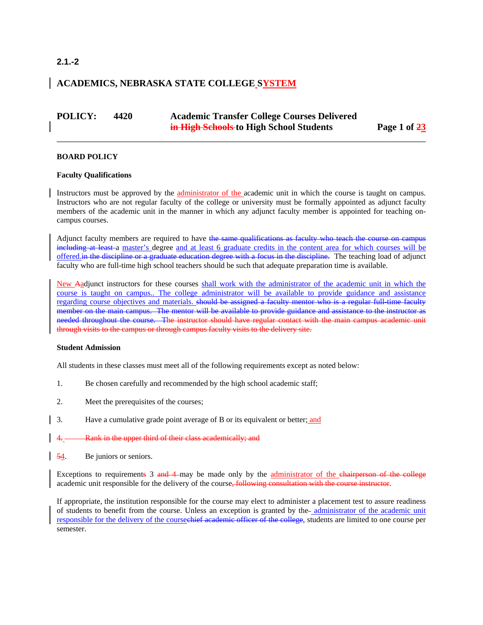## **2.1.-2**

## **ACADEMICS, NEBRASKA STATE COLLEGE SYSTEM**

## **POLICY: 4420 Academic Transfer College Courses Delivered in High Schools to High School Students Page 1 of 23**

#### **BOARD POLICY**

#### **Faculty Qualifications**

Instructors must be approved by the administrator of the academic unit in which the course is taught on campus. Instructors who are not regular faculty of the college or university must be formally appointed as adjunct faculty members of the academic unit in the manner in which any adjunct faculty member is appointed for teaching oncampus courses.

\_\_\_\_\_\_\_\_\_\_\_\_\_\_\_\_\_\_\_\_\_\_\_\_\_\_\_\_\_\_\_\_\_\_\_\_\_\_\_\_\_\_\_\_\_\_\_\_\_\_\_\_\_\_\_\_\_\_\_\_\_\_\_\_\_\_\_\_\_\_\_\_\_\_\_\_\_\_

Adjunct faculty members are required to have the same qualifications as faculty who teach the course on campus including at least a master's degree and at least 6 graduate credits in the content area for which courses will be offered.in the discipline or a graduate education degree with a focus in the discipline. The teaching load of adjunct faculty who are full-time high school teachers should be such that adequate preparation time is available.

New Aadjunct instructors for these courses shall work with the administrator of the academic unit in which the course is taught on campus.. The college administrator will be available to provide guidance and assistance regarding course objectives and materials. should be assigned a faculty mentor who is a regular full time faculty member on the main campus. The mentor will be available to provide guidance and assistance to the instructor as needed throughout the course. The instructor should have regular contact with the main campus academic unit through visits to the campus or through campus faculty visits to the delivery site.

#### **Student Admission**

All students in these classes must meet all of the following requirements except as noted below:

- 1. Be chosen carefully and recommended by the high school academic staff;
- 2. Meet the prerequisites of the courses;
- 3. Have a cumulative grade point average of B or its equivalent or better; and

Rank in the upper third of their class academically; and

54. Be juniors or seniors.

Exceptions to requirements 3 and 4 may be made only by the administrator of the chairperson of the college academic unit responsible for the delivery of the course, following consultation with the course instructor.

If appropriate, the institution responsible for the course may elect to administer a placement test to assure readiness of students to benefit from the course. Unless an exception is granted by the administrator of the academic unit responsible for the delivery of the coursechief academic officer of the college, students are limited to one course per semester.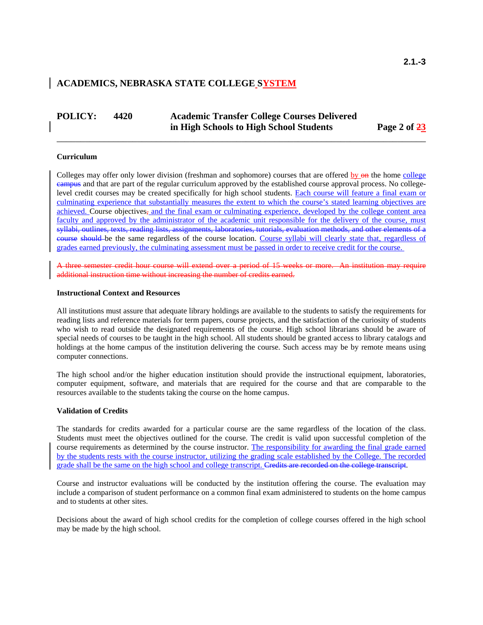#### **ACADEMICS, NEBRASKA STATE COLLEGE SYSTEM**

## **POLICY: 4420 Academic Transfer College Courses Delivered in High Schools to High School Students Page 2 of 23**

\_\_\_\_\_\_\_\_\_\_\_\_\_\_\_\_\_\_\_\_\_\_\_\_\_\_\_\_\_\_\_\_\_\_\_\_\_\_\_\_\_\_\_\_\_\_\_\_\_\_\_\_\_\_\_\_\_\_\_\_\_\_\_\_\_\_\_\_\_\_\_\_\_\_\_\_\_\_

#### **Curriculum**

Colleges may offer only lower division (freshman and sophomore) courses that are offered by  $\Theta$  the home college campus and that are part of the regular curriculum approved by the established course approval process. No collegelevel credit courses may be created specifically for high school students. Each course will feature a final exam or culminating experience that substantially measures the extent to which the course's stated learning objectives are achieved. Course objectives, and the final exam or culminating experience, developed by the college content area faculty and approved by the administrator of the academic unit responsible for the delivery of the course, must syllabi, outlines, texts, reading lists, assignments, laboratories, tutorials, evaluation methods, and other elements of a course should be the same regardless of the course location. Course syllabi will clearly state that, regardless of grades earned previously, the culminating assessment must be passed in order to receive credit for the course.

A three semester credit hour course will extend over a period of 15 weeks or more. An institution may require additional instruction time without increasing the number of credits earned.

#### **Instructional Context and Resources**

All institutions must assure that adequate library holdings are available to the students to satisfy the requirements for reading lists and reference materials for term papers, course projects, and the satisfaction of the curiosity of students who wish to read outside the designated requirements of the course. High school librarians should be aware of special needs of courses to be taught in the high school. All students should be granted access to library catalogs and holdings at the home campus of the institution delivering the course. Such access may be by remote means using computer connections.

The high school and/or the higher education institution should provide the instructional equipment, laboratories, computer equipment, software, and materials that are required for the course and that are comparable to the resources available to the students taking the course on the home campus.

#### **Validation of Credits**

The standards for credits awarded for a particular course are the same regardless of the location of the class. Students must meet the objectives outlined for the course. The credit is valid upon successful completion of the course requirements as determined by the course instructor. The responsibility for awarding the final grade earned by the students rests with the course instructor, utilizing the grading scale established by the College. The recorded grade shall be the same on the high school and college transcript. Credits are recorded on the college transcript.

Course and instructor evaluations will be conducted by the institution offering the course. The evaluation may include a comparison of student performance on a common final exam administered to students on the home campus and to students at other sites.

Decisions about the award of high school credits for the completion of college courses offered in the high school may be made by the high school.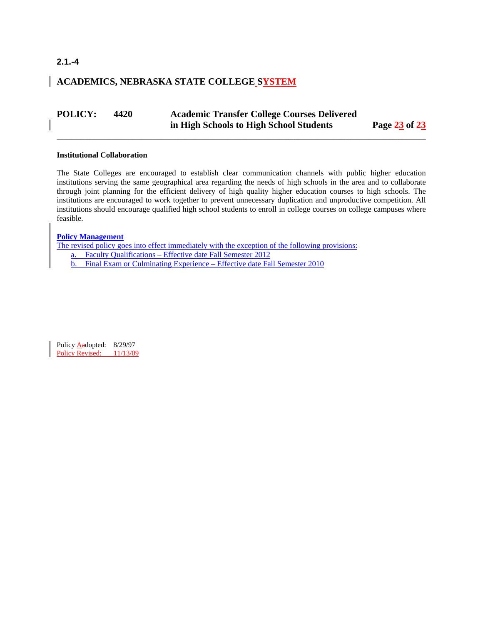## **ACADEMICS, NEBRASKA STATE COLLEGE SYSTEM**

## **POLICY: 4420 Academic Transfer College Courses Delivered in High Schools to High School Students Page 23 of 23**

#### **Institutional Collaboration**

The State Colleges are encouraged to establish clear communication channels with public higher education institutions serving the same geographical area regarding the needs of high schools in the area and to collaborate through joint planning for the efficient delivery of high quality higher education courses to high schools. The institutions are encouraged to work together to prevent unnecessary duplication and unproductive competition. All institutions should encourage qualified high school students to enroll in college courses on college campuses where feasible.

\_\_\_\_\_\_\_\_\_\_\_\_\_\_\_\_\_\_\_\_\_\_\_\_\_\_\_\_\_\_\_\_\_\_\_\_\_\_\_\_\_\_\_\_\_\_\_\_\_\_\_\_\_\_\_\_\_\_\_\_\_\_\_\_\_\_\_\_\_\_\_\_\_\_\_\_\_\_

#### **Policy Management**

The revised policy goes into effect immediately with the exception of the following provisions: a. Faculty Qualifications – Effective date Fall Semester 2012

b. Final Exam or Culminating Experience – Effective date Fall Semester 2010

Policy **A**adopted: 8/29/97 Policy Revised: 11/13/09

#### **2.1.-4**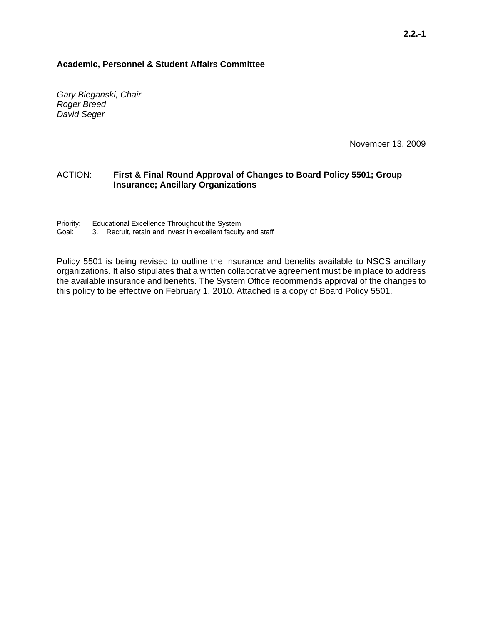### **Academic, Personnel & Student Affairs Committee**

*Gary Bieganski, Chair Roger Breed David Seger* 

November 13, 2009

## ACTION: **First & Final Round Approval of Changes to Board Policy 5501; Group Insurance; Ancillary Organizations**

**\_\_\_\_\_\_\_\_\_\_\_\_\_\_\_\_\_\_\_\_\_\_\_\_\_\_\_\_\_\_\_\_\_\_\_\_\_\_\_\_\_\_\_\_\_\_\_\_\_\_\_\_\_\_\_\_\_\_\_\_\_\_\_\_\_\_\_\_\_\_\_\_\_\_\_\_\_\_\_** 

Priority: Educational Excellence Throughout the System<br>Goal: 3. Recruit. retain and invest in excellent faculty 3. Recruit, retain and invest in excellent faculty and staff

Policy 5501 is being revised to outline the insurance and benefits available to NSCS ancillary organizations. It also stipulates that a written collaborative agreement must be in place to address the available insurance and benefits. The System Office recommends approval of the changes to this policy to be effective on February 1, 2010. Attached is a copy of Board Policy 5501.

**\_\_\_\_\_\_\_\_\_\_\_\_\_\_\_\_\_\_\_\_\_\_\_\_\_\_\_\_\_\_\_\_\_\_\_\_\_\_\_\_\_\_\_\_\_\_\_\_\_\_\_\_\_\_\_\_\_\_\_\_\_\_\_\_\_\_\_\_\_\_\_\_\_\_\_\_\_**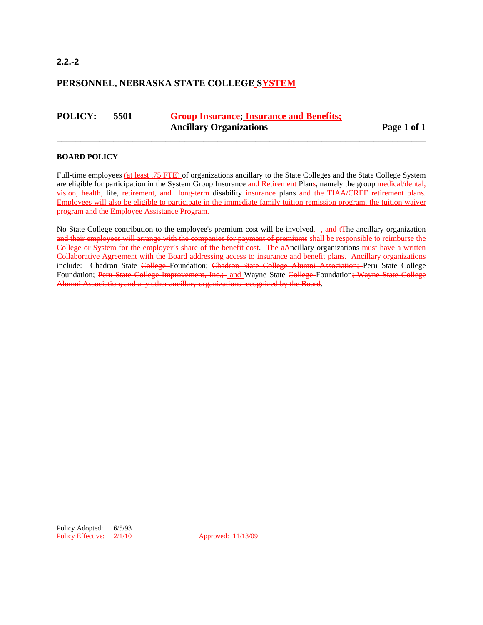## **2.2.-2**

## **PERSONNEL, NEBRASKA STATE COLLEGE SYSTEM**

## **POLICY: 5501 Group Insurance; Insurance and Benefits; Ancillary Organizations Page 1 of 1**

#### **BOARD POLICY**

Full-time employees (at least .75 FTE) of organizations ancillary to the State Colleges and the State College System are eligible for participation in the System Group Insurance and Retirement Plans, namely the group medical/dental, vision, health, life, retirement, and long-term disability insurance plans and the TIAA/CREF retirement plans. Employees will also be eligible to participate in the immediate family tuition remission program, the tuition waiver program and the Employee Assistance Program.

\_\_\_\_\_\_\_\_\_\_\_\_\_\_\_\_\_\_\_\_\_\_\_\_\_\_\_\_\_\_\_\_\_\_\_\_\_\_\_\_\_\_\_\_\_\_\_\_\_\_\_\_\_\_\_\_\_\_\_\_\_\_\_\_\_\_\_\_\_\_\_\_\_\_\_\_\_\_

No State College contribution to the employee's premium cost will be involved. , and  $f_{\text{The}}$  ancillary organization and their employees will arrange with the companies for payment of premiums shall be responsible to reimburse the College or System for the employer's share of the benefit cost. The aAncillary organizations must have a written Collaborative Agreement with the Board addressing access to insurance and benefit plans. Ancillary organizations include: Chadron State College-Foundation; Chadron State College Alumni Association; Peru State College Foundation; Peru State College Improvement, Inc.; and Wayne State College Foundation; Wayne State College Alumni Association; and any other ancillary organizations recognized by the Board.

Policy Adopted: 6/5/93 Policy Effective:  $\frac{2}{1/10}$  Approved: 11/13/09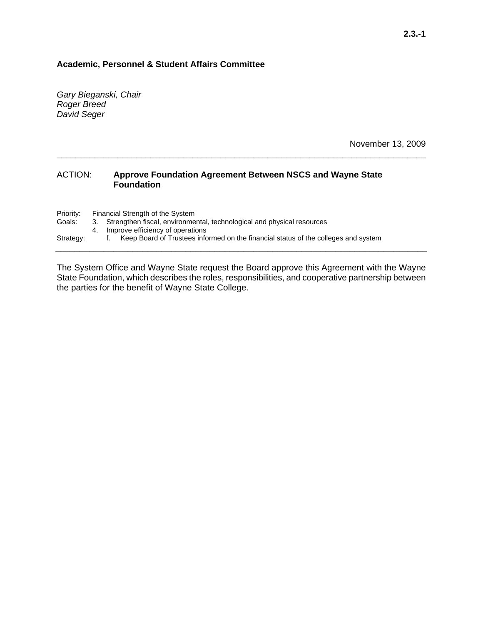## **Academic, Personnel & Student Affairs Committee**

*Gary Bieganski, Chair Roger Breed David Seger* 

November 13, 2009

## ACTION: **Approve Foundation Agreement Between NSCS and Wayne State Foundation**

| Priority: | Financial Strength of the System |
|-----------|----------------------------------|
|-----------|----------------------------------|

| Goals:    | 3. Strengthen fiscal, environmental, technological and physical resources             |
|-----------|---------------------------------------------------------------------------------------|
|           | 4. Improve efficiency of operations                                                   |
| Strategy: | f. Keep Board of Trustees informed on the financial status of the colleges and system |

The System Office and Wayne State request the Board approve this Agreement with the Wayne State Foundation, which describes the roles, responsibilities, and cooperative partnership between the parties for the benefit of Wayne State College.

**\_\_\_\_\_\_\_\_\_\_\_\_\_\_\_\_\_\_\_\_\_\_\_\_\_\_\_\_\_\_\_\_\_\_\_\_\_\_\_\_\_\_\_\_\_\_\_\_\_\_\_\_\_\_\_\_\_\_\_\_\_\_\_\_\_\_\_\_\_\_\_\_\_\_\_\_\_** 

**\_\_\_\_\_\_\_\_\_\_\_\_\_\_\_\_\_\_\_\_\_\_\_\_\_\_\_\_\_\_\_\_\_\_\_\_\_\_\_\_\_\_\_\_\_\_\_\_\_\_\_\_\_\_\_\_\_\_\_\_\_\_\_\_\_\_\_\_\_\_\_\_\_\_\_\_\_\_\_**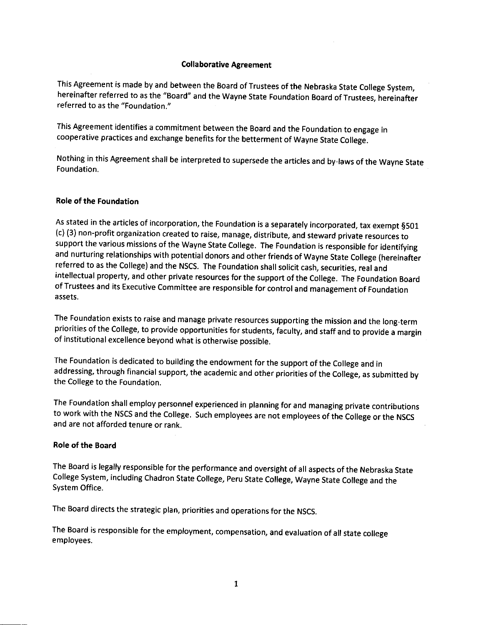#### **Collaborative Agreement**

This Agreement is made by and between the Board of Trustees of the Nebraska State College System, hereinafter referred to as the "Board" and the Wayne State Foundation Board of Trustees, hereinafter referred to as the "Foundation."

This Agreement identifies a commitment between the Board and the Foundation to engage in cooperative practices and exchange benefits for the betterment of Wayne State College.

Nothing in this Agreement shall be interpreted to supersede the articles and by-laws of the Wayne State Foundation.

#### **Role of the Foundation**

As stated in the articles of incorporation, the Foundation is a separately incorporated, tax exempt §501 (c) (3) non-profit organization created to raise, manage, distribute, and steward private resources to support the various missions of the Wayne State College. The Foundation is responsible for identifying and nurturing relationships with potential donors and other friends of Wayne State College (hereinafter referred to as the College) and the NSCS. The Foundation shall solicit cash, securities, real and intellectual property, and other private resources for the support of the College. The Foundation Board of Trustees and its Executive Committee are responsible for control and management of Foundation assets.

The Foundation exists to raise and manage private resources supporting the mission and the long-term priorities of the College, to provide opportunities for students, faculty, and staff and to provide a margin of institutional excellence beyond what is otherwise possible.

The Foundation is dedicated to building the endowment for the support of the College and in addressing, through financial support, the academic and other priorities of the College, as submitted by the College to the Foundation.

The Foundation shall employ personnel experienced in planning for and managing private contributions to work with the NSCS and the College. Such employees are not employees of the College or the NSCS and are not afforded tenure or rank.

#### **Role of the Board**

The Board is legally responsible for the performance and oversight of all aspects of the Nebraska State College System, including Chadron State College, Peru State College, Wayne State College and the System Office.

The Board directs the strategic plan, priorities and operations for the NSCS.

The Board is responsible for the employment, compensation, and evaluation of all state college employees.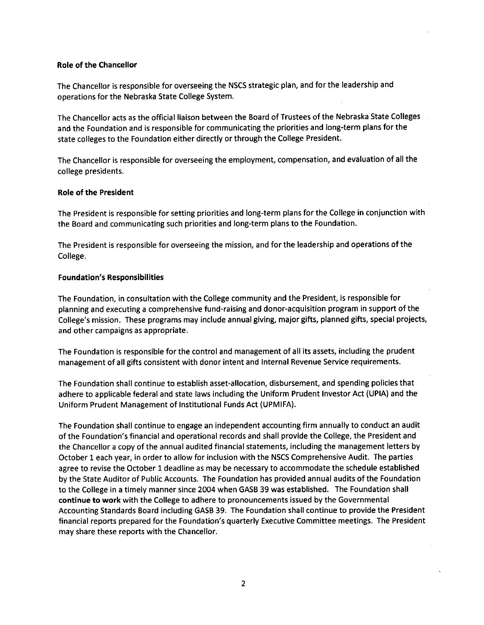#### **Role of the Chancellor**

The Chancellor is responsible for overseeing the NSCS strategic plan, and for the leadership and operations for the Nebraska State College System.

The Chancellor acts as the official liaison between the Board of Trustees of the Nebraska State Colleges and the Foundation and is responsible for communicating the priorities and long-term plans for the state colleges to the Foundation either directly or through the College President.

The Chancellor is responsible for overseeing the employment, compensation, and evaluation of all the college presidents.

#### **Role of the President**

The President is responsible for setting priorities and long-term plans for the College in conjunction with the Board and communicating such priorities and long-term plans to the Foundation.

The President is responsible for overseeing the mission, and for the leadership and operations of the College.

#### **Foundation's Responsibilities**

The Foundation, in consultation with the College community and the President, is responsible for planning and executing a comprehensive fund-raising and donor-acquisition program in support of the College's mission. These programs may include annual giving, major gifts, planned gifts, special projects, and other campaigns as appropriate.

The Foundation is responsible for the control and management of all its assets, including the prudent management of all gifts consistent with donor intent and Internal Revenue Service requirements.

The Foundation shall continue to establish asset-allocation, disbursement, and spending policies that adhere to applicable federal and state laws including the Uniform Prudent Investor Act (UPIA) and the Uniform Prudent Management of Institutional Funds Act (UPMIFA).

The Foundation shall continue to engage an independent accounting firm annually to conduct an audit of the Foundation's financial and operational records and shall provide the College, the President and the Chancellor a copy of the annual audited financial statements, including the management letters by October 1 each year, in order to allow for inclusion with the NSCS Comprehensive Audit. The parties agree to revise the October 1 deadline as may be necessary to accommodate the schedule established by the State Auditor of Public Accounts. The Foundation has provided annual audits of the Foundation to the College in a timely manner since 2004 when GASB 39 was established. The Foundation shall continue to work with the College to adhere to pronouncements issued by the Governmental Accounting Standards Board including GASB 39. The Foundation shall continue to provide the President financial reports prepared for the Foundation's quarterly Executive Committee meetings. The President may share these reports with the Chancellor.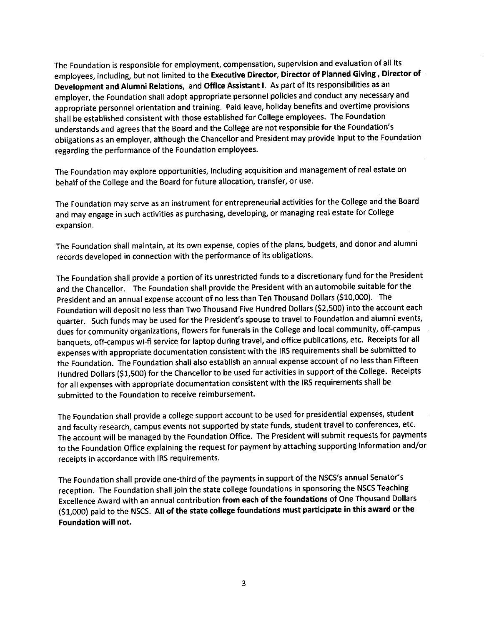The Foundation is responsible for employment, compensation, supervision and evaluation of all its employees, including, but not limited to the Executive Director, Director of Planned Giving, Director of Development and Alumni Relations, and Office Assistant I. As part of its responsibilities as an employer, the Foundation shall adopt appropriate personnel policies and conduct any necessary and appropriate personnel orientation and training. Paid leave, holiday benefits and overtime provisions shall be established consistent with those established for College employees. The Foundation understands and agrees that the Board and the College are not responsible for the Foundation's obligations as an employer, although the Chancellor and President may provide input to the Foundation regarding the performance of the Foundation employees.

The Foundation may explore opportunities, including acquisition and management of real estate on behalf of the College and the Board for future allocation, transfer, or use.

The Foundation may serve as an instrument for entrepreneurial activities for the College and the Board and may engage in such activities as purchasing, developing, or managing real estate for College expansion.

The Foundation shall maintain, at its own expense, copies of the plans, budgets, and donor and alumni records developed in connection with the performance of its obligations.

The Foundation shall provide a portion of its unrestricted funds to a discretionary fund for the President and the Chancellor. The Foundation shall provide the President with an automobile suitable for the President and an annual expense account of no less than Ten Thousand Dollars (\$10,000). The Foundation will deposit no less than Two Thousand Five Hundred Dollars (\$2,500) into the account each quarter. Such funds may be used for the President's spouse to travel to Foundation and alumni events, dues for community organizations, flowers for funerals in the College and local community, off-campus banquets, off-campus wi-fi service for laptop during travel, and office publications, etc. Receipts for all expenses with appropriate documentation consistent with the IRS requirements shall be submitted to the Foundation. The Foundation shall also establish an annual expense account of no less than Fifteen Hundred Dollars (\$1,500) for the Chancellor to be used for activities in support of the College. Receipts for all expenses with appropriate documentation consistent with the IRS requirements shall be submitted to the Foundation to receive reimbursement.

The Foundation shall provide a college support account to be used for presidential expenses, student and faculty research, campus events not supported by state funds, student travel to conferences, etc. The account will be managed by the Foundation Office. The President will submit requests for payments to the Foundation Office explaining the request for payment by attaching supporting information and/or receipts in accordance with IRS requirements.

The Foundation shall provide one-third of the payments in support of the NSCS's annual Senator's reception. The Foundation shall join the state college foundations in sponsoring the NSCS Teaching Excellence Award with an annual contribution from each of the foundations of One Thousand Dollars (\$1,000) paid to the NSCS. All of the state college foundations must participate in this award or the Foundation will not.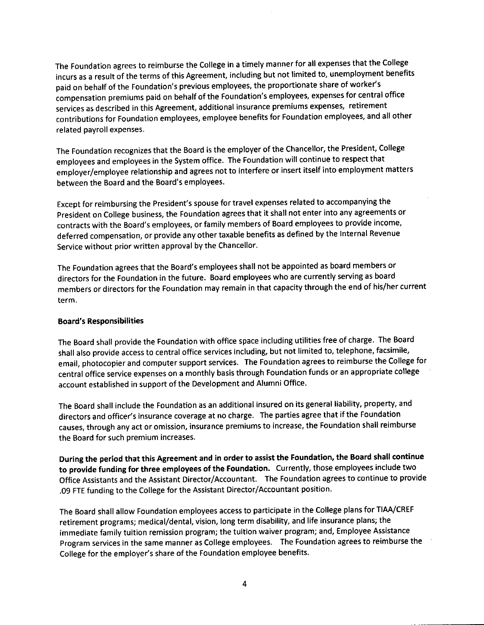The Foundation agrees to reimburse the College in a timely manner for all expenses that the College incurs as a result of the terms of this Agreement, including but not limited to, unemployment benefits paid on behalf of the Foundation's previous employees, the proportionate share of worker's compensation premiums paid on behalf of the Foundation's employees, expenses for central office services as described in this Agreement, additional insurance premiums expenses, retirement contributions for Foundation employees, employee benefits for Foundation employees, and all other related payroll expenses.

The Foundation recognizes that the Board is the employer of the Chancellor, the President, College employees and employees in the System office. The Foundation will continue to respect that employer/employee relationship and agrees not to interfere or insert itself into employment matters between the Board and the Board's employees.

Except for reimbursing the President's spouse for travel expenses related to accompanying the President on College business, the Foundation agrees that it shall not enter into any agreements or contracts with the Board's employees, or family members of Board employees to provide income, deferred compensation, or provide any other taxable benefits as defined by the Internal Revenue Service without prior written approval by the Chancellor.

The Foundation agrees that the Board's employees shall not be appointed as board members or directors for the Foundation in the future. Board employees who are currently serving as board members or directors for the Foundation may remain in that capacity through the end of his/her current term.

#### **Board's Responsibilities**

The Board shall provide the Foundation with office space including utilities free of charge. The Board shall also provide access to central office services including, but not limited to, telephone, facsimile, email, photocopier and computer support services. The Foundation agrees to reimburse the College for central office service expenses on a monthly basis through Foundation funds or an appropriate college account established in support of the Development and Alumni Office.

The Board shall include the Foundation as an additional insured on its general liability, property, and directors and officer's insurance coverage at no charge. The parties agree that if the Foundation causes, through any act or omission, insurance premiums to increase, the Foundation shall reimburse the Board for such premium increases.

During the period that this Agreement and in order to assist the Foundation, the Board shall continue to provide funding for three employees of the Foundation. Currently, those employees include two Office Assistants and the Assistant Director/Accountant. The Foundation agrees to continue to provide .09 FTE funding to the College for the Assistant Director/Accountant position.

The Board shall allow Foundation employees access to participate in the College plans for TIAA/CREF retirement programs; medical/dental, vision, long term disability, and life insurance plans; the immediate family tuition remission program; the tuition waiver program; and, Employee Assistance Program services in the same manner as College employees. The Foundation agrees to reimburse the College for the employer's share of the Foundation employee benefits.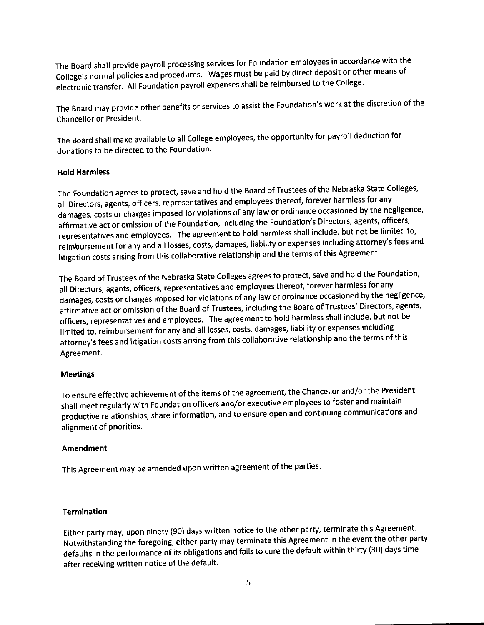The Board shall provide payroll processing services for Foundation employees in accordance with the College's normal policies and procedures. Wages must be paid by direct deposit or other means of electronic transfer. All Foundation payroll expenses shall be reimbursed to the College.

The Board may provide other benefits or services to assist the Foundation's work at the discretion of the **Chancellor or President.** 

The Board shall make available to all College employees, the opportunity for payroll deduction for donations to be directed to the Foundation.

#### **Hold Harmless**

The Foundation agrees to protect, save and hold the Board of Trustees of the Nebraska State Colleges, all Directors, agents, officers, representatives and employees thereof, forever harmless for any damages, costs or charges imposed for violations of any law or ordinance occasioned by the negligence, affirmative act or omission of the Foundation, including the Foundation's Directors, agents, officers, representatives and employees. The agreement to hold harmless shall include, but not be limited to, reimbursement for any and all losses, costs, damages, liability or expenses including attorney's fees and litigation costs arising from this collaborative relationship and the terms of this Agreement.

The Board of Trustees of the Nebraska State Colleges agrees to protect, save and hold the Foundation, all Directors, agents, officers, representatives and employees thereof, forever harmless for any damages, costs or charges imposed for violations of any law or ordinance occasioned by the negligence, affirmative act or omission of the Board of Trustees, including the Board of Trustees' Directors, agents, officers, representatives and employees. The agreement to hold harmless shall include, but not be limited to, reimbursement for any and all losses, costs, damages, liability or expenses including attorney's fees and litigation costs arising from this collaborative relationship and the terms of this Agreement.

#### **Meetings**

To ensure effective achievement of the items of the agreement, the Chancellor and/or the President shall meet regularly with Foundation officers and/or executive employees to foster and maintain productive relationships, share information, and to ensure open and continuing communications and alignment of priorities.

#### **Amendment**

This Agreement may be amended upon written agreement of the parties.

#### **Termination**

Either party may, upon ninety (90) days written notice to the other party, terminate this Agreement. Notwithstanding the foregoing, either party may terminate this Agreement in the event the other party defaults in the performance of its obligations and fails to cure the default within thirty (30) days time after receiving written notice of the default.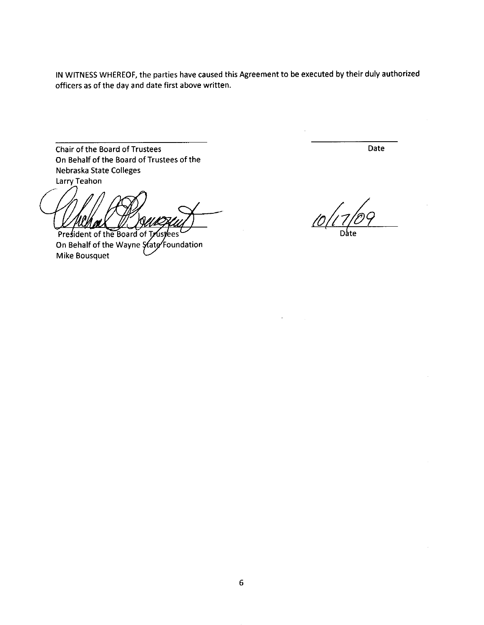IN WITNESS WHEREOF, the parties have caused this Agreement to be executed by their duly authorized officers as of the day and date first above written.

Chair of the Board of Trustees On Behalf of the Board of Trustees of the Nebraska State Colleges Larry Teahon

President of the Board of T 6es On Behalf of the Wayne State Foundation Mike Bousquet

Date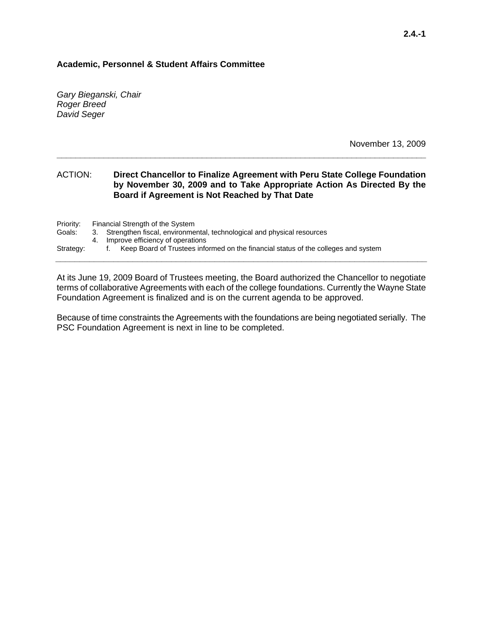### **Academic, Personnel & Student Affairs Committee**

*Gary Bieganski, Chair Roger Breed David Seger* 

November 13, 2009

## ACTION: **Direct Chancellor to Finalize Agreement with Peru State College Foundation by November 30, 2009 and to Take Appropriate Action As Directed By the Board if Agreement is Not Reached by That Date**

**\_\_\_\_\_\_\_\_\_\_\_\_\_\_\_\_\_\_\_\_\_\_\_\_\_\_\_\_\_\_\_\_\_\_\_\_\_\_\_\_\_\_\_\_\_\_\_\_\_\_\_\_\_\_\_\_\_\_\_\_\_\_\_\_\_\_\_\_\_\_\_\_\_\_\_\_\_\_\_** 

| Priority:<br>Goals:<br>Strategy: | Financial Strength of the System<br>3. Strengthen fiscal, environmental, technological and physical resources<br>4. Improve efficiency of operations<br>Keep Board of Trustees informed on the financial status of the colleges and system |
|----------------------------------|--------------------------------------------------------------------------------------------------------------------------------------------------------------------------------------------------------------------------------------------|
|                                  |                                                                                                                                                                                                                                            |

At its June 19, 2009 Board of Trustees meeting, the Board authorized the Chancellor to negotiate terms of collaborative Agreements with each of the college foundations. Currently the Wayne State Foundation Agreement is finalized and is on the current agenda to be approved.

Because of time constraints the Agreements with the foundations are being negotiated serially. The PSC Foundation Agreement is next in line to be completed.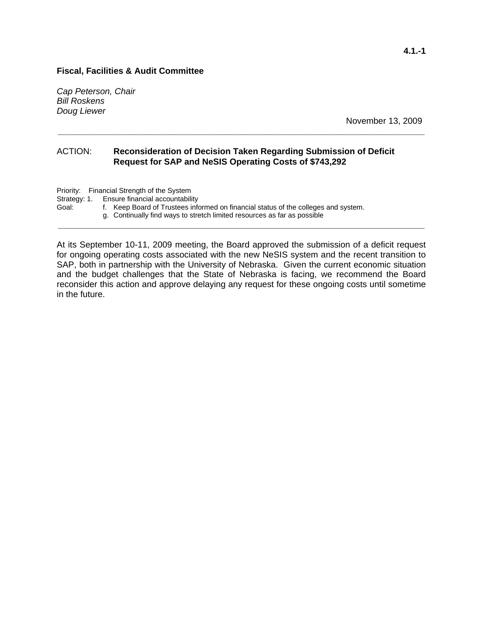*Cap Peterson, Chair Bill Roskens Doug Liewer* 

November 13, 2009

## ACTION: **Reconsideration of Decision Taken Regarding Submission of Deficit Request for SAP and NeSIS Operating Costs of \$743,292**

**\_\_\_\_\_\_\_\_\_\_\_\_\_\_\_\_\_\_\_\_\_\_\_\_\_\_\_\_\_\_\_\_\_\_\_\_\_\_\_\_\_\_\_\_\_\_\_\_\_\_\_\_\_\_\_\_\_\_\_\_\_\_\_\_\_\_\_\_\_\_\_\_\_\_\_\_** 

Priority: Financial Strength of the System Strategy: 1. Ensure financial accountability Goal:  $\overline{\phantom{a}}$  f. Keep Board of Trustees informed on financial status of the colleges and system. g. Continually find ways to stretch limited resources as far as possible **\_\_\_\_\_\_\_\_\_\_\_\_\_\_\_\_\_\_\_\_\_\_\_\_\_\_\_\_\_\_\_\_\_\_\_\_\_\_\_\_\_\_\_\_\_\_\_\_\_\_\_\_\_\_\_\_\_\_\_\_\_\_\_\_\_\_\_\_\_\_\_\_\_\_\_\_** 

At its September 10-11, 2009 meeting, the Board approved the submission of a deficit request for ongoing operating costs associated with the new NeSIS system and the recent transition to SAP, both in partnership with the University of Nebraska. Given the current economic situation and the budget challenges that the State of Nebraska is facing, we recommend the Board reconsider this action and approve delaying any request for these ongoing costs until sometime in the future.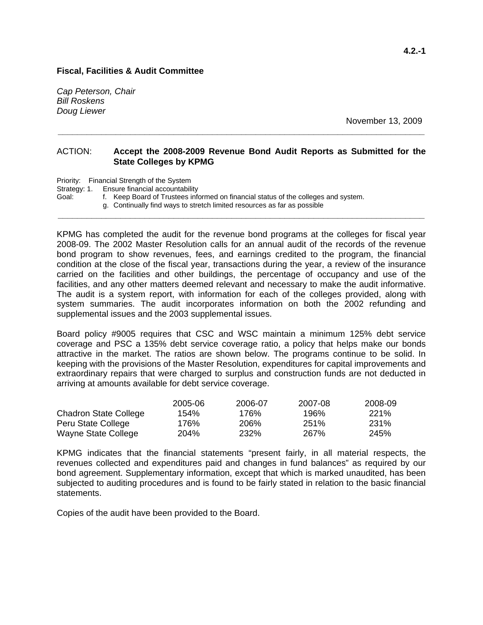*Cap Peterson, Chair Bill Roskens Doug Liewer* 

November 13, 2009

#### ACTION: **Accept the 2008-2009 Revenue Bond Audit Reports as Submitted for the State Colleges by KPMG**

**\_\_\_\_\_\_\_\_\_\_\_\_\_\_\_\_\_\_\_\_\_\_\_\_\_\_\_\_\_\_\_\_\_\_\_\_\_\_\_\_\_\_\_\_\_\_\_\_\_\_\_\_\_\_\_\_\_\_\_\_\_\_\_\_\_\_\_\_\_\_\_\_\_\_\_\_** 

Priority: Financial Strength of the System

Strategy: 1. Ensure financial accountability

Goal: f. Keep Board of Trustees informed on financial status of the colleges and system.

g. Continually find ways to stretch limited resources as far as possible

KPMG has completed the audit for the revenue bond programs at the colleges for fiscal year 2008-09. The 2002 Master Resolution calls for an annual audit of the records of the revenue bond program to show revenues, fees, and earnings credited to the program, the financial condition at the close of the fiscal year, transactions during the year, a review of the insurance carried on the facilities and other buildings, the percentage of occupancy and use of the facilities, and any other matters deemed relevant and necessary to make the audit informative. The audit is a system report, with information for each of the colleges provided, along with system summaries. The audit incorporates information on both the 2002 refunding and supplemental issues and the 2003 supplemental issues.

**\_\_\_\_\_\_\_\_\_\_\_\_\_\_\_\_\_\_\_\_\_\_\_\_\_\_\_\_\_\_\_\_\_\_\_\_\_\_\_\_\_\_\_\_\_\_\_\_\_\_\_\_\_\_\_\_\_\_\_\_\_\_\_\_\_\_\_\_\_\_\_\_\_\_\_\_** 

Board policy #9005 requires that CSC and WSC maintain a minimum 125% debt service coverage and PSC a 135% debt service coverage ratio, a policy that helps make our bonds attractive in the market. The ratios are shown below. The programs continue to be solid. In keeping with the provisions of the Master Resolution, expenditures for capital improvements and extraordinary repairs that were charged to surplus and construction funds are not deducted in arriving at amounts available for debt service coverage.

|                              | 2005-06          | 2006-07     | 2007-08     | 2008-09 |
|------------------------------|------------------|-------------|-------------|---------|
| <b>Chadron State College</b> | 154%             | 176%        | 196%        | -221%   |
| Peru State College           | 176%             | <b>206%</b> | <b>251%</b> | -231%   |
| Wayne State College          | 204 <sup>%</sup> | 232%        | <b>267%</b> | 245%    |

KPMG indicates that the financial statements "present fairly, in all material respects, the revenues collected and expenditures paid and changes in fund balances" as required by our bond agreement. Supplementary information, except that which is marked unaudited, has been subjected to auditing procedures and is found to be fairly stated in relation to the basic financial statements.

Copies of the audit have been provided to the Board.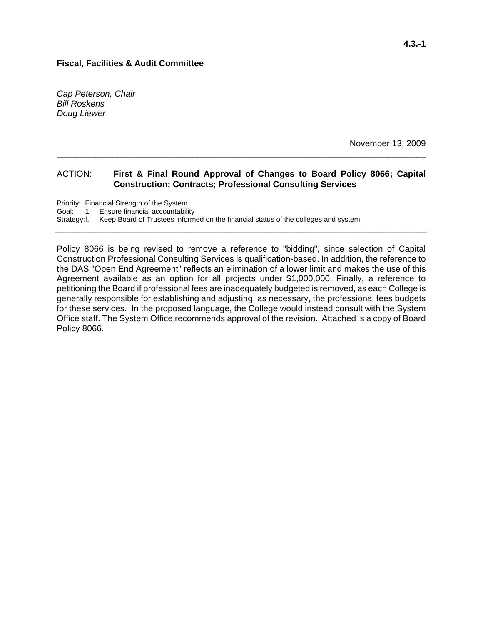*Cap Peterson, Chair Bill Roskens Doug Liewer* 

November 13, 2009

## ACTION: **First & Final Round Approval of Changes to Board Policy 8066; Capital Construction; Contracts; Professional Consulting Services**

**\_\_\_\_\_\_\_\_\_\_\_\_\_\_\_\_\_\_\_\_\_\_\_\_\_\_\_\_\_\_\_\_\_\_\_\_\_\_\_\_\_\_\_\_\_\_\_\_\_\_\_\_\_\_\_\_\_\_\_\_\_\_\_\_\_\_\_\_\_\_\_\_\_\_\_\_\_** 

**\_\_\_\_\_\_\_\_\_\_\_\_\_\_\_\_\_\_\_\_\_\_\_\_\_\_\_\_\_\_\_\_\_\_\_\_\_\_\_\_\_\_\_\_\_\_\_\_\_\_\_\_\_\_\_\_\_\_\_\_\_\_\_\_\_\_\_\_\_\_\_\_\_\_\_\_\_\_\_** 

Priority: Financial Strength of the System

Goal: 1. Ensure financial accountability

Strategy: f. Keep Board of Trustees informed on the financial status of the colleges and system

Policy 8066 is being revised to remove a reference to "bidding", since selection of Capital Construction Professional Consulting Services is qualification-based. In addition, the reference to the DAS "Open End Agreement" reflects an elimination of a lower limit and makes the use of this Agreement available as an option for all projects under \$1,000,000. Finally, a reference to petitioning the Board if professional fees are inadequately budgeted is removed, as each College is generally responsible for establishing and adjusting, as necessary, the professional fees budgets for these services. In the proposed language, the College would instead consult with the System Office staff. The System Office recommends approval of the revision. Attached is a copy of Board Policy 8066.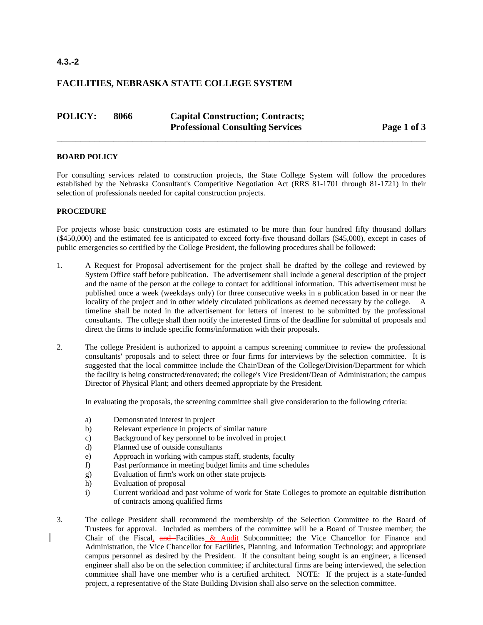## **FACILITIES, NEBRASKA STATE COLLEGE SYSTEM**

| <b>POLICY:</b><br>8066 | <b>Capital Construction; Contracts;</b> |                                         |             |
|------------------------|-----------------------------------------|-----------------------------------------|-------------|
|                        |                                         | <b>Professional Consulting Services</b> | Page 1 of 3 |

\_\_\_\_\_\_\_\_\_\_\_\_\_\_\_\_\_\_\_\_\_\_\_\_\_\_\_\_\_\_\_\_\_\_\_\_\_\_\_\_\_\_\_\_\_\_\_\_\_\_\_\_\_\_\_\_\_\_\_\_\_\_\_\_\_\_\_\_\_\_\_\_\_\_\_\_\_\_

#### **BOARD POLICY**

For consulting services related to construction projects, the State College System will follow the procedures established by the Nebraska Consultant's Competitive Negotiation Act (RRS 81-1701 through 81-1721) in their selection of professionals needed for capital construction projects.

#### **PROCEDURE**

For projects whose basic construction costs are estimated to be more than four hundred fifty thousand dollars (\$450,000) and the estimated fee is anticipated to exceed forty-five thousand dollars (\$45,000), except in cases of public emergencies so certified by the College President, the following procedures shall be followed:

- 1. A Request for Proposal advertisement for the project shall be drafted by the college and reviewed by System Office staff before publication. The advertisement shall include a general description of the project and the name of the person at the college to contact for additional information. This advertisement must be published once a week (weekdays only) for three consecutive weeks in a publication based in or near the locality of the project and in other widely circulated publications as deemed necessary by the college. A timeline shall be noted in the advertisement for letters of interest to be submitted by the professional consultants. The college shall then notify the interested firms of the deadline for submittal of proposals and direct the firms to include specific forms/information with their proposals.
- 2. The college President is authorized to appoint a campus screening committee to review the professional consultants' proposals and to select three or four firms for interviews by the selection committee. It is suggested that the local committee include the Chair/Dean of the College/Division/Department for which the facility is being constructed/renovated; the college's Vice President/Dean of Administration; the campus Director of Physical Plant; and others deemed appropriate by the President.

In evaluating the proposals, the screening committee shall give consideration to the following criteria:

- a) Demonstrated interest in project
- b) Relevant experience in projects of similar nature
- c) Background of key personnel to be involved in project
- d) Planned use of outside consultants
- e) Approach in working with campus staff, students, faculty
- f) Past performance in meeting budget limits and time schedules
- g) Evaluation of firm's work on other state projects
- h) Evaluation of proposal
- i) Current workload and past volume of work for State Colleges to promote an equitable distribution of contracts among qualified firms
- 3. The college President shall recommend the membership of the Selection Committee to the Board of Trustees for approval. Included as members of the committee will be a Board of Trustee member; the Chair of the Fiscal,  $\frac{and}{end}$ -Facilities & Audit Subcommittee; the Vice Chancellor for Finance and Administration, the Vice Chancellor for Facilities, Planning, and Information Technology; and appropriate campus personnel as desired by the President. If the consultant being sought is an engineer, a licensed engineer shall also be on the selection committee; if architectural firms are being interviewed, the selection committee shall have one member who is a certified architect. NOTE: If the project is a state-funded project, a representative of the State Building Division shall also serve on the selection committee.

#### **4.3.-2**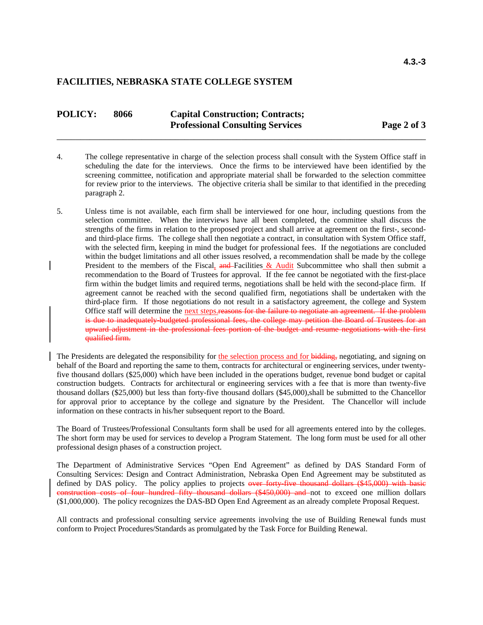#### **FACILITIES, NEBRASKA STATE COLLEGE SYSTEM**

| <b>POLICY:</b> | 8066 | <b>Capital Construction; Contracts;</b><br><b>Professional Consulting Services</b> | Page 2 of 3 |
|----------------|------|------------------------------------------------------------------------------------|-------------|
|                |      |                                                                                    |             |

- 4. The college representative in charge of the selection process shall consult with the System Office staff in scheduling the date for the interviews. Once the firms to be interviewed have been identified by the screening committee, notification and appropriate material shall be forwarded to the selection committee for review prior to the interviews. The objective criteria shall be similar to that identified in the preceding paragraph 2.
- 5. Unless time is not available, each firm shall be interviewed for one hour, including questions from the selection committee. When the interviews have all been completed, the committee shall discuss the strengths of the firms in relation to the proposed project and shall arrive at agreement on the first-, secondand third-place firms. The college shall then negotiate a contract, in consultation with System Office staff, with the selected firm, keeping in mind the budget for professional fees. If the negotiations are concluded within the budget limitations and all other issues resolved, a recommendation shall be made by the college President to the members of the Fiscal,  $\frac{and}{ }$ -Facilities & Audit Subcommittee who shall then submit a recommendation to the Board of Trustees for approval. If the fee cannot be negotiated with the first-place firm within the budget limits and required terms, negotiations shall be held with the second-place firm. If agreement cannot be reached with the second qualified firm, negotiations shall be undertaken with the third-place firm. If those negotiations do not result in a satisfactory agreement, the college and System Office staff will determine the next steps.reasons for the failure to negotiate an agreement. If the problem is due to inadequately budgeted professional fees, the college may petition the Board of Trustees for an upward adjustment in the professional fees portion of the budget and resume negotiations with the first qualified firm.

The Presidents are delegated the responsibility for the selection process and for bidding, negotiating, and signing on behalf of the Board and reporting the same to them, contracts for architectural or engineering services, under twentyfive thousand dollars (\$25,000) which have been included in the operations budget, revenue bond budget or capital construction budgets. Contracts for architectural or engineering services with a fee that is more than twenty-five thousand dollars (\$25,000) but less than forty-five thousand dollars (\$45,000),shall be submitted to the Chancellor for approval prior to acceptance by the college and signature by the President. The Chancellor will include information on these contracts in his/her subsequent report to the Board.

The Board of Trustees/Professional Consultants form shall be used for all agreements entered into by the colleges. The short form may be used for services to develop a Program Statement. The long form must be used for all other professional design phases of a construction project.

The Department of Administrative Services "Open End Agreement" as defined by DAS Standard Form of Consulting Services: Design and Contract Administration, Nebraska Open End Agreement may be substituted as defined by DAS policy. The policy applies to projects over forty-five thousand dollars (\$45,000) with basic ests of four hundred fifty thousand dollars (\$450,000) and not to exceed one million dollars (\$1,000,000). The policy recognizes the DAS-BD Open End Agreement as an already complete Proposal Request.

All contracts and professional consulting service agreements involving the use of Building Renewal funds must conform to Project Procedures/Standards as promulgated by the Task Force for Building Renewal.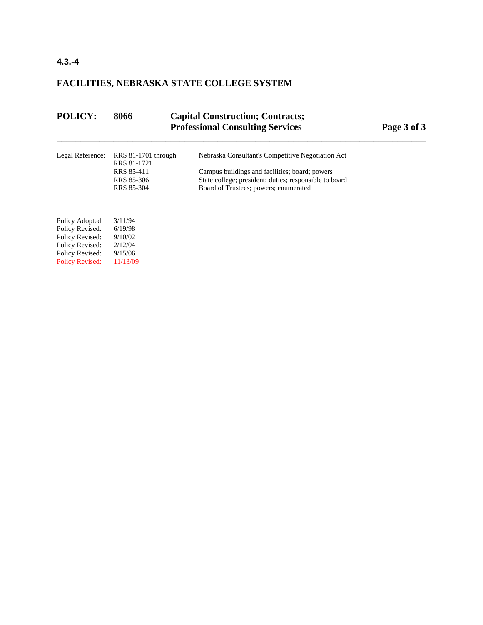# **4.3.-4**

# **FACILITIES, NEBRASKA STATE COLLEGE SYSTEM**

| <b>POLICY:</b>         | 8066<br><b>Capital Construction; Contracts;</b><br><b>Professional Consulting Services</b> |                                                                                                          |  |
|------------------------|--------------------------------------------------------------------------------------------|----------------------------------------------------------------------------------------------------------|--|
| Legal Reference:       | RRS 81-1701 through                                                                        | Nebraska Consultant's Competitive Negotiation Act                                                        |  |
|                        | RRS 81-1721<br>RRS 85-411                                                                  |                                                                                                          |  |
|                        | RRS 85-306                                                                                 | Campus buildings and facilities; board; powers<br>State college; president; duties; responsible to board |  |
|                        | RRS 85-304                                                                                 | Board of Trustees; powers; enumerated                                                                    |  |
|                        |                                                                                            |                                                                                                          |  |
| Policy Adopted:        | 3/11/94                                                                                    |                                                                                                          |  |
| Policy Revised:        | 6/19/98                                                                                    |                                                                                                          |  |
| Policy Revised:        | 9/10/02                                                                                    |                                                                                                          |  |
| Policy Revised:        | 2/12/04                                                                                    |                                                                                                          |  |
| Policy Revised:        | 9/15/06                                                                                    |                                                                                                          |  |
| <b>Policy Revised:</b> | 11/13/09                                                                                   |                                                                                                          |  |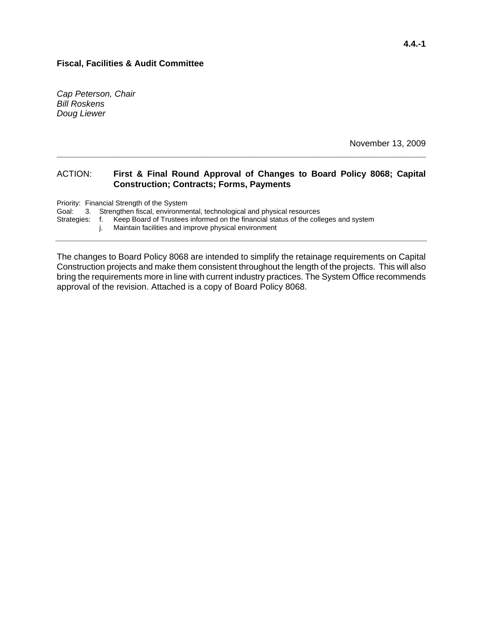*Cap Peterson, Chair Bill Roskens Doug Liewer* 

November 13, 2009

## ACTION: **First & Final Round Approval of Changes to Board Policy 8068; Capital Construction; Contracts; Forms, Payments**

**\_\_\_\_\_\_\_\_\_\_\_\_\_\_\_\_\_\_\_\_\_\_\_\_\_\_\_\_\_\_\_\_\_\_\_\_\_\_\_\_\_\_\_\_\_\_\_\_\_\_\_\_\_\_\_\_\_\_\_\_\_\_\_\_\_\_\_\_\_\_\_\_\_\_\_\_\_\_\_** 

Priority: Financial Strength of the System

Goal: 3. Strengthen fiscal, environmental, technological and physical resources

Strategies: f. Keep Board of Trustees informed on the financial status of the colleges and system

j. Maintain facilities and improve physical environment

The changes to Board Policy 8068 are intended to simplify the retainage requirements on Capital Construction projects and make them consistent throughout the length of the projects. This will also bring the requirements more in line with current industry practices. The System Office recommends approval of the revision. Attached is a copy of Board Policy 8068.

**\_\_\_\_\_\_\_\_\_\_\_\_\_\_\_\_\_\_\_\_\_\_\_\_\_\_\_\_\_\_\_\_\_\_\_\_\_\_\_\_\_\_\_\_\_\_\_\_\_\_\_\_\_\_\_\_\_\_\_\_\_\_\_\_\_\_\_\_\_\_\_\_\_\_\_\_\_**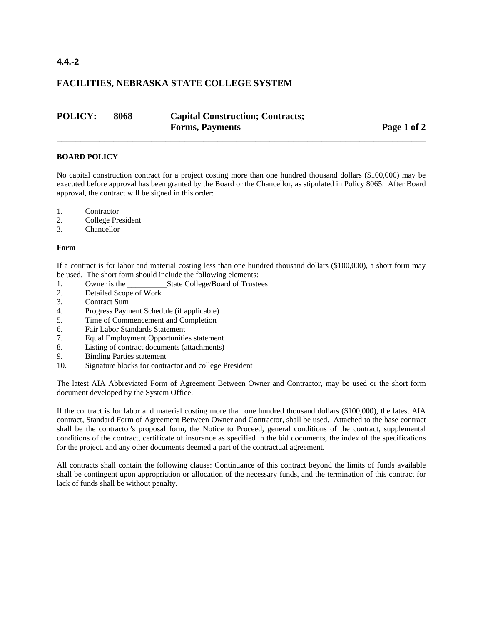# **4.4.-2**

### **FACILITIES, NEBRASKA STATE COLLEGE SYSTEM**

| <b>POLICY:</b> | 8068 | <b>Capital Construction; Contracts;</b> |             |
|----------------|------|-----------------------------------------|-------------|
|                |      | <b>Forms, Payments</b>                  | Page 1 of 2 |

#### **BOARD POLICY**

No capital construction contract for a project costing more than one hundred thousand dollars (\$100,000) may be executed before approval has been granted by the Board or the Chancellor, as stipulated in Policy 8065. After Board approval, the contract will be signed in this order:

\_\_\_\_\_\_\_\_\_\_\_\_\_\_\_\_\_\_\_\_\_\_\_\_\_\_\_\_\_\_\_\_\_\_\_\_\_\_\_\_\_\_\_\_\_\_\_\_\_\_\_\_\_\_\_\_\_\_\_\_\_\_\_\_\_\_\_\_\_\_\_\_\_\_\_\_\_\_

- 1. Contractor
- 2. College President
- 3. Chancellor

#### **Form**

If a contract is for labor and material costing less than one hundred thousand dollars (\$100,000), a short form may be used. The short form should include the following elements:

- 1. Owner is the State College/Board of Trustees
- 2. Detailed Scope of Work
- 3. Contract Sum
- 4. Progress Payment Schedule (if applicable)
- 5. Time of Commencement and Completion
- 6. Fair Labor Standards Statement
- 7. Equal Employment Opportunities statement
- 8. Listing of contract documents (attachments)
- 9. Binding Parties statement
- 10. Signature blocks for contractor and college President

The latest AIA Abbreviated Form of Agreement Between Owner and Contractor, may be used or the short form document developed by the System Office.

If the contract is for labor and material costing more than one hundred thousand dollars (\$100,000), the latest AIA contract, Standard Form of Agreement Between Owner and Contractor, shall be used. Attached to the base contract shall be the contractor's proposal form, the Notice to Proceed, general conditions of the contract, supplemental conditions of the contract, certificate of insurance as specified in the bid documents, the index of the specifications for the project, and any other documents deemed a part of the contractual agreement.

All contracts shall contain the following clause: Continuance of this contract beyond the limits of funds available shall be contingent upon appropriation or allocation of the necessary funds, and the termination of this contract for lack of funds shall be without penalty.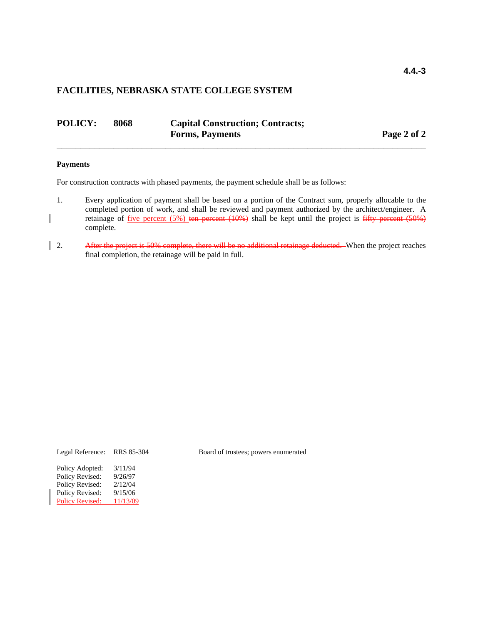#### **FACILITIES, NEBRASKA STATE COLLEGE SYSTEM**

| <b>POLICY:</b> | 8068 | <b>Capital Construction; Contracts;</b> |             |
|----------------|------|-----------------------------------------|-------------|
|                |      | <b>Forms, Payments</b>                  | Page 2 of 2 |

#### **Payments**

For construction contracts with phased payments, the payment schedule shall be as follows:

1. Every application of payment shall be based on a portion of the Contract sum, properly allocable to the completed portion of work, and shall be reviewed and payment authorized by the architect/engineer. A retainage of <u>five percent (5%) ten percent (10%)</u> shall be kept until the project is fifty percent (50%) complete.

\_\_\_\_\_\_\_\_\_\_\_\_\_\_\_\_\_\_\_\_\_\_\_\_\_\_\_\_\_\_\_\_\_\_\_\_\_\_\_\_\_\_\_\_\_\_\_\_\_\_\_\_\_\_\_\_\_\_\_\_\_\_\_\_\_\_\_\_\_\_\_\_\_\_\_\_\_\_

2. After the project is 50% complete, there will be no additional retainage deducted. When the project reaches final completion, the retainage will be paid in full.

| Legal Reference:       | RRS 85-304 |
|------------------------|------------|
| Policy Adopted:        | 3/11/94    |
| Policy Revised:        | 9/26/97    |
| Policy Revised:        | 2/12/04    |
| Policy Revised:        | 9/15/06    |
| <b>Policy Revised:</b> | 11/13/09   |
|                        |            |

Legal Reference: RRS 85-304 Board of trustees; powers enumerated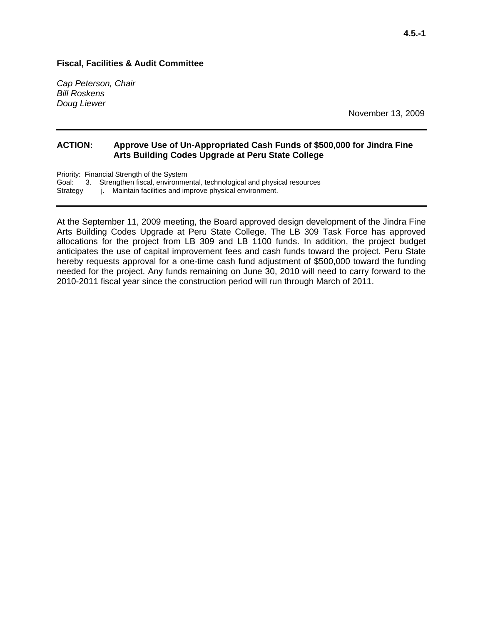*Cap Peterson, Chair Bill Roskens Doug Liewer* 

November 13, 2009

#### **ACTION: Approve Use of Un-Appropriated Cash Funds of \$500,000 for Jindra Fine Arts Building Codes Upgrade at Peru State College**

Priority: Financial Strength of the System Goal: 3. Strengthen fiscal, environmental, technological and physical resources<br>Strategy i. Maintain facilities and improve physical environment. j. Maintain facilities and improve physical environment.

At the September 11, 2009 meeting, the Board approved design development of the Jindra Fine Arts Building Codes Upgrade at Peru State College. The LB 309 Task Force has approved allocations for the project from LB 309 and LB 1100 funds. In addition, the project budget anticipates the use of capital improvement fees and cash funds toward the project. Peru State hereby requests approval for a one-time cash fund adjustment of \$500,000 toward the funding needed for the project. Any funds remaining on June 30, 2010 will need to carry forward to the 2010-2011 fiscal year since the construction period will run through March of 2011.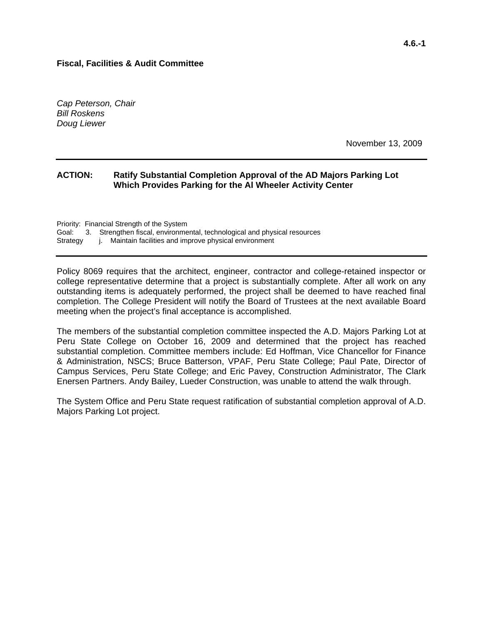*Cap Peterson, Chair Bill Roskens Doug Liewer* 

November 13, 2009

#### **ACTION: Ratify Substantial Completion Approval of the AD Majors Parking Lot Which Provides Parking for the Al Wheeler Activity Center**

Priority: Financial Strength of the System Goal: 3. Strengthen fiscal, environmental, technological and physical resources Strategy i. Maintain facilities and improve physical environment

Policy 8069 requires that the architect, engineer, contractor and college-retained inspector or college representative determine that a project is substantially complete. After all work on any outstanding items is adequately performed, the project shall be deemed to have reached final completion. The College President will notify the Board of Trustees at the next available Board meeting when the project's final acceptance is accomplished.

The members of the substantial completion committee inspected the A.D. Majors Parking Lot at Peru State College on October 16, 2009 and determined that the project has reached substantial completion. Committee members include: Ed Hoffman, Vice Chancellor for Finance & Administration, NSCS; Bruce Batterson, VPAF, Peru State College; Paul Pate, Director of Campus Services, Peru State College; and Eric Pavey, Construction Administrator, The Clark Enersen Partners. Andy Bailey, Lueder Construction, was unable to attend the walk through.

The System Office and Peru State request ratification of substantial completion approval of A.D. Majors Parking Lot project.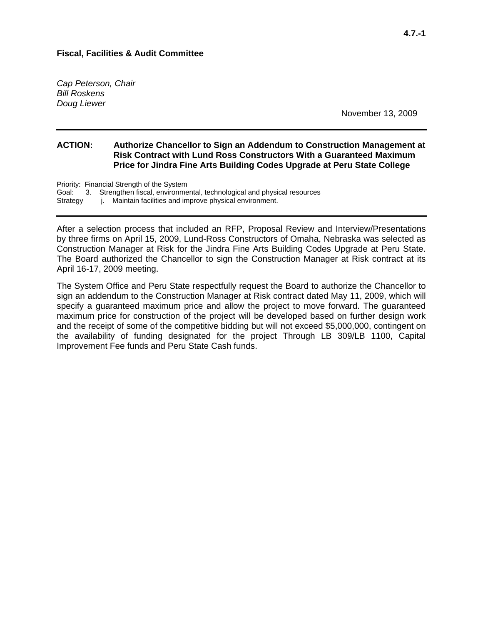*Cap Peterson, Chair Bill Roskens Doug Liewer* 

November 13, 2009

## **ACTION: Authorize Chancellor to Sign an Addendum to Construction Management at Risk Contract with Lund Ross Constructors With a Guaranteed Maximum Price for Jindra Fine Arts Building Codes Upgrade at Peru State College**

Priority: Financial Strength of the System Goal: 3. Strengthen fiscal, environmental, technological and physical resources Strategy i. Maintain facilities and improve physical environment.

After a selection process that included an RFP, Proposal Review and Interview/Presentations by three firms on April 15, 2009, Lund-Ross Constructors of Omaha, Nebraska was selected as Construction Manager at Risk for the Jindra Fine Arts Building Codes Upgrade at Peru State. The Board authorized the Chancellor to sign the Construction Manager at Risk contract at its April 16-17, 2009 meeting.

The System Office and Peru State respectfully request the Board to authorize the Chancellor to sign an addendum to the Construction Manager at Risk contract dated May 11, 2009, which will specify a guaranteed maximum price and allow the project to move forward. The guaranteed maximum price for construction of the project will be developed based on further design work and the receipt of some of the competitive bidding but will not exceed \$5,000,000, contingent on the availability of funding designated for the project Through LB 309/LB 1100, Capital Improvement Fee funds and Peru State Cash funds.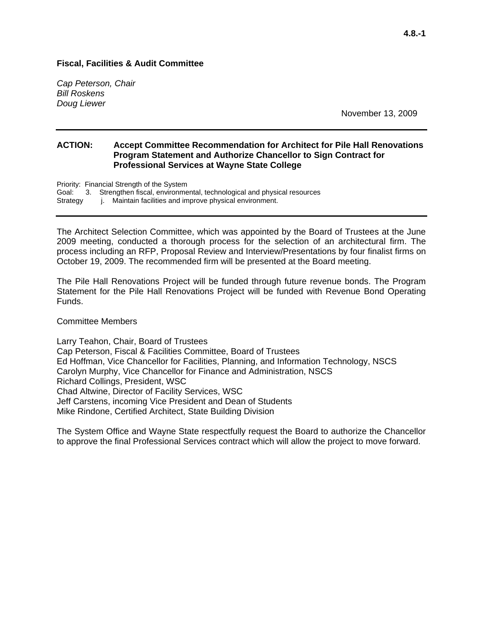*Cap Peterson, Chair Bill Roskens Doug Liewer* 

November 13, 2009

## **ACTION: Accept Committee Recommendation for Architect for Pile Hall Renovations Program Statement and Authorize Chancellor to Sign Contract for Professional Services at Wayne State College**

Priority: Financial Strength of the System Goal: 3. Strengthen fiscal, environmental, technological and physical resources Strategy i. Maintain facilities and improve physical environment.

The Architect Selection Committee, which was appointed by the Board of Trustees at the June 2009 meeting, conducted a thorough process for the selection of an architectural firm. The process including an RFP, Proposal Review and Interview/Presentations by four finalist firms on October 19, 2009. The recommended firm will be presented at the Board meeting.

The Pile Hall Renovations Project will be funded through future revenue bonds. The Program Statement for the Pile Hall Renovations Project will be funded with Revenue Bond Operating Funds.

#### Committee Members

Larry Teahon, Chair, Board of Trustees Cap Peterson, Fiscal & Facilities Committee, Board of Trustees Ed Hoffman, Vice Chancellor for Facilities, Planning, and Information Technology, NSCS Carolyn Murphy, Vice Chancellor for Finance and Administration, NSCS Richard Collings, President, WSC Chad Altwine, Director of Facility Services, WSC Jeff Carstens, incoming Vice President and Dean of Students Mike Rindone, Certified Architect, State Building Division

The System Office and Wayne State respectfully request the Board to authorize the Chancellor to approve the final Professional Services contract which will allow the project to move forward.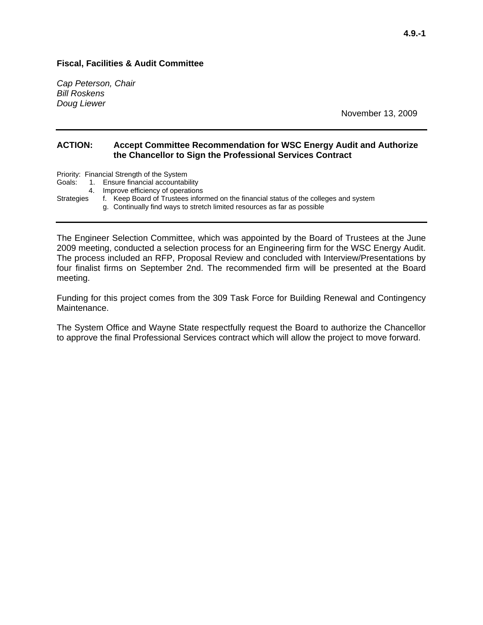*Cap Peterson, Chair Bill Roskens Doug Liewer* 

November 13, 2009

## **ACTION: Accept Committee Recommendation for WSC Energy Audit and Authorize the Chancellor to Sign the Professional Services Contract**

Priority: Financial Strength of the System

- Goals: 1. Ensure financial accountability
	- 4. Improve efficiency of operations

Strategies f. Keep Board of Trustees informed on the financial status of the colleges and system

g. Continually find ways to stretch limited resources as far as possible

The Engineer Selection Committee, which was appointed by the Board of Trustees at the June 2009 meeting, conducted a selection process for an Engineering firm for the WSC Energy Audit. The process included an RFP, Proposal Review and concluded with Interview/Presentations by four finalist firms on September 2nd. The recommended firm will be presented at the Board meeting.

Funding for this project comes from the 309 Task Force for Building Renewal and Contingency Maintenance.

The System Office and Wayne State respectfully request the Board to authorize the Chancellor to approve the final Professional Services contract which will allow the project to move forward.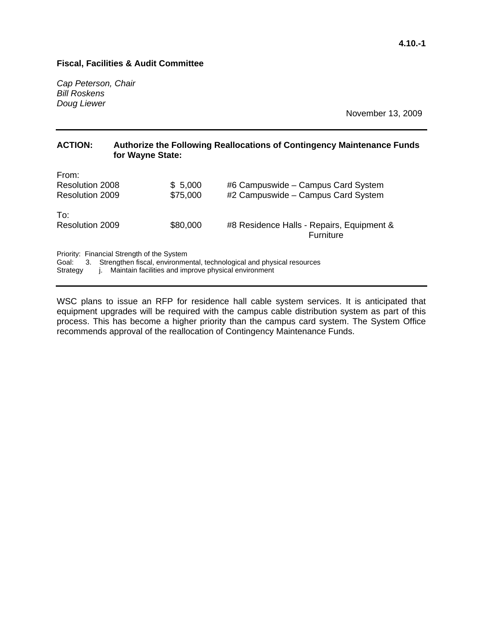*Cap Peterson, Chair Bill Roskens Doug Liewer* 

November 13, 2009

#### **ACTION: Authorize the Following Reallocations of Contingency Maintenance Funds for Wayne State:**

| From:                                      |          |                                                        |
|--------------------------------------------|----------|--------------------------------------------------------|
| <b>Resolution 2008</b>                     | \$5,000  | #6 Campuswide - Campus Card System                     |
| <b>Resolution 2009</b>                     | \$75,000 | #2 Campuswide - Campus Card System                     |
| To:                                        |          |                                                        |
| <b>Resolution 2009</b>                     | \$80,000 | #8 Residence Halls - Repairs, Equipment &<br>Furniture |
| Priority: Financial Strength of the System |          |                                                        |

Goal: 3. Strengthen fiscal, environmental, technological and physical resources Strategy i. Maintain facilities and improve physical environment

WSC plans to issue an RFP for residence hall cable system services. It is anticipated that equipment upgrades will be required with the campus cable distribution system as part of this process. This has become a higher priority than the campus card system. The System Office recommends approval of the reallocation of Contingency Maintenance Funds.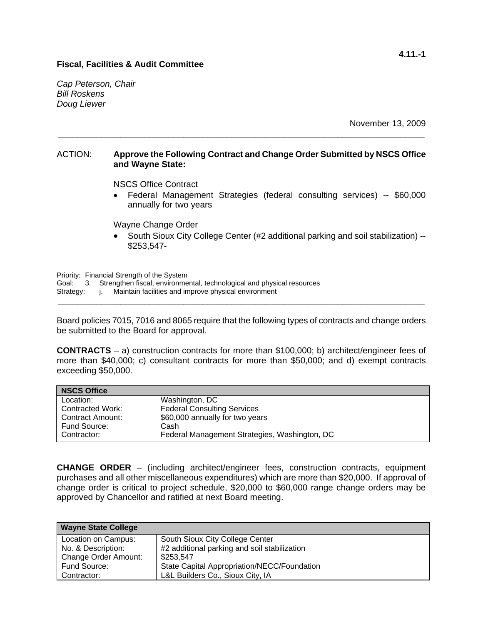*Cap Peterson, Chair Bill Roskens Doug Liewer* 

November 13, 2009

## ACTION: **Approve the Following Contract and Change Order Submitted by NSCS Office and Wayne State:**

**\_\_\_\_\_\_\_\_\_\_\_\_\_\_\_\_\_\_\_\_\_\_\_\_\_\_\_\_\_\_\_\_\_\_\_\_\_\_\_\_\_\_\_\_\_\_\_\_\_\_\_\_\_\_\_\_\_\_\_\_\_\_\_\_\_\_\_\_\_\_\_\_\_\_\_\_** 

NSCS Office Contract

• Federal Management Strategies (federal consulting services) -- \$60,000 annually for two years

Wayne Change Order

• South Sioux City College Center (#2 additional parking and soil stabilization) -- \$253,547-

Priority: Financial Strength of the System

Goal: 3. Strengthen fiscal, environmental, technological and physical resources

Strategy: j. Maintain facilities and improve physical environment

Board policies 7015, 7016 and 8065 require that the following types of contracts and change orders be submitted to the Board for approval.

**\_\_\_\_\_\_\_\_\_\_\_\_\_\_\_\_\_\_\_\_\_\_\_\_\_\_\_\_\_\_\_\_\_\_\_\_\_\_\_\_\_\_\_\_\_\_\_\_\_\_\_\_\_\_\_\_\_\_\_\_\_\_\_\_\_\_\_\_\_\_\_\_\_\_\_\_** 

**CONTRACTS** – a) construction contracts for more than \$100,000; b) architect/engineer fees of more than \$40,000; c) consultant contracts for more than \$50,000; and d) exempt contracts exceeding \$50,000.

| <b>NSCS Office</b>      |                                               |
|-------------------------|-----------------------------------------------|
| Location:               | Washington, DC                                |
| <b>Contracted Work:</b> | <b>Federal Consulting Services</b>            |
| Contract Amount:        | \$60,000 annually for two years               |
| Fund Source:            | Cash                                          |
| Contractor:             | Federal Management Strategies, Washington, DC |
|                         |                                               |

**CHANGE ORDER** – (including architect/engineer fees, construction contracts, equipment purchases and all other miscellaneous expenditures) which are more than \$20,000. If approval of change order is critical to project schedule, \$20,000 to \$60,000 range change orders may be approved by Chancellor and ratified at next Board meeting.

| <b>Wayne State College</b> |                                              |
|----------------------------|----------------------------------------------|
| Location on Campus:        | South Sioux City College Center              |
| No. & Description:         | #2 additional parking and soil stabilization |
| Change Order Amount:       | \$253.547                                    |
| Fund Source:               | State Capital Appropriation/NECC/Foundation  |
| Contractor:                | L&L Builders Co., Sioux City, IA             |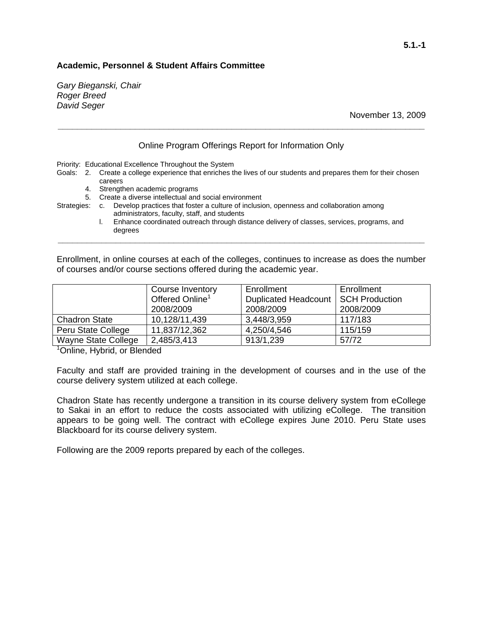## **Academic, Personnel & Student Affairs Committee**

*Gary Bieganski, Chair Roger Breed David Seger* 

November 13, 2009 **\_\_\_\_\_\_\_\_\_\_\_\_\_\_\_\_\_\_\_\_\_\_\_\_\_\_\_\_\_\_\_\_\_\_\_\_\_\_\_\_\_\_\_\_\_\_\_\_\_\_\_\_\_\_\_\_\_\_\_\_\_\_\_\_\_\_\_\_\_\_\_\_\_\_\_\_** 

## Online Program Offerings Report for Information Only

Priority: Educational Excellence Throughout the System

Goals: 2. Create a college experience that enriches the lives of our students and prepares them for their chosen careers

- 4. Strengthen academic programs
- 5. Create a diverse intellectual and social environment
- Strategies: c. Develop practices that foster a culture of inclusion, openness and collaboration among administrators, faculty, staff, and students
	- l. Enhance coordinated outreach through distance delivery of classes, services, programs, and degrees

Enrollment, in online courses at each of the colleges, continues to increase as does the number of courses and/or course sections offered during the academic year.

**\_\_\_\_\_\_\_\_\_\_\_\_\_\_\_\_\_\_\_\_\_\_\_\_\_\_\_\_\_\_\_\_\_\_\_\_\_\_\_\_\_\_\_\_\_\_\_\_\_\_\_\_\_\_\_\_\_\_\_\_\_\_\_\_\_\_\_\_\_\_\_\_\_\_\_\_** 

|                      | Course Inventory            | Enrollment                            | Enrollment |
|----------------------|-----------------------------|---------------------------------------|------------|
|                      | Offered Online <sup>1</sup> | Duplicated Headcount   SCH Production |            |
|                      | 2008/2009                   | 2008/2009                             | 2008/2009  |
| <b>Chadron State</b> | 10,128/11,439               | 3,448/3,959                           | 117/183    |
| Peru State College   | 11,837/12,362               | 4,250/4,546                           | 115/159    |
| Wayne State College  | 2,485/3,413                 | 913/1,239                             | 57/72      |

<sup>1</sup>Online, Hybrid, or Blended

Faculty and staff are provided training in the development of courses and in the use of the course delivery system utilized at each college.

Chadron State has recently undergone a transition in its course delivery system from eCollege to Sakai in an effort to reduce the costs associated with utilizing eCollege. The transition appears to be going well. The contract with eCollege expires June 2010. Peru State uses Blackboard for its course delivery system.

Following are the 2009 reports prepared by each of the colleges.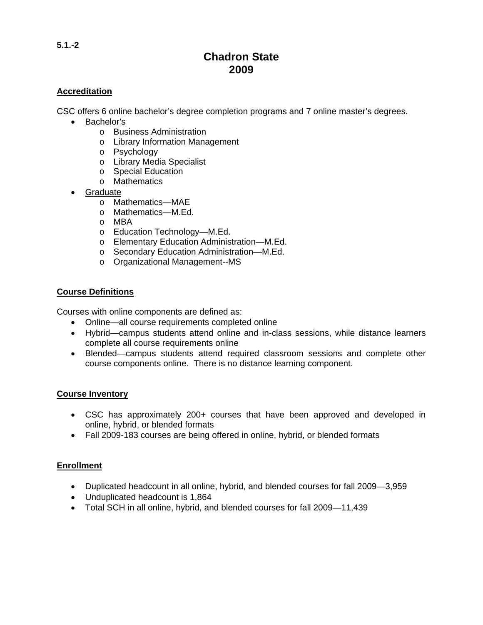# **Chadron State 2009**

# **Accreditation**

CSC offers 6 online bachelor's degree completion programs and 7 online master's degrees.

- Bachelor's
	- o Business Administration
	- o Library Information Management
	- o Psychology
	- o Library Media Specialist
	- o Special Education
	- o Mathematics
- **Graduate** 
	- o Mathematics—MAE
	- o Mathematics—M.Ed.
	- o MBA
	- o Education Technology—M.Ed.
	- o Elementary Education Administration—M.Ed.
	- o Secondary Education Administration—M.Ed.
	- o Organizational Management--MS

# **Course Definitions**

Courses with online components are defined as:

- Online—all course requirements completed online
- Hybrid—campus students attend online and in-class sessions, while distance learners complete all course requirements online
- Blended—campus students attend required classroom sessions and complete other course components online. There is no distance learning component.

# **Course Inventory**

- CSC has approximately 200+ courses that have been approved and developed in online, hybrid, or blended formats
- Fall 2009-183 courses are being offered in online, hybrid, or blended formats

## **Enrollment**

- Duplicated headcount in all online, hybrid, and blended courses for fall 2009—3,959
- Unduplicated headcount is 1,864
- Total SCH in all online, hybrid, and blended courses for fall 2009—11,439

**5.1.-2**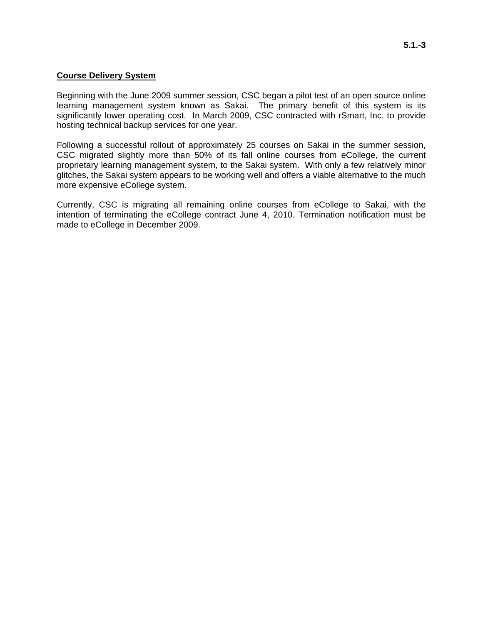## **Course Delivery System**

Beginning with the June 2009 summer session, CSC began a pilot test of an open source online learning management system known as Sakai. The primary benefit of this system is its significantly lower operating cost. In March 2009, CSC contracted with rSmart, Inc. to provide hosting technical backup services for one year.

Following a successful rollout of approximately 25 courses on Sakai in the summer session, CSC migrated slightly more than 50% of its fall online courses from eCollege, the current proprietary learning management system, to the Sakai system. With only a few relatively minor glitches, the Sakai system appears to be working well and offers a viable alternative to the much more expensive eCollege system.

Currently, CSC is migrating all remaining online courses from eCollege to Sakai, with the intention of terminating the eCollege contract June 4, 2010. Termination notification must be made to eCollege in December 2009.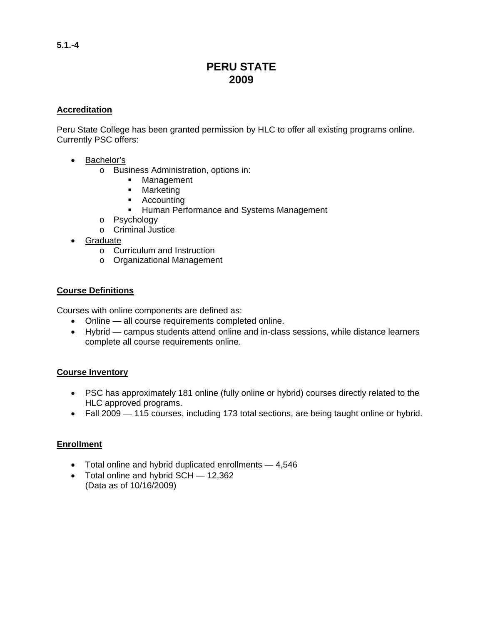# **PERU STATE 2009**

## **Accreditation**

Peru State College has been granted permission by HLC to offer all existing programs online. Currently PSC offers:

- Bachelor's
	- o Business Administration, options in:
		- **Management**
		- **•** Marketing
		- **-** Accounting
		- **Human Performance and Systems Management**
	- o Psychology
	- o Criminal Justice
- Graduate
	- o Curriculum and Instruction
	- o Organizational Management

## **Course Definitions**

Courses with online components are defined as:

- Online all course requirements completed online.
- Hybrid campus students attend online and in-class sessions, while distance learners complete all course requirements online.

## **Course Inventory**

- PSC has approximately 181 online (fully online or hybrid) courses directly related to the HLC approved programs.
- Fall 2009 115 courses, including 173 total sections, are being taught online or hybrid.

## **Enrollment**

- Total online and hybrid duplicated enrollments 4,546
- Total online and hybrid SCH 12,362 (Data as of 10/16/2009)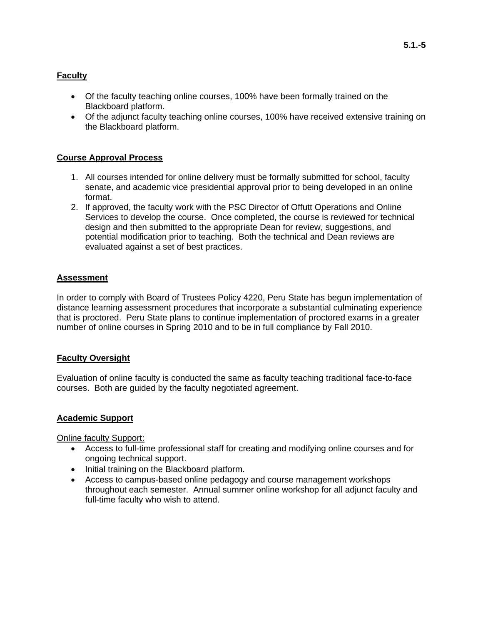## **Faculty**

- Of the faculty teaching online courses, 100% have been formally trained on the Blackboard platform.
- Of the adjunct faculty teaching online courses, 100% have received extensive training on the Blackboard platform.

## **Course Approval Process**

- 1. All courses intended for online delivery must be formally submitted for school, faculty senate, and academic vice presidential approval prior to being developed in an online format.
- 2. If approved, the faculty work with the PSC Director of Offutt Operations and Online Services to develop the course. Once completed, the course is reviewed for technical design and then submitted to the appropriate Dean for review, suggestions, and potential modification prior to teaching. Both the technical and Dean reviews are evaluated against a set of best practices.

## **Assessment**

In order to comply with Board of Trustees Policy 4220, Peru State has begun implementation of distance learning assessment procedures that incorporate a substantial culminating experience that is proctored. Peru State plans to continue implementation of proctored exams in a greater number of online courses in Spring 2010 and to be in full compliance by Fall 2010.

#### **Faculty Oversight**

Evaluation of online faculty is conducted the same as faculty teaching traditional face-to-face courses. Both are guided by the faculty negotiated agreement.

#### **Academic Support**

Online faculty Support:

- Access to full-time professional staff for creating and modifying online courses and for ongoing technical support.
- Initial training on the Blackboard platform.
- Access to campus-based online pedagogy and course management workshops throughout each semester. Annual summer online workshop for all adjunct faculty and full-time faculty who wish to attend.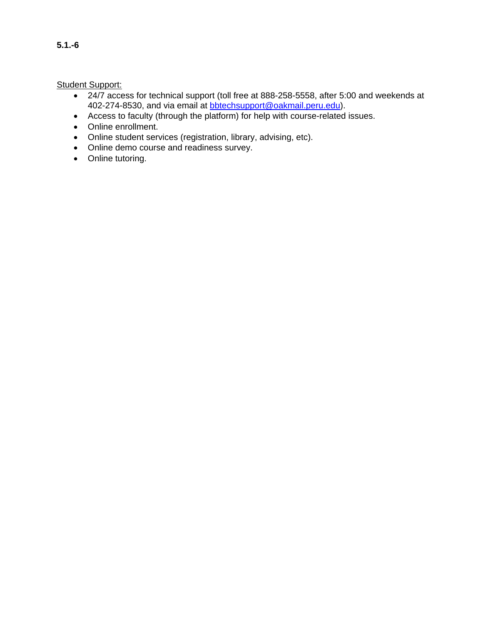## Student Support:

- 24/7 access for technical support (toll free at 888-258-5558, after 5:00 and weekends at 402-274-8530, and via email at bbtechsupport@oakmail.peru.edu).
- Access to faculty (through the platform) for help with course-related issues.
- Online enrollment.
- Online student services (registration, library, advising, etc).
- Online demo course and readiness survey.
- Online tutoring.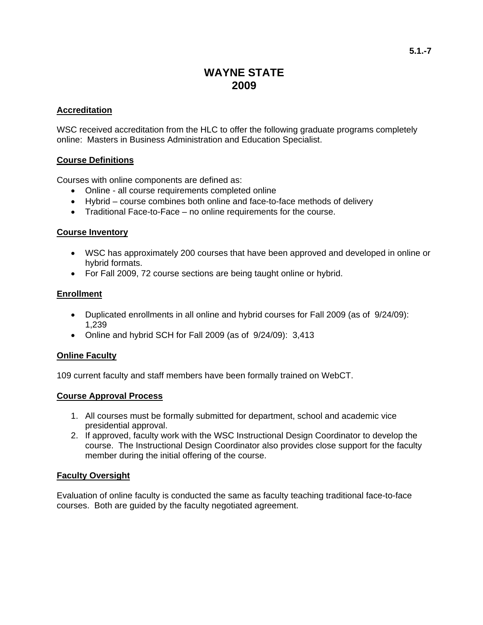# **WAYNE STATE 2009**

## **Accreditation**

WSC received accreditation from the HLC to offer the following graduate programs completely online: Masters in Business Administration and Education Specialist.

## **Course Definitions**

Courses with online components are defined as:

- Online all course requirements completed online
- Hybrid course combines both online and face-to-face methods of delivery
- Traditional Face-to-Face no online requirements for the course.

#### **Course Inventory**

- WSC has approximately 200 courses that have been approved and developed in online or hybrid formats.
- For Fall 2009, 72 course sections are being taught online or hybrid.

## **Enrollment**

- Duplicated enrollments in all online and hybrid courses for Fall 2009 (as of 9/24/09): 1,239
- Online and hybrid SCH for Fall 2009 (as of 9/24/09): 3,413

#### **Online Faculty**

109 current faculty and staff members have been formally trained on WebCT.

#### **Course Approval Process**

- 1. All courses must be formally submitted for department, school and academic vice presidential approval.
- 2. If approved, faculty work with the WSC Instructional Design Coordinator to develop the course. The Instructional Design Coordinator also provides close support for the faculty member during the initial offering of the course.

#### **Faculty Oversight**

Evaluation of online faculty is conducted the same as faculty teaching traditional face-to-face courses. Both are guided by the faculty negotiated agreement.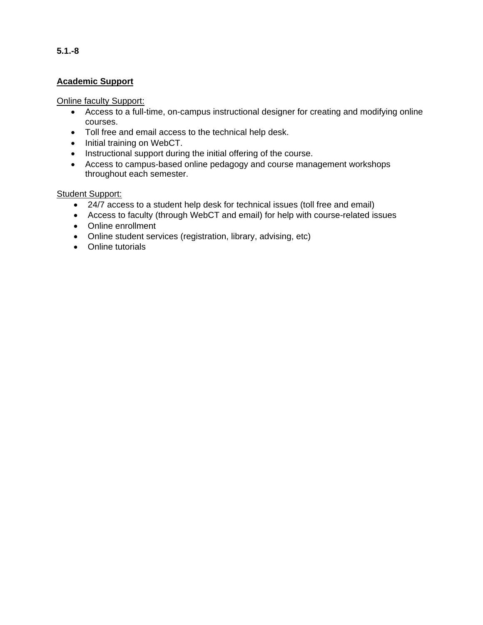# **Academic Support**

Online faculty Support:

- Access to a full-time, on-campus instructional designer for creating and modifying online courses.
- Toll free and email access to the technical help desk.
- Initial training on WebCT.
- Instructional support during the initial offering of the course.
- Access to campus-based online pedagogy and course management workshops throughout each semester.

## Student Support:

- 24/7 access to a student help desk for technical issues (toll free and email)
- Access to faculty (through WebCT and email) for help with course-related issues
- Online enrollment
- Online student services (registration, library, advising, etc)
- Online tutorials

# **5.1.-8**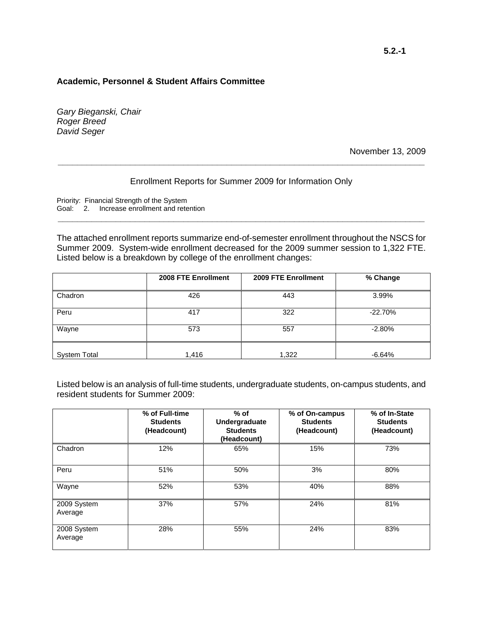#### **Academic, Personnel & Student Affairs Committee**

*Gary Bieganski, Chair Roger Breed David Seger* 

November 13, 2009

## Enrollment Reports for Summer 2009 for Information Only

**\_\_\_\_\_\_\_\_\_\_\_\_\_\_\_\_\_\_\_\_\_\_\_\_\_\_\_\_\_\_\_\_\_\_\_\_\_\_\_\_\_\_\_\_\_\_\_\_\_\_\_\_\_\_\_\_\_\_\_\_\_\_\_\_\_\_\_\_\_\_\_\_\_\_\_\_** 

Priority: Financial Strength of the System Goal: 2. Increase enrollment and retention

The attached enrollment reports summarize end-of-semester enrollment throughout the NSCS for Summer 2009. System-wide enrollment decreased for the 2009 summer session to 1,322 FTE. Listed below is a breakdown by college of the enrollment changes:

**\_\_\_\_\_\_\_\_\_\_\_\_\_\_\_\_\_\_\_\_\_\_\_\_\_\_\_\_\_\_\_\_\_\_\_\_\_\_\_\_\_\_\_\_\_\_\_\_\_\_\_\_\_\_\_\_\_\_\_\_\_\_\_\_\_\_\_\_\_\_\_\_\_\_\_\_** 

|                     | 2008 FTE Enrollment | 2009 FTE Enrollment | % Change  |
|---------------------|---------------------|---------------------|-----------|
| Chadron             | 426                 | 443                 | 3.99%     |
| Peru                | 417                 | 322                 | $-22.70%$ |
| Wayne               | 573                 | 557                 | $-2.80%$  |
| <b>System Total</b> | 1,416               | 1,322               | $-6.64%$  |

Listed below is an analysis of full-time students, undergraduate students, on-campus students, and resident students for Summer 2009:

|                        | % of Full-time<br><b>Students</b><br>(Headcount) | $%$ of<br>Undergraduate<br><b>Students</b><br>(Headcount) | % of On-campus<br><b>Students</b><br>(Headcount) | % of In-State<br><b>Students</b><br>(Headcount) |
|------------------------|--------------------------------------------------|-----------------------------------------------------------|--------------------------------------------------|-------------------------------------------------|
| Chadron                | 12%                                              | 65%                                                       | 15%                                              | 73%                                             |
| Peru                   | 51%                                              | 50%                                                       | 3%                                               | 80%                                             |
| Wayne                  | 52%                                              | 53%                                                       | 40%                                              | 88%                                             |
| 2009 System<br>Average | 37%                                              | 57%                                                       | 24%                                              | 81%                                             |
| 2008 System<br>Average | 28%                                              | 55%                                                       | 24%                                              | 83%                                             |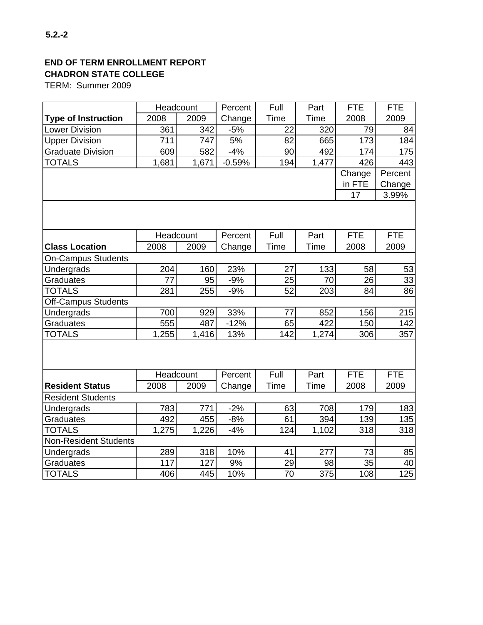# **END OF TERM ENROLLMENT REPORT CHADRON STATE COLLEGE**

TERM: Summer 2009

|                              | Headcount |        | Percent  | Full            | Part        | <b>FTE</b> | <b>FTE</b> |
|------------------------------|-----------|--------|----------|-----------------|-------------|------------|------------|
| <b>Type of Instruction</b>   | 2008      | 2009   | Change   | <b>Time</b>     | <b>Time</b> | 2008       | 2009       |
| <b>Lower Division</b>        | 361       | 342    | $-5%$    | 22              | 320         | 79         | 84         |
| <b>Upper Division</b>        | 711       | 747    | 5%       | 82              | 665         | 173        | 184        |
| <b>Graduate Division</b>     | 609       | 582    | $-4%$    | 90              | 492         | 174        | 175        |
| <b>TOTALS</b>                | 1,681     | 1,671  | $-0.59%$ | 194             | 1,477       | 426        | 443        |
|                              |           | Change | Percent  |                 |             |            |            |
|                              |           |        |          |                 |             | in FTE     | Change     |
|                              |           |        |          |                 |             | 17         | 3.99%      |
|                              | Headcount |        | Percent  | Full            | Part        | <b>FTE</b> | <b>FTE</b> |
| <b>Class Location</b>        | 2008      | 2009   | Change   | <b>Time</b>     | <b>Time</b> | 2008       | 2009       |
| <b>On-Campus Students</b>    |           |        |          |                 |             |            |            |
|                              | 204       | 160    | 23%      | 27              | 133         | 58         |            |
| Undergrads<br>Graduates      | 77        | 95     | $-9%$    | 25              | 70          | 26         | 53<br>33   |
| $\overline{\text{TOTALS}}$   | 281       | 255    | $-9%$    | 52              | 203         | 84         | 86         |
|                              |           |        |          |                 |             |            |            |
| Off-Campus Students          |           |        |          |                 | 852         |            |            |
| Undergrads                   | 700       | 929    | 33%      | 77              |             | 156        | 215        |
| Graduates                    | 555       | 487    | $-12%$   | 65              | 422         | 150        | 142        |
| <b>TOTALS</b>                | 1,255     | 1,416  | 13%      | 142             | 1,274       | 306        | 357        |
|                              |           |        |          |                 |             |            |            |
|                              | Headcount |        | Percent  | Full            | Part        | <b>FTE</b> | <b>FTE</b> |
| <b>Resident Status</b>       | 2008      | 2009   | Change   | Time            | <b>Time</b> | 2008       | 2009       |
| <b>Resident Students</b>     |           |        |          |                 |             |            |            |
| Undergrads                   | 783       | 771    | $-2%$    | 63              | 708         | 179        | 183        |
| Graduates                    | 492       | 455    | $-8%$    | 61              | 394         | 139        | 135        |
| <b>TOTALS</b>                | 1,275     | 1,226  | $-4%$    | 124             | 1,102       | 318        | 318        |
| <b>Non-Resident Students</b> |           |        |          |                 |             |            |            |
| Undergrads                   | 289       | 318    | 10%      | 41              | 277         | 73         | 85         |
| Graduates                    | 117       | 127    | 9%       | $\overline{29}$ | 98          | 35         | 40         |
| <b>TOTALS</b>                | 406       | 445    | 10%      | 70              | 375         | 108        | 125        |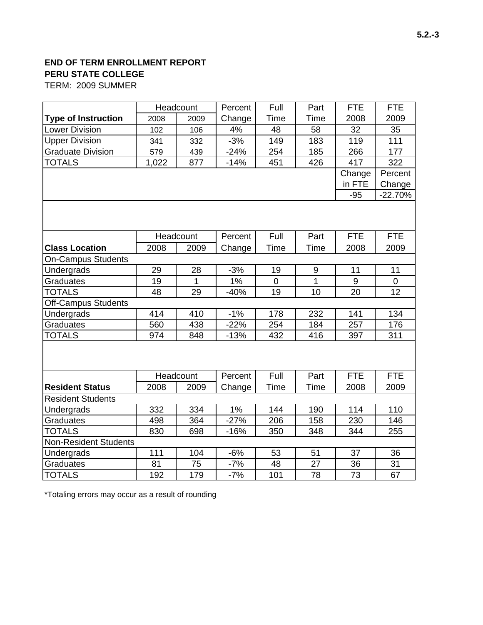# **END OF TERM ENROLLMENT REPORT PERU STATE COLLEGE**

TERM: 2009 SUMMER

|                              |       | Headcount | Percent | Full        | Part         | <b>FTE</b> | <b>FTE</b>  |
|------------------------------|-------|-----------|---------|-------------|--------------|------------|-------------|
| <b>Type of Instruction</b>   | 2008  | 2009      | Change  | <b>Time</b> | Time         | 2008       | 2009        |
| <b>Lower Division</b>        | 102   | 106       | 4%      | 48          | 58           | 32         | 35          |
| <b>Upper Division</b>        | 341   | 332       | $-3%$   | 149         | 183          | 119        | 111         |
| <b>Graduate Division</b>     | 579   | 439       | $-24%$  | 254         | 185          | 266        | 177         |
| <b>TOTALS</b>                | 1,022 | 877       | $-14%$  | 451         | 426          | 417        | 322         |
|                              |       |           |         |             |              | Change     | Percent     |
|                              |       |           |         |             |              | in FTE     | Change      |
|                              |       |           |         |             |              | $-95$      | $-22.70%$   |
|                              |       | Headcount | Percent | Full        | Part         | <b>FTE</b> | <b>FTE</b>  |
| <b>Class Location</b>        | 2008  | 2009      | Change  | <b>Time</b> | <b>Time</b>  | 2008       | 2009        |
| <b>On-Campus Students</b>    |       |           |         |             |              |            |             |
| Undergrads                   | 29    | 28        | $-3%$   | 19          | 9            | 11         | 11          |
| <b>Graduates</b>             | 19    | 1         | 1%      | $\mathbf 0$ | $\mathbf{1}$ | 9          | $\mathbf 0$ |
| <b>TOTALS</b>                | 48    | 29        | $-40%$  | 19          | 10           | 20         | 12          |
| <b>Off-Campus Students</b>   |       |           |         |             |              |            |             |
| Undergrads                   | 414   | 410       | $-1%$   | 178         | 232          | 141        | 134         |
| <b>Graduates</b>             | 560   | 438       | $-22%$  | 254         | 184          | 257        | 176         |
| <b>TOTALS</b>                | 974   | 848       | $-13%$  | 432         | 416          | 397        | 311         |
|                              |       | Headcount | Percent | Full        | Part         | <b>FTE</b> | <b>FTE</b>  |
|                              |       |           |         |             |              |            |             |
| <b>Resident Status</b>       | 2008  | 2009      | Change  | <b>Time</b> | <b>Time</b>  | 2008       | 2009        |
| <b>Resident Students</b>     |       |           |         |             |              |            |             |
| Undergrads                   | 332   | 334       | 1%      | 144         | 190          | 114        | 110         |
| Graduates                    | 498   | 364       | $-27%$  | 206         | 158          | 230        | 146         |
| <b>TOTALS</b>                | 830   | 698       | $-16%$  | 350         | 348          | 344        | 255         |
| <b>Non-Resident Students</b> | 111   | 104       |         |             |              | 37         | 36          |
| Undergrads                   |       |           | $-6%$   | 53          | 51           |            |             |
| <b>Graduates</b>             | 81    | 75        | $-7%$   | 48          | 27           | 36         | 31          |
| <b>TOTALS</b>                | 192   | 179       | $-7%$   | 101         | 78           | 73         | 67          |

\*Totaling errors may occur as a result of rounding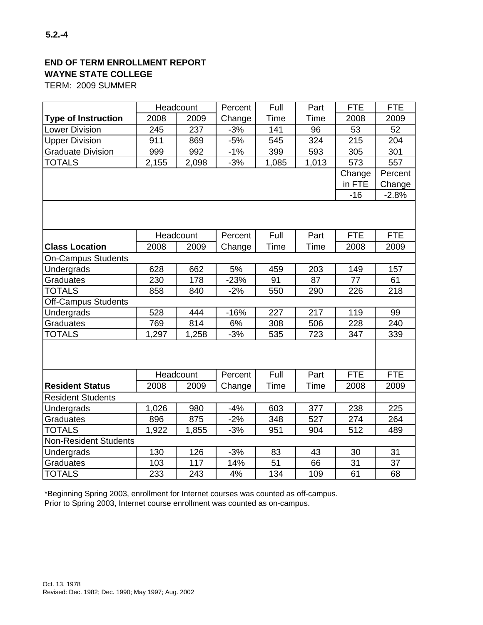# **END OF TERM ENROLLMENT REPORT WAYNE STATE COLLEGE**

TERM: 2009 SUMMER

|                                |       | Headcount | Percent | Full        | Part        | <b>FTE</b> | <b>FTE</b> |
|--------------------------------|-------|-----------|---------|-------------|-------------|------------|------------|
| <b>Type of Instruction</b>     | 2008  | 2009      | Change  | <b>Time</b> | Time        | 2008       | 2009       |
| <b>Lower Division</b>          | 245   | 237       | $-3%$   | 141         | 96          | 53         | 52         |
| <b>Upper Division</b>          | 911   | 869       | $-5%$   | 545         | 324         | 215        | 204        |
| <b>Graduate Division</b>       | 999   | 992       | $-1%$   | 399         | 593         | 305        | 301        |
| <b>TOTALS</b>                  | 2,155 | 2,098     | $-3%$   | 1,085       | 1,013       | 573        | 557        |
|                                |       |           |         |             |             | Change     | Percent    |
|                                |       |           |         |             |             | in FTE     | Change     |
|                                |       |           |         |             |             | $-16$      | $-2.8%$    |
|                                |       | Headcount | Percent | Full        | Part        | <b>FTE</b> | <b>FTE</b> |
| <b>Class Location</b>          | 2008  | 2009      | Change  | <b>Time</b> | <b>Time</b> | 2008       | 2009       |
|                                |       |           |         |             |             |            |            |
| <b>On-Campus Students</b>      | 628   | 662       | 5%      | 459         | 203         | 149        | 157        |
| Undergrads<br><b>Graduates</b> | 230   | 178       | $-23%$  | 91          | 87          | 77         | 61         |
| <b>TOTALS</b>                  | 858   | 840       | $-2%$   | 550         | 290         | 226        | 218        |
| Off-Campus Students            |       |           |         |             |             |            |            |
| Undergrads                     | 528   | 444       | $-16%$  | 227         | 217         | 119        | 99         |
| <b>Graduates</b>               | 769   | 814       | 6%      | 308         | 506         | 228        | 240        |
| <b>TOTALS</b>                  | 1,297 | 1,258     | $-3%$   | 535         | 723         | 347        | 339        |
|                                |       |           |         |             |             |            |            |
|                                |       | Headcount | Percent | Full        | Part        | <b>FTE</b> | <b>FTE</b> |
| <b>Resident Status</b>         | 2008  | 2009      | Change  | <b>Time</b> | <b>Time</b> | 2008       | 2009       |
| <b>Resident Students</b>       |       |           |         |             |             |            |            |
| Undergrads                     | 1,026 | 980       | $-4%$   | 603         | 377         | 238        | 225        |
| Graduates                      | 896   | 875       | $-2%$   | 348         | 527         | 274        | 264        |
| <b>TOTALS</b>                  | 1,922 | 1,855     | $-3%$   | 951         | 904         | 512        | 489        |
| <b>Non-Resident Students</b>   |       |           |         |             |             |            |            |
| Undergrads                     | 130   | 126       | $-3%$   | 83          | 43          | 30         | 31         |
| <b>Graduates</b>               | 103   | 117       | 14%     | 51          | 66          | 31         | 37         |
| <b>TOTALS</b>                  | 233   | 243       | 4%      | 134         | 109         | 61         | 68         |

\*Beginning Spring 2003, enrollment for Internet courses was counted as off-campus. Prior to Spring 2003, Internet course enrollment was counted as on-campus.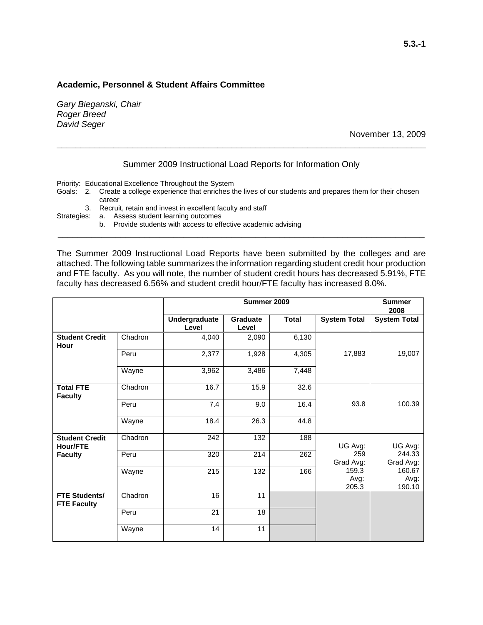#### **Academic, Personnel & Student Affairs Committee**

*Gary Bieganski, Chair Roger Breed David Seger* 

November 13, 2009

#### Summer 2009 Instructional Load Reports for Information Only

**\_\_\_\_\_\_\_\_\_\_\_\_\_\_\_\_\_\_\_\_\_\_\_\_\_\_\_\_\_\_\_\_\_\_\_\_\_\_\_\_\_\_\_\_\_\_\_\_\_\_\_\_\_\_\_\_\_\_\_\_\_\_\_\_\_\_\_\_\_\_\_\_\_\_\_\_\_\_** 

Priority: Educational Excellence Throughout the System

Goals: 2. Create a college experience that enriches the lives of our students and prepares them for their chosen career

3. Recruit, retain and invest in excellent faculty and staff

- Strategies: a. Assess student learning outcomes
	- b. Provide students with access to effective academic advising

The Summer 2009 Instructional Load Reports have been submitted by the colleges and are attached. The following table summarizes the information regarding student credit hour production and FTE faculty. As you will note, the number of student credit hours has decreased 5.91%, FTE faculty has decreased 6.56% and student credit hour/FTE faculty has increased 8.0%.

\_\_\_\_\_\_\_\_\_\_\_\_\_\_\_\_\_\_\_\_\_\_\_\_\_\_\_\_\_\_\_\_\_\_\_\_\_\_\_\_\_\_\_\_\_\_\_\_\_\_\_\_\_\_\_\_\_\_\_\_\_\_\_\_\_\_\_\_\_\_\_\_\_\_\_\_

|                                            |         |                        | Summer 2009              |              |                        |                          |  |
|--------------------------------------------|---------|------------------------|--------------------------|--------------|------------------------|--------------------------|--|
|                                            |         | Undergraduate<br>Level | <b>Graduate</b><br>Level | <b>Total</b> | <b>System Total</b>    | <b>System Total</b>      |  |
| <b>Student Credit</b><br>Hour              | Chadron | 4,040                  | 2,090                    | 6,130        |                        |                          |  |
|                                            | Peru    | 2,377                  | 1,928                    | 4,305        | 17,883                 | 19,007                   |  |
|                                            | Wayne   | 3,962                  | 3,486                    | 7,448        |                        |                          |  |
| <b>Total FTE</b><br><b>Faculty</b>         | Chadron | 16.7                   | 15.9                     | 32.6         |                        |                          |  |
|                                            | Peru    | 7.4                    | 9.0                      | 16.4         | 93.8                   | 100.39                   |  |
|                                            | Wayne   | 18.4                   | 26.3                     | 44.8         |                        |                          |  |
| <b>Student Credit</b><br>Hour/FTE          | Chadron | 242                    | 132                      | 188          | UG Avg:                | UG Avg:                  |  |
| <b>Faculty</b>                             | Peru    | 320                    | 214                      | 262          | 259<br>Grad Avg:       | 244.33<br>Grad Avg:      |  |
|                                            | Wayne   | $\overline{215}$       | 132                      | 166          | 159.3<br>Avg:<br>205.3 | 160.67<br>Avg:<br>190.10 |  |
| <b>FTE Students/</b><br><b>FTE Faculty</b> | Chadron | 16                     | 11                       |              |                        |                          |  |
|                                            | Peru    | 21                     | 18                       |              |                        |                          |  |
|                                            | Wayne   | 14                     | 11                       |              |                        |                          |  |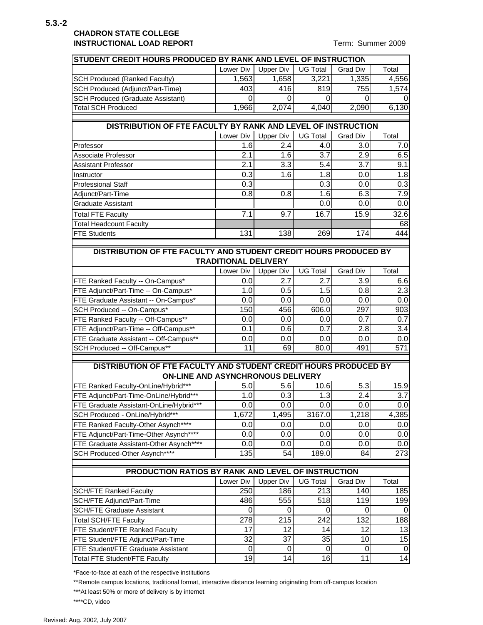## **CHADRON STATE COLLEGE INSTRUCTIONAL LOAD REPORT** Term: Summer 2009

| STUDENT CREDIT HOURS PRODUCED BY RANK AND LEVEL OF INSTRUCTION   |                             |                  |                  |                 |                 |
|------------------------------------------------------------------|-----------------------------|------------------|------------------|-----------------|-----------------|
|                                                                  | Lower Div                   | <b>Upper Div</b> | <b>UG Total</b>  | <b>Grad Div</b> | Total           |
| <b>SCH Produced (Ranked Faculty)</b>                             | 1,563                       | 1,658            | 3,221            | 1,335           | 4,556           |
| SCH Produced (Adjunct/Part-Time)                                 | 403                         | 416              | 819              | 755             | 1,574           |
| <b>SCH Produced (Graduate Assistant)</b>                         | 0                           | 0                | 0                | O               | 0               |
| <b>Total SCH Produced</b>                                        | 1,966                       | 2,074            | 4,040            | 2,090           | 6,130           |
|                                                                  |                             |                  |                  |                 |                 |
| DISTRIBUTION OF FTE FACULTY BY RANK AND LEVEL OF INSTRUCTION     |                             |                  |                  |                 |                 |
|                                                                  | Lower Div                   | Upper Div        | <b>UG Total</b>  | <b>Grad Div</b> | Total           |
| Professor                                                        | 1.6                         | 2.4              | 4.0              | 3.0             | 7.0             |
| Associate Professor                                              | 2.1                         | 1.6              | $\overline{3.7}$ | 2.9             | 6.5             |
| <b>Assistant Professor</b>                                       | 2.1                         | 3.3              | 5.4              | 3.7             | 9.1             |
| Instructor                                                       | 0.3                         | 1.6              | 1.8              | 0.0             | 1.8             |
| <b>Professional Staff</b>                                        | 0.3                         |                  | 0.3              | 0.0             | 0.3             |
| Adjunct/Part-Time                                                | 0.8                         | 0.8              | 1.6              | 6.3             | 7.9             |
| <b>Graduate Assistant</b>                                        |                             |                  | 0.0              | 0.0             | 0.0             |
| <b>Total FTE Faculty</b>                                         | 7.1                         | 9.7              | 16.7             | 15.9            | 32.6            |
| <b>Total Headcount Faculty</b>                                   |                             |                  |                  |                 | 68              |
| <b>FTE Students</b>                                              | 131                         | 138              | 269              | 174             | 444             |
|                                                                  |                             |                  |                  |                 |                 |
| DISTRIBUTION OF FTE FACULTY AND STUDENT CREDIT HOURS PRODUCED BY |                             |                  |                  |                 |                 |
|                                                                  | <b>TRADITIONAL DELIVERY</b> |                  |                  |                 |                 |
|                                                                  | Lower Div                   | <b>Upper Div</b> | <b>UG Total</b>  | <b>Grad Div</b> | Total           |
| FTE Ranked Faculty -- On-Campus*                                 | 0.0                         | 2.7              | 2.7              | 3.9             | 6.6             |
| FTE Adjunct/Part-Time -- On-Campus*                              | 1.0                         | 0.5              | 1.5              | 0.8             | 2.3             |
| FTE Graduate Assistant -- On-Campus*                             | 0.0                         | 0.0              | 0.0              | 0.0             | 0.0             |
| SCH Produced -- On-Campus*                                       | 150                         | 456              | 606.0            | 297             | 903             |
| FTE Ranked Faculty -- Off-Campus**                               | 0.0                         | 0.0              | 0.0              | 0.7             | 0.7             |
| FTE Adjunct/Part-Time -- Off-Campus**                            | 0.1                         | 0.6              | 0.7              | 2.8             | 3.4             |
| FTE Graduate Assistant -- Off-Campus**                           | 0.0<br>11                   | 0.0<br>69        | 0.0              | 0.0             | 0.0<br>571      |
| SCH Produced -- Off-Campus**                                     |                             |                  | 80.0             | 491             |                 |
| DISTRIBUTION OF FTE FACULTY AND STUDENT CREDIT HOURS PRODUCED BY |                             |                  |                  |                 |                 |
| ON-LINE AND ASYNCHRONOUS DELIVERY                                |                             |                  |                  |                 |                 |
| FTE Ranked Faculty-OnLine/Hybrid***                              | 5.0                         | 5.6              | 10.6             | 5.3             | 15.9            |
| FTE Adjunct/Part-Time-OnLine/Hybrid***                           | 1.0                         | 0.3              | 1.3              | 2.4             | 3.7             |
| FTE Graduate Assistant-OnLine/Hybrid***                          | 0.0                         | 0.0              | 0.0              | 0.0             | $0.0\,$         |
| SCH Produced - OnLine/Hybrid***                                  | 1,672                       | 1,495            | 3167.0           | 1,218           | 4,385           |
| FTE Ranked Faculty-Other Asynch****                              | 0.0                         | 0.0              | 0.0              | 0.0             | 0.0             |
| FTE Adjunct/Part-Time-Other Asynch****                           | 0.0                         | 0.0              | 0.0              | 0.0             | 0.0             |
| FTE Graduate Assistant-Other Asynch****                          | 0.0                         | 0.0              | 0.0              | 0.0             | 0.0             |
| SCH Produced-Other Asynch****                                    | 135                         | 54               | 189.0            | 84              | 273             |
|                                                                  |                             |                  |                  |                 |                 |
| PRODUCTION RATIOS BY RANK AND LEVEL OF INSTRUCTION               |                             |                  |                  |                 |                 |
|                                                                  | Lower Div                   | <b>Upper Div</b> | <b>UG Total</b>  | <b>Grad Div</b> | Total           |
| <b>SCH/FTE Ranked Faculty</b>                                    | 250                         | 186              | 213              | 140             | 185             |
| SCH/FTE Adjunct/Part-Time                                        | 486                         | 555              | 518              | 119             | 199             |
| <b>SCH/FTE Graduate Assistant</b>                                | 0                           | 0                | 0                | 0               | 0               |
| <b>Total SCH/FTE Faculty</b>                                     | 278                         | 215              | 242              | 132             | 188             |
| FTE Student/FTE Ranked Faculty                                   | 17                          | 12               | 14               | 12              | 13              |
| FTE Student/FTE Adjunct/Part-Time                                | 32                          | 37               | 35               | 10              | 15              |
| <b>FTE Student/FTE Graduate Assistant</b>                        | 0                           | 0                | 0                | 0               | 0               |
| Total FTE Student/FTE Faculty                                    | 19                          | 14               | 16               | 11              | $\overline{14}$ |

\*Face-to-face at each of the respective institutions

\*\*Remote campus locations, traditional format, interactive distance learning originating from off-campus location

\*\*\*At least 50% or more of delivery is by internet

\*\*\*\*CD, video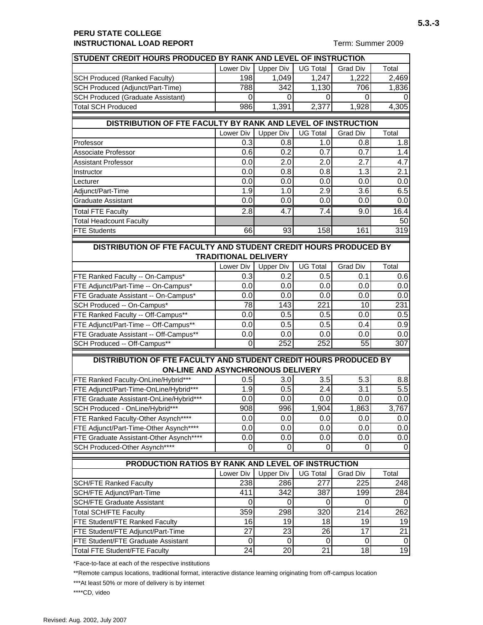#### **PERU STATE COLLEGE INSTRUCTIONAL LOAD REPORT** Term: Summer 2009

| <b>STUDENT CREDIT HOURS PRODUCED BY RANK AND LEVEL OF INSTRUCTION</b> |           |           |                 |          |       |  |  |
|-----------------------------------------------------------------------|-----------|-----------|-----------------|----------|-------|--|--|
|                                                                       | Lower Div | Upper Div | <b>UG Total</b> | Grad Div | Total |  |  |
| <b>SCH Produced (Ranked Faculty)</b>                                  | 198       | 1.049     | 1.247           | 1.222    | 2.469 |  |  |
| <b>SCH Produced (Adjunct/Part-Time)</b>                               | 788       | 342       | 1.130           | 706      | 1,836 |  |  |
| <b>SCH Produced (Graduate Assistant)</b>                              |           |           |                 |          |       |  |  |
| <b>Total SCH Produced</b>                                             | 986       | 1.391     | 2.377           | 1.928    | 4,305 |  |  |
|                                                                       |           |           |                 |          |       |  |  |

|                                | DISTRIBUTION OF FTE FACULTY BY RANK AND LEVEL OF INSTRUCTION |                  |                 |                 |       |  |  |  |
|--------------------------------|--------------------------------------------------------------|------------------|-----------------|-----------------|-------|--|--|--|
|                                | Lower Div                                                    | Upper Div        | <b>UG Total</b> | <b>Grad Div</b> | Total |  |  |  |
| Professor                      | 0.3                                                          | 0.8              | 1.0             | 0.8             | 1.8   |  |  |  |
| Associate Professor            | 0.6                                                          | 0.2              | 0.7             | 0.7             | 1.4   |  |  |  |
| <b>Assistant Professor</b>     | 0.0                                                          | 2.0 <sub>l</sub> | 2.0             | 2.7             | 4.7   |  |  |  |
| Instructor                     | 0.0                                                          | 0.8              | 0.8             | 1.3             | 2.1   |  |  |  |
| Lecturer                       | 0.0                                                          | 0.0              | 0.0             | 0.0             | 0.01  |  |  |  |
| Adjunct/Part-Time              | 1.9                                                          | 1.0 <sub>l</sub> | 2.9             | 3.6             | 6.5   |  |  |  |
| <b>Graduate Assistant</b>      | 0.0                                                          | 0.0              | 0.0             | 0.0             | 0.0   |  |  |  |
| <b>Total FTE Faculty</b>       | 2.8                                                          | 4.7              | 7.4             | 9.0             | 16.4  |  |  |  |
| <b>Total Headcount Faculty</b> |                                                              |                  |                 |                 | 50    |  |  |  |
| <b>FTE Students</b>            | 66                                                           | 931              | 158             | 161             | 319   |  |  |  |

#### **DISTRIBUTION OF FTE FACULTY AND STUDENT CREDIT HOURS PRODUCED BY TRADITIONAL DELIVERY**

|                                        | Lower Div        | Upper Div        | <b>UG Total</b> | <b>Grad Div</b> | Total            |
|----------------------------------------|------------------|------------------|-----------------|-----------------|------------------|
| FTE Ranked Faculty -- On-Campus*       | 0.3 <sub>l</sub> | 0.21             | 0.5             | 0.1             | 0.6              |
| FTE Adjunct/Part-Time -- On-Campus*    | 0.0              | 0.0              | 0.01            | 0.0             | 0.01             |
| FTE Graduate Assistant -- On-Campus*   | 0.01             | 0.0              | 0.01            | 0.0             | 0.01             |
| SCH Produced -- On-Campus*             | 78               | 143              | 221             | 10              | 231              |
| FTE Ranked Faculty -- Off-Campus**     | 0.0              | 0.5 <sub>l</sub> | 0.5             | 0.0             | 0.5              |
| FTE Adjunct/Part-Time -- Off-Campus**  | 0.0              | 0.5              | 0.5             | 0.4             | 0.9 <sub>l</sub> |
| FTE Graduate Assistant -- Off-Campus** | 0.0              | 0.0              | 0.01            | 0.0             | 0.01             |
| SCH Produced -- Off-Campus**           |                  | <b>2521</b>      | <b>252</b>      | 55              | 307              |

| DISTRIBUTION OF FTE FACULTY AND STUDENT CREDIT HOURS PRODUCED BY |  |  |  |
|------------------------------------------------------------------|--|--|--|
| <b>ON-LINE AND ASYNCHRONOUS DELIVERY</b>                         |  |  |  |
|                                                                  |  |  |  |

| FTE Ranked Faculty-OnLine/Hybrid***            | 0.5 | 3.01             | 3.5 <sub>l</sub> | 5.3 <sub>l</sub> | 8.8 <sub>l</sub> |
|------------------------------------------------|-----|------------------|------------------|------------------|------------------|
| FTE Adjunct/Part-Time-OnLine/Hybrid***         | 1.9 | 0.5 <sub>l</sub> | 2.4              | 3.1              | 5.5              |
| FTE Graduate Assistant-OnLine/Hybrid***        | 0.0 | 0.0              | 0.0              | 0.0              | 0.01             |
| SCH Produced - OnLine/Hybrid***                | 908 | 996              | 1,904            | 1.863            | 3,767            |
| FTE Ranked Faculty-Other Asynch****            | 0.0 | 0.0              | 0.0              | 0.0              | 0.01             |
| FTE Adjunct/Part-Time-Other Asynch****         | 0.0 | 0.0              | 0.0              | 0.0              | 0.01             |
| <b>FTE Graduate Assistant-Other Asynch****</b> | 0.0 | 0.01             | 0.01             | 0.01             | 0.01             |
| SCH Produced-Other Asynch****                  |     |                  |                  |                  | 01               |

| PRODUCTION RATIOS BY RANK AND LEVEL OF INSTRUCTION |           |                 |                 |          |       |  |  |
|----------------------------------------------------|-----------|-----------------|-----------------|----------|-------|--|--|
|                                                    | Lower Div | Upper Div       | <b>UG Total</b> | Grad Div | Total |  |  |
| <b>SCH/FTE Ranked Faculty</b>                      | 238       | 286             | 277             | 225      | 248   |  |  |
| SCH/FTE Adjunct/Part-Time                          | 411       | 342             | 387             | 199      | 284   |  |  |
| <b>ISCH/FTE Graduate Assistant</b>                 |           |                 |                 |          |       |  |  |
| <b>Total SCH/FTE Faculty</b>                       | 359       | 298             | 320             | 214      | 262   |  |  |
| <b>FTE Student/FTE Ranked Faculty</b>              | 16        | 191             | 18              | 19.      | 19    |  |  |
| FTE Student/FTE Adjunct/Part-Time                  | 27        | 23I             | 26 I            | 17       | 21    |  |  |
| <b>IFTE Student/FTE Graduate Assistant</b>         |           |                 |                 |          |       |  |  |
| Total FTE Student/FTE Faculty                      | 24        | 20 <sub>1</sub> | 21              | 18       | 19    |  |  |

\*Face-to-face at each of the respective institutions

\*\*Remote campus locations, traditional format, interactive distance learning originating from off-campus location

\*\*\*At least 50% or more of delivery is by internet

\*\*\*\*CD, video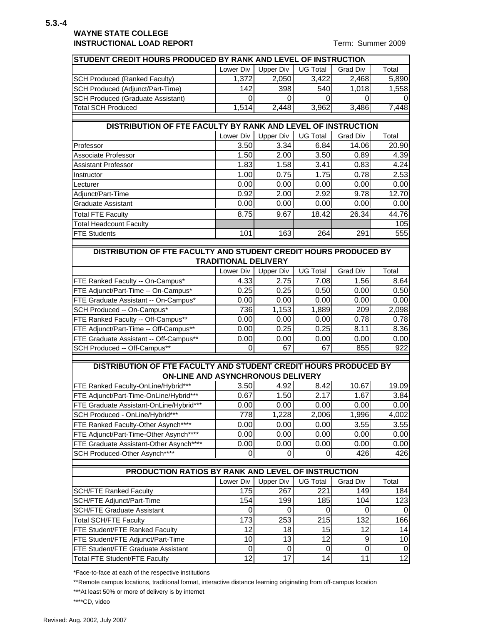## **WAYNE STATE COLLEGE INSTRUCTIONAL LOAD REPORT TERM: Summer 2009**

| <b>STUDENT CREDIT HOURS PRODUCED BY RANK AND LEVEL OF INSTRUCTION</b> |           |           |                 |                 |          |  |  |
|-----------------------------------------------------------------------|-----------|-----------|-----------------|-----------------|----------|--|--|
|                                                                       | Lower Div | Upper Div | <b>UG Total</b> | <b>Grad Div</b> | Total    |  |  |
| <b>SCH Produced (Ranked Faculty)</b>                                  | 1.372     | 2,050     | 3.422           | 2.468           | 5.890    |  |  |
| SCH Produced (Adjunct/Part-Time)                                      | 142       | 398       | 540             | 1.018           | 1.558    |  |  |
| <b>SCH Produced (Graduate Assistant)</b>                              |           |           |                 |                 | $\Omega$ |  |  |
| <b>Total SCH Produced</b>                                             | 1.514     | 2.448     | 3.962           | 3.486           | 7.448    |  |  |
|                                                                       |           |           |                 |                 |          |  |  |

| DISTRIBUTION OF FTE FACULTY BY RANK AND LEVEL OF INSTRUCTION |           |           |                 |                 |       |  |  |
|--------------------------------------------------------------|-----------|-----------|-----------------|-----------------|-------|--|--|
|                                                              | Lower Div | Upper Div | <b>UG Total</b> | <b>Grad Div</b> | Total |  |  |
| Professor                                                    | 3.50      | 3.34      | 6.84            | 14.06           | 20.90 |  |  |
| Associate Professor                                          | 1.50      | 2.00      | 3.50            | 0.89            | 4.39  |  |  |
| <b>Assistant Professor</b>                                   | 1.83      | 1.58      | 3.41            | 0.83            | 4.24  |  |  |
| Instructor                                                   | 1.00      | 0.75      | 1.75            | 0.78            | 2.53  |  |  |
| Lecturer                                                     | 0.00      | 0.00      | 0.00            | 0.00            | 0.00  |  |  |
| Adjunct/Part-Time                                            | 0.92      | 2.00      | 2.92            | 9.78            | 12.70 |  |  |
| <b>Graduate Assistant</b>                                    | 0.00      | 0.00      | 0.00            | 0.00            | 0.00  |  |  |
| <b>Total FTE Faculty</b>                                     | 8.75      | 9.67      | 18.42           | 26.34           | 44.76 |  |  |
| <b>Total Headcount Faculty</b>                               |           |           |                 |                 | 105   |  |  |
| <b>FTE Students</b>                                          | 101       | 163       | 264             | 291             | 555   |  |  |
|                                                              |           |           |                 |                 |       |  |  |

## **DISTRIBUTION OF FTE FACULTY AND STUDENT CREDIT HOURS PRODUCED BY TRADITIONAL DELIVERY**

|                                              | Lower Div | Upper Div | <b>UG Total</b> | <b>Grad Div</b> | Total |
|----------------------------------------------|-----------|-----------|-----------------|-----------------|-------|
| FTE Ranked Faculty -- On-Campus*             | 4.33      | 2.75      | 7.08            | 1.56            | 8.64  |
| FTE Adjunct/Part-Time -- On-Campus*          | 0.25      | 0.25      | 0.50            | 0.00            | 0.50  |
| FTE Graduate Assistant -- On-Campus*         | 0.00      | 0.00      | 0.00            | 0.00            | 0.00  |
| SCH Produced -- On-Campus*                   | 736       | 1,153     | 1.889           | 209             | 2,098 |
| <b>FTE Ranked Faculty -- Off-Campus**</b>    | 0.00      | 0.00      | 0.00            | 0.78            | 0.78  |
| <b>FTE Adjunct/Part-Time -- Off-Campus**</b> | 0.00      | 0.25      | 0.25            | 8.11            | 8.36  |
| FTE Graduate Assistant -- Off-Campus**       | 0.00      | 0.00      | 0.00            | 0.00            | 0.00  |
| SCH Produced -- Off-Campus**                 |           | 67        | 67              | 855             | 922   |

## **ON-LINE AND ASYNCHRONOUS DELIVERY DISTRIBUTION OF FTE FACULTY AND STUDENT CREDIT HOURS PRODUCED BY**

| <b>FTE Ranked Faculty-OnLine/Hybrid***</b> | 3.50  | 4.92  | 8.42  | 10.67 | 19.09 |
|--------------------------------------------|-------|-------|-------|-------|-------|
| FTE Adjunct/Part-Time-OnLine/Hybrid***     | 0.67  | 1.50  | 2.17  | 1.67  | 3.84  |
| FTE Graduate Assistant-OnLine/Hybrid***    | 0.00  | 0.00  | 0.001 | 0.001 | 0.00  |
| SCH Produced - OnLine/Hybrid***            | 7781  | 1.228 | 2,006 | 1,996 | 4.002 |
| FTE Ranked Faculty-Other Asynch****        | 0.00  | 0.00  | 0.00  | 3.55  | 3.55  |
| FTE Adjunct/Part-Time-Other Asynch****     | 0.001 | 0.00  | 0.001 | 0.001 | 0.00  |
| FTE Graduate Assistant-Other Asynch****    | 0.00  | 0.00  | 0.001 | 0.001 | 0.00  |
| SCH Produced-Other Asynch****              |       |       |       | 426   | 426   |

| PRODUCTION RATIOS BY RANK AND LEVEL OF INSTRUCTION |           |                 |                 |                 |       |  |  |
|----------------------------------------------------|-----------|-----------------|-----------------|-----------------|-------|--|--|
|                                                    | Lower Div | Upper Div       | <b>UG Total</b> | <b>Grad Div</b> | Total |  |  |
| <b>SCH/FTE Ranked Faculty</b>                      | 175       | 267             | 221             | 149             | 184   |  |  |
| SCH/FTE Adjunct/Part-Time                          | 154       | 199             | 185l            | 104             | 123   |  |  |
| <b>SCH/FTE Graduate Assistant</b>                  |           |                 |                 |                 | 0     |  |  |
| <b>Total SCH/FTE Faculty</b>                       | 1731      | 253             | 215             | 132             | 166   |  |  |
| FTE Student/FTE Ranked Faculty                     | 12        | 18 <sub>1</sub> | 15              | 12              | 14    |  |  |
| FTE Student/FTE Adjunct/Part-Time                  | 10        | 13 <sub>l</sub> | 12              |                 | 10    |  |  |
| <b>FTE Student/FTE Graduate Assistant</b>          |           |                 |                 |                 | 0     |  |  |
| <b>Total FTE Student/FTE Faculty</b>               | 12        |                 | 14              |                 | 12    |  |  |

\*Face-to-face at each of the respective institutions

\*\*Remote campus locations, traditional format, interactive distance learning originating from off-campus location

\*\*\*At least 50% or more of delivery is by internet

\*\*\*\*CD, video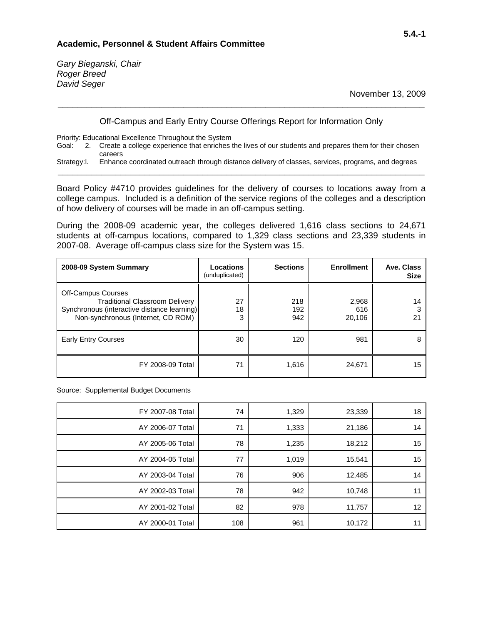#### **Academic, Personnel & Student Affairs Committee**

*Gary Bieganski, Chair Roger Breed David Seger* 

## Off-Campus and Early Entry Course Offerings Report for Information Only

**\_\_\_\_\_\_\_\_\_\_\_\_\_\_\_\_\_\_\_\_\_\_\_\_\_\_\_\_\_\_\_\_\_\_\_\_\_\_\_\_\_\_\_\_\_\_\_\_\_\_\_\_\_\_\_\_\_\_\_\_\_\_\_\_\_\_\_\_\_\_\_\_\_\_\_\_** 

Priority: Educational Excellence Throughout the System

Goal: 2. Create a college experience that enriches the lives of our students and prepares them for their chosen careers

Strategy: l. Enhance coordinated outreach through distance delivery of classes, services, programs, and degrees **\_\_\_\_\_\_\_\_\_\_\_\_\_\_\_\_\_\_\_\_\_\_\_\_\_\_\_\_\_\_\_\_\_\_\_\_\_\_\_\_\_\_\_\_\_\_\_\_\_\_\_\_\_\_\_\_\_\_\_\_\_\_\_\_\_\_\_\_\_\_\_\_\_\_\_\_** 

Board Policy #4710 provides guidelines for the delivery of courses to locations away from a college campus. Included is a definition of the service regions of the colleges and a description of how delivery of courses will be made in an off-campus setting.

During the 2008-09 academic year, the colleges delivered 1,616 class sections to 24,671 students at off-campus locations, compared to 1,329 class sections and 23,339 students in 2007-08. Average off-campus class size for the System was 15.

| 2008-09 System Summary                                                                                                                           | Locations<br>(unduplicated) | <b>Sections</b>   | <b>Enrollment</b>      | Ave. Class<br><b>Size</b> |
|--------------------------------------------------------------------------------------------------------------------------------------------------|-----------------------------|-------------------|------------------------|---------------------------|
| Off-Campus Courses<br><b>Traditional Classroom Delivery</b><br>Synchronous (interactive distance learning)<br>Non-synchronous (Internet, CD ROM) | 27<br>18<br>3               | 218<br>192<br>942 | 2,968<br>616<br>20,106 | 14<br>3<br>21             |
| <b>Early Entry Courses</b>                                                                                                                       | 30                          | 120               | 981                    | 8                         |
| FY 2008-09 Total                                                                                                                                 | 71                          | 1,616             | 24,671                 | 15                        |

Source: Supplemental Budget Documents

| FY 2007-08 Total | 74  | 1,329 | 23,339 | 18 |
|------------------|-----|-------|--------|----|
| AY 2006-07 Total | 71  | 1,333 | 21,186 | 14 |
| AY 2005-06 Total | 78  | 1,235 | 18,212 | 15 |
| AY 2004-05 Total | 77  | 1,019 | 15,541 | 15 |
| AY 2003-04 Total | 76  | 906   | 12,485 | 14 |
| AY 2002-03 Total | 78  | 942   | 10,748 | 11 |
| AY 2001-02 Total | 82  | 978   | 11,757 | 12 |
| AY 2000-01 Total | 108 | 961   | 10,172 | 11 |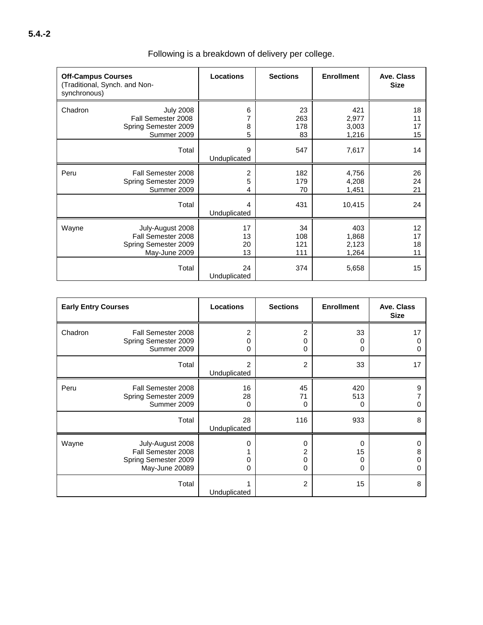| <b>Off-Campus Courses</b><br>(Traditional, Synch. and Non-<br>synchronous) |                                                                                 | Locations            | <b>Sections</b>         | <b>Enrollment</b>              | Ave. Class<br><b>Size</b> |
|----------------------------------------------------------------------------|---------------------------------------------------------------------------------|----------------------|-------------------------|--------------------------------|---------------------------|
| Chadron                                                                    | <b>July 2008</b><br>Fall Semester 2008<br>Spring Semester 2009<br>Summer 2009   | 6<br>7<br>8<br>5     | 23<br>263<br>178<br>83  | 421<br>2,977<br>3,003<br>1,216 | 18<br>11<br>17<br>15      |
|                                                                            | Total                                                                           | 9<br>Unduplicated    | 547                     | 7,617                          | 14                        |
| Peru                                                                       | Fall Semester 2008<br>Spring Semester 2009<br>Summer 2009                       | 2<br>5<br>4          | 182<br>179<br>70        | 4,756<br>4,208<br>1,451        | 26<br>24<br>21            |
|                                                                            | Total                                                                           | 4<br>Unduplicated    | 431                     | 10,415                         | 24                        |
| Wayne                                                                      | July-August 2008<br>Fall Semester 2008<br>Spring Semester 2009<br>May-June 2009 | 17<br>13<br>20<br>13 | 34<br>108<br>121<br>111 | 403<br>1,868<br>2,123<br>1,264 | 12<br>17<br>18<br>11      |
|                                                                            | Total                                                                           | 24<br>Unduplicated   | 374                     | 5,658                          | 15                        |

# Following is a breakdown of delivery per college.

| <b>Early Entry Courses</b> |                                                                                  | Locations                      | <b>Sections</b>  | <b>Enrollment</b> | Ave. Class<br><b>Size</b> |
|----------------------------|----------------------------------------------------------------------------------|--------------------------------|------------------|-------------------|---------------------------|
| Chadron                    | Fall Semester 2008<br>Spring Semester 2009<br>Summer 2009                        | $\overline{2}$<br>0<br>0       | 2<br>0<br>0      | 33<br>0<br>0      | 17<br>0<br>0              |
|                            | Total                                                                            | $\overline{2}$<br>Unduplicated | 2                | 33                | 17                        |
| Peru                       | Fall Semester 2008<br>Spring Semester 2009<br>Summer 2009                        | 16<br>28<br>0                  | 45<br>71<br>0    | 420<br>513<br>0   | 9<br>0                    |
|                            | Total                                                                            | 28<br>Unduplicated             | 116              | 933               | 8                         |
| Wayne                      | July-August 2008<br>Fall Semester 2008<br>Spring Semester 2009<br>May-June 20089 | 0<br>0<br>$\Omega$             | 0<br>2<br>0<br>0 | 0<br>15<br>0<br>0 | 0<br>8<br>0<br>0          |
|                            | Total                                                                            | Unduplicated                   | $\overline{2}$   | 15                | 8                         |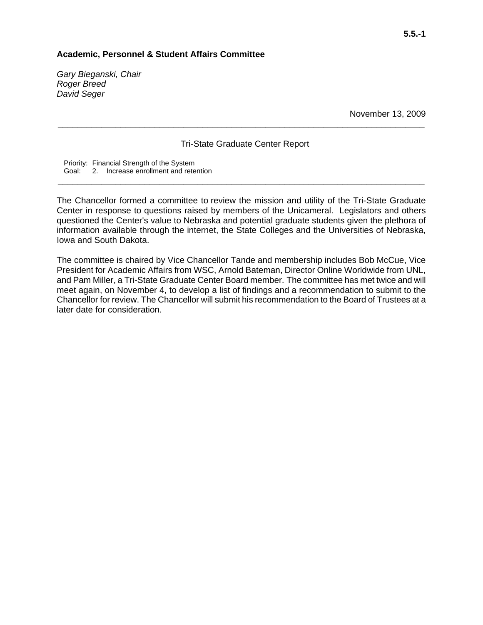## **Academic, Personnel & Student Affairs Committee**

*Gary Bieganski, Chair Roger Breed David Seger* 

November 13, 2009

Tri-State Graduate Center Report

**\_\_\_\_\_\_\_\_\_\_\_\_\_\_\_\_\_\_\_\_\_\_\_\_\_\_\_\_\_\_\_\_\_\_\_\_\_\_\_\_\_\_\_\_\_\_\_\_\_\_\_\_\_\_\_\_\_\_\_\_\_\_\_\_\_\_\_\_\_\_\_\_\_\_\_\_** 

 Priority: Financial Strength of the System Goal: 2. Increase enrollment and retention

The Chancellor formed a committee to review the mission and utility of the Tri-State Graduate Center in response to questions raised by members of the Unicameral. Legislators and others questioned the Center's value to Nebraska and potential graduate students given the plethora of information available through the internet, the State Colleges and the Universities of Nebraska, Iowa and South Dakota.

**\_\_\_\_\_\_\_\_\_\_\_\_\_\_\_\_\_\_\_\_\_\_\_\_\_\_\_\_\_\_\_\_\_\_\_\_\_\_\_\_\_\_\_\_\_\_\_\_\_\_\_\_\_\_\_\_\_\_\_\_\_\_\_\_\_\_\_\_\_\_\_\_\_\_\_\_** 

The committee is chaired by Vice Chancellor Tande and membership includes Bob McCue, Vice President for Academic Affairs from WSC, Arnold Bateman, Director Online Worldwide from UNL, and Pam Miller, a Tri-State Graduate Center Board member. The committee has met twice and will meet again, on November 4, to develop a list of findings and a recommendation to submit to the Chancellor for review. The Chancellor will submit his recommendation to the Board of Trustees at a later date for consideration.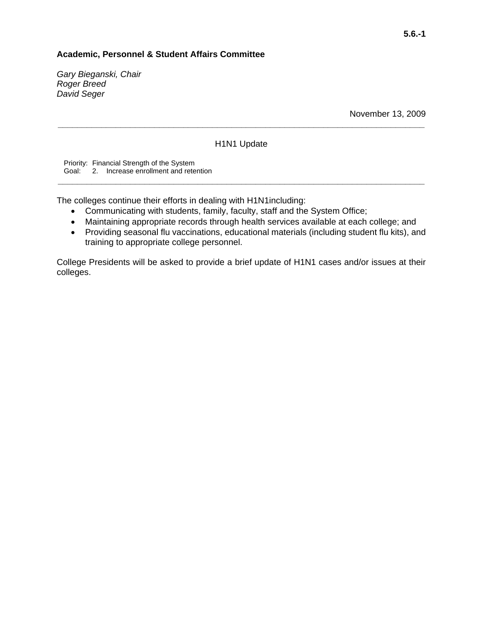## **Academic, Personnel & Student Affairs Committee**

*Gary Bieganski, Chair Roger Breed David Seger* 

November 13, 2009

## H1N1 Update

**\_\_\_\_\_\_\_\_\_\_\_\_\_\_\_\_\_\_\_\_\_\_\_\_\_\_\_\_\_\_\_\_\_\_\_\_\_\_\_\_\_\_\_\_\_\_\_\_\_\_\_\_\_\_\_\_\_\_\_\_\_\_\_\_\_\_\_\_\_\_\_\_\_\_\_\_** 

**\_\_\_\_\_\_\_\_\_\_\_\_\_\_\_\_\_\_\_\_\_\_\_\_\_\_\_\_\_\_\_\_\_\_\_\_\_\_\_\_\_\_\_\_\_\_\_\_\_\_\_\_\_\_\_\_\_\_\_\_\_\_\_\_\_\_\_\_\_\_\_\_\_\_\_\_** 

 Priority: Financial Strength of the System Goal: 2. Increase enrollment and retention

The colleges continue their efforts in dealing with H1N1including:

- Communicating with students, family, faculty, staff and the System Office;
- Maintaining appropriate records through health services available at each college; and
- Providing seasonal flu vaccinations, educational materials (including student flu kits), and training to appropriate college personnel.

College Presidents will be asked to provide a brief update of H1N1 cases and/or issues at their colleges.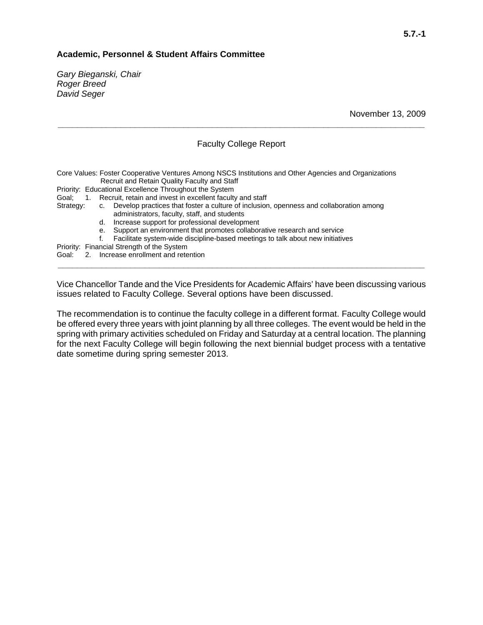# **Academic, Personnel & Student Affairs Committee**

*Gary Bieganski, Chair Roger Breed David Seger* 

|           | <b>Faculty College Report</b>                                                                                                                         |
|-----------|-------------------------------------------------------------------------------------------------------------------------------------------------------|
|           | Core Values: Foster Cooperative Ventures Among NSCS Institutions and Other Agencies and Organizations<br>Recruit and Retain Quality Faculty and Staff |
|           | Priority: Educational Excellence Throughout the System                                                                                                |
|           | Goal; 1. Recruit, retain and invest in excellent faculty and staff                                                                                    |
| Strategy: | c. Develop practices that foster a culture of inclusion, openness and collaboration among<br>administrators, faculty, staff, and students             |
|           | Increase support for professional development<br>d.                                                                                                   |
|           | Support an environment that promotes collaborative research and service<br>e.                                                                         |
|           | Facilitate system-wide discipline-based meetings to talk about new initiatives                                                                        |
|           | Priority: Financial Strength of the System                                                                                                            |
|           | Goal: 2. Increase enrollment and retention                                                                                                            |

Vice Chancellor Tande and the Vice Presidents for Academic Affairs' have been discussing various issues related to Faculty College. Several options have been discussed.

The recommendation is to continue the faculty college in a different format. Faculty College would be offered every three years with joint planning by all three colleges. The event would be held in the spring with primary activities scheduled on Friday and Saturday at a central location. The planning for the next Faculty College will begin following the next biennial budget process with a tentative date sometime during spring semester 2013.

November 13, 2009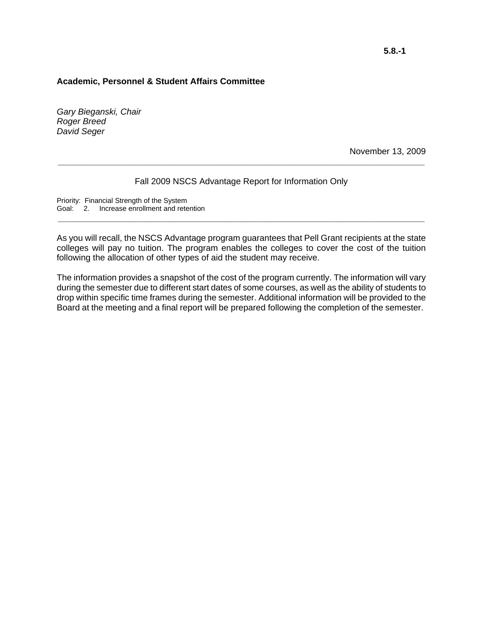#### **Academic, Personnel & Student Affairs Committee**

*Gary Bieganski, Chair Roger Breed David Seger* 

November 13, 2009

### Fall 2009 NSCS Advantage Report for Information Only

**\_\_\_\_\_\_\_\_\_\_\_\_\_\_\_\_\_\_\_\_\_\_\_\_\_\_\_\_\_\_\_\_\_\_\_\_\_\_\_\_\_\_\_\_\_\_\_\_\_\_\_\_\_\_\_\_\_\_\_\_\_\_\_\_\_\_\_\_\_\_\_\_\_\_\_\_** 

Priority: Financial Strength of the System Goal: 2. Increase enrollment and retention

As you will recall, the NSCS Advantage program guarantees that Pell Grant recipients at the state colleges will pay no tuition. The program enables the colleges to cover the cost of the tuition following the allocation of other types of aid the student may receive.

**\_\_\_\_\_\_\_\_\_\_\_\_\_\_\_\_\_\_\_\_\_\_\_\_\_\_\_\_\_\_\_\_\_\_\_\_\_\_\_\_\_\_\_\_\_\_\_\_\_\_\_\_\_\_\_\_\_\_\_\_\_\_\_\_\_\_\_\_\_\_\_\_\_\_\_\_** 

The information provides a snapshot of the cost of the program currently. The information will vary during the semester due to different start dates of some courses, as well as the ability of students to drop within specific time frames during the semester. Additional information will be provided to the Board at the meeting and a final report will be prepared following the completion of the semester.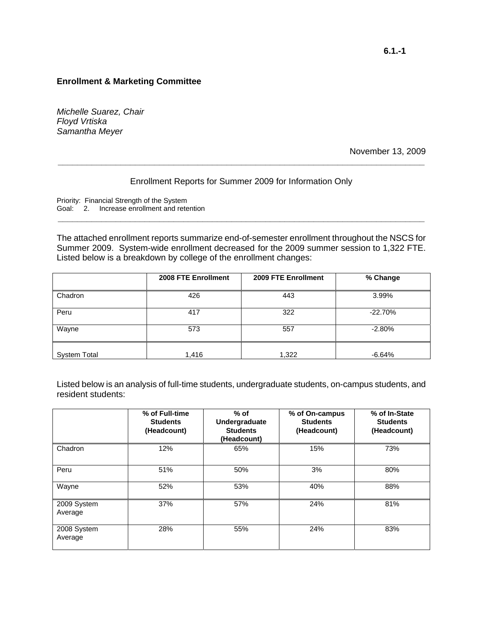*Michelle Suarez, Chair Floyd Vrtiska Samantha Meyer* 

November 13, 2009

### Enrollment Reports for Summer 2009 for Information Only

**\_\_\_\_\_\_\_\_\_\_\_\_\_\_\_\_\_\_\_\_\_\_\_\_\_\_\_\_\_\_\_\_\_\_\_\_\_\_\_\_\_\_\_\_\_\_\_\_\_\_\_\_\_\_\_\_\_\_\_\_\_\_\_\_\_\_\_\_\_\_\_\_\_\_\_\_** 

Priority: Financial Strength of the System Goal: 2. Increase enrollment and retention

The attached enrollment reports summarize end-of-semester enrollment throughout the NSCS for Summer 2009. System-wide enrollment decreased for the 2009 summer session to 1,322 FTE. Listed below is a breakdown by college of the enrollment changes:

**\_\_\_\_\_\_\_\_\_\_\_\_\_\_\_\_\_\_\_\_\_\_\_\_\_\_\_\_\_\_\_\_\_\_\_\_\_\_\_\_\_\_\_\_\_\_\_\_\_\_\_\_\_\_\_\_\_\_\_\_\_\_\_\_\_\_\_\_\_\_\_\_\_\_\_\_** 

|                     | 2008 FTE Enrollment | 2009 FTE Enrollment | % Change  |
|---------------------|---------------------|---------------------|-----------|
| Chadron             | 426                 | 443                 | 3.99%     |
| Peru                | 417                 | 322                 | $-22.70%$ |
| Wayne               | 573                 | 557                 | $-2.80%$  |
| <b>System Total</b> | 1,416               | 1,322               | $-6.64%$  |

Listed below is an analysis of full-time students, undergraduate students, on-campus students, and resident students:

|                        | % of Full-time<br><b>Students</b><br>(Headcount) | $%$ of<br>Undergraduate<br><b>Students</b><br>(Headcount) | % of On-campus<br><b>Students</b><br>(Headcount) | % of In-State<br><b>Students</b><br>(Headcount) |
|------------------------|--------------------------------------------------|-----------------------------------------------------------|--------------------------------------------------|-------------------------------------------------|
| Chadron                | 12%                                              | 65%                                                       | 15%                                              | 73%                                             |
| Peru                   | 51%                                              | 50%                                                       | 3%                                               | 80%                                             |
| Wayne                  | 52%                                              | 53%                                                       | 40%                                              | 88%                                             |
| 2009 System<br>Average | 37%                                              | 57%                                                       | 24%                                              | 81%                                             |
| 2008 System<br>Average | 28%                                              | 55%                                                       | 24%                                              | 83%                                             |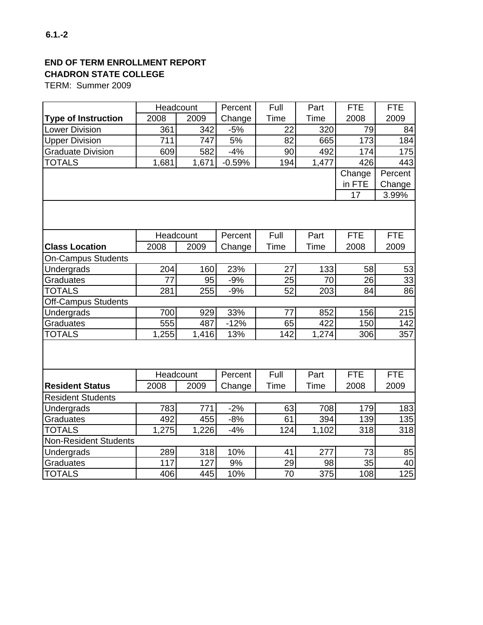# **END OF TERM ENROLLMENT REPORT CHADRON STATE COLLEGE**

TERM: Summer 2009

|                                                                  | Headcount |       | Percent  | Full            | Part        | <b>FTE</b> | <b>FTE</b> |
|------------------------------------------------------------------|-----------|-------|----------|-----------------|-------------|------------|------------|
| <b>Type of Instruction</b>                                       | 2008      | 2009  | Change   | <b>Time</b>     | <b>Time</b> | 2008       | 2009       |
| <b>Lower Division</b>                                            | 361       | 342   | $-5%$    | 22              | 320         | 79         | 84         |
| <b>Upper Division</b>                                            | 711       | 747   | 5%       | 82              | 665         | 173        | 184        |
| <b>Graduate Division</b>                                         | 609       | 582   | $-4%$    | 90              | 492         | 174        | 175        |
| <b>TOTALS</b>                                                    | 1,681     | 1,671 | $-0.59%$ | 194             | 1,477       | 426        | 443        |
|                                                                  |           |       |          |                 |             | Change     | Percent    |
|                                                                  |           |       |          |                 |             | in FTE     | Change     |
|                                                                  |           |       |          |                 |             | 17         | 3.99%      |
| Full<br><b>FTE</b><br><b>FTE</b><br>Percent<br>Part<br>Headcount |           |       |          |                 |             |            |            |
| <b>Class Location</b>                                            | 2008      | 2009  | Change   | <b>Time</b>     | <b>Time</b> | 2008       | 2009       |
| <b>On-Campus Students</b>                                        |           |       |          |                 |             |            |            |
|                                                                  | 204       | 160   | 23%      | 27              | 133         | 58         |            |
| Undergrads<br>Graduates                                          | 77        | 95    | $-9%$    | 25              | 70          | 26         | 53<br>33   |
| $\overline{\text{TOTALS}}$                                       | 281       | 255   | $-9%$    | 52              | 203         | 84         | 86         |
|                                                                  |           |       |          |                 |             |            |            |
| Off-Campus Students                                              |           |       |          |                 | 852         |            |            |
| Undergrads                                                       | 700       | 929   | 33%      | 77              |             | 156        | 215        |
| Graduates                                                        | 555       | 487   | $-12%$   | 65              | 422         | 150        | 142        |
| <b>TOTALS</b>                                                    | 1,255     | 1,416 | 13%      | 142             | 1,274       | 306        | 357        |
|                                                                  |           |       |          |                 |             |            |            |
|                                                                  | Headcount |       | Percent  | Full            | Part        | <b>FTE</b> | <b>FTE</b> |
| <b>Resident Status</b>                                           | 2008      | 2009  | Change   | <b>Time</b>     | Time        | 2008       | 2009       |
| <b>Resident Students</b>                                         |           |       |          |                 |             |            |            |
| Undergrads                                                       | 783       | 771   | $-2%$    | 63              | 708         | 179        | 183        |
| Graduates                                                        | 492       | 455   | $-8%$    | 61              | 394         | 139        | 135        |
| <b>TOTALS</b>                                                    | 1,275     | 1,226 | $-4%$    | 124             | 1,102       | 318        | 318        |
| <b>Non-Resident Students</b>                                     |           |       |          |                 |             |            |            |
| Undergrads                                                       | 289       | 318   | 10%      | 41              | 277         | 73         | 85         |
| Graduates                                                        | 117       | 127   | 9%       | $\overline{29}$ | 98          | 35         | 40         |
| <b>TOTALS</b>                                                    | 406       | 445   | 10%      | 70              | 375         | 108        | 125        |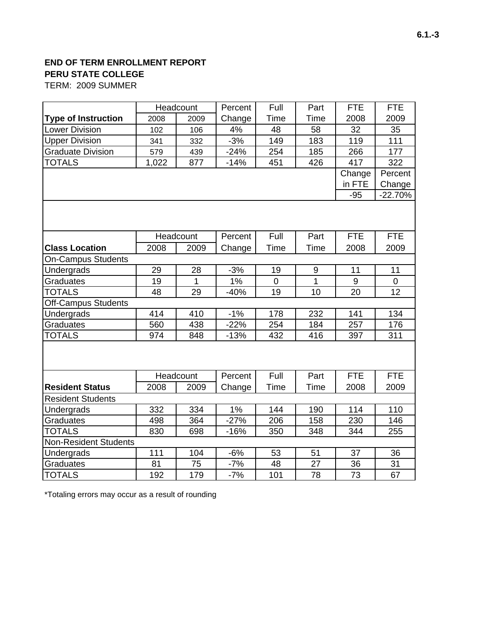# **END OF TERM ENROLLMENT REPORT PERU STATE COLLEGE**

TERM: 2009 SUMMER

|                                                                  |       | Headcount | Percent | Full        | Part         | <b>FTE</b> | <b>FTE</b>  |
|------------------------------------------------------------------|-------|-----------|---------|-------------|--------------|------------|-------------|
| <b>Type of Instruction</b>                                       | 2008  | 2009      | Change  | <b>Time</b> | Time         | 2008       | 2009        |
| <b>Lower Division</b>                                            | 102   | 106       | 4%      | 48          | 58           | 32         | 35          |
| <b>Upper Division</b>                                            | 341   | 332       | $-3%$   | 149         | 183          | 119        | 111         |
| <b>Graduate Division</b>                                         | 579   | 439       | $-24%$  | 254         | 185          | 266        | 177         |
| <b>TOTALS</b>                                                    | 1,022 | 877       | $-14%$  | 451         | 426          | 417        | 322         |
|                                                                  |       |           |         |             |              | Change     | Percent     |
|                                                                  |       |           |         |             |              | in FTE     | Change      |
|                                                                  |       |           |         |             |              | $-95$      | $-22.70%$   |
| <b>FTE</b><br><b>FTE</b><br>Full<br>Percent<br>Part<br>Headcount |       |           |         |             |              |            |             |
| <b>Class Location</b>                                            | 2008  | 2009      | Change  | <b>Time</b> | <b>Time</b>  | 2008       | 2009        |
| <b>On-Campus Students</b>                                        |       |           |         |             |              |            |             |
| Undergrads                                                       | 29    | 28        | $-3%$   | 19          | 9            | 11         | 11          |
| <b>Graduates</b>                                                 | 19    | 1         | 1%      | $\mathbf 0$ | $\mathbf{1}$ | 9          | $\mathbf 0$ |
| <b>TOTALS</b>                                                    | 48    | 29        | $-40%$  | 19          | 10           | 20         | 12          |
| <b>Off-Campus Students</b>                                       |       |           |         |             |              |            |             |
| Undergrads                                                       | 414   | 410       | $-1%$   | 178         | 232          | 141        | 134         |
| <b>Graduates</b>                                                 | 560   | 438       | $-22%$  | 254         | 184          | 257        | 176         |
| <b>TOTALS</b>                                                    | 974   | 848       | $-13%$  | 432         | 416          | 397        | 311         |
|                                                                  |       | Headcount | Percent | Full        | Part         | <b>FTE</b> | <b>FTE</b>  |
|                                                                  |       |           |         |             |              |            |             |
| <b>Resident Status</b>                                           | 2008  | 2009      | Change  | <b>Time</b> | <b>Time</b>  | 2008       | 2009        |
| <b>Resident Students</b>                                         |       |           |         |             |              |            |             |
| Undergrads                                                       | 332   | 334       | 1%      | 144         | 190          | 114        | 110         |
| Graduates                                                        | 498   | 364       | $-27%$  | 206         | 158          | 230        | 146         |
| <b>TOTALS</b>                                                    | 830   | 698       | $-16%$  | 350         | 348          | 344        | 255         |
| <b>Non-Resident Students</b>                                     |       |           |         |             |              | 36         |             |
| Undergrads                                                       | 111   | 104       | $-6%$   | 53          | 51           | 37         |             |
| <b>Graduates</b>                                                 | 81    | 75        | $-7%$   | 48          | 27           | 36         | 31          |
| <b>TOTALS</b>                                                    | 192   | 179       | $-7%$   | 101         | 78           | 73         | 67          |

\*Totaling errors may occur as a result of rounding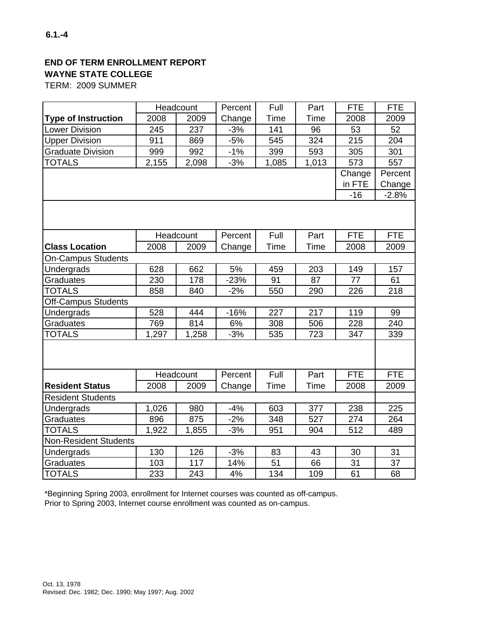# **END OF TERM ENROLLMENT REPORT WAYNE STATE COLLEGE**

TERM: 2009 SUMMER

|                                                                  |       | Headcount | Percent | Full        | Part        | <b>FTE</b> | <b>FTE</b> |  |
|------------------------------------------------------------------|-------|-----------|---------|-------------|-------------|------------|------------|--|
| <b>Type of Instruction</b>                                       | 2008  | 2009      | Change  | <b>Time</b> | Time        | 2008       | 2009       |  |
| <b>Lower Division</b>                                            | 245   | 237       | $-3%$   | 141         | 96          | 53         | 52         |  |
| <b>Upper Division</b>                                            | 911   | 869       | $-5%$   | 545         | 324         | 215        | 204        |  |
| <b>Graduate Division</b>                                         | 999   | 992       | $-1%$   | 399         | 593         | 305        | 301        |  |
| <b>TOTALS</b>                                                    | 2,155 | 2,098     | $-3%$   | 1,085       | 1,013       | 573        | 557        |  |
|                                                                  |       |           |         |             |             | Change     | Percent    |  |
|                                                                  |       |           |         |             |             | in FTE     | Change     |  |
|                                                                  |       |           |         |             |             | $-16$      | $-2.8%$    |  |
| Full<br><b>FTE</b><br><b>FTE</b><br>Headcount<br>Part<br>Percent |       |           |         |             |             |            |            |  |
| <b>Class Location</b>                                            | 2008  | 2009      | Change  | <b>Time</b> | <b>Time</b> | 2008       | 2009       |  |
|                                                                  |       |           |         |             |             |            |            |  |
| <b>On-Campus Students</b>                                        | 628   | 662       | 5%      | 459         | 203         | 149        | 157        |  |
| Undergrads<br><b>Graduates</b>                                   | 230   | 178       | $-23%$  | 91          | 87          | 77         | 61         |  |
| <b>TOTALS</b>                                                    | 858   | 840       | $-2%$   | 550         | 290         | 226        | 218        |  |
| Off-Campus Students                                              |       |           |         |             |             |            |            |  |
| Undergrads                                                       | 528   | 444       | $-16%$  | 227         | 217         | 119        | 99         |  |
| <b>Graduates</b>                                                 | 769   | 814       | 6%      | 308         | 506         | 228        | 240        |  |
| <b>TOTALS</b>                                                    | 1,297 | 1,258     | $-3%$   | 535         | 723         | 347        | 339        |  |
|                                                                  |       |           |         |             |             |            |            |  |
|                                                                  |       | Headcount | Percent | Full        | Part        | <b>FTE</b> | <b>FTE</b> |  |
| <b>Resident Status</b>                                           | 2008  | 2009      | Change  | <b>Time</b> | <b>Time</b> | 2008       | 2009       |  |
| <b>Resident Students</b>                                         |       |           |         |             |             |            |            |  |
| Undergrads                                                       | 1,026 | 980       | $-4%$   | 603         | 377         | 238        | 225        |  |
| Graduates                                                        | 896   | 875       | $-2%$   | 348         | 527         | 274        | 264        |  |
| <b>TOTALS</b>                                                    | 1,922 | 1,855     | $-3%$   | 951         | 904         | 512        | 489        |  |
| <b>Non-Resident Students</b>                                     |       |           |         |             |             |            |            |  |
| Undergrads                                                       | 130   | 126       | $-3%$   | 83          | 43          | 30         | 31         |  |
| <b>Graduates</b>                                                 | 103   | 117       | 14%     | 51          | 66          | 31         | 37         |  |
| <b>TOTALS</b>                                                    | 233   | 243       | 4%      | 134         | 109         | 61         | 68         |  |

\*Beginning Spring 2003, enrollment for Internet courses was counted as off-campus. Prior to Spring 2003, Internet course enrollment was counted as on-campus.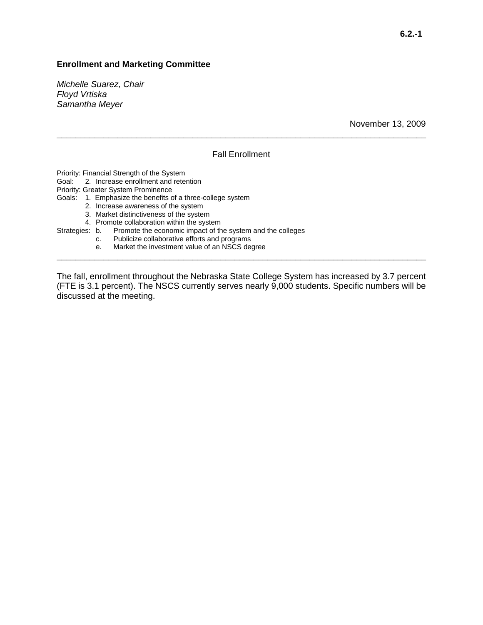*Michelle Suarez, Chair Floyd Vrtiska Samantha Meyer* 

November 13, 2009

# Fall Enrollment

**\_\_\_\_\_\_\_\_\_\_\_\_\_\_\_\_\_\_\_\_\_\_\_\_\_\_\_\_\_\_\_\_\_\_\_\_\_\_\_\_\_\_\_\_\_\_\_\_\_\_\_\_\_\_\_\_\_\_\_\_\_\_\_\_\_\_\_\_\_\_\_\_\_\_\_\_\_\_\_** 

Priority: Financial Strength of the System

- Goal: 2. Increase enrollment and retention
- Priority: Greater System Prominence
- Goals: 1. Emphasize the benefits of a three-college system
	- 2. Increase awareness of the system
	- 3. Market distinctiveness of the system
- 4. Promote collaboration within the system<br>Strategies: b. Promote the economic impact of the
	- Promote the economic impact of the system and the colleges
		- c. Publicize collaborative efforts and programs
- e. Market the investment value of an NSCS degree **\_\_\_\_\_\_\_\_\_\_\_\_\_\_\_\_\_\_\_\_\_\_\_\_\_\_\_\_\_\_\_\_\_\_\_\_\_\_\_\_\_\_\_\_\_\_\_\_\_\_\_\_\_\_\_\_\_\_\_\_\_\_\_\_\_\_\_\_\_\_\_\_\_\_\_\_\_\_\_**

The fall, enrollment throughout the Nebraska State College System has increased by 3.7 percent (FTE is 3.1 percent). The NSCS currently serves nearly 9,000 students. Specific numbers will be discussed at the meeting.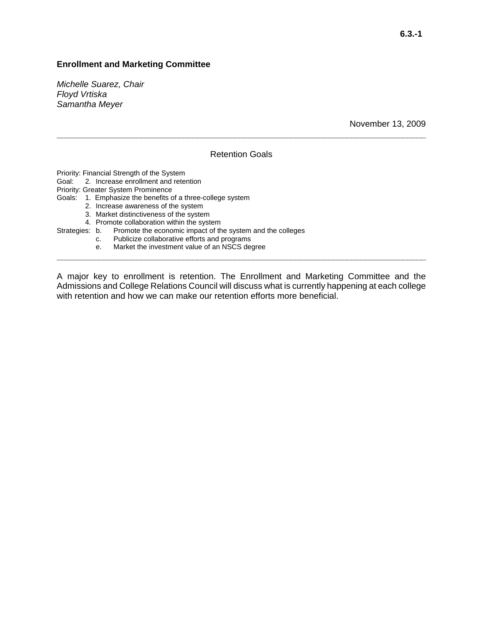*Michelle Suarez, Chair Floyd Vrtiska Samantha Meyer* 

November 13, 2009

# Retention Goals

**\_\_\_\_\_\_\_\_\_\_\_\_\_\_\_\_\_\_\_\_\_\_\_\_\_\_\_\_\_\_\_\_\_\_\_\_\_\_\_\_\_\_\_\_\_\_\_\_\_\_\_\_\_\_\_\_\_\_\_\_\_\_\_\_\_\_\_\_\_\_\_\_\_\_\_\_\_\_\_** 

Priority: Financial Strength of the System

- Goal: 2. Increase enrollment and retention
- Priority: Greater System Prominence
- Goals: 1. Emphasize the benefits of a three-college system
	- 2. Increase awareness of the system
	- 3. Market distinctiveness of the system
- 4. Promote collaboration within the system<br>Strategies: b. Promote the economic impact of the
	- Promote the economic impact of the system and the colleges
		- c. Publicize collaborative efforts and programs
- e. Market the investment value of an NSCS degree **\_\_\_\_\_\_\_\_\_\_\_\_\_\_\_\_\_\_\_\_\_\_\_\_\_\_\_\_\_\_\_\_\_\_\_\_\_\_\_\_\_\_\_\_\_\_\_\_\_\_\_\_\_\_\_\_\_\_\_\_\_\_\_\_\_\_\_\_\_\_\_\_\_\_\_\_\_\_\_**

A major key to enrollment is retention. The Enrollment and Marketing Committee and the Admissions and College Relations Council will discuss what is currently happening at each college with retention and how we can make our retention efforts more beneficial.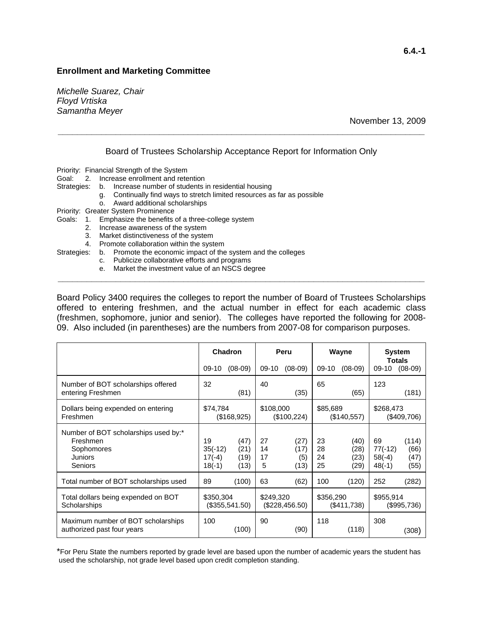*Michelle Suarez, Chair Floyd Vrtiska Samantha Meyer*

November 13, 2009

#### Board of Trustees Scholarship Acceptance Report for Information Only

**\_\_\_\_\_\_\_\_\_\_\_\_\_\_\_\_\_\_\_\_\_\_\_\_\_\_\_\_\_\_\_\_\_\_\_\_\_\_\_\_\_\_\_\_\_\_\_\_\_\_\_\_\_\_\_\_\_\_\_\_\_\_\_\_\_\_\_\_\_\_\_\_\_\_\_\_** 

Priority: Financial Strength of the System

Goal: 2. Increase enrollment and retention

- Strategies: b. Increase number of students in residential housing
	- g. Continually find ways to stretch limited resources as far as possible
	- o. Award additional scholarships
- Priority: Greater System Prominence

Goals: 1. Emphasize the benefits of a three-college system

- 2. Increase awareness of the system
- 3. Market distinctiveness of the system
- 4. Promote collaboration within the system
- Strategies: b. Promote the economic impact of the system and the colleges
	- c. Publicize collaborative efforts and programs
	- e. Market the investment value of an NSCS degree

Board Policy 3400 requires the colleges to report the number of Board of Trustees Scholarships offered to entering freshmen, and the actual number in effect for each academic class (freshmen, sophomore, junior and senior). The colleges have reported the following for 2008- 09. Also included (in parentheses) are the numbers from 2007-08 for comparison purposes.

**\_\_\_\_\_\_\_\_\_\_\_\_\_\_\_\_\_\_\_\_\_\_\_\_\_\_\_\_\_\_\_\_\_\_\_\_\_\_\_\_\_\_\_\_\_\_\_\_\_\_\_\_\_\_\_\_\_\_\_\_\_\_\_\_\_\_\_\_\_\_\_\_\_\_\_\_**

|                                                                                             | Chadron<br>$(08-09)$<br>09-10                                           | Peru<br>$(08-09)$<br>09-10                         | Wayne<br>$(08-09)$<br>$09-10$                        | <b>System</b><br><b>Totals</b><br>$(08-09)$<br>$09-10$                   |
|---------------------------------------------------------------------------------------------|-------------------------------------------------------------------------|----------------------------------------------------|------------------------------------------------------|--------------------------------------------------------------------------|
| Number of BOT scholarships offered                                                          | 32                                                                      | 40                                                 | 65                                                   | 123                                                                      |
| entering Freshmen                                                                           | (81)                                                                    | (35)                                               | (65)                                                 | (181)                                                                    |
| Dollars being expended on entering                                                          | \$74,784                                                                | \$108,000                                          | \$85,689                                             | \$268,473                                                                |
| Freshmen                                                                                    | (\$168,925)                                                             | (\$100,224)                                        | (\$140,557)                                          | (\$409,706)                                                              |
| Number of BOT scholarships used by:*<br>Freshmen<br>Sophomores<br><b>Juniors</b><br>Seniors | (47)<br>19<br>$35(-12)$<br>(21)<br>(19)<br>$17(-4)$<br>$18(-1)$<br>(13) | 27<br>(27)<br>14<br>(17)<br>17<br>(5)<br>5<br>(13) | 23<br>(40)<br>28<br>(28)<br>(23)<br>24<br>25<br>(29) | 69<br>(114)<br>$77(-12)$<br>(66)<br>$58(-4)$<br>(47)<br>$48(-1)$<br>(55) |
| Total number of BOT scholarships used                                                       | 89                                                                      | 63                                                 | 100                                                  | 252                                                                      |
|                                                                                             | (100)                                                                   | (62)                                               | (120)                                                | (282)                                                                    |
| Total dollars being expended on BOT                                                         | \$350,304                                                               | \$249,320                                          | \$356,290                                            | \$955,914                                                                |
| Scholarships                                                                                | (\$355,541.50)                                                          | (\$228,456.50)                                     | (\$411,738)                                          | (\$995,736)                                                              |
| Maximum number of BOT scholarships                                                          | 100                                                                     | 90                                                 | 118                                                  | 308                                                                      |
| authorized past four years                                                                  | (100)                                                                   | (90)                                               | (118)                                                | (308)                                                                    |

\*For Peru State the numbers reported by grade level are based upon the number of academic years the student has used the scholarship, not grade level based upon credit completion standing.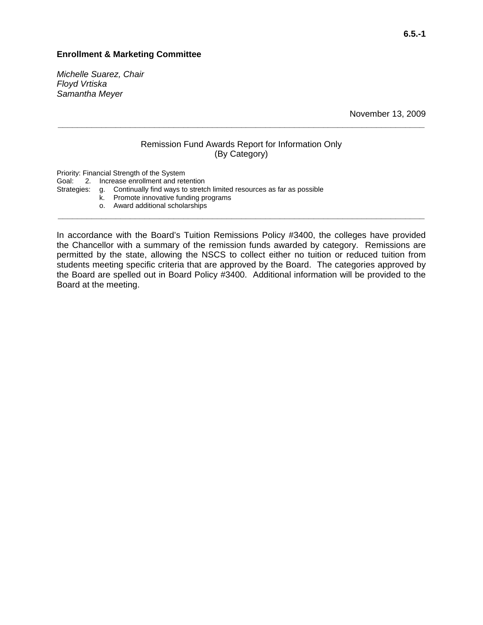*Michelle Suarez, Chair Floyd Vrtiska Samantha Meyer*

November 13, 2009

# Remission Fund Awards Report for Information Only (By Category)

**\_\_\_\_\_\_\_\_\_\_\_\_\_\_\_\_\_\_\_\_\_\_\_\_\_\_\_\_\_\_\_\_\_\_\_\_\_\_\_\_\_\_\_\_\_\_\_\_\_\_\_\_\_\_\_\_\_\_\_\_\_\_\_\_\_\_\_\_\_\_\_\_\_\_\_\_** 

Priority: Financial Strength of the System

Goal: 2. Increase enrollment and retention

- Strategies: g. Continually find ways to stretch limited resources as far as possible
	- k. Promote innovative funding programs
	- o. Award additional scholarships

In accordance with the Board's Tuition Remissions Policy #3400, the colleges have provided the Chancellor with a summary of the remission funds awarded by category. Remissions are permitted by the state, allowing the NSCS to collect either no tuition or reduced tuition from students meeting specific criteria that are approved by the Board. The categories approved by the Board are spelled out in Board Policy #3400. Additional information will be provided to the Board at the meeting.

**\_\_\_\_\_\_\_\_\_\_\_\_\_\_\_\_\_\_\_\_\_\_\_\_\_\_\_\_\_\_\_\_\_\_\_\_\_\_\_\_\_\_\_\_\_\_\_\_\_\_\_\_\_\_\_\_\_\_\_\_\_\_\_\_\_\_\_\_\_\_\_\_\_\_\_\_**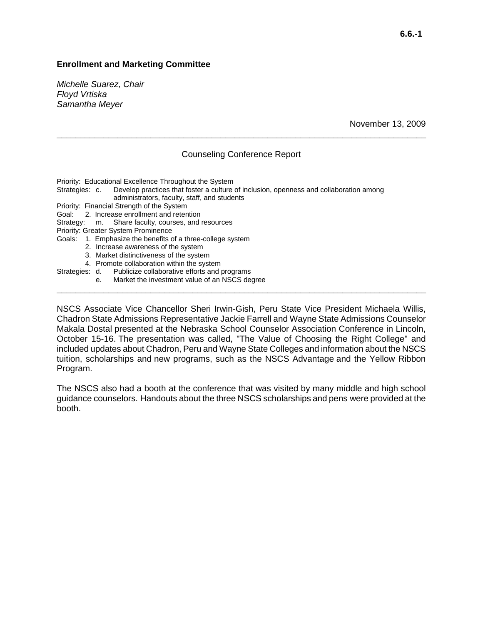*Michelle Suarez, Chair Floyd Vrtiska Samantha Meyer* 

November 13, 2009

## Counseling Conference Report

**\_\_\_\_\_\_\_\_\_\_\_\_\_\_\_\_\_\_\_\_\_\_\_\_\_\_\_\_\_\_\_\_\_\_\_\_\_\_\_\_\_\_\_\_\_\_\_\_\_\_\_\_\_\_\_\_\_\_\_\_\_\_\_\_\_\_\_\_\_\_\_\_\_\_\_\_\_\_\_** 

Priority: Educational Excellence Throughout the System

Strategies: c. Develop practices that foster a culture of inclusion, openness and collaboration among administrators, faculty, staff, and students

Priority: Financial Strength of the System

Goal: 2. Increase enrollment and retention<br>Strategy: m. Share faculty, courses, and i

m. Share faculty, courses, and resources

Priority: Greater System Prominence

Goals: 1. Emphasize the benefits of a three-college system

- 2. Increase awareness of the system
- 3. Market distinctiveness of the system
- 4. Promote collaboration within the system
- Strategies: d. Publicize collaborative efforts and programs
- e. Market the investment value of an NSCS degree **\_\_\_\_\_\_\_\_\_\_\_\_\_\_\_\_\_\_\_\_\_\_\_\_\_\_\_\_\_\_\_\_\_\_\_\_\_\_\_\_\_\_\_\_\_\_\_\_\_\_\_\_\_\_\_\_\_\_\_\_\_\_\_\_\_\_\_\_\_\_\_\_\_\_\_\_\_\_\_**

NSCS Associate Vice Chancellor Sheri Irwin-Gish, Peru State Vice President Michaela Willis, Chadron State Admissions Representative Jackie Farrell and Wayne State Admissions Counselor Makala Dostal presented at the Nebraska School Counselor Association Conference in Lincoln, October 15-16. The presentation was called, "The Value of Choosing the Right College" and included updates about Chadron, Peru and Wayne State Colleges and information about the NSCS tuition, scholarships and new programs, such as the NSCS Advantage and the Yellow Ribbon Program.

The NSCS also had a booth at the conference that was visited by many middle and high school guidance counselors. Handouts about the three NSCS scholarships and pens were provided at the booth.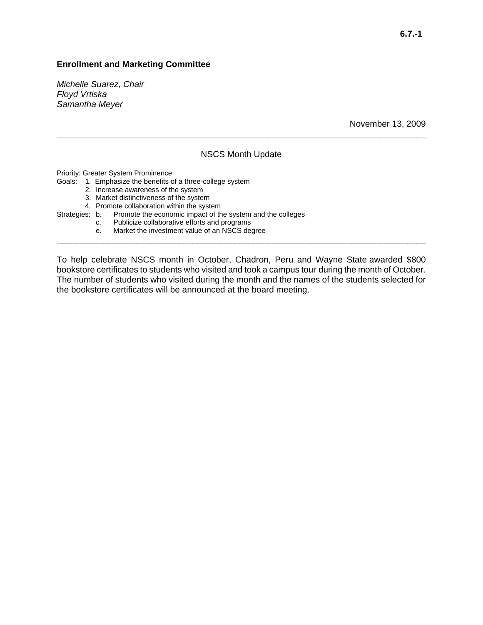*Michelle Suarez, Chair Floyd Vrtiska Samantha Meyer* 

November 13, 2009

#### NSCS Month Update

**\_\_\_\_\_\_\_\_\_\_\_\_\_\_\_\_\_\_\_\_\_\_\_\_\_\_\_\_\_\_\_\_\_\_\_\_\_\_\_\_\_\_\_\_\_\_\_\_\_\_\_\_\_\_\_\_\_\_\_\_\_\_\_\_\_\_\_\_\_\_\_\_\_\_\_\_\_\_\_** 

Priority: Greater System Prominence

Goals: 1. Emphasize the benefits of a three-college system

- 2. Increase awareness of the system
- 3. Market distinctiveness of the system
- 4. Promote collaboration within the system<br>Strategies: b. Promote the economic impact of the

Promote the economic impact of the system and the colleges

- c. Publicize collaborative efforts and programs
- e. Market the investment value of an NSCS degree **\_\_\_\_\_\_\_\_\_\_\_\_\_\_\_\_\_\_\_\_\_\_\_\_\_\_\_\_\_\_\_\_\_\_\_\_\_\_\_\_\_\_\_\_\_\_\_\_\_\_\_\_\_\_\_\_\_\_\_\_\_\_\_\_\_\_\_\_\_\_\_\_\_\_\_\_\_\_\_**

To help celebrate NSCS month in October, Chadron, Peru and Wayne State awarded \$800 bookstore certificates to students who visited and took a campus tour during the month of October. The number of students who visited during the month and the names of the students selected for the bookstore certificates will be announced at the board meeting.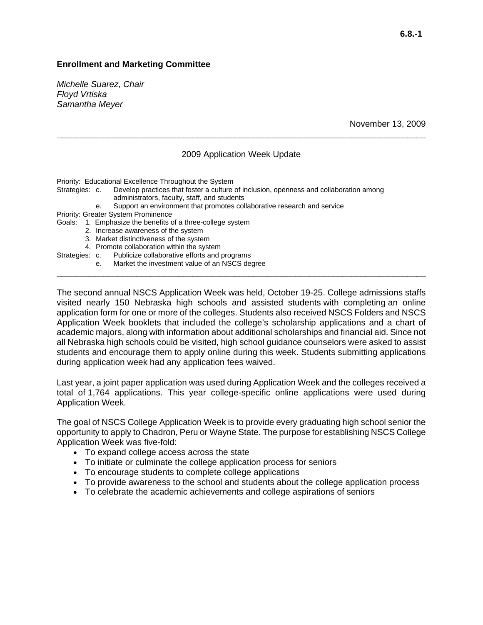*Michelle Suarez, Chair Floyd Vrtiska Samantha Meyer* 

**\_\_\_\_\_\_\_\_\_\_\_\_\_\_\_\_\_\_\_\_\_\_\_\_\_\_\_\_\_\_\_\_\_\_\_\_\_\_\_\_\_\_\_\_\_\_\_\_\_\_\_\_\_\_\_\_\_\_\_\_\_\_\_\_\_\_\_\_\_\_\_\_\_\_\_\_\_\_\_**  2009 Application Week Update Priority: Educational Excellence Throughout the System Strategies: c. Develop practices that foster a culture of inclusion, openness and collaboration among administrators, faculty, staff, and students e. Support an environment that promotes collaborative research and service Priority: Greater System Prominence Goals: 1. Emphasize the benefits of a three-college system 2. Increase awareness of the system 3. Market distinctiveness of the system 4. Promote collaboration within the system Strategies: c. Publicize collaborative efforts and programs e. Market the investment value of an NSCS degree **\_\_\_\_\_\_\_\_\_\_\_\_\_\_\_\_\_\_\_\_\_\_\_\_\_\_\_\_\_\_\_\_\_\_\_\_\_\_\_\_\_\_\_\_\_\_\_\_\_\_\_\_\_\_\_\_\_\_\_\_\_\_\_\_\_\_\_\_\_\_\_\_\_\_\_\_\_\_\_** 

The second annual NSCS Application Week was held, October 19-25. College admissions staffs visited nearly 150 Nebraska high schools and assisted students with completing an online application form for one or more of the colleges. Students also received NSCS Folders and NSCS Application Week booklets that included the college's scholarship applications and a chart of academic majors, along with information about additional scholarships and financial aid. Since not all Nebraska high schools could be visited, high school guidance counselors were asked to assist students and encourage them to apply online during this week. Students submitting applications during application week had any application fees waived.

Last year, a joint paper application was used during Application Week and the colleges received a total of 1,764 applications. This year college-specific online applications were used during Application Week.

The goal of NSCS College Application Week is to provide every graduating high school senior the opportunity to apply to Chadron, Peru or Wayne State. The purpose for establishing NSCS College Application Week was five-fold:

- To expand college access across the state
- To initiate or culminate the college application process for seniors
- To encourage students to complete college applications
- To provide awareness to the school and students about the college application process
- To celebrate the academic achievements and college aspirations of seniors

November 13, 2009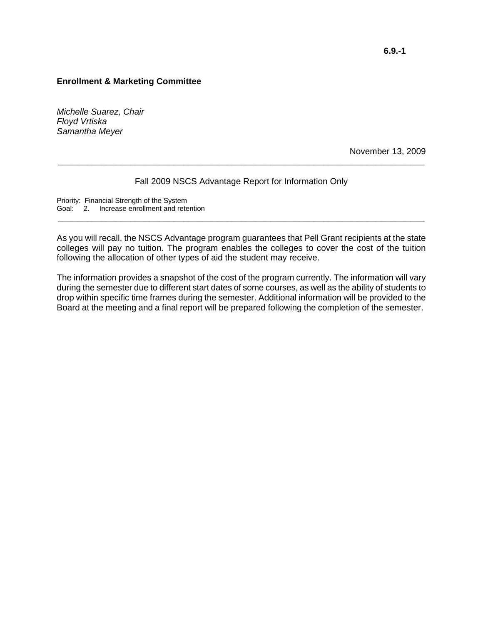*Michelle Suarez, Chair Floyd Vrtiska Samantha Meyer* 

November 13, 2009

### Fall 2009 NSCS Advantage Report for Information Only

**\_\_\_\_\_\_\_\_\_\_\_\_\_\_\_\_\_\_\_\_\_\_\_\_\_\_\_\_\_\_\_\_\_\_\_\_\_\_\_\_\_\_\_\_\_\_\_\_\_\_\_\_\_\_\_\_\_\_\_\_\_\_\_\_\_\_\_\_\_\_\_\_\_\_\_\_** 

Priority: Financial Strength of the System Goal: 2. Increase enrollment and retention

As you will recall, the NSCS Advantage program guarantees that Pell Grant recipients at the state colleges will pay no tuition. The program enables the colleges to cover the cost of the tuition following the allocation of other types of aid the student may receive.

**\_\_\_\_\_\_\_\_\_\_\_\_\_\_\_\_\_\_\_\_\_\_\_\_\_\_\_\_\_\_\_\_\_\_\_\_\_\_\_\_\_\_\_\_\_\_\_\_\_\_\_\_\_\_\_\_\_\_\_\_\_\_\_\_\_\_\_\_\_\_\_\_\_\_\_\_** 

The information provides a snapshot of the cost of the program currently. The information will vary during the semester due to different start dates of some courses, as well as the ability of students to drop within specific time frames during the semester. Additional information will be provided to the Board at the meeting and a final report will be prepared following the completion of the semester.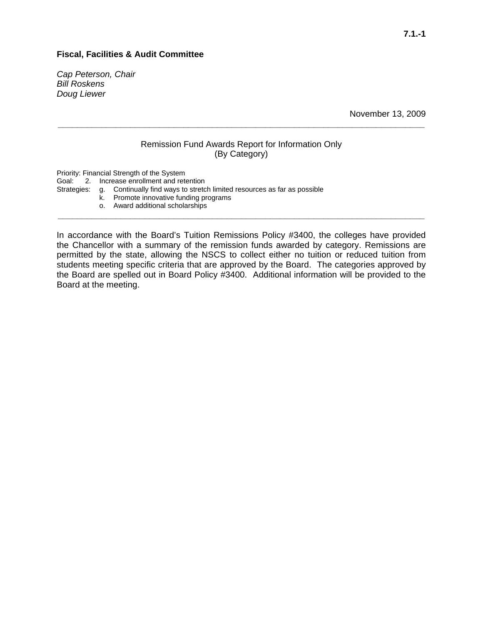*Cap Peterson, Chair Bill Roskens Doug Liewer*

November 13, 2009

## Remission Fund Awards Report for Information Only (By Category)

**\_\_\_\_\_\_\_\_\_\_\_\_\_\_\_\_\_\_\_\_\_\_\_\_\_\_\_\_\_\_\_\_\_\_\_\_\_\_\_\_\_\_\_\_\_\_\_\_\_\_\_\_\_\_\_\_\_\_\_\_\_\_\_\_\_\_\_\_\_\_\_\_\_\_\_\_** 

Priority: Financial Strength of the System

Goal: 2. Increase enrollment and retention

- Strategies: g. Continually find ways to stretch limited resources as far as possible
	- k. Promote innovative funding programs
	- o. Award additional scholarships

In accordance with the Board's Tuition Remissions Policy #3400, the colleges have provided the Chancellor with a summary of the remission funds awarded by category. Remissions are permitted by the state, allowing the NSCS to collect either no tuition or reduced tuition from students meeting specific criteria that are approved by the Board. The categories approved by the Board are spelled out in Board Policy #3400. Additional information will be provided to the Board at the meeting.

**\_\_\_\_\_\_\_\_\_\_\_\_\_\_\_\_\_\_\_\_\_\_\_\_\_\_\_\_\_\_\_\_\_\_\_\_\_\_\_\_\_\_\_\_\_\_\_\_\_\_\_\_\_\_\_\_\_\_\_\_\_\_\_\_\_\_\_\_\_\_\_\_\_\_\_\_**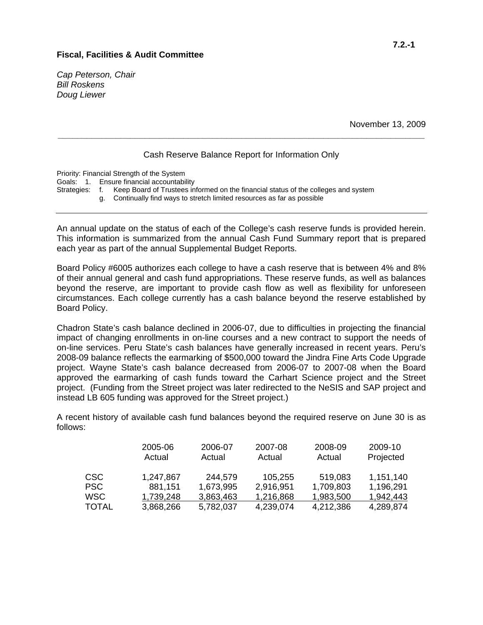*Cap Peterson, Chair Bill Roskens Doug Liewer* 

|                | Cash Reserve Balance Report for Information Only                                                                                                                                                                                                          |
|----------------|-----------------------------------------------------------------------------------------------------------------------------------------------------------------------------------------------------------------------------------------------------------|
| Strategies: f. | Priority: Financial Strength of the System<br>Goals: 1. Ensure financial accountability<br>Keep Board of Trustees informed on the financial status of the colleges and system<br>g. Continually find ways to stretch limited resources as far as possible |

An annual update on the status of each of the College's cash reserve funds is provided herein. This information is summarized from the annual Cash Fund Summary report that is prepared each year as part of the annual Supplemental Budget Reports.

Board Policy #6005 authorizes each college to have a cash reserve that is between 4% and 8% of their annual general and cash fund appropriations. These reserve funds, as well as balances beyond the reserve, are important to provide cash flow as well as flexibility for unforeseen circumstances. Each college currently has a cash balance beyond the reserve established by Board Policy.

Chadron State's cash balance declined in 2006-07, due to difficulties in projecting the financial impact of changing enrollments in on-line courses and a new contract to support the needs of on-line services. Peru State's cash balances have generally increased in recent years. Peru's 2008-09 balance reflects the earmarking of \$500,000 toward the Jindra Fine Arts Code Upgrade project. Wayne State's cash balance decreased from 2006-07 to 2007-08 when the Board approved the earmarking of cash funds toward the Carhart Science project and the Street project. (Funding from the Street project was later redirected to the NeSIS and SAP project and instead LB 605 funding was approved for the Street project.)

A recent history of available cash fund balances beyond the required reserve on June 30 is as follows:

|              | 2005-06<br>Actual | 2006-07<br>Actual | 2007-08<br>Actual | 2008-09<br>Actual | 2009-10<br>Projected |
|--------------|-------------------|-------------------|-------------------|-------------------|----------------------|
| CSC          | 1,247,867         | 244,579           | 105,255           | 519,083           | 1,151,140            |
| <b>PSC</b>   | 881,151           | 1,673,995         | 2,916,951         | 1,709,803         | 1,196,291            |
| <b>WSC</b>   | 1,739,248         | 3,863,463         | 1,216,868         | 1,983,500         | 1,942,443            |
| <b>TOTAL</b> | 3,868,266         | 5,782,037         | 4,239,074         | 4,212,386         | 4,289,874            |

November 13, 2009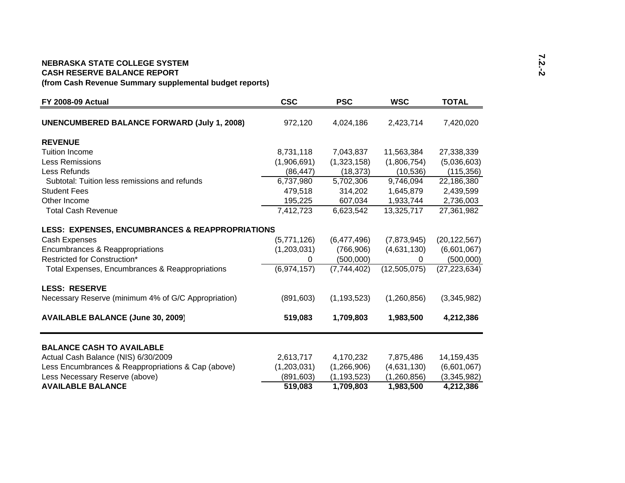# **NEBRASKA STATE COLLEGE SYSTEM CASH RESERVE BALANCE REPORT(from Cash Revenue Summary supplemental budget reports)**

| <b>FY 2008-09 Actual</b>                                   | <b>CSC</b>  | <b>PSC</b>    | <b>WSC</b>    | <b>TOTAL</b>   |
|------------------------------------------------------------|-------------|---------------|---------------|----------------|
| <b>UNENCUMBERED BALANCE FORWARD (July 1, 2008)</b>         | 972,120     | 4,024,186     | 2,423,714     | 7,420,020      |
| <b>REVENUE</b>                                             |             |               |               |                |
| <b>Tuition Income</b>                                      | 8,731,118   | 7,043,837     | 11,563,384    | 27,338,339     |
| <b>Less Remissions</b>                                     | (1,906,691) | (1,323,158)   | (1,806,754)   | (5,036,603)    |
| Less Refunds                                               | (86, 447)   | (18, 373)     | (10, 536)     | (115, 356)     |
| Subtotal: Tuition less remissions and refunds              | 6,737,980   | 5,702,306     | 9,746,094     | 22,186,380     |
| <b>Student Fees</b>                                        | 479,518     | 314,202       | 1,645,879     | 2,439,599      |
| Other Income                                               | 195,225     | 607,034       | 1,933,744     | 2,736,003      |
| <b>Total Cash Revenue</b>                                  | 7,412,723   | 6,623,542     | 13,325,717    | 27,361,982     |
| <b>LESS: EXPENSES, ENCUMBRANCES &amp; REAPPROPRIATIONS</b> |             |               |               |                |
| Cash Expenses                                              | (5,771,126) | (6,477,496)   | (7,873,945)   | (20, 122, 567) |
| Encumbrances & Reappropriations                            | (1,203,031) | (766, 906)    | (4,631,130)   | (6,601,067)    |
| Restricted for Construction*                               | 0           | (500,000)     | 0             | (500,000)      |
| Total Expenses, Encumbrances & Reappropriations            | (6,974,157) | (7,744,402)   | (12,505,075)  | (27, 223, 634) |
| <b>LESS: RESERVE</b>                                       |             |               |               |                |
| Necessary Reserve (minimum 4% of G/C Appropriation)        | (891, 603)  | (1, 193, 523) | (1, 260, 856) | (3,345,982)    |
| <b>AVAILABLE BALANCE (June 30, 2009)</b>                   | 519,083     | 1,709,803     | 1,983,500     | 4,212,386      |
| <b>BALANCE CASH TO AVAILABLE</b>                           |             |               |               |                |
| Actual Cash Balance (NIS) 6/30/2009                        | 2,613,717   | 4,170,232     | 7,875,486     | 14,159,435     |
| Less Encumbrances & Reappropriations & Cap (above)         | (1,203,031) | (1,266,906)   | (4,631,130)   | (6,601,067)    |
| Less Necessary Reserve (above)                             | (891, 603)  | (1, 193, 523) | (1,260,856)   | (3,345,982)    |
| <b>AVAILABLE BALANCE</b>                                   | 519,083     | 1,709,803     | 1,983,500     | 4,212,386      |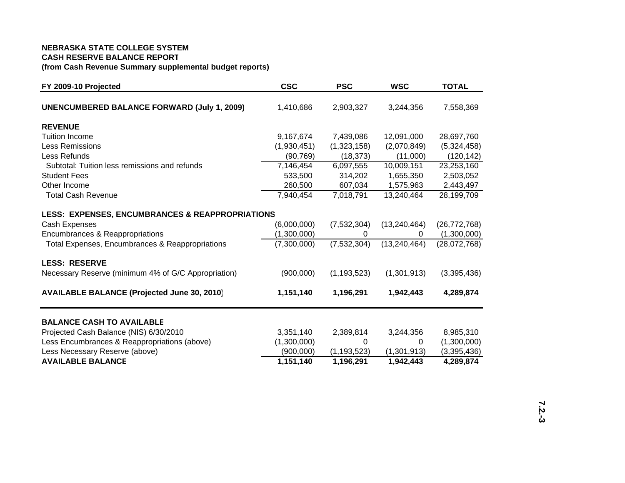#### **NEBRASKA STATE COLLEGE SYSTEM CASH RESERVE BALANCE REPORT (from Cash Revenue Summary supplemental budget reports)**

| FY 2009-10 Projected                                       | <b>CSC</b>  | <b>PSC</b>    | <b>WSC</b>     | <b>TOTAL</b>   |
|------------------------------------------------------------|-------------|---------------|----------------|----------------|
| <b>UNENCUMBERED BALANCE FORWARD (July 1, 2009)</b>         | 1,410,686   | 2,903,327     | 3,244,356      | 7,558,369      |
| <b>REVENUE</b>                                             |             |               |                |                |
| <b>Tuition Income</b>                                      | 9,167,674   | 7,439,086     | 12,091,000     | 28,697,760     |
| <b>Less Remissions</b>                                     | (1,930,451) | (1,323,158)   | (2,070,849)    | (5,324,458)    |
| Less Refunds                                               | (90, 769)   | (18, 373)     | (11,000)       | (120, 142)     |
| Subtotal: Tuition less remissions and refunds              | 7,146,454   | 6,097,555     | 10,009,151     | 23,253,160     |
| <b>Student Fees</b>                                        | 533,500     | 314,202       | 1,655,350      | 2,503,052      |
| Other Income                                               | 260,500     | 607,034       | 1,575,963      | 2,443,497      |
| <b>Total Cash Revenue</b>                                  | 7,940,454   | 7,018,791     | 13,240,464     | 28,199,709     |
| <b>LESS: EXPENSES, ENCUMBRANCES &amp; REAPPROPRIATIONS</b> |             |               |                |                |
| Cash Expenses                                              | (6,000,000) | (7,532,304)   | (13, 240, 464) | (26, 772, 768) |
| Encumbrances & Reappropriations                            | (1,300,000) | 0             | 0              | (1,300,000)    |
| Total Expenses, Encumbrances & Reappropriations            | (7,300,000) | (7,532,304)   | (13, 240, 464) | (28,072,768)   |
| <b>LESS: RESERVE</b>                                       |             |               |                |                |
| Necessary Reserve (minimum 4% of G/C Appropriation)        | (900,000)   | (1, 193, 523) | (1,301,913)    | (3,395,436)    |
| <b>AVAILABLE BALANCE (Projected June 30, 2010)</b>         | 1,151,140   | 1,196,291     | 1,942,443      | 4,289,874      |
| <b>BALANCE CASH TO AVAILABLE</b>                           |             |               |                |                |
| Projected Cash Balance (NIS) 6/30/2010                     | 3,351,140   | 2,389,814     | 3,244,356      | 8,985,310      |
| Less Encumbrances & Reappropriations (above)               | (1,300,000) | 0             | 0              | (1,300,000)    |
| Less Necessary Reserve (above)                             | (900,000)   | (1, 193, 523) | (1,301,913)    | (3,395,436)    |
| <b>AVAILABLE BALANCE</b>                                   | 1,151,140   | 1,196,291     | 1,942,443      | 4,289,874      |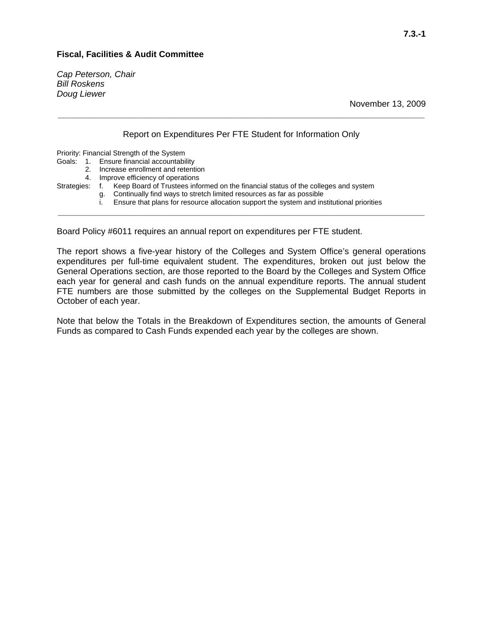*Cap Peterson, Chair Bill Roskens Doug Liewer*

November 13, 2009

## Report on Expenditures Per FTE Student for Information Only

**\_\_\_\_\_\_\_\_\_\_\_\_\_\_\_\_\_\_\_\_\_\_\_\_\_\_\_\_\_\_\_\_\_\_\_\_\_\_\_\_\_\_\_\_\_\_\_\_\_\_\_\_\_\_\_\_\_\_\_\_\_\_\_\_\_\_\_\_\_\_\_\_\_\_\_\_** 

Priority: Financial Strength of the System

- Goals: 1. Ensure financial accountability
	- 2. Increase enrollment and retention
	- 4. Improve efficiency of operations
- Strategies: f. Keep Board of Trustees informed on the financial status of the colleges and system
	- g. Continually find ways to stretch limited resources as far as possible
- i. Ensure that plans for resource allocation support the system and institutional priorities **\_\_\_\_\_\_\_\_\_\_\_\_\_\_\_\_\_\_\_\_\_\_\_\_\_\_\_\_\_\_\_\_\_\_\_\_\_\_\_\_\_\_\_\_\_\_\_\_\_\_\_\_\_\_\_\_\_\_\_\_\_\_\_\_\_\_\_\_\_\_\_\_\_\_\_\_**

Board Policy #6011 requires an annual report on expenditures per FTE student.

The report shows a five-year history of the Colleges and System Office's general operations expenditures per full-time equivalent student. The expenditures, broken out just below the General Operations section, are those reported to the Board by the Colleges and System Office each year for general and cash funds on the annual expenditure reports. The annual student FTE numbers are those submitted by the colleges on the Supplemental Budget Reports in October of each year.

Note that below the Totals in the Breakdown of Expenditures section, the amounts of General Funds as compared to Cash Funds expended each year by the colleges are shown.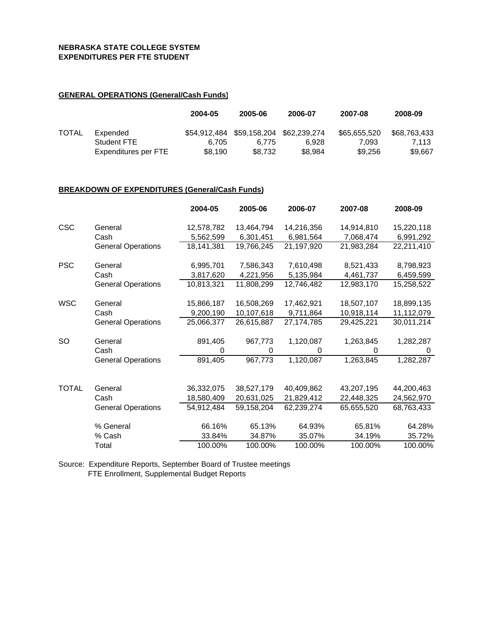#### **NEBRASKA STATE COLLEGE SYSTEM EXPENDITURES PER FTE STUDENT**

#### **GENERAL OPERATIONS (General/Cash Funds)**

|              |                      | 2004-05 | 2005-06                                | 2006-07 | 2007-08      | 2008-09      |
|--------------|----------------------|---------|----------------------------------------|---------|--------------|--------------|
| <b>TOTAL</b> | Expended             |         | \$54.912.484 \$59.158.204 \$62.239.274 |         | \$65,655,520 | \$68,763,433 |
|              | <b>Student FTE</b>   | 6.705   | 6.775                                  | 6.928   | 7.093        | 7.113        |
|              | Expenditures per FTE | \$8,190 | \$8.732                                | \$8,984 | \$9,256      | \$9,667      |

#### **BREAKDOWN OF EXPENDITURES (General/Cash Funds)**

|              |                           | 2004-05    | 2005-06    | 2006-07      | 2007-08    | 2008-09    |
|--------------|---------------------------|------------|------------|--------------|------------|------------|
| <b>CSC</b>   | General                   | 12,578,782 | 13,464,794 | 14,216,356   | 14,914,810 | 15,220,118 |
|              | Cash                      | 5,562,599  | 6,301,451  | 6,981,564    | 7,068,474  | 6,991,292  |
|              | <b>General Operations</b> | 18,141,381 | 19,766,245 | 21,197,920   | 21,983,284 | 22,211,410 |
| <b>PSC</b>   | General                   | 6,995,701  | 7,586,343  | 7,610,498    | 8,521,433  | 8,798,923  |
|              | Cash                      | 3,817,620  | 4,221,956  | 5,135,984    | 4,461,737  | 6,459,599  |
|              | <b>General Operations</b> | 10,813,321 | 11,808,299 | 12,746,482   | 12,983,170 | 15,258,522 |
| <b>WSC</b>   | General                   | 15,866,187 | 16,508,269 | 17,462,921   | 18,507,107 | 18,899,135 |
|              | Cash                      | 9,200,190  | 10,107,618 | 9,711,864    | 10,918,114 | 11,112,079 |
|              | <b>General Operations</b> | 25,066,377 | 26,615,887 | 27, 174, 785 | 29,425,221 | 30,011,214 |
| SO           | General                   | 891,405    | 967,773    | 1,120,087    | 1,263,845  | 1,282,287  |
|              | Cash                      | 0          | 0          | 0            | 0          | 0          |
|              | <b>General Operations</b> | 891,405    | 967,773    | 1,120,087    | 1,263,845  | 1,282,287  |
|              |                           |            |            |              |            |            |
| <b>TOTAL</b> | General                   | 36,332,075 | 38,527,179 | 40,409,862   | 43,207,195 | 44,200,463 |
|              | Cash                      | 18,580,409 | 20,631,025 | 21,829,412   | 22,448,325 | 24,562,970 |
|              | <b>General Operations</b> | 54,912,484 | 59,158,204 | 62,239,274   | 65,655,520 | 68,763,433 |
|              | % General                 | 66.16%     | 65.13%     | 64.93%       | 65.81%     | 64.28%     |
|              | % Cash                    | 33.84%     | 34.87%     | 35.07%       | 34.19%     | 35.72%     |
|              | Total                     | 100.00%    | 100.00%    | 100.00%      | 100.00%    | 100.00%    |

Source: Expenditure Reports, September Board of Trustee meetings FTE Enrollment, Supplemental Budget Reports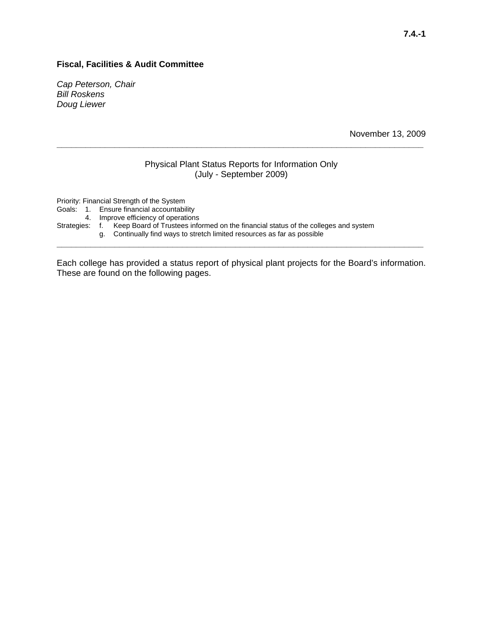*Cap Peterson, Chair Bill Roskens Doug Liewer* 

November 13, 2009

# Physical Plant Status Reports for Information Only (July - September 2009)

**\_\_\_\_\_\_\_\_\_\_\_\_\_\_\_\_\_\_\_\_\_\_\_\_\_\_\_\_\_\_\_\_\_\_\_\_\_\_\_\_\_\_\_\_\_\_\_\_\_\_\_\_\_\_\_\_\_\_\_\_\_\_\_\_\_\_\_\_\_\_\_\_\_\_\_\_** 

Priority: Financial Strength of the System

- Goals: 1. Ensure financial accountability
	- 4. Improve efficiency of operations
- Strategies: f. Keep Board of Trustees informed on the financial status of the colleges and system
	- g. Continually find ways to stretch limited resources as far as possible

Each college has provided a status report of physical plant projects for the Board's information. These are found on the following pages.

**\_\_\_\_\_\_\_\_\_\_\_\_\_\_\_\_\_\_\_\_\_\_\_\_\_\_\_\_\_\_\_\_\_\_\_\_\_\_\_\_\_\_\_\_\_\_\_\_\_\_\_\_\_\_\_\_\_\_\_\_\_\_\_\_\_\_\_\_\_\_\_\_\_\_\_\_**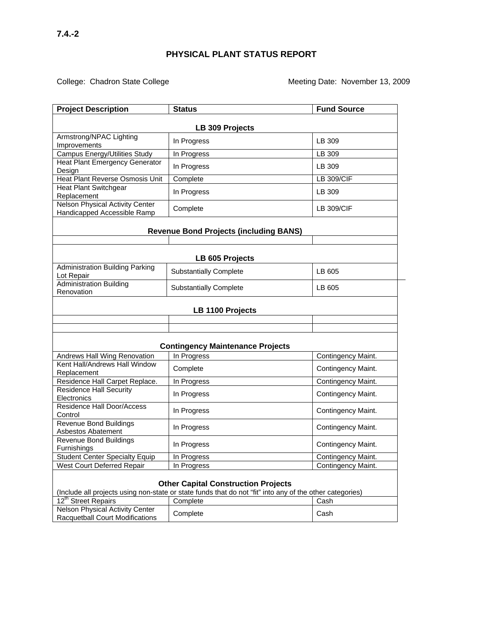# College: Chadron State College **Meeting Date: November 13, 2009**

| <b>Project Description</b>                                                       | <b>Status</b>                                                                                                                                          | <b>Fund Source</b> |
|----------------------------------------------------------------------------------|--------------------------------------------------------------------------------------------------------------------------------------------------------|--------------------|
|                                                                                  | LB 309 Projects                                                                                                                                        |                    |
| Armstrong/NPAC Lighting<br>Improvements                                          | In Progress                                                                                                                                            | LB 309             |
| <b>Campus Energy/Utilities Study</b>                                             | In Progress                                                                                                                                            | $LE$ 309           |
| <b>Heat Plant Emergency Generator</b><br>Design                                  | In Progress                                                                                                                                            | LB 309             |
| Heat Plant Reverse Osmosis Unit                                                  | Complete                                                                                                                                               | <b>LB 309/CIF</b>  |
| <b>Heat Plant Switchgear</b><br>Replacement                                      | In Progress                                                                                                                                            | LB 309             |
| <b>Nelson Physical Activity Center</b><br>Handicapped Accessible Ramp            | Complete                                                                                                                                               | <b>LB 309/CIF</b>  |
|                                                                                  | <b>Revenue Bond Projects (including BANS)</b>                                                                                                          |                    |
|                                                                                  | LB 605 Projects                                                                                                                                        |                    |
| <b>Administration Building Parking</b><br>Lot Repair                             | <b>Substantially Complete</b>                                                                                                                          | LB 605             |
| Administration Building<br>Renovation                                            | <b>Substantially Complete</b>                                                                                                                          | LB 605             |
|                                                                                  | LB 1100 Projects                                                                                                                                       |                    |
|                                                                                  |                                                                                                                                                        |                    |
|                                                                                  | <b>Contingency Maintenance Projects</b>                                                                                                                |                    |
| Andrews Hall Wing Renovation                                                     | In Progress                                                                                                                                            | Contingency Maint. |
| Kent Hall/Andrews Hall Window<br>Replacement                                     | Complete                                                                                                                                               | Contingency Maint. |
| Residence Hall Carpet Replace.                                                   | In Progress                                                                                                                                            | Contingency Maint. |
| <b>Residence Hall Security</b><br>Electronics                                    | In Progress                                                                                                                                            | Contingency Maint. |
| Residence Hall Door/Access<br>Control                                            | In Progress                                                                                                                                            | Contingency Maint. |
| <b>Revenue Bond Buildings</b><br>Asbestos Abatement                              | In Progress                                                                                                                                            | Contingency Maint. |
| Revenue Bond Buildings<br>Furnishings                                            | In Progress                                                                                                                                            | Contingency Maint. |
| <b>Student Center Specialty Equip</b>                                            | In Progress                                                                                                                                            | Contingency Maint. |
| West Court Deferred Repair                                                       | In Progress                                                                                                                                            | Contingency Maint. |
|                                                                                  | <b>Other Capital Construction Projects</b><br>(Include all projects using non-state or state funds that do not "fit" into any of the other categories) |                    |
| 12 <sup>th</sup> Street Repairs                                                  | Complete                                                                                                                                               | Cash               |
| <b>Nelson Physical Activity Center</b><br><b>Racquetball Court Modifications</b> | Complete                                                                                                                                               | Cash               |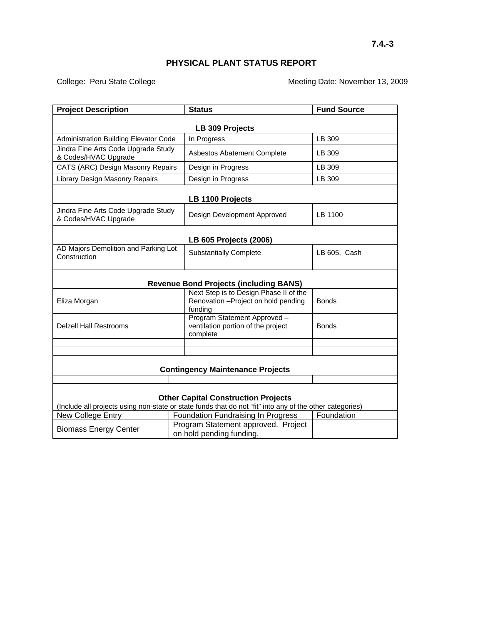# **PHYSICAL PLANT STATUS REPORT**

# College: Peru State College **Meeting Date: November 13, 2009**

| <b>Project Description</b>                                                                                                                             | <b>Status</b>                                                                             | <b>Fund Source</b> |  |
|--------------------------------------------------------------------------------------------------------------------------------------------------------|-------------------------------------------------------------------------------------------|--------------------|--|
|                                                                                                                                                        | LB 309 Projects                                                                           |                    |  |
| <b>Administration Building Elevator Code</b>                                                                                                           | In Progress                                                                               | LB 309             |  |
| Jindra Fine Arts Code Upgrade Study<br>& Codes/HVAC Upgrade                                                                                            | Asbestos Abatement Complete                                                               | LB 309             |  |
| CATS (ARC) Design Masonry Repairs                                                                                                                      | Design in Progress                                                                        | LB 309             |  |
| Library Design Masonry Repairs                                                                                                                         | Design in Progress                                                                        | LB 309             |  |
|                                                                                                                                                        | LB 1100 Projects                                                                          |                    |  |
| Jindra Fine Arts Code Upgrade Study<br>& Codes/HVAC Upgrade                                                                                            | Design Development Approved                                                               | LB 1100            |  |
|                                                                                                                                                        | LB 605 Projects (2006)                                                                    |                    |  |
| AD Majors Demolition and Parking Lot<br>Construction                                                                                                   | <b>Substantially Complete</b>                                                             | LB 605, Cash       |  |
|                                                                                                                                                        |                                                                                           |                    |  |
|                                                                                                                                                        | <b>Revenue Bond Projects (including BANS)</b>                                             |                    |  |
| Eliza Morgan                                                                                                                                           | Next Step is to Design Phase II of the<br>Renovation - Project on hold pending<br>funding | <b>Bonds</b>       |  |
| <b>Delzell Hall Restrooms</b>                                                                                                                          | Program Statement Approved -<br>ventilation portion of the project<br>complete            | <b>Bonds</b>       |  |
|                                                                                                                                                        |                                                                                           |                    |  |
| <b>Contingency Maintenance Projects</b>                                                                                                                |                                                                                           |                    |  |
|                                                                                                                                                        |                                                                                           |                    |  |
| <b>Other Capital Construction Projects</b><br>(Include all projects using non-state or state funds that do not "fit" into any of the other categories) |                                                                                           |                    |  |
| New College Entry                                                                                                                                      | Foundation Fundraising In Progress                                                        | Foundation         |  |
| <b>Biomass Energy Center</b>                                                                                                                           | Program Statement approved. Project<br>on hold pending funding.                           |                    |  |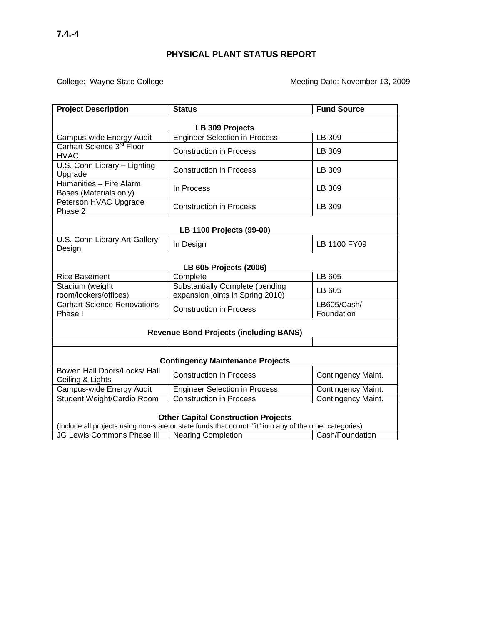# **PHYSICAL PLANT STATUS REPORT**

College: Wayne State College **Meeting Date: November 13, 2009** 

| <b>Project Description</b>                                                                               | <b>Status</b>                                                          | <b>Fund Source</b>                       |  |
|----------------------------------------------------------------------------------------------------------|------------------------------------------------------------------------|------------------------------------------|--|
|                                                                                                          |                                                                        |                                          |  |
|                                                                                                          | LB 309 Projects<br><b>Engineer Selection in Process</b>                | LB 309                                   |  |
| Campus-wide Energy Audit<br>Carhart Science 3 <sup>rd</sup> Floor                                        |                                                                        |                                          |  |
| <b>HVAC</b>                                                                                              | <b>Construction in Process</b>                                         | LB 309                                   |  |
| U.S. Conn Library - Lighting<br>Upgrade                                                                  | <b>Construction in Process</b>                                         | LB 309                                   |  |
| Humanities - Fire Alarm                                                                                  |                                                                        |                                          |  |
| Bases (Materials only)                                                                                   | In Process                                                             | LB 309                                   |  |
| Peterson HVAC Upgrade                                                                                    | <b>Construction in Process</b>                                         | LB 309                                   |  |
| Phase 2                                                                                                  |                                                                        |                                          |  |
|                                                                                                          | LB 1100 Projects (99-00)                                               |                                          |  |
| U.S. Conn Library Art Gallery                                                                            | In Design                                                              | LB 1100 FY09                             |  |
| Design                                                                                                   |                                                                        |                                          |  |
|                                                                                                          | LB 605 Projects (2006)                                                 |                                          |  |
| <b>Rice Basement</b>                                                                                     | Complete                                                               | LB 605                                   |  |
| Stadium (weight                                                                                          | <b>Substantially Complete (pending</b>                                 | LB 605                                   |  |
| room/lockers/offices)                                                                                    | expansion joints in Spring 2010)                                       |                                          |  |
| <b>Carhart Science Renovations</b>                                                                       | <b>Construction in Process</b>                                         | LB605/Cash/                              |  |
| Phase I                                                                                                  |                                                                        | Foundation                               |  |
|                                                                                                          | <b>Revenue Bond Projects (including BANS)</b>                          |                                          |  |
|                                                                                                          |                                                                        |                                          |  |
|                                                                                                          |                                                                        |                                          |  |
|                                                                                                          | <b>Contingency Maintenance Projects</b>                                |                                          |  |
| Bowen Hall Doors/Locks/ Hall                                                                             | <b>Construction in Process</b>                                         | Contingency Maint.                       |  |
| Ceiling & Lights                                                                                         |                                                                        |                                          |  |
| Campus-wide Energy Audit<br>Student Weight/Cardio Room                                                   | <b>Engineer Selection in Process</b><br><b>Construction in Process</b> | Contingency Maint.<br>Contingency Maint. |  |
|                                                                                                          |                                                                        |                                          |  |
|                                                                                                          | <b>Other Capital Construction Projects</b>                             |                                          |  |
| (Include all projects using non-state or state funds that do not "fit" into any of the other categories) |                                                                        |                                          |  |
| JG Lewis Commons Phase III                                                                               | <b>Nearing Completion</b>                                              | Cash/Foundation                          |  |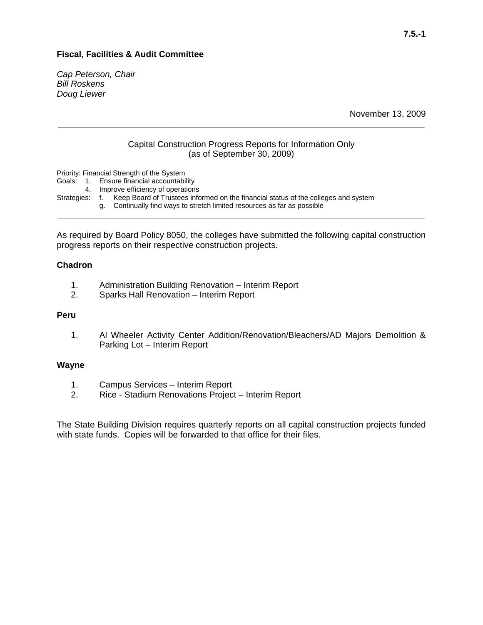*Cap Peterson, Chair Bill Roskens Doug Liewer*

November 13, 2009

### Capital Construction Progress Reports for Information Only (as of September 30, 2009)

**\_\_\_\_\_\_\_\_\_\_\_\_\_\_\_\_\_\_\_\_\_\_\_\_\_\_\_\_\_\_\_\_\_\_\_\_\_\_\_\_\_\_\_\_\_\_\_\_\_\_\_\_\_\_\_\_\_\_\_\_\_\_\_\_\_\_\_\_\_\_\_\_\_\_\_\_** 

Priority: Financial Strength of the System

- Goals: 1. Ensure financial accountability
	- 4. Improve efficiency of operations

Strategies: f. Keep Board of Trustees informed on the financial status of the colleges and system

g. Continually find ways to stretch limited resources as far as possible

As required by Board Policy 8050, the colleges have submitted the following capital construction progress reports on their respective construction projects.

**\_\_\_\_\_\_\_\_\_\_\_\_\_\_\_\_\_\_\_\_\_\_\_\_\_\_\_\_\_\_\_\_\_\_\_\_\_\_\_\_\_\_\_\_\_\_\_\_\_\_\_\_\_\_\_\_\_\_\_\_\_\_\_\_\_\_\_\_\_\_\_\_\_\_\_\_** 

#### **Chadron**

- 1. Administration Building Renovation Interim Report
- 2. Sparks Hall Renovation Interim Report

#### **Peru**

1. Al Wheeler Activity Center Addition/Renovation/Bleachers/AD Majors Demolition & Parking Lot – Interim Report

### **Wayne**

- 1. Campus Services Interim Report
- 2. Rice Stadium Renovations Project Interim Report

The State Building Division requires quarterly reports on all capital construction projects funded with state funds. Copies will be forwarded to that office for their files.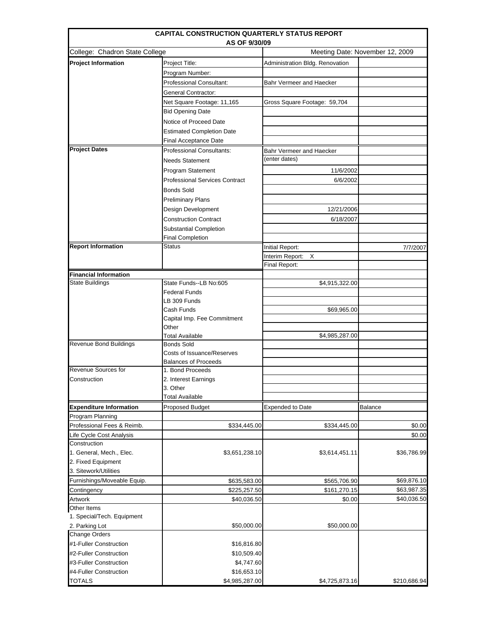| <b>CAPITAL CONSTRUCTION QUARTERLY STATUS REPORT</b><br>AS OF 9/30/09 |                                                       |                                           |                                 |
|----------------------------------------------------------------------|-------------------------------------------------------|-------------------------------------------|---------------------------------|
| College: Chadron State College                                       |                                                       |                                           | Meeting Date: November 12, 2009 |
| <b>Project Information</b>                                           |                                                       |                                           |                                 |
|                                                                      | Project Title:                                        | Administration Bldg. Renovation           |                                 |
|                                                                      | Program Number:<br><b>Professional Consultant:</b>    | Bahr Vermeer and Haecker                  |                                 |
|                                                                      |                                                       |                                           |                                 |
|                                                                      | General Contractor:                                   |                                           |                                 |
|                                                                      | Net Square Footage: 11,165<br><b>Bid Opening Date</b> | Gross Square Footage: 59,704              |                                 |
|                                                                      |                                                       |                                           |                                 |
|                                                                      | Notice of Proceed Date                                |                                           |                                 |
|                                                                      | <b>Estimated Completion Date</b>                      |                                           |                                 |
| <b>Project Dates</b>                                                 | Final Acceptance Date                                 |                                           |                                 |
|                                                                      | Professional Consultants:                             | Bahr Vermeer and Haecker<br>(enter dates) |                                 |
|                                                                      | <b>Needs Statement</b>                                |                                           |                                 |
|                                                                      | Program Statement                                     | 11/6/2002                                 |                                 |
|                                                                      | <b>Professional Services Contract</b>                 | 6/6/2002                                  |                                 |
|                                                                      | <b>Bonds Sold</b>                                     |                                           |                                 |
|                                                                      | <b>Preliminary Plans</b>                              |                                           |                                 |
|                                                                      | Design Development                                    | 12/21/2006                                |                                 |
|                                                                      | <b>Construction Contract</b>                          | 6/18/2007                                 |                                 |
|                                                                      | <b>Substantial Completion</b>                         |                                           |                                 |
|                                                                      | <b>Final Completion</b>                               |                                           |                                 |
| <b>Report Information</b>                                            | Status                                                | Initial Report:                           | 7/7/2007                        |
|                                                                      |                                                       | Interim Report: X                         |                                 |
|                                                                      |                                                       | Final Report:                             |                                 |
| <b>Financial Information</b>                                         |                                                       |                                           |                                 |
| <b>State Buildings</b>                                               | State Funds--LB No:605<br><b>Federal Funds</b>        | \$4,915,322.00                            |                                 |
|                                                                      | LB 309 Funds                                          |                                           |                                 |
|                                                                      | Cash Funds                                            | \$69,965.00                               |                                 |
|                                                                      | Capital Imp. Fee Commitment                           |                                           |                                 |
|                                                                      | Other                                                 |                                           |                                 |
|                                                                      | <b>Total Available</b>                                | \$4,985,287.00                            |                                 |
| Revenue Bond Buildings                                               | <b>Bonds Sold</b>                                     |                                           |                                 |
|                                                                      | Costs of Issuance/Reserves                            |                                           |                                 |
|                                                                      | <b>Balances of Proceeds</b>                           |                                           |                                 |
| <b>Revenue Sources for</b>                                           | 1. Bond Proceeds                                      |                                           |                                 |
| Construction                                                         | 2. Interest Earnings                                  |                                           |                                 |
|                                                                      | 3. Other                                              |                                           |                                 |
|                                                                      | Total Available                                       |                                           |                                 |
| <b>Expenditure Information</b>                                       | Proposed Budget                                       | <b>Expended to Date</b>                   | <b>Balance</b>                  |
| Program Planning                                                     | \$334,445.00                                          |                                           |                                 |
| Professional Fees & Reimb.                                           |                                                       | \$334,445.00                              | \$0.00                          |
| Life Cycle Cost Analysis<br>Construction                             |                                                       |                                           | \$0.00                          |
| 1. General, Mech., Elec.                                             | \$3,651,238.10                                        | \$3,614,451.11                            | \$36,786.99                     |
| 2. Fixed Equipment                                                   |                                                       |                                           |                                 |
| 3. Sitework/Utilities                                                |                                                       |                                           |                                 |
| Furnishings/Moveable Equip.                                          | \$635,583.00                                          | \$565,706.90                              | \$69,876.10                     |
| Contingency                                                          | \$225,257.50                                          | \$161,270.15                              | \$63,987.35                     |
| Artwork                                                              | \$40,036.50                                           | \$0.00                                    | \$40,036.50                     |
| Other Items                                                          |                                                       |                                           |                                 |
| 1. Special/Tech. Equipment                                           |                                                       |                                           |                                 |
| 2. Parking Lot                                                       | \$50,000.00                                           | \$50,000.00                               |                                 |
| <b>Change Orders</b>                                                 |                                                       |                                           |                                 |
| #1-Fuller Construction                                               | \$16,816.80                                           |                                           |                                 |
| #2-Fuller Construction                                               | \$10,509.40                                           |                                           |                                 |
| #3-Fuller Construction                                               | \$4,747.60                                            |                                           |                                 |
| #4-Fuller Construction                                               | \$16,653.10                                           |                                           |                                 |
| <b>TOTALS</b>                                                        | \$4,985,287.00                                        | \$4,725,873.16                            | \$210,686.94                    |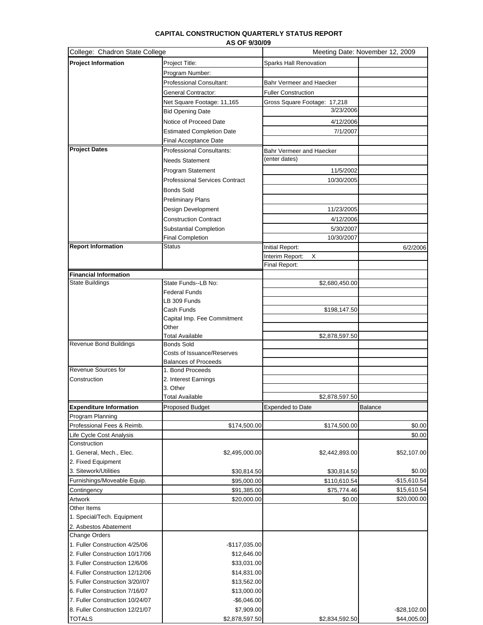#### **CAPITAL CONSTRUCTION QUARTERLY STATUS REPORT AS OF 9/30/09**

| College: Chadron State College  |                                                                  | Meeting Date: November 12, 2009                  |               |
|---------------------------------|------------------------------------------------------------------|--------------------------------------------------|---------------|
| <b>Project Information</b>      | Project Title:                                                   | <b>Sparks Hall Renovation</b>                    |               |
|                                 | Program Number:                                                  |                                                  |               |
|                                 | Professional Consultant:                                         | Bahr Vermeer and Haecker                         |               |
|                                 | General Contractor:                                              | <b>Fuller Construction</b>                       |               |
|                                 | Net Square Footage: 11,165                                       | Gross Square Footage: 17,218                     |               |
|                                 | <b>Bid Opening Date</b>                                          | 3/23/2006                                        |               |
|                                 | Notice of Proceed Date                                           |                                                  |               |
|                                 |                                                                  | 4/12/2006                                        |               |
|                                 | <b>Estimated Completion Date</b><br><b>Final Acceptance Date</b> | 7/1/2007                                         |               |
| <b>Project Dates</b>            |                                                                  |                                                  |               |
|                                 | <b>Professional Consultants:</b>                                 | <b>Bahr Vermeer and Haecker</b><br>(enter dates) |               |
|                                 | Needs Statement                                                  |                                                  |               |
|                                 | Program Statement                                                | 11/5/2002                                        |               |
|                                 | <b>Professional Services Contract</b>                            | 10/30/2005                                       |               |
|                                 | <b>Bonds Sold</b>                                                |                                                  |               |
|                                 | Preliminary Plans                                                |                                                  |               |
|                                 | Design Development                                               | 11/23/2005                                       |               |
|                                 | <b>Construction Contract</b>                                     | 4/12/2006                                        |               |
|                                 | <b>Substantial Completion</b>                                    | 5/30/2007                                        |               |
|                                 | <b>Final Completion</b>                                          | 10/30/2007                                       |               |
| <b>Report Information</b>       | Status                                                           | <b>Initial Report:</b>                           | 6/2/2006      |
|                                 |                                                                  | Interim Report:<br>Χ                             |               |
|                                 |                                                                  | Final Report:                                    |               |
| <b>Financial Information</b>    |                                                                  |                                                  |               |
| State Buildings                 | State Funds--LB No:                                              | \$2,680,450.00                                   |               |
|                                 | Federal Funds                                                    |                                                  |               |
|                                 | LB 309 Funds                                                     |                                                  |               |
|                                 | Cash Funds                                                       | \$198,147.50                                     |               |
|                                 | Capital Imp. Fee Commitment<br>Other                             |                                                  |               |
|                                 | Total Available                                                  | \$2,878,597.50                                   |               |
| <b>Revenue Bond Buildings</b>   | Bonds Sold                                                       |                                                  |               |
|                                 | Costs of Issuance/Reserves                                       |                                                  |               |
|                                 | <b>Balances of Proceeds</b>                                      |                                                  |               |
| Revenue Sources for             | 1. Bond Proceeds                                                 |                                                  |               |
| Construction                    | 2. Interest Earnings                                             |                                                  |               |
|                                 | 3. Other                                                         |                                                  |               |
|                                 | Total Available                                                  | \$2,878,597.50                                   |               |
| <b>Expenditure Information</b>  | Proposed Budget                                                  | <b>Expended to Date</b>                          | Balance       |
| Program Planning                |                                                                  |                                                  |               |
| Professional Fees & Reimb.      | \$174,500.00                                                     | \$174,500.00                                     | \$0.00        |
| Life Cycle Cost Analysis        |                                                                  |                                                  | \$0.00        |
| Construction                    |                                                                  |                                                  |               |
| 1. General, Mech., Elec.        | \$2,495,000.00                                                   | \$2,442,893.00                                   | \$52,107.00   |
| 2. Fixed Equipment              |                                                                  |                                                  |               |
| 3. Sitework/Utilities           | \$30,814.50                                                      | \$30,814.50                                      | \$0.00        |
| Furnishings/Moveable Equip.     | \$95,000.00                                                      | \$110,610.54                                     | $-$15,610.54$ |
| Contingency                     | \$91,385.00                                                      | \$75,774.46                                      | \$15,610.54   |
| Artwork                         | \$20,000.00                                                      | \$0.00                                           | \$20,000.00   |
| Other Items                     |                                                                  |                                                  |               |
| 1. Special/Tech. Equipment      |                                                                  |                                                  |               |
| 2. Asbestos Abatement           |                                                                  |                                                  |               |
| <b>Change Orders</b>            |                                                                  |                                                  |               |
| 1. Fuller Construction 4/25/06  | $-$117,035.00$                                                   |                                                  |               |
| 2. Fuller Construction 10/17/06 | \$12,646.00                                                      |                                                  |               |
| 3. Fuller Construction 12/6/06  | \$33,031.00                                                      |                                                  |               |
| 4. Fuller Construction 12/12/06 | \$14,831.00                                                      |                                                  |               |
| 5. Fuller Construction 3/20//07 | \$13,562.00                                                      |                                                  |               |
| 6. Fuller Construction 7/16/07  | \$13,000.00                                                      |                                                  |               |
| 7. Fuller Construction 10/24/07 | $-$6,046.00$                                                     |                                                  |               |
| 8. Fuller Construction 12/21/07 | \$7,909.00                                                       |                                                  | $-$28,102.00$ |
| <b>TOTALS</b>                   | \$2,878,597.50                                                   | \$2,834,592.50                                   | \$44,005.00   |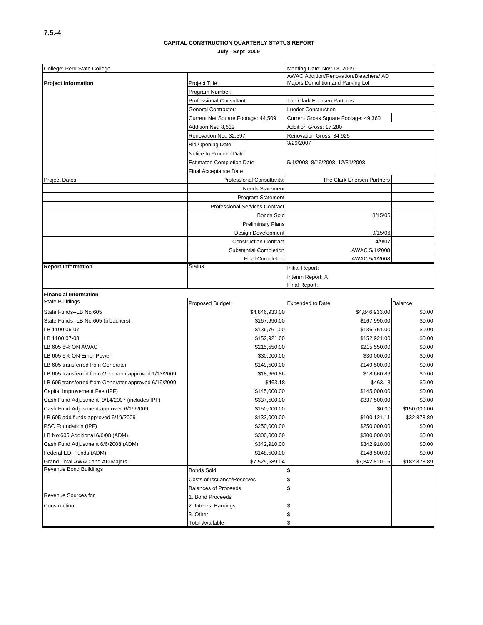# **CAPITAL CONSTRUCTION QUARTERLY STATUS REPORT**

**July - Sept 2009**

| College: Peru State College                            | Meeting Date: Nov 13, 2009            |                                        |                  |
|--------------------------------------------------------|---------------------------------------|----------------------------------------|------------------|
|                                                        |                                       | AWAC Addition/Renovation/Bleachers/ AD |                  |
| <b>Project Information</b>                             | Project Title:                        | Majors Demolition and Parking Lot      |                  |
|                                                        | Program Number:                       |                                        |                  |
|                                                        | Professional Consultant:              | The Clark Enersen Partners             |                  |
|                                                        | <b>General Contractor:</b>            | <b>Lueder Construction</b>             |                  |
|                                                        | Current Net Square Footage: 44,509    | Current Gross Square Footage: 49,360   |                  |
|                                                        | Addition Net: 8,512                   | Addition Gross: 17,280                 |                  |
|                                                        | Renovation Net: 32,597                | Renovation Gross: 34,925<br>3/29/2007  |                  |
|                                                        | <b>Bid Opening Date</b>               |                                        |                  |
|                                                        | Notice to Proceed Date                |                                        |                  |
|                                                        | <b>Estimated Completion Date</b>      | 5/1/2008, 8/16/2008, 12/31/2008        |                  |
|                                                        | Final Acceptance Date                 |                                        |                  |
| <b>Project Dates</b>                                   | <b>Professional Consultants:</b>      | The Clark Enersen Partners             |                  |
|                                                        | <b>Needs Statement</b>                |                                        |                  |
|                                                        | <b>Program Statement</b>              |                                        |                  |
|                                                        | <b>Professional Services Contract</b> |                                        |                  |
|                                                        | <b>Bonds Sold</b>                     | 8/15/06                                |                  |
|                                                        | <b>Preliminary Plans</b>              |                                        |                  |
|                                                        | Design Development                    | 9/15/06                                |                  |
|                                                        | <b>Construction Contract</b>          | 4/9/07                                 |                  |
|                                                        | Substantial Completion                | AWAC 5/1/2008                          |                  |
| <b>Report Information</b>                              | <b>Final Completion</b>               | AWAC 5/1/2008                          |                  |
|                                                        | Status                                | Initial Report:                        |                  |
|                                                        |                                       | Interim Report: X                      |                  |
|                                                        |                                       | Final Report:                          |                  |
| <b>Financial Information</b><br><b>State Buildings</b> |                                       |                                        |                  |
| State Funds--LB No:605                                 | <b>Proposed Budget</b>                | <b>Expended to Date</b>                | Balance          |
|                                                        | \$4,846,933.00                        | \$4,846,933.00                         | \$0.00           |
| State Funds--LB No:605 (bleachers)<br>LB 1100 06-07    | \$167,990.00                          | \$167,990.00                           | \$0.00<br>\$0.00 |
|                                                        | \$136,761.00                          | \$136,761.00                           |                  |
| LB 1100 07-08                                          | \$152,921.00                          | \$152,921.00                           | \$0.00           |
| LB 605 5% ON AWAC<br>LB 605 5% ON Emer Power           | \$215,550.00                          | \$215,550.00                           | \$0.00           |
| LB 605 transferred from Generator                      | \$30,000.00                           | \$30,000.00                            | \$0.00<br>\$0.00 |
|                                                        | \$149,500.00                          | \$149,500.00<br>\$18,660.86            |                  |
| LB 605 transferred from Generator approved 1/13/2009   | \$18,660.86                           |                                        |                  |
| LB 605 transferred from Generator approved 6/19/2009   |                                       |                                        | \$0.00           |
|                                                        | \$463.18                              | \$463.18                               | \$0.00           |
| Capital Improvement Fee (IPF)                          | \$145,000.00                          | \$145,000.00                           | \$0.00           |
| Cash Fund Adjustment 9/14/2007 (includes IPF)          | \$337,500.00                          | \$337,500.00                           | \$0.00           |
| Cash Fund Adjustment approved 6/19/2009                | \$150,000.00                          | \$0.00                                 | \$150,000.00     |
| LB 605 add funds approved 6/19/2009                    | \$133,000.00                          | \$100,121.11                           | \$32,878.89      |
| PSC Foundation (IPF)                                   | \$250,000.00                          | \$250,000.00                           | \$0.00           |
| LB No:605 Additional 6/6/08 (ADM)                      | \$300,000.00                          | \$300,000.00                           | \$0.00           |
| Cash Fund Adjustment 6/6/2008 (ADM)                    | \$342,910.00                          | \$342,910.00                           | \$0.00           |
| Federal EDI Funds (ADM)                                | \$148,500.00                          | \$148,500.00                           | \$0.00           |
| Grand Total AWAC and AD Majors                         | \$7,525,689.04                        | \$7,342,810.15                         | \$182,878.89     |
| <b>Revenue Bond Buildings</b>                          | <b>Bonds Sold</b>                     | \$                                     |                  |
|                                                        | Costs of Issuance/Reserves            |                                        |                  |
|                                                        | <b>Balances of Proceeds</b>           | \$                                     |                  |
| Revenue Sources for                                    | 1. Bond Proceeds                      |                                        |                  |
| Construction                                           | 2. Interest Earnings                  | \$                                     |                  |
|                                                        | 3. Other<br><b>Total Available</b>    | \$                                     |                  |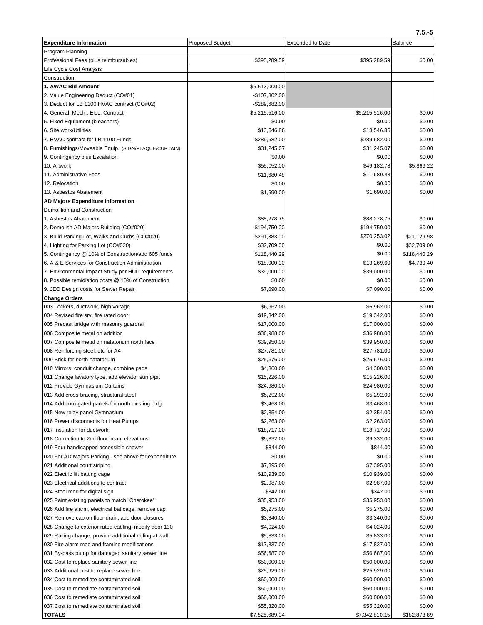| <b>Expenditure Information</b>                         | <b>Proposed Budget</b> | <b>Expended to Date</b> | Balance      |
|--------------------------------------------------------|------------------------|-------------------------|--------------|
| Program Planning                                       |                        |                         |              |
| Professional Fees (plus reimbursables)                 | \$395,289.59           | \$395,289.59            | \$0.00       |
| Life Cycle Cost Analysis                               |                        |                         |              |
| Construction                                           |                        |                         |              |
| 1. AWAC Bid Amount                                     | \$5,613,000.00         |                         |              |
| 2. Value Engineering Deduct (CO#01)                    | -\$107,802.00          |                         |              |
| 3. Deduct for LB 1100 HVAC contract (CO#02)            | -\$289,682.00          |                         |              |
| 4. General, Mech., Elec. Contract                      | \$5,215,516.00         | \$5,215,516.00          | \$0.00       |
| 5. Fixed Equipment (bleachers)                         | \$0.00                 | \$0.00                  | \$0.00       |
| 6. Site work/Utilities                                 | \$13,546.86            | \$13,546.86             | \$0.00       |
| 7. HVAC contract for LB 1100 Funds                     | \$289,682.00           | \$289,682.00            | \$0.00       |
| 8. Furnishings/Moveable Equip. (SIGN/PLAQUE/CURTAIN)   | \$31,245.07            | \$31,245.07             | \$0.00       |
| 9. Contingency plus Escalation                         | \$0.00                 | \$0.00                  | \$0.00       |
| 10. Artwork                                            | \$55,052.00            | \$49,182.78             | \$5,869.22   |
| 11. Administrative Fees                                | \$11,680.48            | \$11,680.48             | \$0.00       |
| 12. Relocation                                         | \$0.00                 | \$0.00                  | \$0.00       |
| 13. Asbestos Abatement                                 | \$1,690.00             | \$1,690.00              | \$0.00       |
| <b>AD Majors Expenditure Information</b>               |                        |                         |              |
| Demolition and Construction                            |                        |                         |              |
| 1. Asbestos Abatement                                  | \$88,278.75            | \$88,278.75             | \$0.00       |
| 2. Demolish AD Majors Building (CO#020)                | \$194,750.00           | \$194,750.00            | \$0.00       |
| 3. Build Parking Lot, Walks and Curbs (CO#020)         | \$291,383.00           | \$270,253.02            | \$21,129.98  |
| 4. Lighting for Parking Lot (CO#020)                   | \$32,709.00            | \$0.00                  | \$32,709.00  |
|                                                        | \$118,440.29           | \$0.00                  |              |
| 5. Contingency @ 10% of Construction/add 605 funds     |                        | \$13,269.60             | \$118,440.29 |
| 6. A & E Services for Construction Administration      | \$18,000.00            |                         | \$4,730.40   |
| 7. Environmental Impact Study per HUD requirements     | \$39,000.00            | \$39,000.00             | \$0.00       |
| 8. Possible remidiation costs @ 10% of Construction    | \$0.00                 | \$0.00                  | \$0.00       |
| 9. JEO Design costs for Sewer Repair                   | \$7,090.00             | \$7,090.00              | \$0.00       |
| <b>Change Orders</b>                                   |                        |                         |              |
| 003 Lockers, ductwork, high voltage                    | \$6,962.00             | \$6,962.00              | \$0.00       |
| 004 Revised fire srv, fire rated door                  | \$19,342.00            | \$19,342.00             | \$0.00       |
| 005 Precast bridge with masonry guardrail              | \$17,000.00            | \$17,000.00             | \$0.00       |
| 006 Composite metal on addition                        | \$36,988.00            | \$36,988.00             | \$0.00       |
| 007 Composite metal on natatorium north face           | \$39,950.00            | \$39,950.00             | \$0.00       |
| 008 Reinforcing steel, etc for A4                      | \$27,781.00            | \$27,781.00             | \$0.00       |
| 009 Brick for north natatorium                         | \$25,676.00            | \$25,676.00             | \$0.00       |
| 010 Mirrors, conduit change, combine pads              | \$4,300.00             | \$4,300.00              | \$0.00       |
| 011 Change lavatory type, add elevator sump/pit        | \$15,226.00            | \$15,226.00             | \$0.00       |
| 012 Provide Gymnasium Curtains                         | \$24,980.00            | \$24,980.00             | \$0.00       |
| 013 Add cross-bracing, structural steel                | \$5,292.00             | \$5,292.00              | \$0.00       |
| 014 Add corrugated panels for north existing bldg      | \$3,468.00             | \$3,468.00              | \$0.00       |
| 015 New relay panel Gymnasium                          | \$2,354.00             | \$2,354.00              | \$0.00       |
| 016 Power disconnects for Heat Pumps                   | \$2,263.00             | \$2,263.00              | \$0.00       |
| 017 Insulation for ductwork                            | \$18,717.00            | \$18,717.00             | \$0.00       |
| 018 Correction to 2nd floor beam elevations            | \$9,332.00             | \$9,332.00              | \$0.00       |
| 019 Four handicapped accessible shower                 | \$844.00               | \$844.00                | \$0.00       |
| 020 For AD Majors Parking - see above for expenditure  | \$0.00                 | \$0.00                  | \$0.00       |
| 021 Additional court striping                          | \$7,395.00             | \$7,395.00              | \$0.00       |
| 022 Electric lift batting cage                         | \$10,939.00            | \$10,939.00             | \$0.00       |
| 023 Electrical additions to contract                   | \$2,987.00             | \$2,987.00              | \$0.00       |
| 024 Steel mod for digital sign                         | \$342.00               | \$342.00                | \$0.00       |
| 025 Paint existing panels to match "Cherokee"          | \$35,953.00            | \$35,953.00             | \$0.00       |
| 026 Add fire alarm, electrical bat cage, remove cap    | \$5,275.00             | \$5,275.00              | \$0.00       |
| 027 Remove cap on floor drain, add door closures       | \$3,340.00             | \$3,340.00              | \$0.00       |
| 028 Change to exterior rated cabling, modify door 130  | \$4,024.00             | \$4,024.00              | \$0.00       |
| 029 Railing change, provide additional railing at wall | \$5,833.00             | \$5,833.00              | \$0.00       |
| 030 Fire alarm mod and framing modifications           | \$17,837.00            | \$17,837.00             | \$0.00       |
| 031 By-pass pump for damaged sanitary sewer line       | \$56,687.00            | \$56,687.00             | \$0.00       |
| 032 Cost to replace sanitary sewer line                | \$50,000.00            | \$50,000.00             | \$0.00       |
| 033 Additional cost to replace sewer line              | \$25,929.00            | \$25,929.00             | \$0.00       |
| 034 Cost to remediate contaminated soil                | \$60,000.00            | \$60,000.00             | \$0.00       |
| 035 Cost to remediate contaminated soil                | \$60,000.00            | \$60,000.00             | \$0.00       |
| 036 Cost to remediate contaminated soil                | \$60,000.00            | \$60,000.00             | \$0.00       |
| 037 Cost to remediate contaminated soil                | \$55,320.00            | \$55,320.00             | \$0.00       |
| <b>TOTALS</b>                                          | \$7,525,689.04         | \$7,342,810.15          | \$182,878.89 |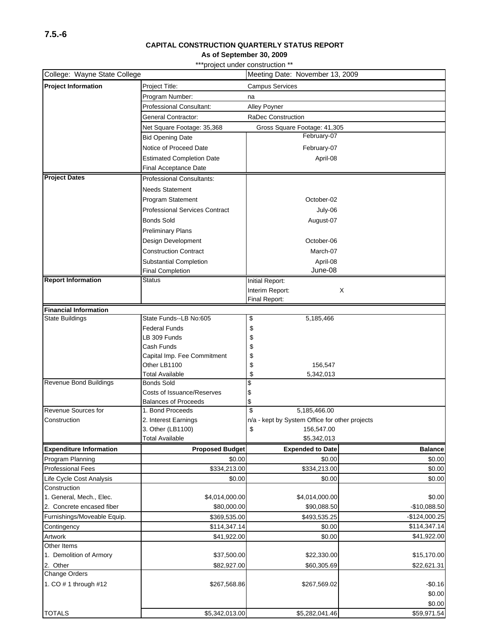# **CAPITAL CONSTRUCTION QUARTERLY STATUS REPORT**

**As of September 30, 2009**

\*\*\*project under construction \*\*

| College: Wayne State College                       |                                             | Meeting Date: November 13, 2009                |                          |
|----------------------------------------------------|---------------------------------------------|------------------------------------------------|--------------------------|
| <b>Project Information</b>                         | Project Title:                              | <b>Campus Services</b>                         |                          |
|                                                    | Program Number:                             | na                                             |                          |
|                                                    | Professional Consultant:                    | Alley Poyner                                   |                          |
|                                                    | <b>General Contractor:</b>                  | <b>RaDec Construction</b>                      |                          |
|                                                    | Net Square Footage: 35,368                  | Gross Square Footage: 41,305                   |                          |
|                                                    | <b>Bid Opening Date</b>                     | February-07                                    |                          |
|                                                    | Notice of Proceed Date                      | February-07                                    |                          |
|                                                    | <b>Estimated Completion Date</b>            | April-08                                       |                          |
|                                                    | Final Acceptance Date                       |                                                |                          |
| <b>Project Dates</b>                               | Professional Consultants:                   |                                                |                          |
|                                                    | <b>Needs Statement</b>                      |                                                |                          |
|                                                    | Program Statement                           | October-02                                     |                          |
|                                                    | <b>Professional Services Contract</b>       | July-06                                        |                          |
|                                                    | <b>Bonds Sold</b>                           | August-07                                      |                          |
|                                                    | <b>Preliminary Plans</b>                    |                                                |                          |
|                                                    | Design Development                          | October-06                                     |                          |
|                                                    | <b>Construction Contract</b>                | March-07                                       |                          |
|                                                    | <b>Substantial Completion</b>               | April-08                                       |                          |
|                                                    | <b>Final Completion</b>                     | June-08                                        |                          |
| <b>Report Information</b>                          | Status                                      | <b>Initial Report:</b>                         |                          |
|                                                    |                                             | Interim Report:                                | X                        |
|                                                    |                                             | Final Report:                                  |                          |
| <b>Financial Information</b>                       |                                             |                                                |                          |
| <b>State Buildings</b>                             | State Funds--LB No:605                      | \$<br>5,185,466                                |                          |
|                                                    | <b>Federal Funds</b><br>LB 309 Funds        | \$                                             |                          |
|                                                    | Cash Funds                                  | \$<br>\$                                       |                          |
|                                                    | Capital Imp. Fee Commitment                 | \$                                             |                          |
|                                                    | Other LB1100                                | \$<br>156,547                                  |                          |
|                                                    | <b>Total Available</b>                      | \$<br>5,342,013                                |                          |
| Revenue Bond Buildings                             | <b>Bonds Sold</b>                           | \$                                             |                          |
|                                                    | Costs of Issuance/Reserves                  | \$                                             |                          |
|                                                    | <b>Balances of Proceeds</b>                 | \$                                             |                          |
| Revenue Sources for                                | 1. Bond Proceeds                            | \$<br>5,185,466.00                             |                          |
| Construction                                       | 2. Interest Earnings                        | n/a - kept by System Office for other projects |                          |
|                                                    | 3. Other (LB1100)<br><b>Total Available</b> | \$<br>156,547.00                               |                          |
|                                                    |                                             | \$5,342,013                                    |                          |
| <b>Expenditure Information</b><br>Program Planning | <b>Proposed Budget</b><br>\$0.00            | <b>Expended to Date</b><br>\$0.00              | <b>Balance</b><br>\$0.00 |
| <b>Professional Fees</b>                           | \$334,213.00                                | \$334,213.00                                   | \$0.00                   |
| Life Cycle Cost Analysis                           | \$0.00                                      | \$0.00                                         | \$0.00                   |
| Construction                                       |                                             |                                                |                          |
| 1. General, Mech., Elec.                           | \$4,014,000.00                              | \$4,014,000.00                                 | \$0.00                   |
| 2. Concrete encased fiber                          | \$80,000.00                                 | \$90,088.50                                    | $-$10,088.50$            |
| Furnishings/Moveable Equip.                        | \$369,535.00                                | \$493,535.25                                   | $-$124,000.25$           |
| Contingency                                        | \$114,347.14                                | \$0.00                                         | \$114,347.14             |
| Artwork                                            | \$41,922.00                                 | \$0.00                                         | \$41,922.00              |
| Other Items                                        |                                             |                                                |                          |
| 1. Demolition of Armory                            | \$37,500.00                                 | \$22,330.00                                    | \$15,170.00              |
| 2. Other                                           | \$82,927.00                                 | \$60,305.69                                    | \$22,621.31              |
| Change Orders                                      |                                             |                                                |                          |
| 1. CO # 1 through #12                              | \$267,568.86                                | \$267,569.02                                   | $-$0.16$                 |
|                                                    |                                             |                                                | \$0.00                   |
|                                                    |                                             |                                                | \$0.00                   |
| <b>TOTALS</b>                                      | \$5,342,013.00                              | \$5,282,041.46                                 | \$59,971.54              |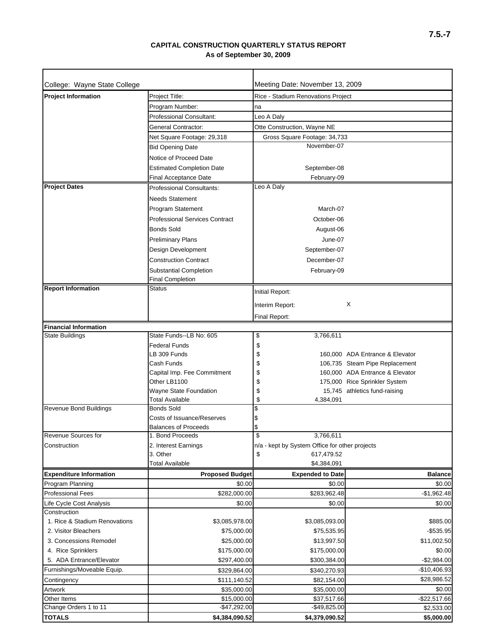# **CAPITAL CONSTRUCTION QUARTERLY STATUS REPORT As of September 30, 2009**

| College: Wayne State College   |                                       | Meeting Date: November 13, 2009                                    |                                 |
|--------------------------------|---------------------------------------|--------------------------------------------------------------------|---------------------------------|
| <b>Project Information</b>     | Project Title:                        | Rice - Stadium Renovations Project                                 |                                 |
|                                | Program Number:                       | na                                                                 |                                 |
|                                | <b>Professional Consultant:</b>       |                                                                    |                                 |
|                                | General Contractor:                   | Leo A Daly<br>Otte Construction, Wayne NE                          |                                 |
|                                |                                       |                                                                    |                                 |
|                                | Net Square Footage: 29,318            | Gross Square Footage: 34,733<br>November-07                        |                                 |
|                                | <b>Bid Opening Date</b>               |                                                                    |                                 |
|                                | Notice of Proceed Date                |                                                                    |                                 |
|                                | <b>Estimated Completion Date</b>      | September-08                                                       |                                 |
| <b>Project Dates</b>           | Final Acceptance Date                 | February-09<br>Leo A Daly                                          |                                 |
|                                | <b>Professional Consultants:</b>      |                                                                    |                                 |
|                                | <b>Needs Statement</b>                |                                                                    |                                 |
|                                | <b>Program Statement</b>              | March-07                                                           |                                 |
|                                | <b>Professional Services Contract</b> | October-06                                                         |                                 |
|                                | <b>Bonds Sold</b>                     | August-06                                                          |                                 |
|                                | <b>Preliminary Plans</b>              | June-07                                                            |                                 |
|                                | Design Development                    | September-07                                                       |                                 |
|                                | <b>Construction Contract</b>          | December-07                                                        |                                 |
|                                | <b>Substantial Completion</b>         | February-09                                                        |                                 |
|                                | <b>Final Completion</b>               |                                                                    |                                 |
| <b>Report Information</b>      | Status                                | <b>Initial Report:</b>                                             |                                 |
|                                |                                       | Interim Report:                                                    | Χ                               |
|                                |                                       |                                                                    |                                 |
| <b>Financial Information</b>   |                                       | Final Report:                                                      |                                 |
| State Buildings                | State Funds--LB No: 605               | \$<br>3,766,611                                                    |                                 |
|                                | <b>Federal Funds</b>                  | \$                                                                 |                                 |
|                                | LB 309 Funds                          | \$                                                                 | 160,000 ADA Entrance & Elevator |
|                                | Cash Funds                            | \$                                                                 | 106,735 Steam Pipe Replacement  |
|                                | Capital Imp. Fee Commitment           | \$                                                                 | 160,000 ADA Entrance & Elevator |
|                                | Other LB1100                          | \$                                                                 | 175,000 Rice Sprinkler System   |
|                                | Wayne State Foundation                | \$                                                                 | 15,745 athletics fund-raising   |
|                                | <b>Total Available</b>                | \$<br>4,384,091                                                    |                                 |
| <b>Revenue Bond Buildings</b>  | <b>Bonds Sold</b>                     | \$                                                                 |                                 |
|                                | <b>Costs of Issuance/Reserves</b>     | \$                                                                 |                                 |
|                                | <b>Balances of Proceeds</b>           | \$                                                                 |                                 |
| Revenue Sources for            | 1. Bond Proceeds                      | \$<br>3,766,611                                                    |                                 |
| Construction                   | 2. Interest Earnings<br>3. Other      | n/a - kept by System Office for other projects<br>\$<br>617,479.52 |                                 |
|                                | <b>Total Available</b>                | \$4,384,091                                                        |                                 |
| <b>Expenditure Information</b> |                                       | <b>Expended to Date</b>                                            | <b>Balance</b>                  |
| Program Planning               | <b>Proposed Budget</b><br>\$0.00      | \$0.00                                                             | \$0.00                          |
| Professional Fees              | \$282,000.00                          | \$283,962.48                                                       | $-$1,962.48$                    |
| Life Cycle Cost Analysis       | \$0.00                                | \$0.00                                                             | \$0.00                          |
| Construction                   |                                       |                                                                    |                                 |
| 1. Rice & Stadium Renovations  | \$3,085,978.00                        | \$3,085,093.00                                                     | \$885.00                        |
| 2. Visitor Bleachers           | \$75,000.00                           | \$75,535.95                                                        | $-$535.95$                      |
| 3. Concessions Remodel         | \$25,000.00                           | \$13,997.50                                                        | \$11,002.50                     |
| 4. Rice Sprinklers             | \$175,000.00                          | \$175,000.00                                                       | \$0.00                          |
| 5. ADA Entrance/Elevator       | \$297,400.00                          | \$300,384.00                                                       | $-$2,984.00$                    |
| Furnishings/Moveable Equip.    | \$329,864.00                          | \$340,270.93                                                       | $-$10,406.93$                   |
| Contingency                    | \$111,140.52                          | \$82,154.00                                                        | \$28,986.52                     |
| Artwork                        | \$35,000.00                           | \$35,000.00                                                        | \$0.00                          |
| Other Items                    | \$15,000.00                           | \$37,517.66                                                        | $-$ \$22,517.66                 |
| Change Orders 1 to 11          | $-$47,292.00$                         | -\$49,825.00                                                       | \$2,533.00                      |
| <b>TOTALS</b>                  | \$4,384,090.52                        | \$4,379,090.52                                                     | \$5,000.00                      |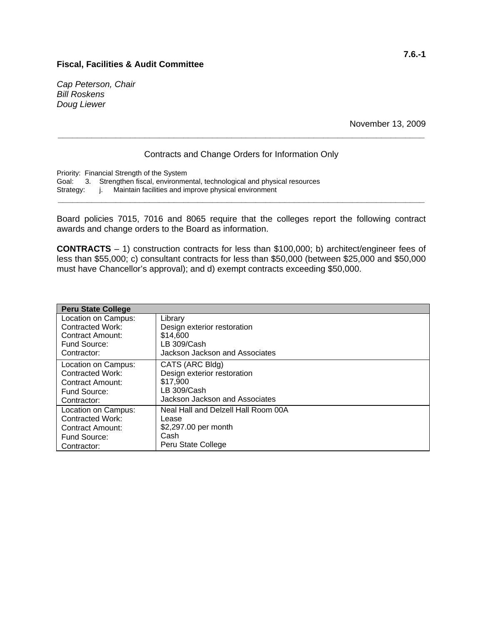*Cap Peterson, Chair Bill Roskens Doug Liewer* 

November 13, 2009

#### Contracts and Change Orders for Information Only

**\_\_\_\_\_\_\_\_\_\_\_\_\_\_\_\_\_\_\_\_\_\_\_\_\_\_\_\_\_\_\_\_\_\_\_\_\_\_\_\_\_\_\_\_\_\_\_\_\_\_\_\_\_\_\_\_\_\_\_\_\_\_\_\_\_\_\_\_\_\_\_\_\_\_\_\_** 

Priority: Financial Strength of the System Goal: 3. Strengthen fiscal, environmental, technological and physical resources Strategy: j. Maintain facilities and improve physical environment

Board policies 7015, 7016 and 8065 require that the colleges report the following contract awards and change orders to the Board as information.

**\_\_\_\_\_\_\_\_\_\_\_\_\_\_\_\_\_\_\_\_\_\_\_\_\_\_\_\_\_\_\_\_\_\_\_\_\_\_\_\_\_\_\_\_\_\_\_\_\_\_\_\_\_\_\_\_\_\_\_\_\_\_\_\_\_\_\_\_\_\_\_\_\_\_\_\_** 

**CONTRACTS** – 1) construction contracts for less than \$100,000; b) architect/engineer fees of less than \$55,000; c) consultant contracts for less than \$50,000 (between \$25,000 and \$50,000 must have Chancellor's approval); and d) exempt contracts exceeding \$50,000.

| <b>Peru State College</b> |                                     |
|---------------------------|-------------------------------------|
| Location on Campus:       | Library                             |
| <b>Contracted Work:</b>   | Design exterior restoration         |
| Contract Amount:          | \$14,600                            |
| Fund Source:              | LB 309/Cash                         |
| Contractor:               | Jackson Jackson and Associates      |
| Location on Campus:       | CATS (ARC Bldg)                     |
| <b>Contracted Work:</b>   | Design exterior restoration         |
| <b>Contract Amount:</b>   | \$17,900                            |
| Fund Source:              | LB 309/Cash                         |
| Contractor:               | Jackson Jackson and Associates      |
| Location on Campus:       | Neal Hall and Delzell Hall Room 00A |
| <b>Contracted Work:</b>   | Lease                               |
| Contract Amount:          | \$2,297.00 per month                |
| Fund Source:              | Cash                                |
| Contractor:               | Peru State College                  |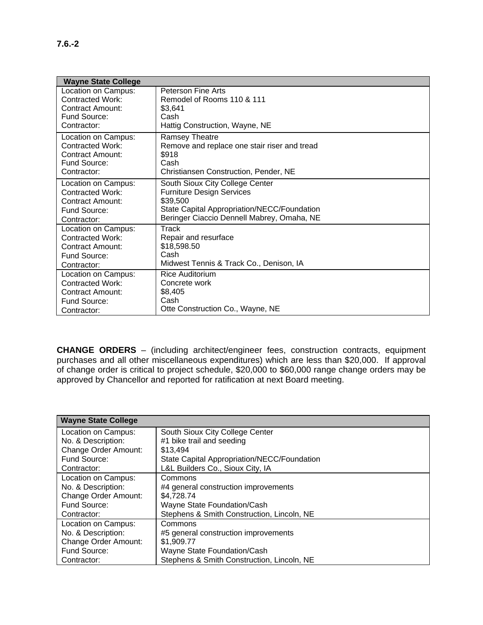| <b>Wayne State College</b> |                                              |
|----------------------------|----------------------------------------------|
| Location on Campus:        | Peterson Fine Arts                           |
| <b>Contracted Work:</b>    | Remodel of Rooms 110 & 111                   |
| Contract Amount:           | \$3,641                                      |
| Fund Source:               | Cash                                         |
| Contractor:                | Hattig Construction, Wayne, NE               |
| Location on Campus:        | <b>Ramsey Theatre</b>                        |
| Contracted Work:           | Remove and replace one stair riser and tread |
| Contract Amount:           | \$918                                        |
| Fund Source:               | Cash                                         |
| Contractor:                | Christiansen Construction, Pender, NE        |
| Location on Campus:        | South Sioux City College Center              |
| Contracted Work:           | <b>Furniture Design Services</b>             |
| Contract Amount:           | \$39,500                                     |
| Fund Source:               | State Capital Appropriation/NECC/Foundation  |
| Contractor:                | Beringer Ciaccio Dennell Mabrey, Omaha, NE   |
| Location on Campus:        | Track                                        |
| Contracted Work:           | Repair and resurface                         |
| <b>Contract Amount:</b>    | \$18,598.50                                  |
| Fund Source:               | Cash                                         |
| Contractor:                | Midwest Tennis & Track Co., Denison, IA      |
| Location on Campus:        | <b>Rice Auditorium</b>                       |
| <b>Contracted Work:</b>    | Concrete work                                |
| Contract Amount:           | \$8,405                                      |
| Fund Source:               | Cash                                         |
| Contractor:                | Otte Construction Co., Wayne, NE             |

**CHANGE ORDERS** – (including architect/engineer fees, construction contracts, equipment purchases and all other miscellaneous expenditures) which are less than \$20,000. If approval of change order is critical to project schedule, \$20,000 to \$60,000 range change orders may be approved by Chancellor and reported for ratification at next Board meeting.

| <b>Wayne State College</b>  |                                             |  |  |  |
|-----------------------------|---------------------------------------------|--|--|--|
| Location on Campus:         | South Sioux City College Center             |  |  |  |
| No. & Description:          | #1 bike trail and seeding                   |  |  |  |
| Change Order Amount:        | \$13.494                                    |  |  |  |
| Fund Source:                | State Capital Appropriation/NECC/Foundation |  |  |  |
| Contractor:                 | L&L Builders Co., Sioux City, IA            |  |  |  |
| Location on Campus:         | Commons                                     |  |  |  |
| No. & Description:          | #4 general construction improvements        |  |  |  |
| <b>Change Order Amount:</b> | \$4.728.74                                  |  |  |  |
| Fund Source:                | Wayne State Foundation/Cash                 |  |  |  |
| Contractor:                 | Stephens & Smith Construction, Lincoln, NE  |  |  |  |
| Location on Campus:         | Commons                                     |  |  |  |
| No. & Description:          | #5 general construction improvements        |  |  |  |
| Change Order Amount:        | \$1,909.77                                  |  |  |  |
| Fund Source:                | Wayne State Foundation/Cash                 |  |  |  |
| Contractor:                 | Stephens & Smith Construction, Lincoln, NE  |  |  |  |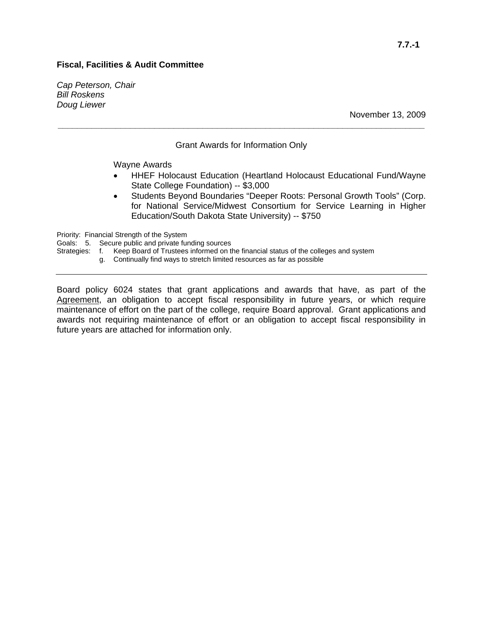*Cap Peterson, Chair Bill Roskens Doug Liewer* 

November 13, 2009

# Grant Awards for Information Only

**\_\_\_\_\_\_\_\_\_\_\_\_\_\_\_\_\_\_\_\_\_\_\_\_\_\_\_\_\_\_\_\_\_\_\_\_\_\_\_\_\_\_\_\_\_\_\_\_\_\_\_\_\_\_\_\_\_\_\_\_\_\_\_\_\_\_\_\_\_\_\_\_\_\_\_\_** 

Wayne Awards

- HHEF Holocaust Education (Heartland Holocaust Educational Fund/Wayne State College Foundation) -- \$3,000
- Students Beyond Boundaries "Deeper Roots: Personal Growth Tools" (Corp. for National Service/Midwest Consortium for Service Learning in Higher Education/South Dakota State University) -- \$750

Priority: Financial Strength of the System

- Goals: 5. Secure public and private funding sources
- Strategies: f. Keep Board of Trustees informed on the financial status of the colleges and system
	- g. Continually find ways to stretch limited resources as far as possible

Board policy 6024 states that grant applications and awards that have, as part of the Agreement, an obligation to accept fiscal responsibility in future years, or which require maintenance of effort on the part of the college, require Board approval. Grant applications and awards not requiring maintenance of effort or an obligation to accept fiscal responsibility in future years are attached for information only.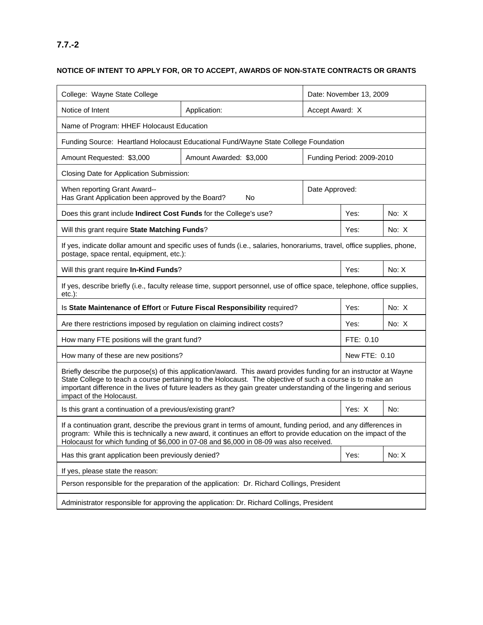# **NOTICE OF INTENT TO APPLY FOR, OR TO ACCEPT, AWARDS OF NON-STATE CONTRACTS OR GRANTS**

| College: Wayne State College                                                                                                                                                                                                                                                                                                                                                      |                                          |                           | Date: November 13, 2009 |               |  |  |  |  |
|-----------------------------------------------------------------------------------------------------------------------------------------------------------------------------------------------------------------------------------------------------------------------------------------------------------------------------------------------------------------------------------|------------------------------------------|---------------------------|-------------------------|---------------|--|--|--|--|
| Notice of Intent                                                                                                                                                                                                                                                                                                                                                                  | Application:                             | Accept Award: X           |                         |               |  |  |  |  |
| Name of Program: HHEF Holocaust Education                                                                                                                                                                                                                                                                                                                                         |                                          |                           |                         |               |  |  |  |  |
| Funding Source: Heartland Holocaust Educational Fund/Wayne State College Foundation                                                                                                                                                                                                                                                                                               |                                          |                           |                         |               |  |  |  |  |
| Amount Requested: \$3,000                                                                                                                                                                                                                                                                                                                                                         | Amount Awarded: \$3,000                  | Funding Period: 2009-2010 |                         |               |  |  |  |  |
|                                                                                                                                                                                                                                                                                                                                                                                   | Closing Date for Application Submission: |                           |                         |               |  |  |  |  |
| When reporting Grant Award--<br>Has Grant Application been approved by the Board?<br>No                                                                                                                                                                                                                                                                                           |                                          |                           | Date Approved:          |               |  |  |  |  |
| Does this grant include Indirect Cost Funds for the College's use?                                                                                                                                                                                                                                                                                                                |                                          |                           | Yes:                    | No: $X$       |  |  |  |  |
| Will this grant require State Matching Funds?                                                                                                                                                                                                                                                                                                                                     |                                          |                           |                         | No: X         |  |  |  |  |
| If yes, indicate dollar amount and specific uses of funds (i.e., salaries, honorariums, travel, office supplies, phone,<br>postage, space rental, equipment, etc.):                                                                                                                                                                                                               |                                          |                           |                         |               |  |  |  |  |
| Will this grant require In-Kind Funds?                                                                                                                                                                                                                                                                                                                                            |                                          |                           |                         | No: X         |  |  |  |  |
| If yes, describe briefly (i.e., faculty release time, support personnel, use of office space, telephone, office supplies,<br>$etc.$ ):                                                                                                                                                                                                                                            |                                          |                           |                         |               |  |  |  |  |
| Is State Maintenance of Effort or Future Fiscal Responsibility required?                                                                                                                                                                                                                                                                                                          |                                          |                           | Yes:                    | No: $X$       |  |  |  |  |
| Are there restrictions imposed by regulation on claiming indirect costs?                                                                                                                                                                                                                                                                                                          |                                          |                           | Yes:                    | No: X         |  |  |  |  |
| How many FTE positions will the grant fund?                                                                                                                                                                                                                                                                                                                                       |                                          |                           |                         | FTE: 0.10     |  |  |  |  |
| How many of these are new positions?                                                                                                                                                                                                                                                                                                                                              |                                          |                           |                         | New FTE: 0.10 |  |  |  |  |
| Briefly describe the purpose(s) of this application/award. This award provides funding for an instructor at Wayne<br>State College to teach a course pertaining to the Holocaust. The objective of such a course is to make an<br>important difference in the lives of future leaders as they gain greater understanding of the lingering and serious<br>impact of the Holocaust. |                                          |                           |                         |               |  |  |  |  |
| Is this grant a continuation of a previous/existing grant?                                                                                                                                                                                                                                                                                                                        |                                          | Yes: X                    | No:                     |               |  |  |  |  |
| If a continuation grant, describe the previous grant in terms of amount, funding period, and any differences in<br>program: While this is technically a new award, it continues an effort to provide education on the impact of the<br>Holocaust for which funding of \$6,000 in 07-08 and \$6,000 in 08-09 was also received.                                                    |                                          |                           |                         |               |  |  |  |  |
| Has this grant application been previously denied?                                                                                                                                                                                                                                                                                                                                |                                          |                           |                         | No: X         |  |  |  |  |
| If yes, please state the reason:                                                                                                                                                                                                                                                                                                                                                  |                                          |                           |                         |               |  |  |  |  |
| Person responsible for the preparation of the application: Dr. Richard Collings, President                                                                                                                                                                                                                                                                                        |                                          |                           |                         |               |  |  |  |  |
| Administrator responsible for approving the application: Dr. Richard Collings, President                                                                                                                                                                                                                                                                                          |                                          |                           |                         |               |  |  |  |  |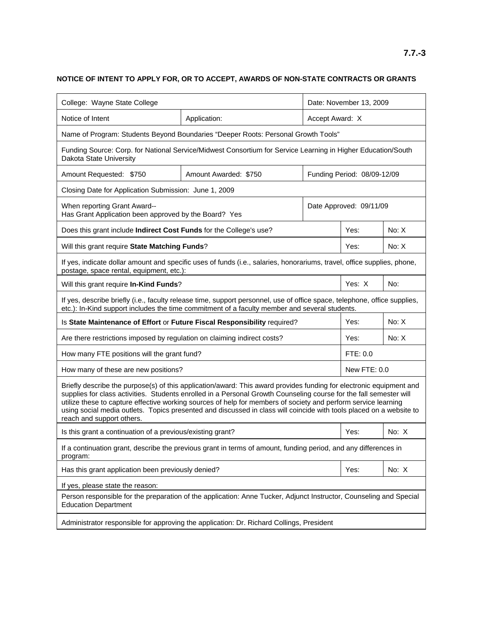# **NOTICE OF INTENT TO APPLY FOR, OR TO ACCEPT, AWARDS OF NON-STATE CONTRACTS OR GRANTS**

| College: Wayne State College                                                                                                                                                                                                                                                                                                                                                                                                                                                                                    |                       |                             | Date: November 13, 2009 |                         |  |  |  |
|-----------------------------------------------------------------------------------------------------------------------------------------------------------------------------------------------------------------------------------------------------------------------------------------------------------------------------------------------------------------------------------------------------------------------------------------------------------------------------------------------------------------|-----------------------|-----------------------------|-------------------------|-------------------------|--|--|--|
| Notice of Intent                                                                                                                                                                                                                                                                                                                                                                                                                                                                                                | Application:          | Accept Award: X             |                         |                         |  |  |  |
| Name of Program: Students Beyond Boundaries "Deeper Roots: Personal Growth Tools"                                                                                                                                                                                                                                                                                                                                                                                                                               |                       |                             |                         |                         |  |  |  |
| Funding Source: Corp. for National Service/Midwest Consortium for Service Learning in Higher Education/South<br>Dakota State University                                                                                                                                                                                                                                                                                                                                                                         |                       |                             |                         |                         |  |  |  |
| Amount Requested: \$750                                                                                                                                                                                                                                                                                                                                                                                                                                                                                         | Amount Awarded: \$750 | Funding Period: 08/09-12/09 |                         |                         |  |  |  |
| Closing Date for Application Submission: June 1, 2009                                                                                                                                                                                                                                                                                                                                                                                                                                                           |                       |                             |                         |                         |  |  |  |
| When reporting Grant Award--<br>Has Grant Application been approved by the Board? Yes                                                                                                                                                                                                                                                                                                                                                                                                                           |                       |                             |                         | Date Approved: 09/11/09 |  |  |  |
| Does this grant include Indirect Cost Funds for the College's use?                                                                                                                                                                                                                                                                                                                                                                                                                                              |                       | Yes:                        | No: X                   |                         |  |  |  |
| Will this grant require State Matching Funds?                                                                                                                                                                                                                                                                                                                                                                                                                                                                   |                       | Yes:                        | No: X                   |                         |  |  |  |
| If yes, indicate dollar amount and specific uses of funds (i.e., salaries, honorariums, travel, office supplies, phone,<br>postage, space rental, equipment, etc.):                                                                                                                                                                                                                                                                                                                                             |                       |                             |                         |                         |  |  |  |
| Will this grant require In-Kind Funds?                                                                                                                                                                                                                                                                                                                                                                                                                                                                          |                       | Yes: X                      | No:                     |                         |  |  |  |
| If yes, describe briefly (i.e., faculty release time, support personnel, use of office space, telephone, office supplies,<br>etc.): In-Kind support includes the time commitment of a faculty member and several students.                                                                                                                                                                                                                                                                                      |                       |                             |                         |                         |  |  |  |
| Is State Maintenance of Effort or Future Fiscal Responsibility required?                                                                                                                                                                                                                                                                                                                                                                                                                                        |                       |                             |                         | No: X                   |  |  |  |
| Are there restrictions imposed by regulation on claiming indirect costs?                                                                                                                                                                                                                                                                                                                                                                                                                                        |                       | Yes:                        | No: X                   |                         |  |  |  |
| How many FTE positions will the grant fund?                                                                                                                                                                                                                                                                                                                                                                                                                                                                     |                       | FTE: 0.0                    |                         |                         |  |  |  |
| How many of these are new positions?                                                                                                                                                                                                                                                                                                                                                                                                                                                                            |                       |                             |                         | New FTE: 0.0            |  |  |  |
| Briefly describe the purpose(s) of this application/award: This award provides funding for electronic equipment and<br>supplies for class activities. Students enrolled in a Personal Growth Counseling course for the fall semester will<br>utilize these to capture effective working sources of help for members of society and perform service learning<br>using social media outlets. Topics presented and discussed in class will coincide with tools placed on a website to<br>reach and support others. |                       |                             |                         |                         |  |  |  |
| Is this grant a continuation of a previous/existing grant?                                                                                                                                                                                                                                                                                                                                                                                                                                                      |                       |                             |                         | No: $X$                 |  |  |  |
| If a continuation grant, describe the previous grant in terms of amount, funding period, and any differences in<br>program:                                                                                                                                                                                                                                                                                                                                                                                     |                       |                             |                         |                         |  |  |  |
| Has this grant application been previously denied?                                                                                                                                                                                                                                                                                                                                                                                                                                                              |                       | Yes:                        | No: X                   |                         |  |  |  |
| If yes, please state the reason:<br>Person responsible for the preparation of the application: Anne Tucker, Adjunct Instructor, Counseling and Special<br><b>Education Department</b>                                                                                                                                                                                                                                                                                                                           |                       |                             |                         |                         |  |  |  |
| Administrator responsible for approving the application: Dr. Richard Collings, President                                                                                                                                                                                                                                                                                                                                                                                                                        |                       |                             |                         |                         |  |  |  |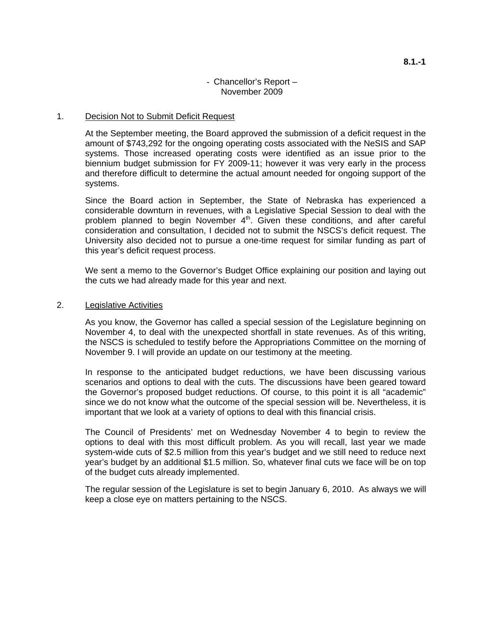- Chancellor's Report – November 2009

### 1. Decision Not to Submit Deficit Request

At the September meeting, the Board approved the submission of a deficit request in the amount of \$743,292 for the ongoing operating costs associated with the NeSIS and SAP systems. Those increased operating costs were identified as an issue prior to the biennium budget submission for FY 2009-11; however it was very early in the process and therefore difficult to determine the actual amount needed for ongoing support of the systems.

Since the Board action in September, the State of Nebraska has experienced a considerable downturn in revenues, with a Legislative Special Session to deal with the problem planned to begin November  $4<sup>th</sup>$ . Given these conditions, and after careful consideration and consultation, I decided not to submit the NSCS's deficit request. The University also decided not to pursue a one-time request for similar funding as part of this year's deficit request process.

 We sent a memo to the Governor's Budget Office explaining our position and laying out the cuts we had already made for this year and next.

### 2. Legislative Activities

 As you know, the Governor has called a special session of the Legislature beginning on November 4, to deal with the unexpected shortfall in state revenues. As of this writing, the NSCS is scheduled to testify before the Appropriations Committee on the morning of November 9. I will provide an update on our testimony at the meeting.

 In response to the anticipated budget reductions, we have been discussing various scenarios and options to deal with the cuts. The discussions have been geared toward the Governor's proposed budget reductions. Of course, to this point it is all "academic" since we do not know what the outcome of the special session will be. Nevertheless, it is important that we look at a variety of options to deal with this financial crisis.

The Council of Presidents' met on Wednesday November 4 to begin to review the options to deal with this most difficult problem. As you will recall, last year we made system-wide cuts of \$2.5 million from this year's budget and we still need to reduce next year's budget by an additional \$1.5 million. So, whatever final cuts we face will be on top of the budget cuts already implemented.

 The regular session of the Legislature is set to begin January 6, 2010. As always we will keep a close eye on matters pertaining to the NSCS.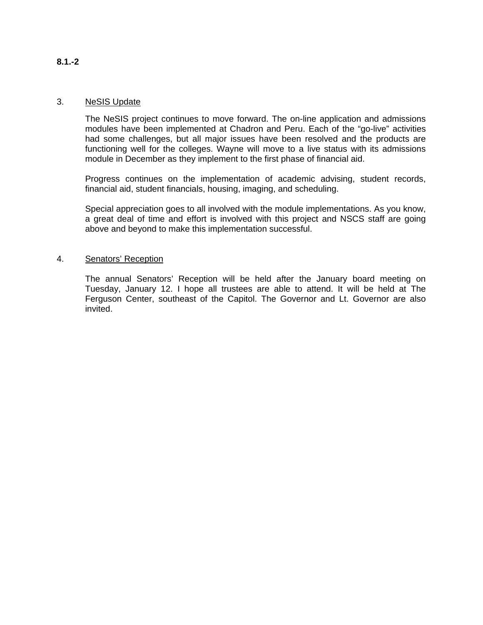# 3. NeSIS Update

The NeSIS project continues to move forward. The on-line application and admissions modules have been implemented at Chadron and Peru. Each of the "go-live" activities had some challenges, but all major issues have been resolved and the products are functioning well for the colleges. Wayne will move to a live status with its admissions module in December as they implement to the first phase of financial aid.

Progress continues on the implementation of academic advising, student records, financial aid, student financials, housing, imaging, and scheduling.

Special appreciation goes to all involved with the module implementations. As you know, a great deal of time and effort is involved with this project and NSCS staff are going above and beyond to make this implementation successful.

### 4. Senators' Reception

The annual Senators' Reception will be held after the January board meeting on Tuesday, January 12. I hope all trustees are able to attend. It will be held at The Ferguson Center, southeast of the Capitol. The Governor and Lt. Governor are also invited.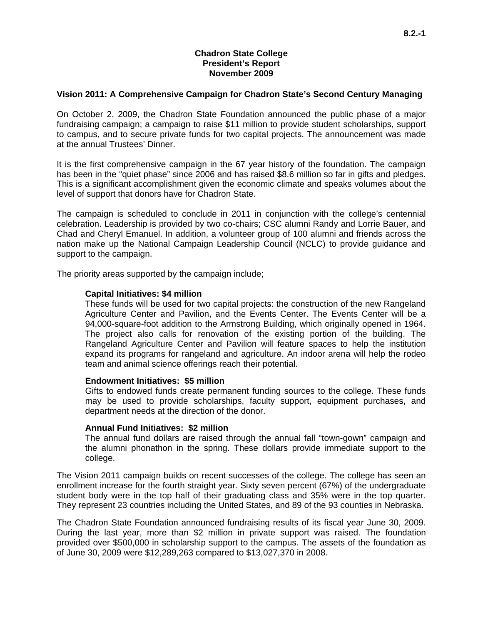# **Chadron State College President's Report November 2009**

# **Vision 2011: A Comprehensive Campaign for Chadron State's Second Century Managing**

On October 2, 2009, the Chadron State Foundation announced the public phase of a major fundraising campaign; a campaign to raise \$11 million to provide student scholarships, support to campus, and to secure private funds for two capital projects. The announcement was made at the annual Trustees' Dinner.

It is the first comprehensive campaign in the 67 year history of the foundation. The campaign has been in the "quiet phase" since 2006 and has raised \$8.6 million so far in gifts and pledges. This is a significant accomplishment given the economic climate and speaks volumes about the level of support that donors have for Chadron State.

The campaign is scheduled to conclude in 2011 in conjunction with the college's centennial celebration. Leadership is provided by two co-chairs; CSC alumni Randy and Lorrie Bauer, and Chad and Cheryl Emanuel. In addition, a volunteer group of 100 alumni and friends across the nation make up the National Campaign Leadership Council (NCLC) to provide guidance and support to the campaign.

The priority areas supported by the campaign include;

### **Capital Initiatives: \$4 million**

These funds will be used for two capital projects: the construction of the new Rangeland Agriculture Center and Pavilion, and the Events Center. The Events Center will be a 94,000-square-foot addition to the Armstrong Building, which originally opened in 1964. The project also calls for renovation of the existing portion of the building. The Rangeland Agriculture Center and Pavilion will feature spaces to help the institution expand its programs for rangeland and agriculture. An indoor arena will help the rodeo team and animal science offerings reach their potential.

#### **Endowment Initiatives: \$5 million**

Gifts to endowed funds create permanent funding sources to the college. These funds may be used to provide scholarships, faculty support, equipment purchases, and department needs at the direction of the donor.

### **Annual Fund Initiatives: \$2 million**

The annual fund dollars are raised through the annual fall "town-gown" campaign and the alumni phonathon in the spring. These dollars provide immediate support to the college.

The Vision 2011 campaign builds on recent successes of the college. The college has seen an enrollment increase for the fourth straight year. Sixty seven percent (67%) of the undergraduate student body were in the top half of their graduating class and 35% were in the top quarter. They represent 23 countries including the United States, and 89 of the 93 counties in Nebraska.

The Chadron State Foundation announced fundraising results of its fiscal year June 30, 2009. During the last year, more than \$2 million in private support was raised. The foundation provided over \$500,000 in scholarship support to the campus. The assets of the foundation as of June 30, 2009 were \$12,289,263 compared to \$13,027,370 in 2008.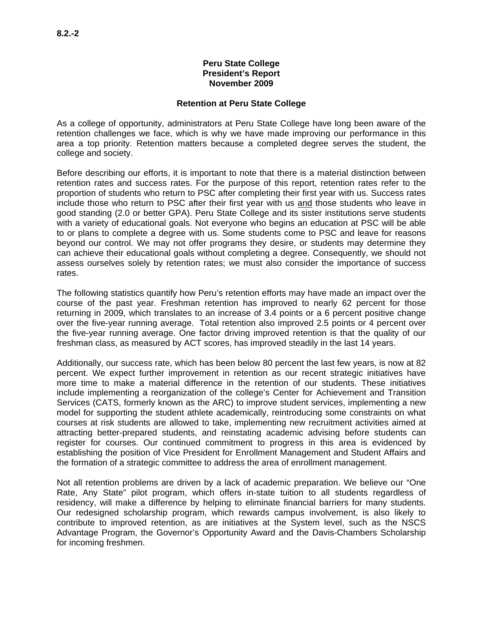# **Peru State College President's Report November 2009**

## **Retention at Peru State College**

As a college of opportunity, administrators at Peru State College have long been aware of the retention challenges we face, which is why we have made improving our performance in this area a top priority. Retention matters because a completed degree serves the student, the college and society.

Before describing our efforts, it is important to note that there is a material distinction between retention rates and success rates. For the purpose of this report, retention rates refer to the proportion of students who return to PSC after completing their first year with us. Success rates include those who return to PSC after their first year with us and those students who leave in good standing (2.0 or better GPA). Peru State College and its sister institutions serve students with a variety of educational goals. Not everyone who begins an education at PSC will be able to or plans to complete a degree with us. Some students come to PSC and leave for reasons beyond our control. We may not offer programs they desire, or students may determine they can achieve their educational goals without completing a degree. Consequently, we should not assess ourselves solely by retention rates; we must also consider the importance of success rates.

The following statistics quantify how Peru's retention efforts may have made an impact over the course of the past year. Freshman retention has improved to nearly 62 percent for those returning in 2009, which translates to an increase of 3.4 points or a 6 percent positive change over the five-year running average. Total retention also improved 2.5 points or 4 percent over the five-year running average. One factor driving improved retention is that the quality of our freshman class, as measured by ACT scores, has improved steadily in the last 14 years.

Additionally, our success rate, which has been below 80 percent the last few years, is now at 82 percent. We expect further improvement in retention as our recent strategic initiatives have more time to make a material difference in the retention of our students. These initiatives include implementing a reorganization of the college's Center for Achievement and Transition Services (CATS, formerly known as the ARC) to improve student services, implementing a new model for supporting the student athlete academically, reintroducing some constraints on what courses at risk students are allowed to take, implementing new recruitment activities aimed at attracting better-prepared students, and reinstating academic advising before students can register for courses. Our continued commitment to progress in this area is evidenced by establishing the position of Vice President for Enrollment Management and Student Affairs and the formation of a strategic committee to address the area of enrollment management.

Not all retention problems are driven by a lack of academic preparation. We believe our "One Rate, Any State" pilot program, which offers in-state tuition to all students regardless of residency, will make a difference by helping to eliminate financial barriers for many students. Our redesigned scholarship program, which rewards campus involvement, is also likely to contribute to improved retention, as are initiatives at the System level, such as the NSCS Advantage Program, the Governor's Opportunity Award and the Davis-Chambers Scholarship for incoming freshmen.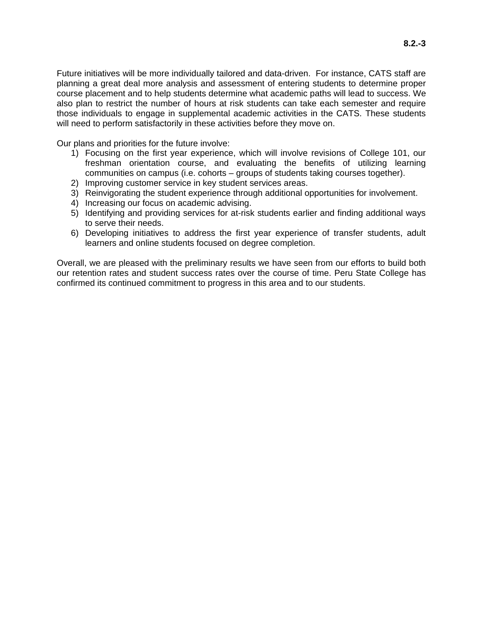Future initiatives will be more individually tailored and data-driven. For instance, CATS staff are planning a great deal more analysis and assessment of entering students to determine proper course placement and to help students determine what academic paths will lead to success. We also plan to restrict the number of hours at risk students can take each semester and require those individuals to engage in supplemental academic activities in the CATS. These students will need to perform satisfactorily in these activities before they move on.

Our plans and priorities for the future involve:

- 1) Focusing on the first year experience, which will involve revisions of College 101, our freshman orientation course, and evaluating the benefits of utilizing learning communities on campus (i.e. cohorts – groups of students taking courses together).
- 2) Improving customer service in key student services areas.
- 3) Reinvigorating the student experience through additional opportunities for involvement.
- 4) Increasing our focus on academic advising.
- 5) Identifying and providing services for at-risk students earlier and finding additional ways to serve their needs.
- 6) Developing initiatives to address the first year experience of transfer students, adult learners and online students focused on degree completion.

Overall, we are pleased with the preliminary results we have seen from our efforts to build both our retention rates and student success rates over the course of time. Peru State College has confirmed its continued commitment to progress in this area and to our students.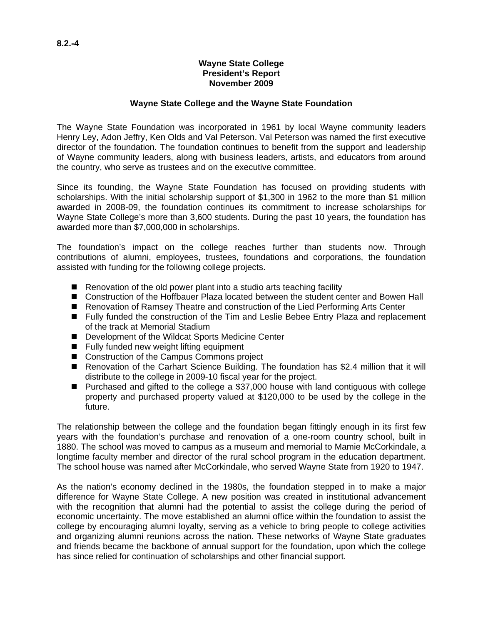## **Wayne State College President's Report November 2009**

# **Wayne State College and the Wayne State Foundation**

The Wayne State Foundation was incorporated in 1961 by local Wayne community leaders Henry Ley, Adon Jeffry, Ken Olds and Val Peterson. Val Peterson was named the first executive director of the foundation. The foundation continues to benefit from the support and leadership of Wayne community leaders, along with business leaders, artists, and educators from around the country, who serve as trustees and on the executive committee.

Since its founding, the Wayne State Foundation has focused on providing students with scholarships. With the initial scholarship support of \$1,300 in 1962 to the more than \$1 million awarded in 2008-09, the foundation continues its commitment to increase scholarships for Wayne State College's more than 3,600 students. During the past 10 years, the foundation has awarded more than \$7,000,000 in scholarships.

The foundation's impact on the college reaches further than students now. Through contributions of alumni, employees, trustees, foundations and corporations, the foundation assisted with funding for the following college projects.

- Renovation of the old power plant into a studio arts teaching facility
- Construction of the Hoffbauer Plaza located between the student center and Bowen Hall
- Renovation of Ramsey Theatre and construction of the Lied Performing Arts Center
- Fully funded the construction of the Tim and Leslie Bebee Entry Plaza and replacement of the track at Memorial Stadium
- Development of the Wildcat Sports Medicine Center
- Fully funded new weight lifting equipment
- Construction of the Campus Commons project
- Renovation of the Carhart Science Building. The foundation has \$2.4 million that it will distribute to the college in 2009-10 fiscal year for the project.
- Purchased and gifted to the college a \$37,000 house with land contiguous with college property and purchased property valued at \$120,000 to be used by the college in the future.

The relationship between the college and the foundation began fittingly enough in its first few years with the foundation's purchase and renovation of a one-room country school, built in 1880. The school was moved to campus as a museum and memorial to Mamie McCorkindale, a longtime faculty member and director of the rural school program in the education department. The school house was named after McCorkindale, who served Wayne State from 1920 to 1947.

As the nation's economy declined in the 1980s, the foundation stepped in to make a major difference for Wayne State College. A new position was created in institutional advancement with the recognition that alumni had the potential to assist the college during the period of economic uncertainty. The move established an alumni office within the foundation to assist the college by encouraging alumni loyalty, serving as a vehicle to bring people to college activities and organizing alumni reunions across the nation. These networks of Wayne State graduates and friends became the backbone of annual support for the foundation, upon which the college has since relied for continuation of scholarships and other financial support.